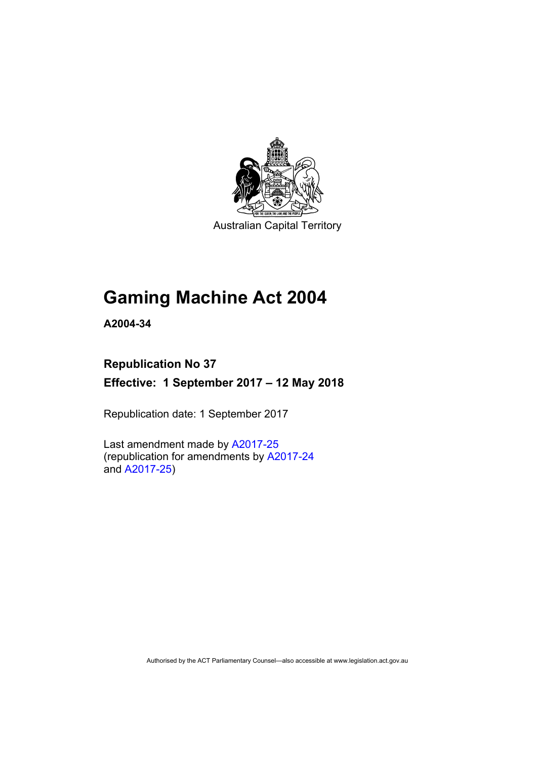

Australian Capital Territory

# **Gaming Machine Act 2004**

**A2004-34** 

# **Republication No 37**

**Effective: 1 September 2017 – 12 May 2018** 

Republication date: 1 September 2017

Last amendment made by [A2017-25](http://www.legislation.act.gov.au/a/2017-25/default.asp) (republication for amendments by [A2017-24](http://www.legislation.act.gov.au/a/2017-24/default.asp) and [A2017-25](http://www.legislation.act.gov.au/a/2017-25/default.asp))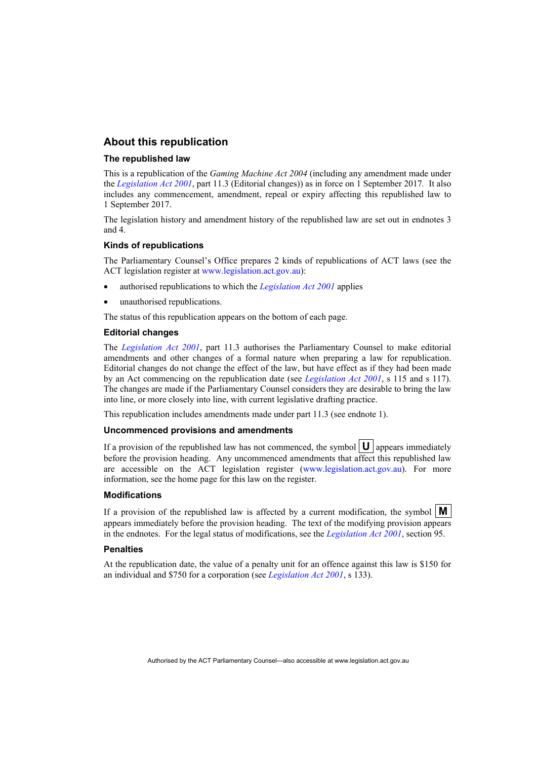### **About this republication**

#### **The republished law**

This is a republication of the *Gaming Machine Act 2004* (including any amendment made under the *[Legislation Act 2001](http://www.legislation.act.gov.au/a/2001-14)*, part 11.3 (Editorial changes)) as in force on 1 September 2017*.* It also includes any commencement, amendment, repeal or expiry affecting this republished law to 1 September 2017.

The legislation history and amendment history of the republished law are set out in endnotes 3 and 4.

#### **Kinds of republications**

The Parliamentary Counsel's Office prepares 2 kinds of republications of ACT laws (see the ACT legislation register at [www.legislation.act.gov.au](http://www.legislation.act.gov.au/)):

- authorised republications to which the *[Legislation Act 2001](http://www.legislation.act.gov.au/a/2001-14)* applies
- unauthorised republications.

The status of this republication appears on the bottom of each page.

#### **Editorial changes**

The *[Legislation Act 2001](http://www.legislation.act.gov.au/a/2001-14)*, part 11.3 authorises the Parliamentary Counsel to make editorial amendments and other changes of a formal nature when preparing a law for republication. Editorial changes do not change the effect of the law, but have effect as if they had been made by an Act commencing on the republication date (see *[Legislation Act 2001](http://www.legislation.act.gov.au/a/2001-14)*, s 115 and s 117). The changes are made if the Parliamentary Counsel considers they are desirable to bring the law into line, or more closely into line, with current legislative drafting practice.

This republication includes amendments made under part 11.3 (see endnote 1).

#### **Uncommenced provisions and amendments**

If a provision of the republished law has not commenced, the symbol  $\mathbf{U}$  appears immediately before the provision heading. Any uncommenced amendments that affect this republished law are accessible on the ACT legislation register [\(www.legislation.act.gov.au\)](http://www.legislation.act.gov.au/). For more information, see the home page for this law on the register.

#### **Modifications**

If a provision of the republished law is affected by a current modification, the symbol  $\mathbf{M}$ appears immediately before the provision heading. The text of the modifying provision appears in the endnotes. For the legal status of modifications, see the *[Legislation Act 2001](http://www.legislation.act.gov.au/a/2001-14)*, section 95.

### **Penalties**

At the republication date, the value of a penalty unit for an offence against this law is \$150 for an individual and \$750 for a corporation (see *[Legislation Act 2001](http://www.legislation.act.gov.au/a/2001-14)*, s 133).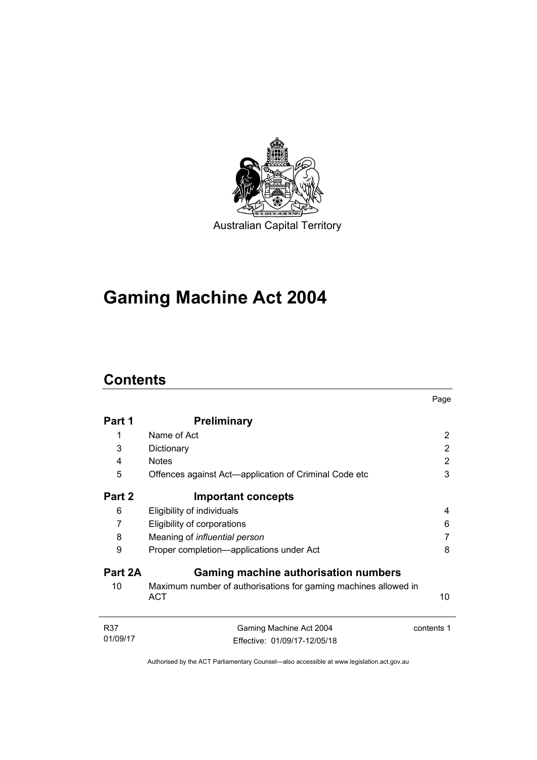

# **Gaming Machine Act 2004**

# **Contents**

|                 |                                                                               | Page       |
|-----------------|-------------------------------------------------------------------------------|------------|
| Part 1          | <b>Preliminary</b>                                                            |            |
| 1               | Name of Act                                                                   | 2          |
| 3               | Dictionary                                                                    | 2          |
| 4               | <b>Notes</b>                                                                  | 2          |
| 5               | Offences against Act—application of Criminal Code etc                         | 3          |
| Part 2          | <b>Important concepts</b>                                                     |            |
| 6               | Eligibility of individuals                                                    | 4          |
| 7               | Eligibility of corporations                                                   | 6          |
| 8               | Meaning of influential person                                                 |            |
| 9               | Proper completion—applications under Act                                      | 8          |
| Part 2A         | <b>Gaming machine authorisation numbers</b>                                   |            |
| 10              | Maximum number of authorisations for gaming machines allowed in<br><b>ACT</b> | 10         |
| R37<br>01/09/17 | Gaming Machine Act 2004<br>Effective: 01/09/17-12/05/18                       | contents 1 |
|                 |                                                                               |            |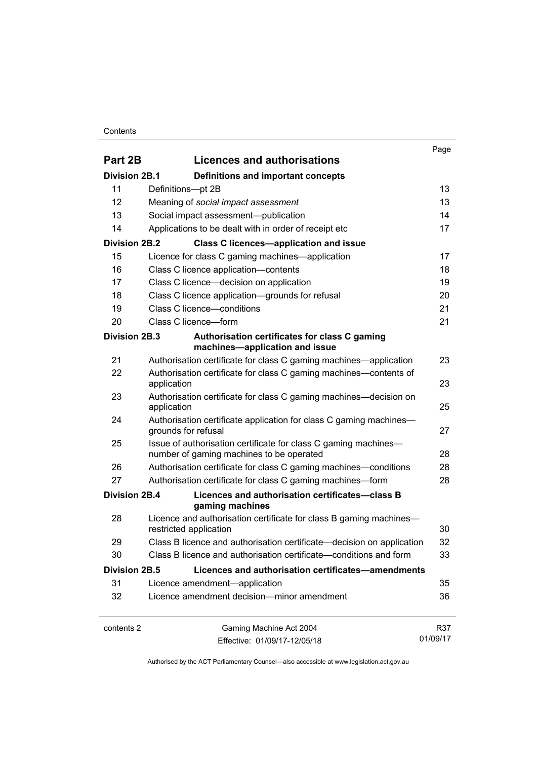### **Contents**

| Part 2B                    | <b>Licences and authorisations</b>                                                                          | Page     |
|----------------------------|-------------------------------------------------------------------------------------------------------------|----------|
|                            |                                                                                                             |          |
| <b>Division 2B.1</b><br>11 | <b>Definitions and important concepts</b>                                                                   | 13       |
| 12                         | Definitions-pt 2B                                                                                           | 13       |
|                            | Meaning of social impact assessment                                                                         | 14       |
| 13<br>14                   | Social impact assessment--publication<br>Applications to be dealt with in order of receipt etc              | 17       |
|                            |                                                                                                             |          |
| <b>Division 2B.2</b>       | <b>Class C licences-application and issue</b>                                                               |          |
| 15                         | Licence for class C gaming machines—application                                                             | 17       |
| 16                         | Class C licence application-contents                                                                        | 18       |
| 17                         | Class C licence—decision on application                                                                     | 19       |
| 18                         | Class C licence application-grounds for refusal                                                             | 20       |
| 19                         | Class C licence-conditions                                                                                  | 21       |
| 20                         | Class C licence-form                                                                                        | 21       |
| Division 2B.3              | Authorisation certificates for class C gaming<br>machines-application and issue                             |          |
| 21                         | Authorisation certificate for class C gaming machines—application                                           | 23       |
| 22                         | Authorisation certificate for class C gaming machines—contents of<br>application                            | 23       |
| 23                         | Authorisation certificate for class C gaming machines—decision on<br>application                            | 25       |
| 24                         | Authorisation certificate application for class C gaming machines-<br>grounds for refusal                   | 27       |
| 25                         | Issue of authorisation certificate for class C gaming machines-<br>number of gaming machines to be operated | 28       |
| 26                         | Authorisation certificate for class C gaming machines—conditions                                            | 28       |
| 27                         | Authorisation certificate for class C gaming machines-form                                                  | 28       |
| <b>Division 2B.4</b>       | Licences and authorisation certificates-class B<br>gaming machines                                          |          |
| 28                         | Licence and authorisation certificate for class B gaming machines-<br>restricted application                | 30       |
| 29                         | Class B licence and authorisation certificate—decision on application                                       | 32       |
| 30                         | Class B licence and authorisation certificate—conditions and form                                           | 33       |
| <b>Division 2B.5</b>       | Licences and authorisation certificates-amendments                                                          |          |
| 31                         | Licence amendment-application                                                                               | 35       |
| 32                         | Licence amendment decision-minor amendment                                                                  | 36       |
| contents 2                 | Gaming Machine Act 2004                                                                                     | R37      |
|                            | Effective: 01/09/17-12/05/18                                                                                | 01/09/17 |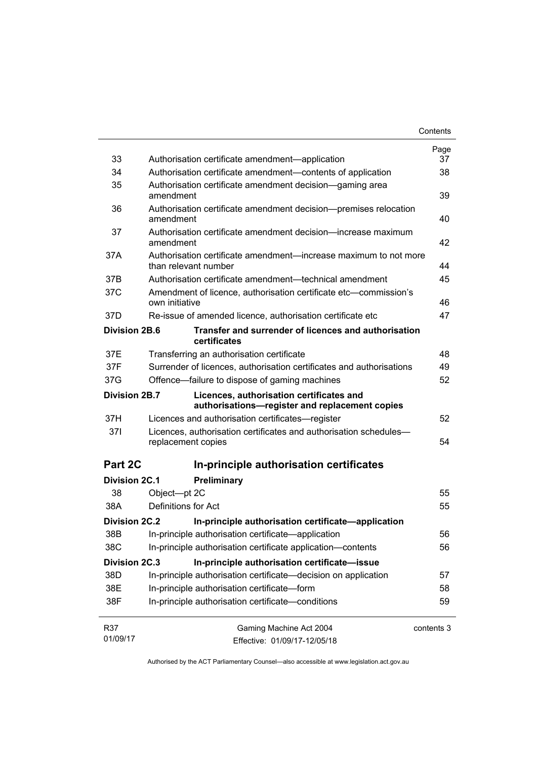|                      |                                                                                            | Contents   |
|----------------------|--------------------------------------------------------------------------------------------|------------|
|                      |                                                                                            | Page       |
| 33                   | Authorisation certificate amendment—application                                            | 37         |
| 34                   | Authorisation certificate amendment—contents of application                                | 38         |
| 35                   | Authorisation certificate amendment decision—gaming area<br>amendment                      | 39         |
| 36                   | Authorisation certificate amendment decision—premises relocation<br>amendment              | 40         |
| 37                   | Authorisation certificate amendment decision—increase maximum<br>amendment                 | 42         |
| 37A                  | Authorisation certificate amendment—increase maximum to not more<br>than relevant number   | 44         |
| 37B                  | Authorisation certificate amendment—technical amendment                                    | 45         |
| 37C                  | Amendment of licence, authorisation certificate etc-commission's                           |            |
|                      | own initiative                                                                             | 46         |
| 37D                  | Re-issue of amended licence, authorisation certificate etc                                 | 47         |
| Division 2B.6        | Transfer and surrender of licences and authorisation<br>certificates                       |            |
| 37E                  | Transferring an authorisation certificate                                                  | 48         |
| 37F                  | Surrender of licences, authorisation certificates and authorisations                       | 49         |
| 37G                  | Offence-failure to dispose of gaming machines                                              | 52         |
| <b>Division 2B.7</b> | Licences, authorisation certificates and<br>authorisations-register and replacement copies |            |
| 37H                  | Licences and authorisation certificates—register                                           | 52         |
| 37I                  | Licences, authorisation certificates and authorisation schedules-<br>replacement copies    | 54         |
| Part 2C              | In-principle authorisation certificates                                                    |            |
| <b>Division 2C.1</b> | Preliminary                                                                                |            |
| 38                   | Object-pt 2C                                                                               | 55         |
| 38A                  | Definitions for Act                                                                        | 55         |
| Division 2C.2        | In-principle authorisation certificate-application                                         |            |
| 38B                  | In-principle authorisation certificate-application                                         | 56         |
| 38C                  | In-principle authorisation certificate application-contents                                | 56         |
| <b>Division 2C.3</b> | In-principle authorisation certificate-issue                                               |            |
| 38D                  | In-principle authorisation certificate-decision on application                             | 57         |
| 38E                  | In-principle authorisation certificate-form                                                | 58         |
| 38F                  | In-principle authorisation certificate-conditions                                          | 59         |
| R37                  | Gaming Machine Act 2004                                                                    | contents 3 |
| 01/09/17             | Effective: 01/09/17-12/05/18                                                               |            |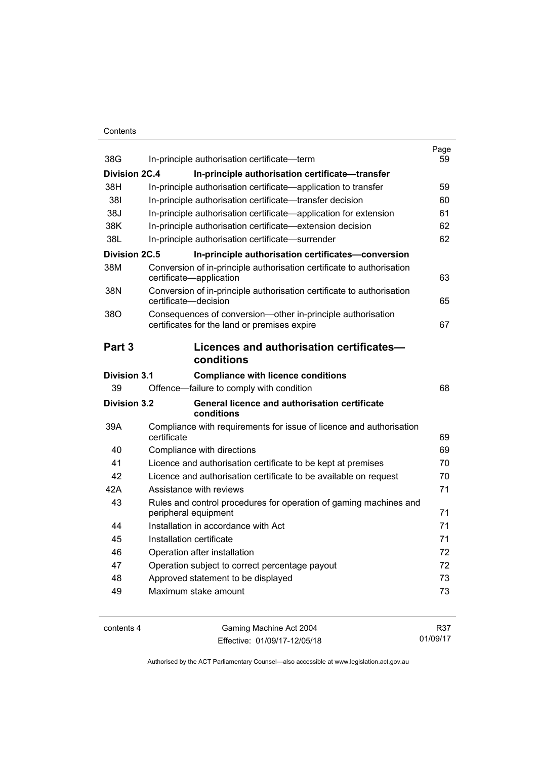### Contents

| 38G                  | In-principle authorisation certificate-term                                                                 | Page<br>59 |
|----------------------|-------------------------------------------------------------------------------------------------------------|------------|
| <b>Division 2C.4</b> | In-principle authorisation certificate-transfer                                                             |            |
| 38H                  | In-principle authorisation certificate-application to transfer                                              | 59         |
| 381                  | In-principle authorisation certificate—transfer decision                                                    | 60         |
| 38J                  | In-principle authorisation certificate—application for extension                                            | 61         |
| 38K                  | In-principle authorisation certificate-extension decision                                                   | 62         |
| 38L                  | In-principle authorisation certificate-surrender                                                            | 62         |
| <b>Division 2C.5</b> | In-principle authorisation certificates-conversion                                                          |            |
| 38M                  | Conversion of in-principle authorisation certificate to authorisation<br>certificate-application            | 63         |
| 38N                  | Conversion of in-principle authorisation certificate to authorisation<br>certificate-decision               | 65         |
| 38O                  | Consequences of conversion-other in-principle authorisation<br>certificates for the land or premises expire | 67         |
| Part <sub>3</sub>    | Licences and authorisation certificates-<br>conditions                                                      |            |
| Division 3.1         | <b>Compliance with licence conditions</b>                                                                   |            |
| 39                   | Offence-failure to comply with condition                                                                    | 68         |
| <b>Division 3.2</b>  | General licence and authorisation certificate<br>conditions                                                 |            |
| 39A                  | Compliance with requirements for issue of licence and authorisation<br>certificate                          | 69         |
| 40                   | Compliance with directions                                                                                  | 69         |
| 41                   | Licence and authorisation certificate to be kept at premises                                                | 70         |
| 42                   | Licence and authorisation certificate to be available on request                                            | 70         |
| 42A                  | Assistance with reviews                                                                                     | 71         |
| 43                   | Rules and control procedures for operation of gaming machines and<br>peripheral equipment                   | 71         |
| 44                   | Installation in accordance with Act                                                                         | 71         |
| 45                   | Installation certificate                                                                                    | 71         |
| 46                   | Operation after installation                                                                                | 72         |
| 47                   | Operation subject to correct percentage payout                                                              | 72         |
| 48                   | Approved statement to be displayed                                                                          | 73         |
| 49                   | Maximum stake amount                                                                                        | 73         |
|                      |                                                                                                             |            |

contents 4 Gaming Machine Act 2004 Effective: 01/09/17-12/05/18

R37 01/09/17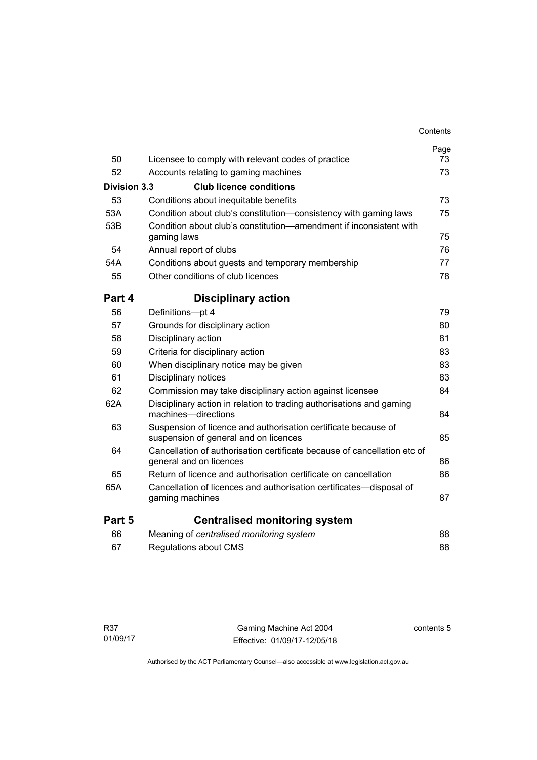|                     |                                                                                                         | Contents |
|---------------------|---------------------------------------------------------------------------------------------------------|----------|
|                     |                                                                                                         | Page     |
| 50                  | Licensee to comply with relevant codes of practice                                                      | 73       |
| 52                  | Accounts relating to gaming machines                                                                    | 73       |
| <b>Division 3.3</b> | <b>Club licence conditions</b>                                                                          |          |
| 53                  | Conditions about inequitable benefits                                                                   | 73       |
| 53A                 | Condition about club's constitution—consistency with gaming laws                                        | 75       |
| 53B                 | Condition about club's constitution—amendment if inconsistent with<br>gaming laws                       | 75       |
| 54                  | Annual report of clubs                                                                                  | 76       |
| 54A                 | Conditions about guests and temporary membership                                                        | 77       |
| 55                  | Other conditions of club licences                                                                       | 78       |
| Part 4              | <b>Disciplinary action</b>                                                                              |          |
| 56                  | Definitions-pt 4                                                                                        | 79       |
| 57                  | Grounds for disciplinary action                                                                         | 80       |
| 58                  | Disciplinary action                                                                                     | 81       |
| 59                  | Criteria for disciplinary action                                                                        | 83       |
| 60                  | When disciplinary notice may be given                                                                   | 83       |
| 61                  | Disciplinary notices                                                                                    | 83       |
| 62                  | Commission may take disciplinary action against licensee                                                | 84       |
| 62A                 | Disciplinary action in relation to trading authorisations and gaming<br>machines—directions             | 84       |
| 63                  | Suspension of licence and authorisation certificate because of<br>suspension of general and on licences | 85       |
| 64                  | Cancellation of authorisation certificate because of cancellation etc of<br>general and on licences     | 86       |
| 65                  | Return of licence and authorisation certificate on cancellation                                         | 86       |
| 65A                 | Cancellation of licences and authorisation certificates—disposal of<br>gaming machines                  | 87       |
| Part 5              | <b>Centralised monitoring system</b>                                                                    |          |
| 66                  | Meaning of centralised monitoring system                                                                | 88       |
| 67                  | Regulations about CMS                                                                                   | 88       |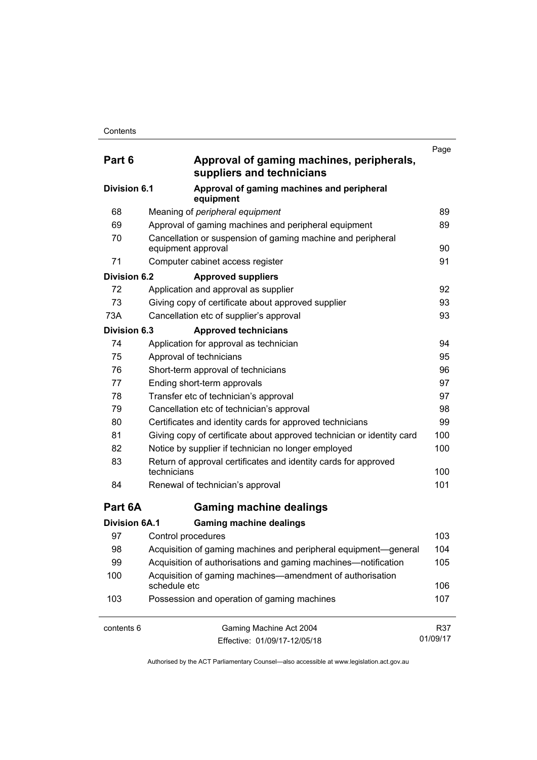| Part 6               | Approval of gaming machines, peripherals,<br>suppliers and technicians            | Page     |
|----------------------|-----------------------------------------------------------------------------------|----------|
| Division 6.1         | Approval of gaming machines and peripheral<br>equipment                           |          |
| 68                   | Meaning of peripheral equipment                                                   | 89       |
| 69                   | Approval of gaming machines and peripheral equipment                              | 89       |
| 70                   | Cancellation or suspension of gaming machine and peripheral<br>equipment approval | 90       |
| 71                   | Computer cabinet access register                                                  | 91       |
| Division 6.2         | <b>Approved suppliers</b>                                                         |          |
| 72                   | Application and approval as supplier                                              | 92       |
| 73                   | Giving copy of certificate about approved supplier                                | 93       |
| 73A                  | Cancellation etc of supplier's approval                                           | 93       |
| <b>Division 6.3</b>  | <b>Approved technicians</b>                                                       |          |
| 74                   | Application for approval as technician                                            | 94       |
| 75                   | Approval of technicians                                                           | 95       |
| 76                   | Short-term approval of technicians                                                | 96       |
| 77                   | Ending short-term approvals                                                       | 97       |
| 78                   | Transfer etc of technician's approval                                             | 97       |
| 79                   | Cancellation etc of technician's approval                                         | 98       |
| 80                   | Certificates and identity cards for approved technicians                          | 99       |
| 81                   | Giving copy of certificate about approved technician or identity card             | 100      |
| 82                   | Notice by supplier if technician no longer employed                               | 100      |
| 83                   | Return of approval certificates and identity cards for approved<br>technicians    | 100      |
| 84                   | Renewal of technician's approval                                                  | 101      |
| Part 6A              | <b>Gaming machine dealings</b>                                                    |          |
| <b>Division 6A.1</b> | <b>Gaming machine dealings</b>                                                    |          |
| 97                   | Control procedures                                                                | 103      |
| 98                   | Acquisition of gaming machines and peripheral equipment-general                   | 104      |
| 99                   | Acquisition of authorisations and gaming machines-notification                    | 105      |
| 100                  | Acquisition of gaming machines—amendment of authorisation<br>schedule etc         | 106      |
| 103                  | Possession and operation of gaming machines                                       | 107      |
| contents 6           | Gaming Machine Act 2004                                                           | R37      |
|                      | Effective: 01/09/17-12/05/18                                                      | 01/09/17 |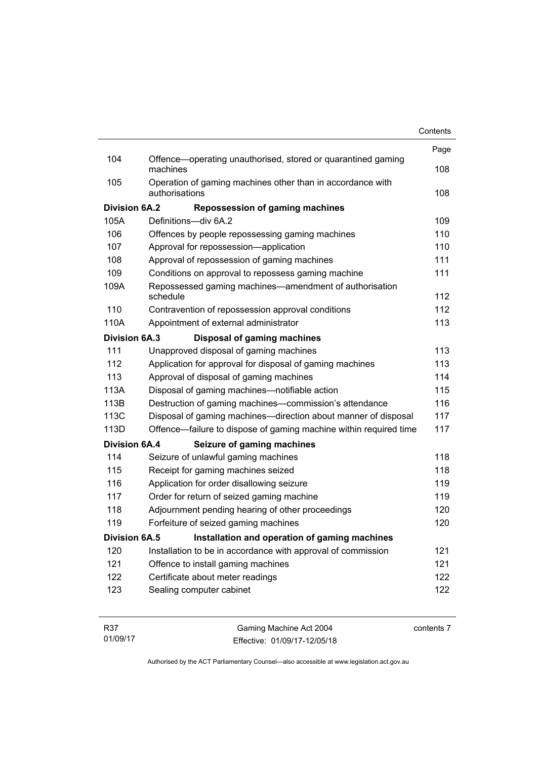|                      |                                                                              | Contents |
|----------------------|------------------------------------------------------------------------------|----------|
|                      |                                                                              | Page     |
| 104                  | Offence—operating unauthorised, stored or quarantined gaming<br>machines     | 108      |
| 105                  | Operation of gaming machines other than in accordance with<br>authorisations | 108      |
| <b>Division 6A.2</b> | <b>Repossession of gaming machines</b>                                       |          |
| 105A                 | Definitions-div 6A.2                                                         | 109      |
| 106                  | Offences by people repossessing gaming machines                              | 110      |
| 107                  | Approval for repossession-application                                        | 110      |
| 108                  | Approval of repossession of gaming machines                                  | 111      |
| 109                  | Conditions on approval to repossess gaming machine                           | 111      |
| 109A                 | Repossessed gaming machines—amendment of authorisation<br>schedule           | 112      |
| 110                  | Contravention of repossession approval conditions                            | 112      |
| 110A                 | Appointment of external administrator                                        | 113      |
| <b>Division 6A.3</b> | <b>Disposal of gaming machines</b>                                           |          |
| 111                  | Unapproved disposal of gaming machines                                       | 113      |
| 112                  | Application for approval for disposal of gaming machines                     | 113      |
| 113                  | Approval of disposal of gaming machines                                      | 114      |
| 113A                 | Disposal of gaming machines—notifiable action                                | 115      |
| 113B                 | Destruction of gaming machines-commission's attendance                       | 116      |
| 113C                 | Disposal of gaming machines-direction about manner of disposal               | 117      |
| 113D                 | Offence—failure to dispose of gaming machine within required time            | 117      |
| <b>Division 6A.4</b> | Seizure of gaming machines                                                   |          |
| 114                  | Seizure of unlawful gaming machines                                          | 118      |
| 115                  | Receipt for gaming machines seized                                           | 118      |
| 116                  | Application for order disallowing seizure                                    | 119      |
| 117                  | Order for return of seized gaming machine                                    | 119      |
| 118                  | Adjournment pending hearing of other proceedings                             | 120      |
| 119                  | Forfeiture of seized gaming machines                                         | 120      |
| <b>Division 6A.5</b> | Installation and operation of gaming machines                                |          |
| 120                  | Installation to be in accordance with approval of commission                 | 121      |
| 121                  | Offence to install gaming machines                                           | 121      |
| 122                  | Certificate about meter readings                                             | 122      |
| 123                  | Sealing computer cabinet                                                     | 122      |
|                      |                                                                              |          |

| R37      | Gaming Machine Act 2004      | contents 7 |
|----------|------------------------------|------------|
| 01/09/17 | Effective: 01/09/17-12/05/18 |            |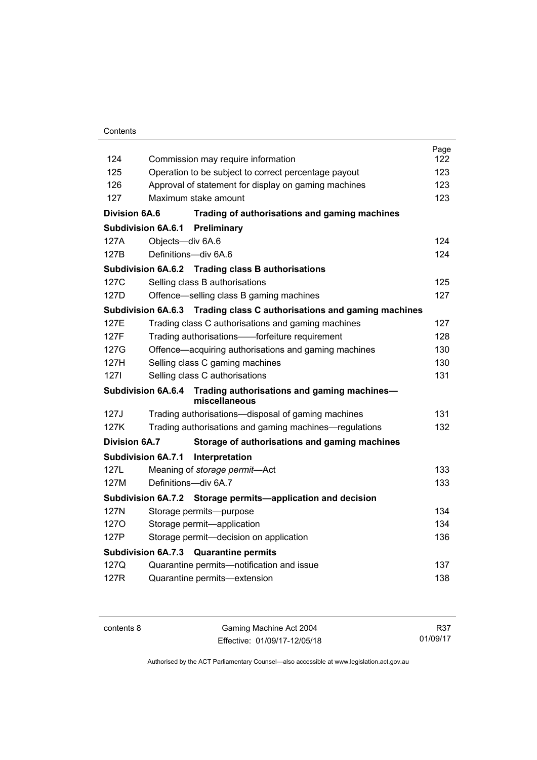### Contents

|                           |                                                                                 | Page |
|---------------------------|---------------------------------------------------------------------------------|------|
| 124                       | Commission may require information                                              | 122  |
| 125                       | Operation to be subject to correct percentage payout                            | 123  |
| 126                       | Approval of statement for display on gaming machines                            | 123  |
| 127                       | Maximum stake amount                                                            | 123  |
| <b>Division 6A.6</b>      | Trading of authorisations and gaming machines                                   |      |
| <b>Subdivision 6A.6.1</b> | Preliminary                                                                     |      |
| 127A                      | Objects-div 6A.6                                                                | 124  |
| 127B                      | Definitions-div 6A.6                                                            | 124  |
|                           | Subdivision 6A.6.2 Trading class B authorisations                               |      |
| 127C                      | Selling class B authorisations                                                  | 125  |
| 127D                      | Offence—selling class B gaming machines                                         | 127  |
|                           | <b>Subdivision 6A.6.3</b><br>Trading class C authorisations and gaming machines |      |
| 127E                      | Trading class C authorisations and gaming machines                              | 127  |
| 127F                      | Trading authorisations——forfeiture requirement                                  | 128  |
| 127G                      | Offence—acquiring authorisations and gaming machines                            | 130  |
| 127H                      | Selling class C gaming machines                                                 | 130  |
| 1271                      | Selling class C authorisations                                                  | 131  |
| <b>Subdivision 6A.6.4</b> | Trading authorisations and gaming machines-<br>miscellaneous                    |      |
| 127J                      | Trading authorisations-disposal of gaming machines                              | 131  |
| 127K                      | Trading authorisations and gaming machines—regulations                          | 132  |
| Division 6A.7             | Storage of authorisations and gaming machines                                   |      |
| Subdivision 6A.7.1        | Interpretation                                                                  |      |
| 127L                      | Meaning of storage permit-Act                                                   | 133  |
| 127M                      | Definitions-div 6A.7                                                            | 133  |
|                           | Subdivision 6A.7.2 Storage permits—application and decision                     |      |
| 127N                      | Storage permits--purpose                                                        | 134  |
| 1270                      | Storage permit-application                                                      | 134  |
| 127P                      | Storage permit-decision on application                                          | 136  |
|                           | <b>Subdivision 6A.7.3</b><br><b>Quarantine permits</b>                          |      |
| 127Q                      | Quarantine permits-notification and issue                                       | 137  |
| 127R                      | Quarantine permits-extension                                                    | 138  |
|                           |                                                                                 |      |

contents 8 Gaming Machine Act 2004 Effective: 01/09/17-12/05/18

R37 01/09/17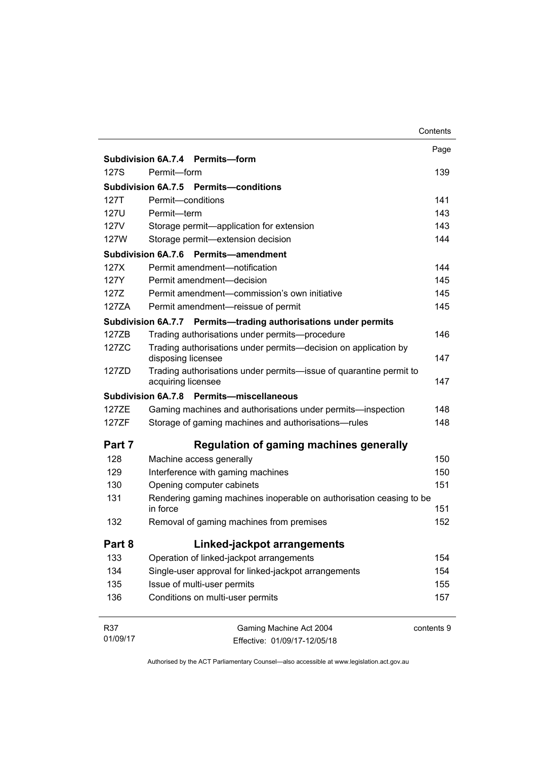|             |                                                                                          | Contents   |
|-------------|------------------------------------------------------------------------------------------|------------|
|             |                                                                                          | Page       |
|             | Subdivision 6A.7.4 Permits-form                                                          |            |
| 127S        | Permit-form                                                                              | 139        |
|             | Subdivision 6A.7.5 Permits-conditions                                                    |            |
| 127T        | Permit-conditions                                                                        | 141        |
| <b>127U</b> | Permit-term                                                                              | 143        |
| 127V        | Storage permit-application for extension                                                 | 143        |
| 127W        | Storage permit-extension decision                                                        | 144        |
|             | <b>Subdivision 6A.7.6</b><br>Permits-amendment                                           |            |
| 127X        | Permit amendment-notification                                                            | 144        |
| 127Y        | Permit amendment-decision                                                                | 145        |
| 1277        | Permit amendment-commission's own initiative                                             | 145        |
| 127ZA       | Permit amendment-reissue of permit                                                       | 145        |
|             | Subdivision 6A.7.7 Permits-trading authorisations under permits                          |            |
| 127ZB       | Trading authorisations under permits--procedure                                          | 146        |
| 127ZC       | Trading authorisations under permits-decision on application by<br>disposing licensee    | 147        |
| 1277D       | Trading authorisations under permits-issue of quarantine permit to<br>acquiring licensee | 147        |
|             | Permits-miscellaneous<br>Subdivision 6A.7.8                                              |            |
| 127ZE       | Gaming machines and authorisations under permits—inspection                              | 148        |
| 127ZF       | Storage of gaming machines and authorisations-rules                                      | 148        |
| Part 7      | Regulation of gaming machines generally                                                  |            |
| 128         | Machine access generally                                                                 | 150        |
| 129         | Interference with gaming machines                                                        | 150        |
| 130         | Opening computer cabinets                                                                | 151        |
| 131         | Rendering gaming machines inoperable on authorisation ceasing to be<br>in force          | 151        |
| 132         | Removal of gaming machines from premises                                                 | 152        |
| Part 8      | Linked-jackpot arrangements                                                              |            |
| 133         | Operation of linked-jackpot arrangements                                                 | 154        |
| 134         | Single-user approval for linked-jackpot arrangements                                     | 154        |
| 135         | Issue of multi-user permits                                                              | 155        |
| 136         | Conditions on multi-user permits                                                         | 157        |
| <b>R37</b>  | Gaming Machine Act 2004                                                                  | contents 9 |
| 01/09/17    | Fffective: 01/09/17-12/05/18                                                             |            |

Effective: 01/09/17-12/05/18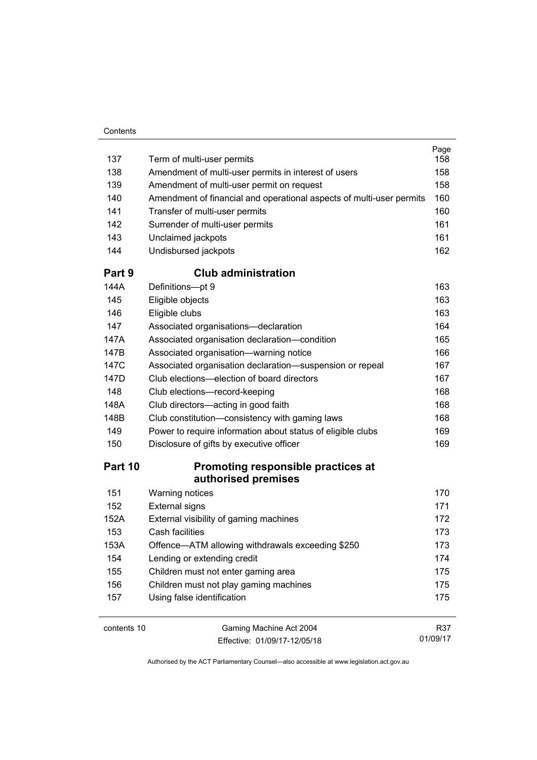| 137         | Term of multi-user permits                                           | Page<br>158 |
|-------------|----------------------------------------------------------------------|-------------|
| 138         | Amendment of multi-user permits in interest of users                 | 158         |
| 139         | Amendment of multi-user permit on request                            | 158         |
| 140         | Amendment of financial and operational aspects of multi-user permits | 160         |
| 141         | Transfer of multi-user permits                                       | 160         |
| 142         | Surrender of multi-user permits                                      | 161         |
| 143         | Unclaimed jackpots                                                   | 161         |
| 144         | Undisbursed jackpots                                                 | 162         |
| Part 9      | <b>Club administration</b>                                           |             |
| 144A        | Definitions-pt 9                                                     | 163         |
| 145         | Eligible objects                                                     | 163         |
| 146         | Eligible clubs                                                       | 163         |
| 147         | Associated organisations-declaration                                 | 164         |
| 147A        | Associated organisation declaration-condition                        | 165         |
| 147B        | Associated organisation-warning notice                               | 166         |
| 147C        | Associated organisation declaration-suspension or repeal             | 167         |
| 147D        | Club elections—election of board directors                           | 167         |
| 148         | Club elections-record-keeping                                        | 168         |
| 148A        | Club directors-acting in good faith                                  | 168         |
| 148B        | Club constitution-consistency with gaming laws                       | 168         |
| 149         | Power to require information about status of eligible clubs          | 169         |
| 150         | Disclosure of gifts by executive officer                             | 169         |
| Part 10     | Promoting responsible practices at                                   |             |
|             | authorised premises                                                  |             |
| 151         | Warning notices                                                      | 170         |
| 152         | <b>External signs</b>                                                | 171         |
| 152A        | External visibility of gaming machines                               | 172         |
| 153         | Cash facilities                                                      | 173         |
| 153A        | Offence-ATM allowing withdrawals exceeding \$250                     | 173         |
| 154         | Lending or extending credit                                          | 174         |
| 155         | Children must not enter gaming area                                  | 175         |
| 156         | Children must not play gaming machines                               | 175         |
| 157         | Using false identification                                           | 175         |
| contents 10 | Gaming Machine Act 2004                                              | R37         |

Effective: 01/09/17-12/05/18

01/09/17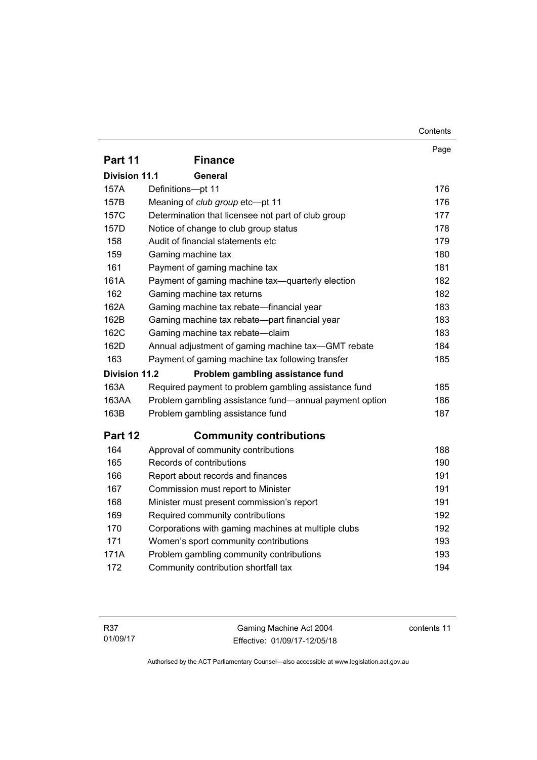|                                 |                                                        | Page |  |  |
|---------------------------------|--------------------------------------------------------|------|--|--|
| Part 11                         | <b>Finance</b>                                         |      |  |  |
| <b>Division 11.1</b><br>General |                                                        |      |  |  |
| 157A                            | Definitions-pt 11                                      | 176  |  |  |
| 157B                            | Meaning of club group etc-pt 11                        | 176  |  |  |
| 157C                            | Determination that licensee not part of club group     | 177  |  |  |
| 157D                            | Notice of change to club group status                  | 178  |  |  |
| 158                             | Audit of financial statements etc                      | 179  |  |  |
| 159                             | Gaming machine tax                                     | 180  |  |  |
| 161                             | Payment of gaming machine tax                          | 181  |  |  |
| 161A                            | Payment of gaming machine tax—quarterly election       | 182  |  |  |
| 162                             | Gaming machine tax returns                             | 182  |  |  |
| 162A                            | Gaming machine tax rebate-financial year               | 183  |  |  |
| 162B                            | Gaming machine tax rebate—part financial year          | 183  |  |  |
| 162C                            | Gaming machine tax rebate-claim                        | 183  |  |  |
| 162D                            | Annual adjustment of gaming machine tax-GMT rebate     | 184  |  |  |
| 163                             | Payment of gaming machine tax following transfer       | 185  |  |  |
| <b>Division 11.2</b>            | Problem gambling assistance fund                       |      |  |  |
| 163A                            | Required payment to problem gambling assistance fund   | 185  |  |  |
| 163AA                           | Problem gambling assistance fund—annual payment option | 186  |  |  |
| 163B                            | Problem gambling assistance fund                       | 187  |  |  |
| Part 12                         | <b>Community contributions</b>                         |      |  |  |
| 164                             | Approval of community contributions                    | 188  |  |  |
| 165                             | Records of contributions                               | 190  |  |  |
| 166                             | Report about records and finances                      | 191  |  |  |
| 167                             | Commission must report to Minister                     | 191  |  |  |
| 168                             | Minister must present commission's report              | 191  |  |  |
| 169                             | Required community contributions                       | 192  |  |  |
| 170                             | Corporations with gaming machines at multiple clubs    | 192  |  |  |
| 171                             | Women's sport community contributions                  | 193  |  |  |
| 171A                            | Problem gambling community contributions               | 193  |  |  |
| 172                             | Community contribution shortfall tax                   | 194  |  |  |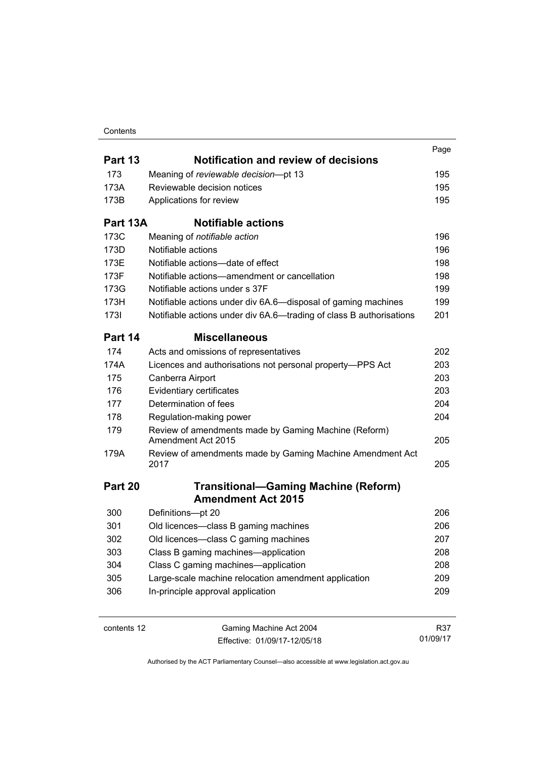### **Contents**

|             |                                                                            | Page |
|-------------|----------------------------------------------------------------------------|------|
| Part 13     | <b>Notification and review of decisions</b>                                |      |
| 173         | Meaning of reviewable decision-pt 13                                       | 195  |
| 173A        | Reviewable decision notices                                                | 195  |
| 173B        | Applications for review                                                    | 195  |
| Part 13A    | <b>Notifiable actions</b>                                                  |      |
| 173C        | Meaning of notifiable action                                               | 196  |
| 173D        | Notifiable actions                                                         | 196  |
| 173E        | Notifiable actions-date of effect                                          | 198  |
| 173F        | Notifiable actions—amendment or cancellation                               | 198  |
| 173G        | Notifiable actions under s 37F                                             | 199  |
| 173H        | Notifiable actions under div 6A.6—disposal of gaming machines              | 199  |
| <b>1731</b> | Notifiable actions under div 6A.6—trading of class B authorisations        | 201  |
| Part 14     | <b>Miscellaneous</b>                                                       |      |
| 174         | Acts and omissions of representatives                                      | 202  |
| 174A        | Licences and authorisations not personal property-PPS Act                  | 203  |
| 175         | Canberra Airport                                                           | 203  |
| 176         | Evidentiary certificates                                                   | 203  |
| 177         | Determination of fees                                                      | 204  |
| 178         | Regulation-making power                                                    | 204  |
| 179         | Review of amendments made by Gaming Machine (Reform)<br>Amendment Act 2015 | 205  |
| 179A        | Review of amendments made by Gaming Machine Amendment Act<br>2017          | 205  |
| Part 20     | <b>Transitional-Gaming Machine (Reform)</b>                                |      |
|             | <b>Amendment Act 2015</b>                                                  |      |
| 300         | Definitions-pt 20                                                          | 206  |
| 301         | Old licences-class B gaming machines                                       | 206  |
| 302         | Old licences-class C gaming machines                                       | 207  |
| 303         | Class B gaming machines-application                                        | 208  |
| 304         | Class C gaming machines—application                                        | 208  |
| 305         | Large-scale machine relocation amendment application                       | 209  |
| 306         | In-principle approval application                                          | 209  |
|             |                                                                            |      |

contents 12 Gaming Machine Act 2004 Effective: 01/09/17-12/05/18

R37 01/09/17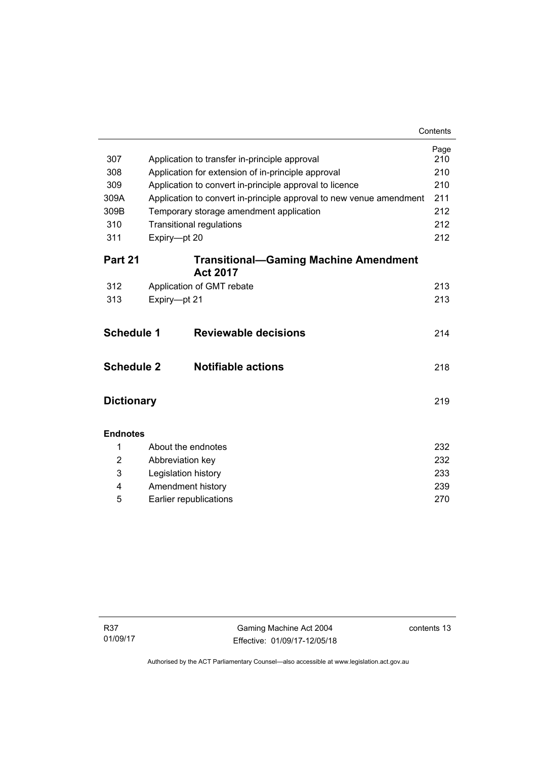| 307               | Application to transfer in-principle approval                       | Page<br>210 |
|-------------------|---------------------------------------------------------------------|-------------|
| 308               | Application for extension of in-principle approval                  | 210         |
| 309               | Application to convert in-principle approval to licence             | 210         |
| 309A              | Application to convert in-principle approval to new venue amendment | 211         |
| 309B              | Temporary storage amendment application                             | 212         |
| 310               | <b>Transitional regulations</b>                                     | 212         |
| 311               | Expiry-pt 20                                                        | 212         |
| Part 21           | <b>Transitional-Gaming Machine Amendment</b><br><b>Act 2017</b>     |             |
| 312               | Application of GMT rebate                                           | 213         |
| 313               | Expiry-pt 21                                                        | 213         |
| <b>Schedule 1</b> | <b>Reviewable decisions</b>                                         | 214         |
| <b>Schedule 2</b> | <b>Notifiable actions</b>                                           | 218         |
| <b>Dictionary</b> |                                                                     | 219         |
| <b>Endnotes</b>   |                                                                     |             |
| 1                 | About the endnotes                                                  | 232         |
| 2                 | Abbreviation key                                                    | 232         |
| 3                 | Legislation history                                                 | 233         |
| 4                 | Amendment history                                                   | 239         |
| 5                 | Earlier republications                                              | 270         |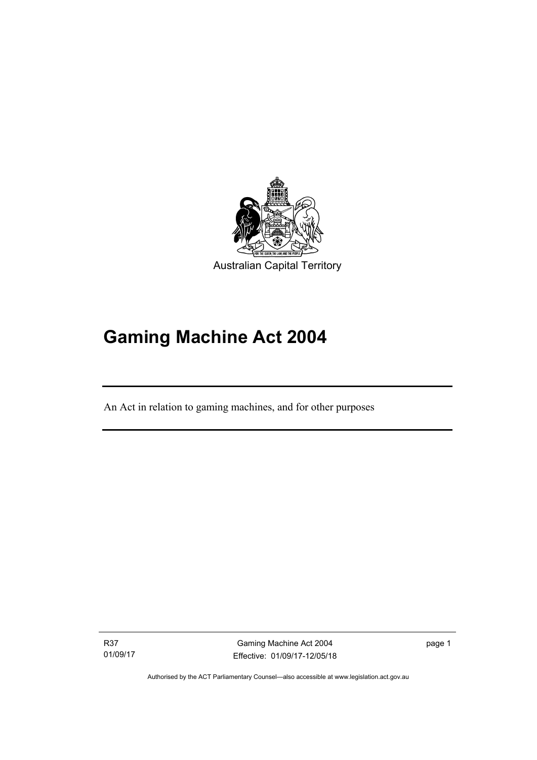

# **Gaming Machine Act 2004**

An Act in relation to gaming machines, and for other purposes

R37 01/09/17

Ī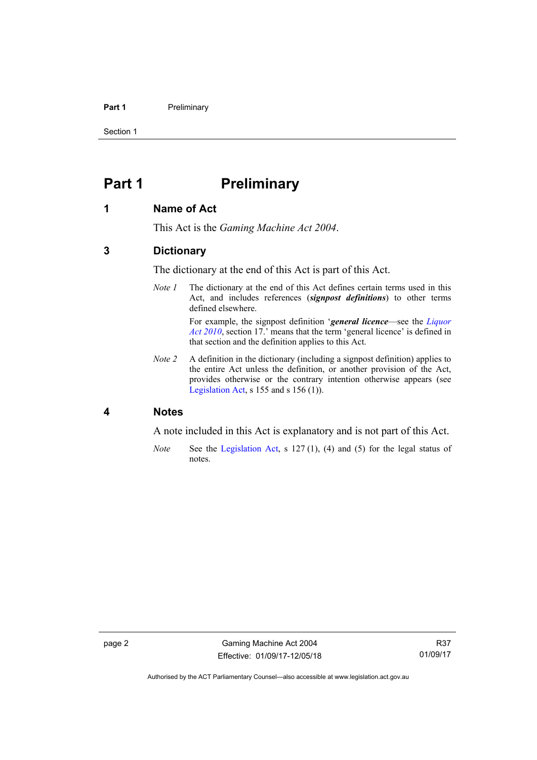### **Part 1** Preliminary

Section 1

# <span id="page-17-0"></span>**Part 1** Preliminary

### <span id="page-17-1"></span>**1 Name of Act**

This Act is the *Gaming Machine Act 2004*.

### <span id="page-17-2"></span>**3 Dictionary**

The dictionary at the end of this Act is part of this Act.

*Note 1* The dictionary at the end of this Act defines certain terms used in this Act, and includes references (*signpost definitions*) to other terms defined elsewhere.

For example, the signpost definition '*general licence*—see the *[Liquor](http://www.legislation.act.gov.au/a/2010-35)  [Act 2010](http://www.legislation.act.gov.au/a/2010-35)*, section 17.' means that the term 'general licence' is defined in that section and the definition applies to this Act.

*Note 2* A definition in the dictionary (including a signpost definition) applies to the entire Act unless the definition, or another provision of the Act, provides otherwise or the contrary intention otherwise appears (see [Legislation Act,](http://www.legislation.act.gov.au/a/2001-14) s  $155$  and s  $156$  (1)).

### <span id="page-17-3"></span>**4 Notes**

A note included in this Act is explanatory and is not part of this Act.

*Note* See the [Legislation Act,](http://www.legislation.act.gov.au/a/2001-14) s 127 (1), (4) and (5) for the legal status of notes.

Authorised by the ACT Parliamentary Counsel—also accessible at www.legislation.act.gov.au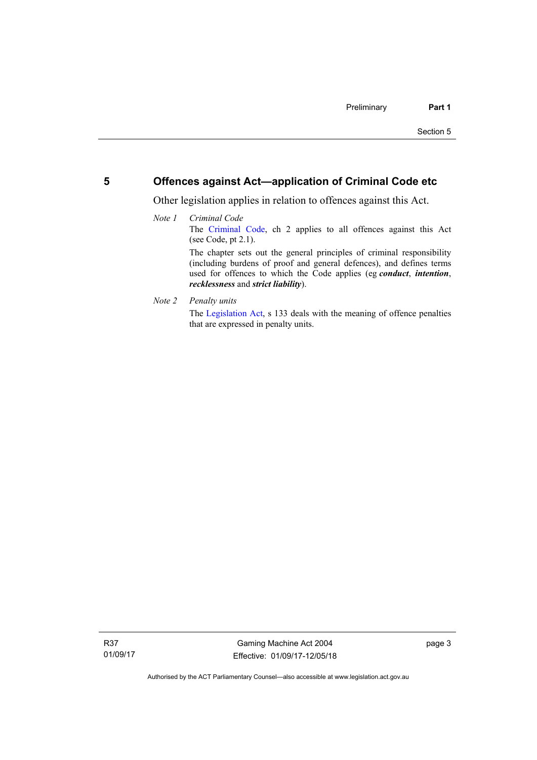### <span id="page-18-0"></span>**5 Offences against Act—application of Criminal Code etc**

Other legislation applies in relation to offences against this Act.

- *Note 1 Criminal Code* The [Criminal Code,](http://www.legislation.act.gov.au/a/2002-51) ch 2 applies to all offences against this Act (see Code, pt 2.1). The chapter sets out the general principles of criminal responsibility (including burdens of proof and general defences), and defines terms used for offences to which the Code applies (eg *conduct*, *intention*, *recklessness* and *strict liability*).
- *Note 2 Penalty units*

The [Legislation Act](http://www.legislation.act.gov.au/a/2001-14), s 133 deals with the meaning of offence penalties that are expressed in penalty units.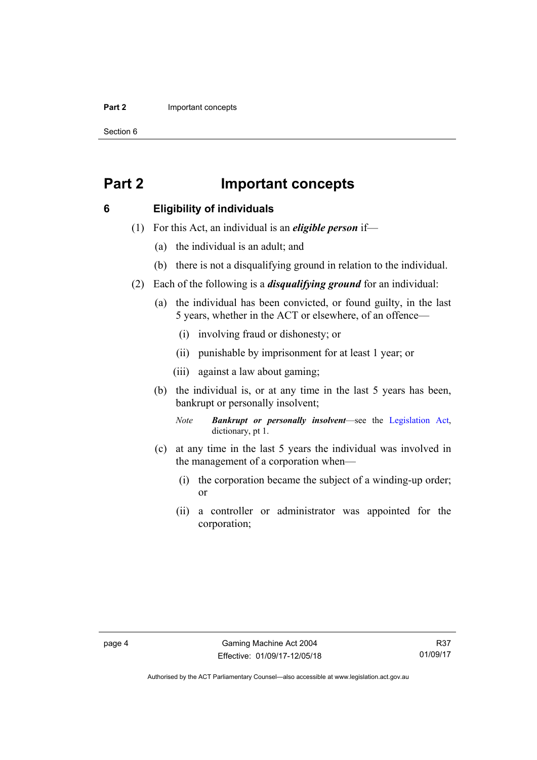#### **Part 2 Important concepts**

Section 6

# <span id="page-19-0"></span>**Part 2 Important concepts**

## <span id="page-19-1"></span>**6 Eligibility of individuals**

- (1) For this Act, an individual is an *eligible person* if—
	- (a) the individual is an adult; and
	- (b) there is not a disqualifying ground in relation to the individual.
- (2) Each of the following is a *disqualifying ground* for an individual:
	- (a) the individual has been convicted, or found guilty, in the last 5 years, whether in the ACT or elsewhere, of an offence—
		- (i) involving fraud or dishonesty; or
		- (ii) punishable by imprisonment for at least 1 year; or
		- (iii) against a law about gaming;
	- (b) the individual is, or at any time in the last 5 years has been, bankrupt or personally insolvent;

*Note Bankrupt or personally insolvent*—see the [Legislation Act,](http://www.legislation.act.gov.au/a/2001-14) dictionary, pt 1.

- (c) at any time in the last 5 years the individual was involved in the management of a corporation when—
	- (i) the corporation became the subject of a winding-up order; or
	- (ii) a controller or administrator was appointed for the corporation;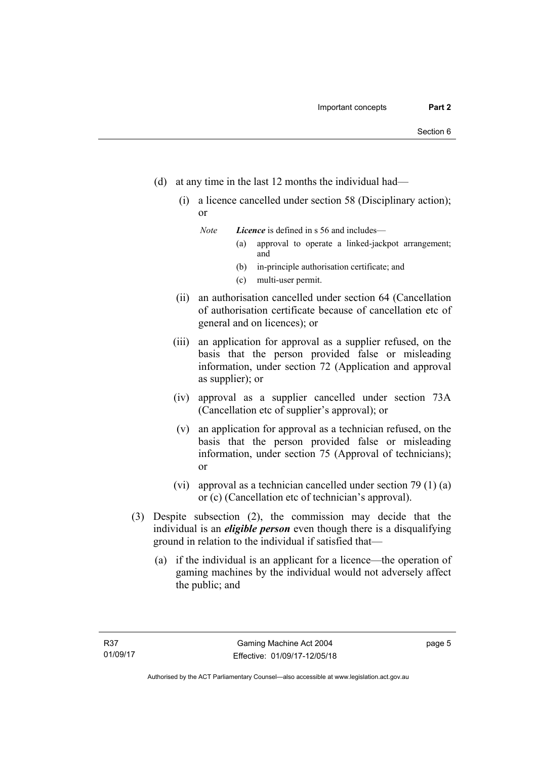- (d) at any time in the last 12 months the individual had—
	- (i) a licence cancelled under section 58 (Disciplinary action); or

*Note Licence* is defined in s 56 and includes—

- (a) approval to operate a linked-jackpot arrangement; and
- (b) in-principle authorisation certificate; and
- (c) multi-user permit.
- (ii) an authorisation cancelled under section 64 (Cancellation of authorisation certificate because of cancellation etc of general and on licences); or
- (iii) an application for approval as a supplier refused, on the basis that the person provided false or misleading information, under section 72 (Application and approval as supplier); or
- (iv) approval as a supplier cancelled under section 73A (Cancellation etc of supplier's approval); or
- (v) an application for approval as a technician refused, on the basis that the person provided false or misleading information, under section 75 (Approval of technicians); or
- (vi) approval as a technician cancelled under section 79 (1) (a) or (c) (Cancellation etc of technician's approval).
- (3) Despite subsection (2), the commission may decide that the individual is an *eligible person* even though there is a disqualifying ground in relation to the individual if satisfied that—
	- (a) if the individual is an applicant for a licence—the operation of gaming machines by the individual would not adversely affect the public; and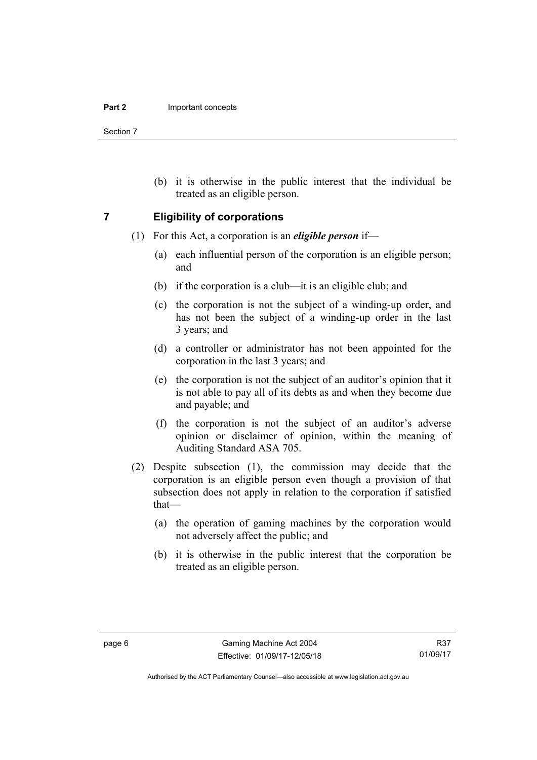Section 7

 (b) it is otherwise in the public interest that the individual be treated as an eligible person.

### <span id="page-21-0"></span>**7 Eligibility of corporations**

- (1) For this Act, a corporation is an *eligible person* if—
	- (a) each influential person of the corporation is an eligible person; and
	- (b) if the corporation is a club—it is an eligible club; and
	- (c) the corporation is not the subject of a winding-up order, and has not been the subject of a winding-up order in the last 3 years; and
	- (d) a controller or administrator has not been appointed for the corporation in the last 3 years; and
	- (e) the corporation is not the subject of an auditor's opinion that it is not able to pay all of its debts as and when they become due and payable; and
	- (f) the corporation is not the subject of an auditor's adverse opinion or disclaimer of opinion, within the meaning of Auditing Standard ASA 705.
- (2) Despite subsection (1), the commission may decide that the corporation is an eligible person even though a provision of that subsection does not apply in relation to the corporation if satisfied that—
	- (a) the operation of gaming machines by the corporation would not adversely affect the public; and
	- (b) it is otherwise in the public interest that the corporation be treated as an eligible person.

Authorised by the ACT Parliamentary Counsel—also accessible at www.legislation.act.gov.au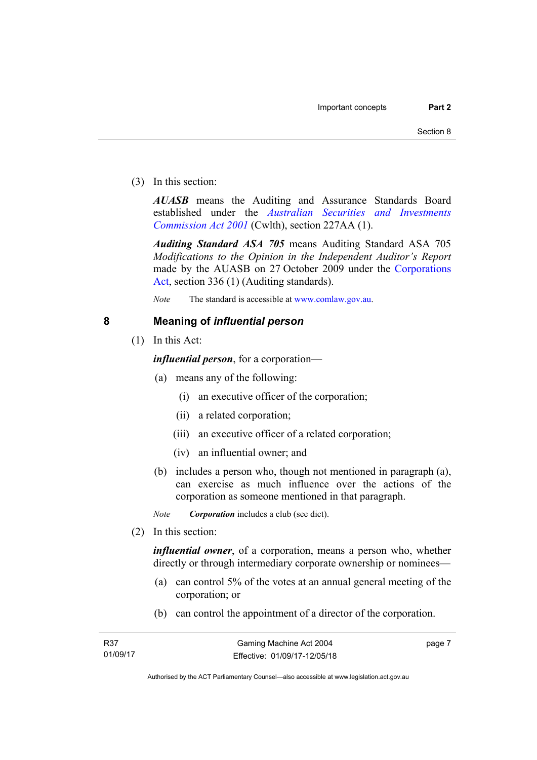(3) In this section:

*AUASB* means the Auditing and Assurance Standards Board established under the *[Australian Securities and Investments](http://www.comlaw.gov.au/Series/C2004A00819)  [Commission Act 2001](http://www.comlaw.gov.au/Series/C2004A00819)* (Cwlth), section 227AA (1).

*Auditing Standard ASA 705* means Auditing Standard ASA 705 *Modifications to the Opinion in the Independent Auditor's Report* made by the AUASB on 27 October 2009 under the [Corporations](http://www.comlaw.gov.au/Series/C2004A00818)  [Act](http://www.comlaw.gov.au/Series/C2004A00818), section 336 (1) (Auditing standards).

*Note* The standard is accessible at [www.comlaw.gov.au.](http://www.comlaw.gov.au/)

# <span id="page-22-0"></span>**8 Meaning of** *influential person*

(1) In this Act:

*influential person*, for a corporation—

- (a) means any of the following:
	- (i) an executive officer of the corporation;
	- (ii) a related corporation;
	- (iii) an executive officer of a related corporation;
	- (iv) an influential owner; and
- (b) includes a person who, though not mentioned in paragraph (a), can exercise as much influence over the actions of the corporation as someone mentioned in that paragraph.

*Note Corporation* includes a club (see dict).

(2) In this section:

*influential owner*, of a corporation, means a person who, whether directly or through intermediary corporate ownership or nominees—

- (a) can control 5% of the votes at an annual general meeting of the corporation; or
- (b) can control the appointment of a director of the corporation.

page 7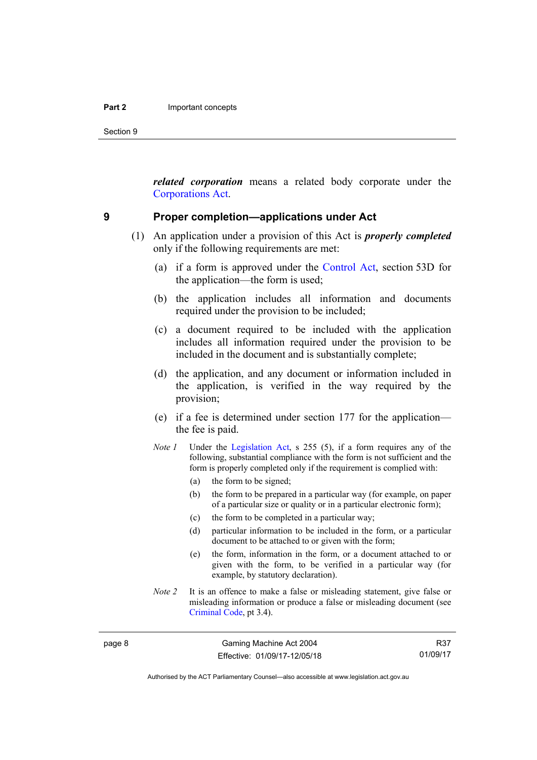Section 9

*related corporation* means a related body corporate under the [Corporations Act](http://www.comlaw.gov.au/Series/C2004A00818).

### <span id="page-23-0"></span>**9 Proper completion—applications under Act**

- (1) An application under a provision of this Act is *properly completed* only if the following requirements are met:
	- (a) if a form is approved under the [Control Act,](http://www.legislation.act.gov.au/a/1999-46/default.asp) section 53D for the application—the form is used;
	- (b) the application includes all information and documents required under the provision to be included;
	- (c) a document required to be included with the application includes all information required under the provision to be included in the document and is substantially complete;
	- (d) the application, and any document or information included in the application, is verified in the way required by the provision;
	- (e) if a fee is determined under section 177 for the application the fee is paid.
	- *Note 1* Under the [Legislation Act,](http://www.legislation.act.gov.au/a/2001-14) s 255 (5), if a form requires any of the following, substantial compliance with the form is not sufficient and the form is properly completed only if the requirement is complied with:
		- (a) the form to be signed;
		- (b) the form to be prepared in a particular way (for example, on paper of a particular size or quality or in a particular electronic form);
		- (c) the form to be completed in a particular way;
		- (d) particular information to be included in the form, or a particular document to be attached to or given with the form;
		- (e) the form, information in the form, or a document attached to or given with the form, to be verified in a particular way (for example, by statutory declaration).
	- *Note 2* It is an offence to make a false or misleading statement, give false or misleading information or produce a false or misleading document (see [Criminal Code](http://www.legislation.act.gov.au/a/2002-51), pt 3.4).

page 8 Gaming Machine Act 2004 Effective: 01/09/17-12/05/18

R37 01/09/17

Authorised by the ACT Parliamentary Counsel—also accessible at www.legislation.act.gov.au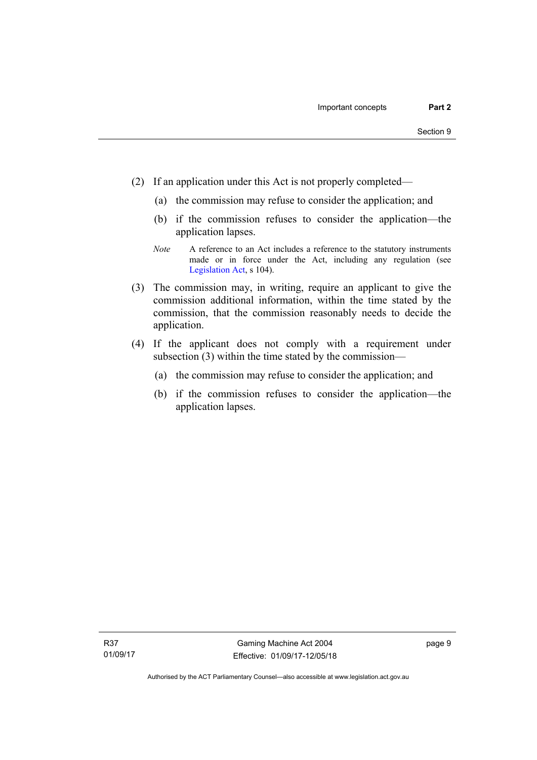- (2) If an application under this Act is not properly completed—
	- (a) the commission may refuse to consider the application; and
	- (b) if the commission refuses to consider the application—the application lapses.
	- *Note* A reference to an Act includes a reference to the statutory instruments made or in force under the Act, including any regulation (see [Legislation Act,](http://www.legislation.act.gov.au/a/2001-14) s 104).
- (3) The commission may, in writing, require an applicant to give the commission additional information, within the time stated by the commission, that the commission reasonably needs to decide the application.
- (4) If the applicant does not comply with a requirement under subsection (3) within the time stated by the commission—
	- (a) the commission may refuse to consider the application; and
	- (b) if the commission refuses to consider the application—the application lapses.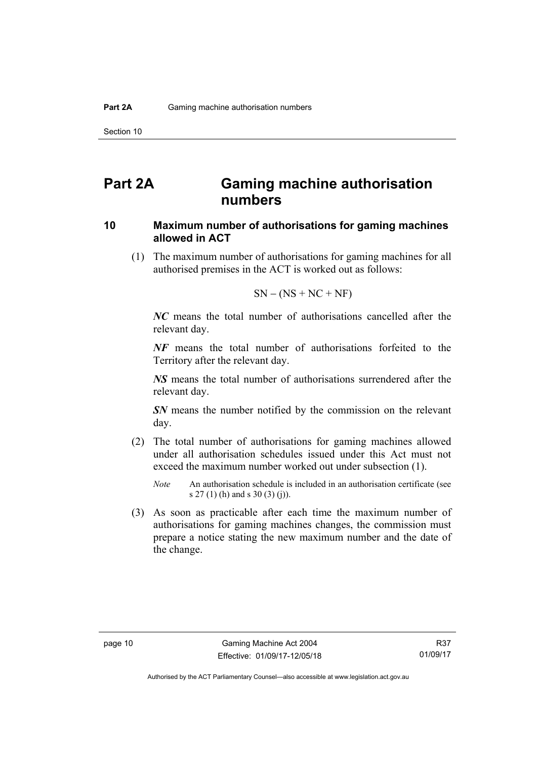# <span id="page-25-0"></span>**Part 2A Gaming machine authorisation numbers**

## <span id="page-25-1"></span>**10 Maximum number of authorisations for gaming machines allowed in ACT**

 (1) The maximum number of authorisations for gaming machines for all authorised premises in the ACT is worked out as follows:

$$
SN - (NS + NC + NF)
$$

*NC* means the total number of authorisations cancelled after the relevant day.

*NF* means the total number of authorisations forfeited to the Territory after the relevant day.

*NS* means the total number of authorisations surrendered after the relevant day.

*SN* means the number notified by the commission on the relevant day.

- (2) The total number of authorisations for gaming machines allowed under all authorisation schedules issued under this Act must not exceed the maximum number worked out under subsection (1).
	- *Note* An authorisation schedule is included in an authorisation certificate (see s 27 (1) (h) and s 30 (3) (j)).
- (3) As soon as practicable after each time the maximum number of authorisations for gaming machines changes, the commission must prepare a notice stating the new maximum number and the date of the change.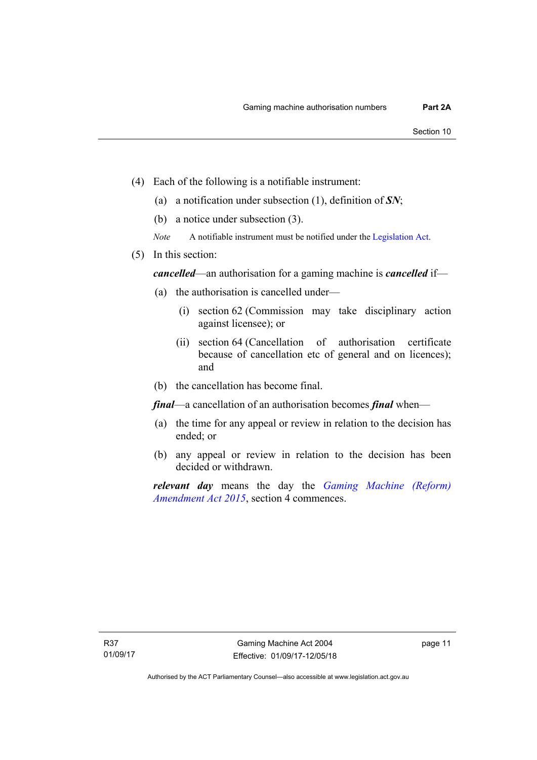- (4) Each of the following is a notifiable instrument:
	- (a) a notification under subsection (1), definition of *SN*;
	- (b) a notice under subsection (3).
	- *Note* A notifiable instrument must be notified under the [Legislation Act](http://www.legislation.act.gov.au/a/2001-14).
- (5) In this section:

*cancelled*—an authorisation for a gaming machine is *cancelled* if—

- (a) the authorisation is cancelled under—
	- (i) section 62 (Commission may take disciplinary action against licensee); or
	- (ii) section 64 (Cancellation of authorisation certificate because of cancellation etc of general and on licences); and
- (b) the cancellation has become final.

*final*—a cancellation of an authorisation becomes *final* when—

- (a) the time for any appeal or review in relation to the decision has ended; or
- (b) any appeal or review in relation to the decision has been decided or withdrawn.

*relevant day* means the day the *[Gaming Machine \(Reform\)](http://www.legislation.act.gov.au/a/2015-21/default.asp)  [Amendment Act 2015](http://www.legislation.act.gov.au/a/2015-21/default.asp)*, section 4 commences.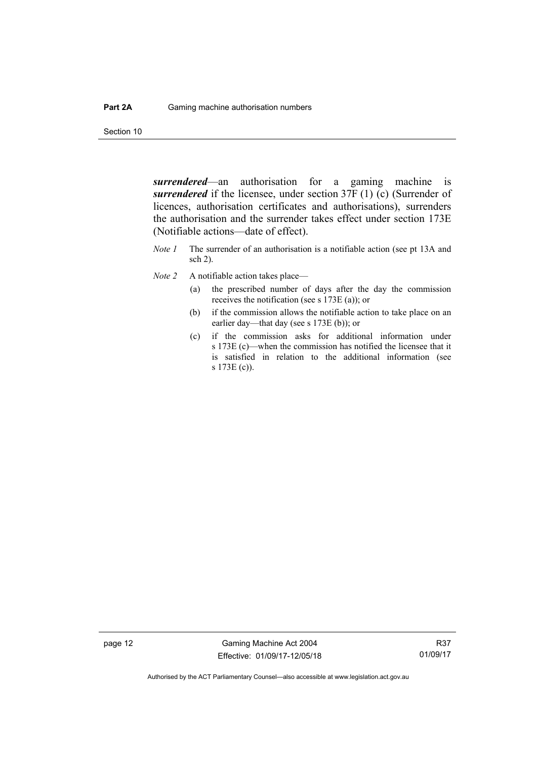Section 10

*surrendered*—an authorisation for a gaming machine is *surrendered* if the licensee, under section 37F (1) (c) (Surrender of licences, authorisation certificates and authorisations), surrenders the authorisation and the surrender takes effect under section 173E (Notifiable actions—date of effect).

- *Note 1* The surrender of an authorisation is a notifiable action (see pt 13A and sch 2).
- *Note 2* A notifiable action takes place—
	- (a) the prescribed number of days after the day the commission receives the notification (see s 173E (a)); or
	- (b) if the commission allows the notifiable action to take place on an earlier day—that day (see s 173E (b)); or
	- (c) if the commission asks for additional information under s 173E (c)—when the commission has notified the licensee that it is satisfied in relation to the additional information (see s 173E (c)).

page 12 Gaming Machine Act 2004 Effective: 01/09/17-12/05/18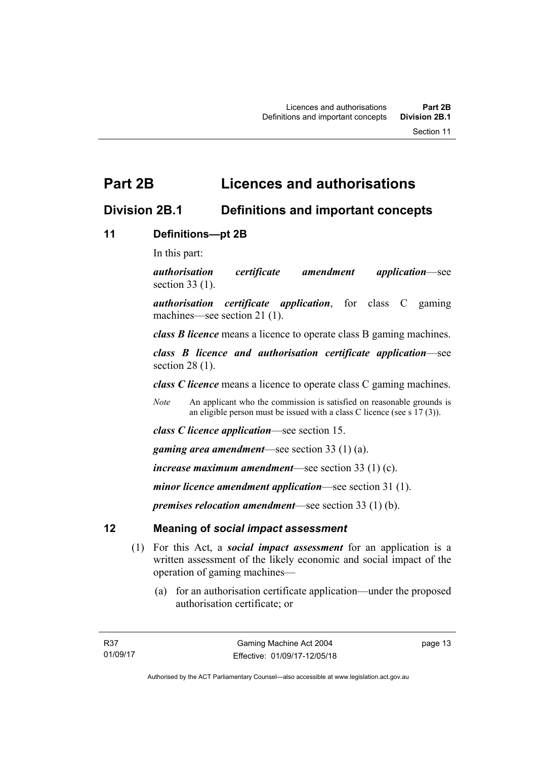# <span id="page-28-0"></span>**Part 2B Licences and authorisations**

# <span id="page-28-1"></span>**Division 2B.1 Definitions and important concepts**

# <span id="page-28-2"></span>**11 Definitions—pt 2B**

In this part:

*authorisation certificate amendment application*—see section 33 (1).

*authorisation certificate application*, for class C gaming machines—see section 21 (1).

*class B licence* means a licence to operate class B gaming machines.

*class B licence and authorisation certificate application*—see section 28 (1).

*class C licence* means a licence to operate class C gaming machines.

*Note* An applicant who the commission is satisfied on reasonable grounds is an eligible person must be issued with a class C licence (see s 17 (3)).

*class C licence application*—see section 15.

*gaming area amendment*—see section 33 (1) (a).

*increase maximum amendment*—see section 33 (1) (c).

*minor licence amendment application*—see section 31 (1).

*premises relocation amendment*—see section 33 (1) (b).

# <span id="page-28-3"></span>**12 Meaning of** *social impact assessment*

- (1) For this Act, a *social impact assessment* for an application is a written assessment of the likely economic and social impact of the operation of gaming machines—
	- (a) for an authorisation certificate application—under the proposed authorisation certificate; or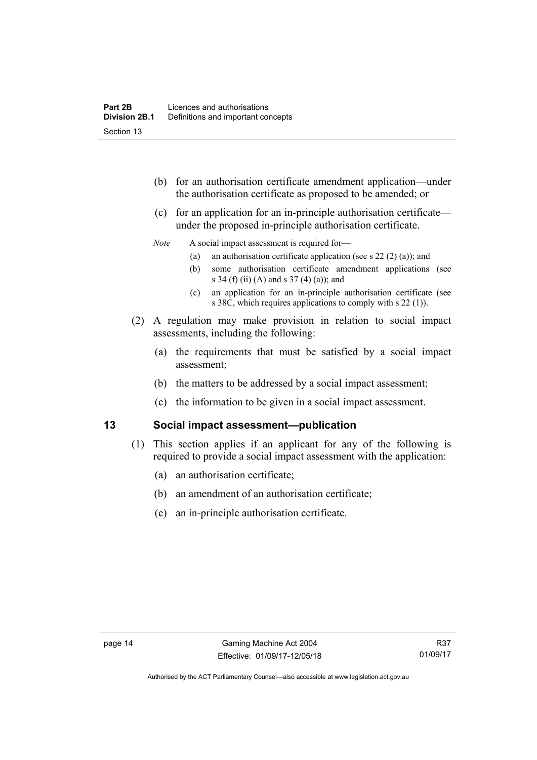- (b) for an authorisation certificate amendment application—under the authorisation certificate as proposed to be amended; or
- (c) for an application for an in-principle authorisation certificate under the proposed in-principle authorisation certificate.

### *Note* A social impact assessment is required for—

- (a) an authorisation certificate application (see s  $22(2)(a)$ ); and
- (b) some authorisation certificate amendment applications (see s 34 (f) (ii) (A) and s 37 (4) (a)); and
- (c) an application for an in-principle authorisation certificate (see s 38C, which requires applications to comply with s 22 (1)).
- (2) A regulation may make provision in relation to social impact assessments, including the following:
	- (a) the requirements that must be satisfied by a social impact assessment;
	- (b) the matters to be addressed by a social impact assessment;
	- (c) the information to be given in a social impact assessment.

# <span id="page-29-0"></span>**13 Social impact assessment—publication**

- (1) This section applies if an applicant for any of the following is required to provide a social impact assessment with the application:
	- (a) an authorisation certificate;
	- (b) an amendment of an authorisation certificate;
	- (c) an in-principle authorisation certificate.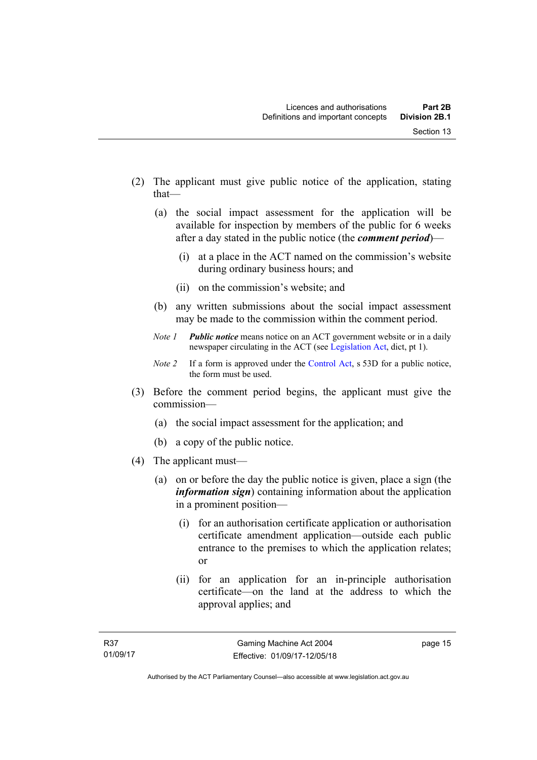- (2) The applicant must give public notice of the application, stating that—
	- (a) the social impact assessment for the application will be available for inspection by members of the public for 6 weeks after a day stated in the public notice (the *comment period*)—
		- (i) at a place in the ACT named on the commission's website during ordinary business hours; and
		- (ii) on the commission's website; and
	- (b) any written submissions about the social impact assessment may be made to the commission within the comment period.
	- *Note 1 Public notice* means notice on an ACT government website or in a daily newspaper circulating in the ACT (see [Legislation Act,](http://www.legislation.act.gov.au/a/2001-14) dict, pt 1).
	- *Note 2* If a form is approved under the [Control Act](http://www.legislation.act.gov.au/a/1999-46), s 53D for a public notice, the form must be used.
- (3) Before the comment period begins, the applicant must give the commission—
	- (a) the social impact assessment for the application; and
	- (b) a copy of the public notice.
- (4) The applicant must—
	- (a) on or before the day the public notice is given, place a sign (the *information sign*) containing information about the application in a prominent position—
		- (i) for an authorisation certificate application or authorisation certificate amendment application—outside each public entrance to the premises to which the application relates; or
		- (ii) for an application for an in-principle authorisation certificate—on the land at the address to which the approval applies; and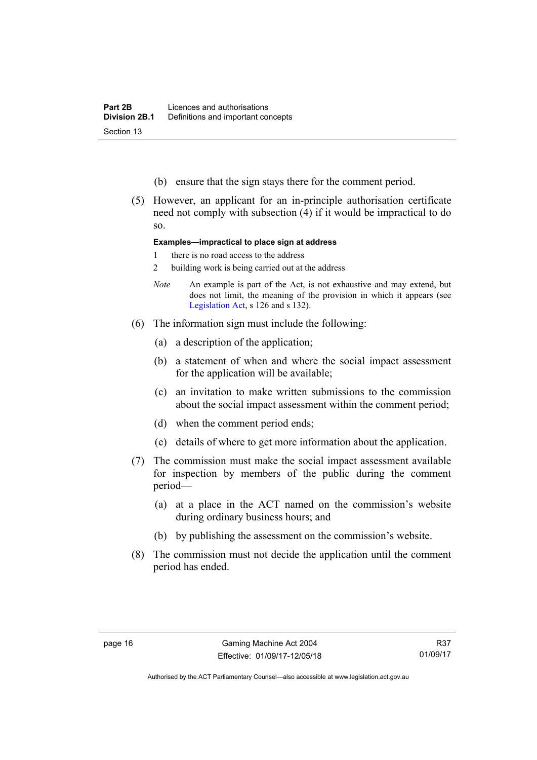- (b) ensure that the sign stays there for the comment period.
- (5) However, an applicant for an in-principle authorisation certificate need not comply with subsection (4) if it would be impractical to do so.

### **Examples—impractical to place sign at address**

- 1 there is no road access to the address
- 2 building work is being carried out at the address
- *Note* An example is part of the Act, is not exhaustive and may extend, but does not limit, the meaning of the provision in which it appears (see [Legislation Act,](http://www.legislation.act.gov.au/a/2001-14) s 126 and s 132).
- (6) The information sign must include the following:
	- (a) a description of the application;
	- (b) a statement of when and where the social impact assessment for the application will be available;
	- (c) an invitation to make written submissions to the commission about the social impact assessment within the comment period;
	- (d) when the comment period ends;
	- (e) details of where to get more information about the application.
- (7) The commission must make the social impact assessment available for inspection by members of the public during the comment period—
	- (a) at a place in the ACT named on the commission's website during ordinary business hours; and
	- (b) by publishing the assessment on the commission's website.
- (8) The commission must not decide the application until the comment period has ended.

Authorised by the ACT Parliamentary Counsel—also accessible at www.legislation.act.gov.au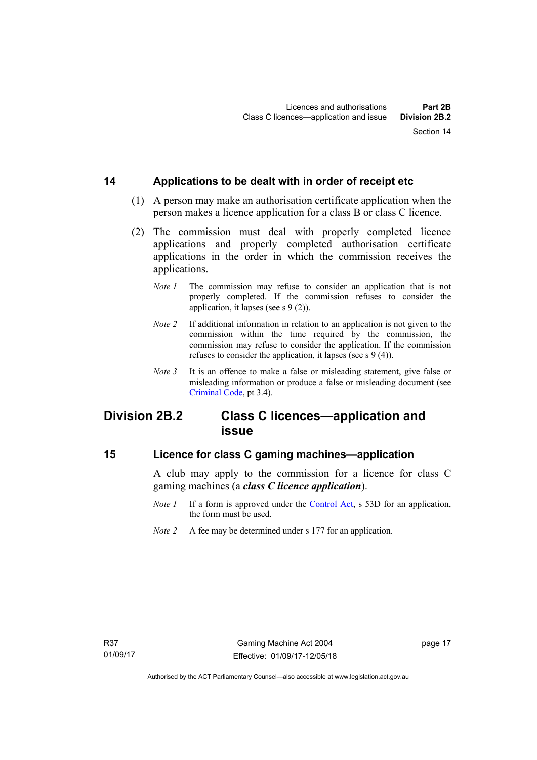# <span id="page-32-0"></span>**14 Applications to be dealt with in order of receipt etc**

- (1) A person may make an authorisation certificate application when the person makes a licence application for a class B or class C licence.
- (2) The commission must deal with properly completed licence applications and properly completed authorisation certificate applications in the order in which the commission receives the applications.
	- *Note 1* The commission may refuse to consider an application that is not properly completed. If the commission refuses to consider the application, it lapses (see s 9 (2)).
	- *Note 2* If additional information in relation to an application is not given to the commission within the time required by the commission, the commission may refuse to consider the application. If the commission refuses to consider the application, it lapses (see s 9 (4)).
	- *Note 3* It is an offence to make a false or misleading statement, give false or misleading information or produce a false or misleading document (see [Criminal Code](http://www.legislation.act.gov.au/a/2002-51), pt 3.4).

# <span id="page-32-1"></span>**Division 2B.2 Class C licences—application and issue**

## <span id="page-32-2"></span>**15 Licence for class C gaming machines—application**

A club may apply to the commission for a licence for class C gaming machines (a *class C licence application*).

- *Note 1* If a form is approved under the [Control Act,](http://www.legislation.act.gov.au/a/1999-46/default.asp) s 53D for an application, the form must be used.
- *Note 2* A fee may be determined under s 177 for an application.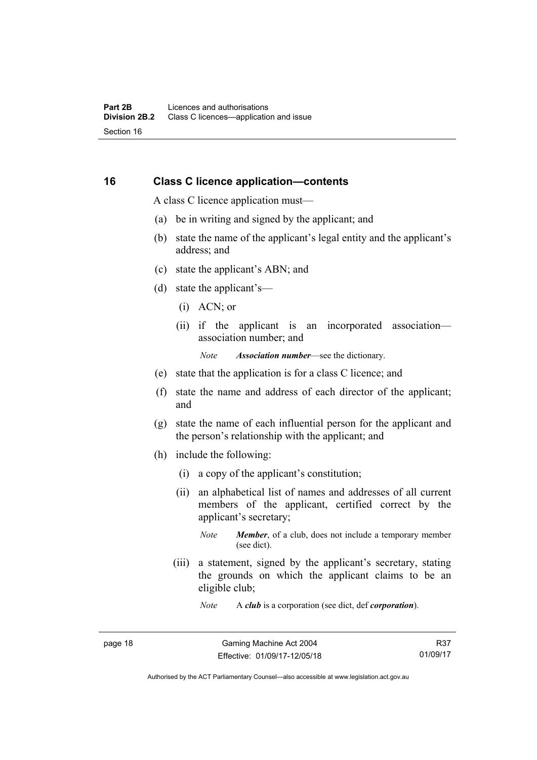### <span id="page-33-0"></span>**16 Class C licence application—contents**

A class C licence application must—

- (a) be in writing and signed by the applicant; and
- (b) state the name of the applicant's legal entity and the applicant's address; and
- (c) state the applicant's ABN; and
- (d) state the applicant's—
	- (i) ACN; or
	- (ii) if the applicant is an incorporated association association number; and

*Note Association number*—see the dictionary.

- (e) state that the application is for a class C licence; and
- (f) state the name and address of each director of the applicant; and
- (g) state the name of each influential person for the applicant and the person's relationship with the applicant; and
- (h) include the following:
	- (i) a copy of the applicant's constitution;
	- (ii) an alphabetical list of names and addresses of all current members of the applicant, certified correct by the applicant's secretary;
		- *Note Member*, of a club, does not include a temporary member (see dict).
	- (iii) a statement, signed by the applicant's secretary, stating the grounds on which the applicant claims to be an eligible club;

*Note* A *club* is a corporation (see dict, def *corporation*).

R37 01/09/17

Authorised by the ACT Parliamentary Counsel—also accessible at www.legislation.act.gov.au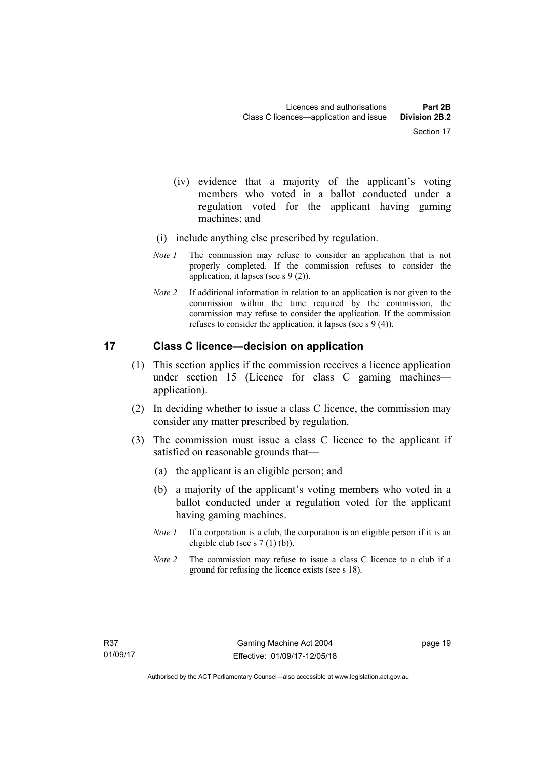- (iv) evidence that a majority of the applicant's voting members who voted in a ballot conducted under a regulation voted for the applicant having gaming machines; and
- (i) include anything else prescribed by regulation.
- *Note 1* The commission may refuse to consider an application that is not properly completed. If the commission refuses to consider the application, it lapses (see s 9 (2)).
- *Note 2* If additional information in relation to an application is not given to the commission within the time required by the commission, the commission may refuse to consider the application. If the commission refuses to consider the application, it lapses (see s 9 (4)).

# <span id="page-34-0"></span>**17 Class C licence—decision on application**

- (1) This section applies if the commission receives a licence application under section 15 (Licence for class C gaming machines application).
- (2) In deciding whether to issue a class C licence, the commission may consider any matter prescribed by regulation.
- (3) The commission must issue a class C licence to the applicant if satisfied on reasonable grounds that—
	- (a) the applicant is an eligible person; and
	- (b) a majority of the applicant's voting members who voted in a ballot conducted under a regulation voted for the applicant having gaming machines.
	- *Note 1* If a corporation is a club, the corporation is an eligible person if it is an eligible club (see s 7 (1) (b)).
	- *Note 2* The commission may refuse to issue a class C licence to a club if a ground for refusing the licence exists (see s 18).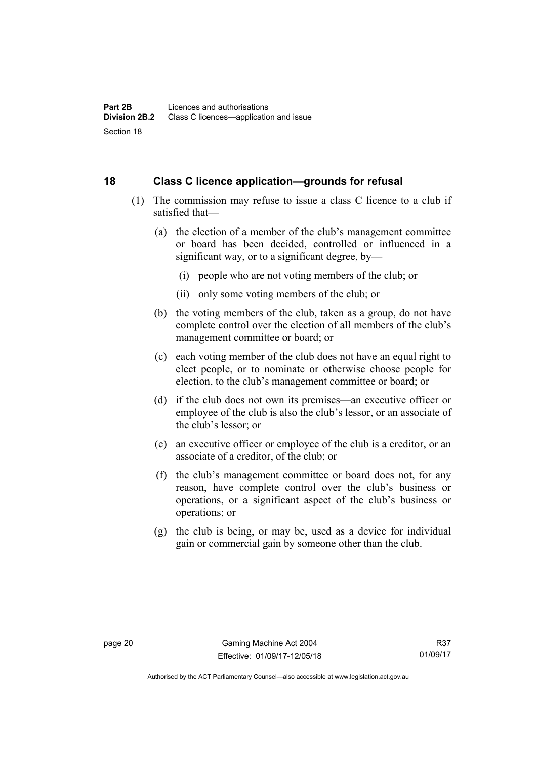# <span id="page-35-0"></span>**18 Class C licence application—grounds for refusal**

- (1) The commission may refuse to issue a class C licence to a club if satisfied that—
	- (a) the election of a member of the club's management committee or board has been decided, controlled or influenced in a significant way, or to a significant degree, by—
		- (i) people who are not voting members of the club; or
		- (ii) only some voting members of the club; or
	- (b) the voting members of the club, taken as a group, do not have complete control over the election of all members of the club's management committee or board; or
	- (c) each voting member of the club does not have an equal right to elect people, or to nominate or otherwise choose people for election, to the club's management committee or board; or
	- (d) if the club does not own its premises—an executive officer or employee of the club is also the club's lessor, or an associate of the club's lessor; or
	- (e) an executive officer or employee of the club is a creditor, or an associate of a creditor, of the club; or
	- (f) the club's management committee or board does not, for any reason, have complete control over the club's business or operations, or a significant aspect of the club's business or operations; or
	- (g) the club is being, or may be, used as a device for individual gain or commercial gain by someone other than the club.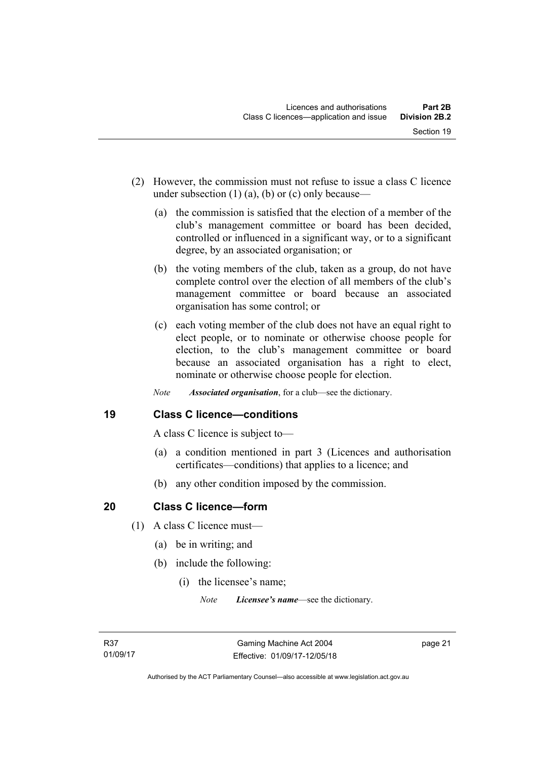- (2) However, the commission must not refuse to issue a class C licence under subsection  $(1)$   $(a)$ ,  $(b)$  or  $(c)$  only because—
	- (a) the commission is satisfied that the election of a member of the club's management committee or board has been decided, controlled or influenced in a significant way, or to a significant degree, by an associated organisation; or
	- (b) the voting members of the club, taken as a group, do not have complete control over the election of all members of the club's management committee or board because an associated organisation has some control; or
	- (c) each voting member of the club does not have an equal right to elect people, or to nominate or otherwise choose people for election, to the club's management committee or board because an associated organisation has a right to elect, nominate or otherwise choose people for election.
	- *Note Associated organisation*, for a club—see the dictionary.

## **19 Class C licence—conditions**

A class C licence is subject to—

- (a) a condition mentioned in part 3 (Licences and authorisation certificates—conditions) that applies to a licence; and
- (b) any other condition imposed by the commission.

## **20 Class C licence—form**

- (1) A class C licence must—
	- (a) be in writing; and
	- (b) include the following:
		- (i) the licensee's name;

*Note Licensee's name*—see the dictionary.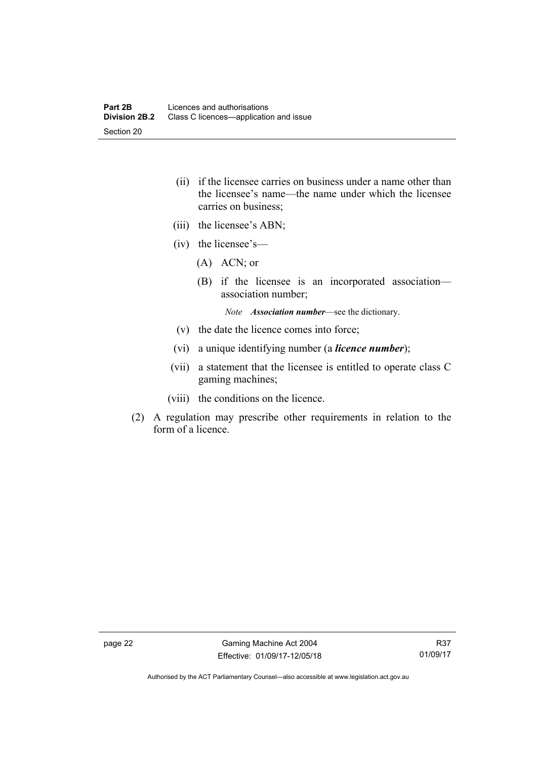- (ii) if the licensee carries on business under a name other than the licensee's name—the name under which the licensee carries on business;
- (iii) the licensee's ABN;
- (iv) the licensee's—
	- (A) ACN; or
	- (B) if the licensee is an incorporated association association number;

*Note Association number*—see the dictionary.

- (v) the date the licence comes into force;
- (vi) a unique identifying number (a *licence number*);
- (vii) a statement that the licensee is entitled to operate class C gaming machines;
- (viii) the conditions on the licence.
- (2) A regulation may prescribe other requirements in relation to the form of a licence.

Authorised by the ACT Parliamentary Counsel—also accessible at www.legislation.act.gov.au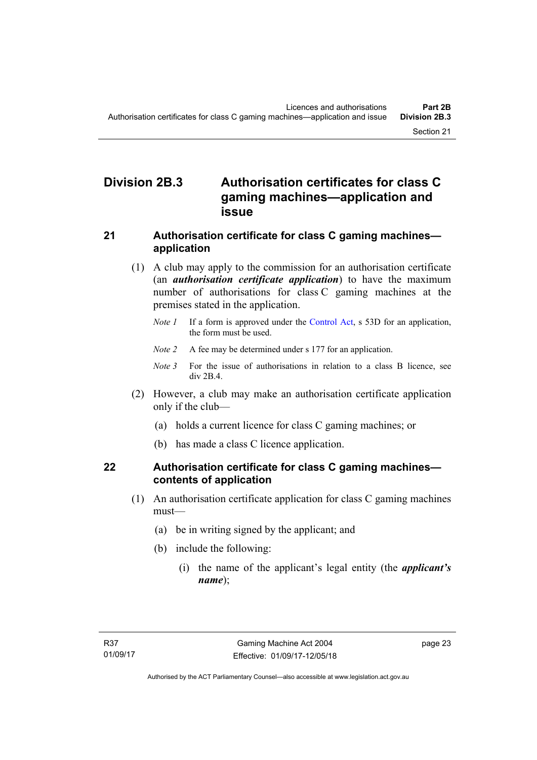# **Division 2B.3 Authorisation certificates for class C gaming machines—application and issue**

## **21 Authorisation certificate for class C gaming machines application**

- (1) A club may apply to the commission for an authorisation certificate (an *authorisation certificate application*) to have the maximum number of authorisations for class C gaming machines at the premises stated in the application.
	- *Note 1* If a form is approved under the [Control Act,](http://www.legislation.act.gov.au/a/1999-46/default.asp) s 53D for an application, the form must be used.
	- *Note 2* A fee may be determined under s 177 for an application.
	- *Note* 3 For the issue of authorisations in relation to a class B licence, see div 2B.4.
- (2) However, a club may make an authorisation certificate application only if the club—
	- (a) holds a current licence for class C gaming machines; or
	- (b) has made a class C licence application.

## **22 Authorisation certificate for class C gaming machines contents of application**

- (1) An authorisation certificate application for class C gaming machines must—
	- (a) be in writing signed by the applicant; and
	- (b) include the following:
		- (i) the name of the applicant's legal entity (the *applicant's name*);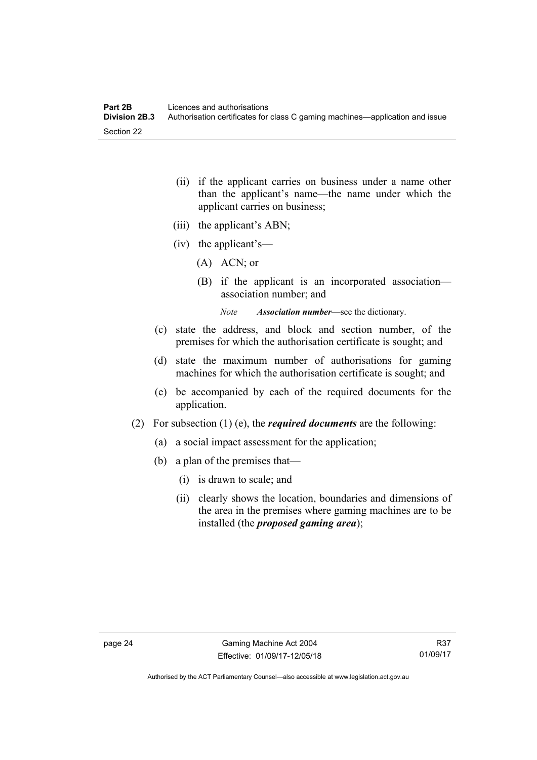- (ii) if the applicant carries on business under a name other than the applicant's name—the name under which the applicant carries on business;
- (iii) the applicant's ABN;
- (iv) the applicant's—
	- (A) ACN; or
	- (B) if the applicant is an incorporated association association number; and

*Note Association number*—see the dictionary.

- (c) state the address, and block and section number, of the premises for which the authorisation certificate is sought; and
- (d) state the maximum number of authorisations for gaming machines for which the authorisation certificate is sought; and
- (e) be accompanied by each of the required documents for the application.
- (2) For subsection (1) (e), the *required documents* are the following:
	- (a) a social impact assessment for the application;
	- (b) a plan of the premises that—
		- (i) is drawn to scale; and
		- (ii) clearly shows the location, boundaries and dimensions of the area in the premises where gaming machines are to be installed (the *proposed gaming area*);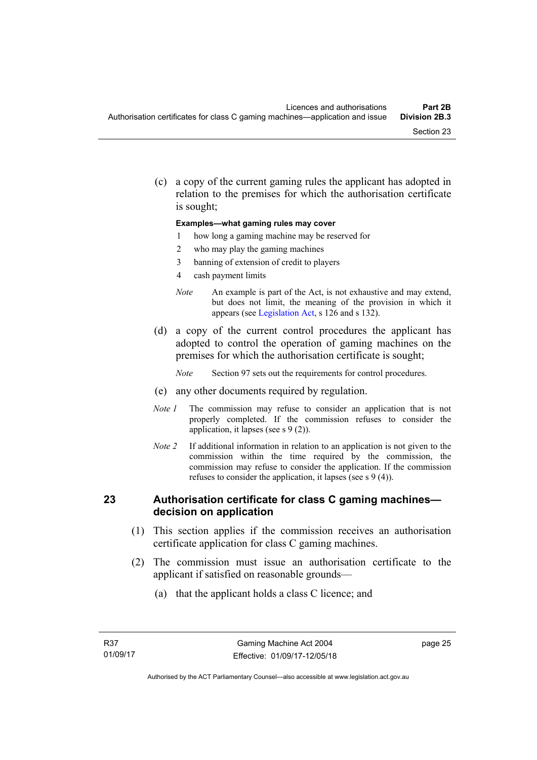(c) a copy of the current gaming rules the applicant has adopted in relation to the premises for which the authorisation certificate is sought;

#### **Examples—what gaming rules may cover**

- 1 how long a gaming machine may be reserved for
- 2 who may play the gaming machines
- 3 banning of extension of credit to players
- 4 cash payment limits
- *Note* An example is part of the Act, is not exhaustive and may extend, but does not limit, the meaning of the provision in which it appears (see [Legislation Act,](http://www.legislation.act.gov.au/a/2001-14) s 126 and s 132).
- (d) a copy of the current control procedures the applicant has adopted to control the operation of gaming machines on the premises for which the authorisation certificate is sought;
	- *Note* Section 97 sets out the requirements for control procedures.
- (e) any other documents required by regulation.
- *Note 1* The commission may refuse to consider an application that is not properly completed. If the commission refuses to consider the application, it lapses (see s 9 (2)).
- *Note 2* If additional information in relation to an application is not given to the commission within the time required by the commission, the commission may refuse to consider the application. If the commission refuses to consider the application, it lapses (see s 9 (4)).

#### **23 Authorisation certificate for class C gaming machines decision on application**

- (1) This section applies if the commission receives an authorisation certificate application for class C gaming machines.
- (2) The commission must issue an authorisation certificate to the applicant if satisfied on reasonable grounds—
	- (a) that the applicant holds a class C licence; and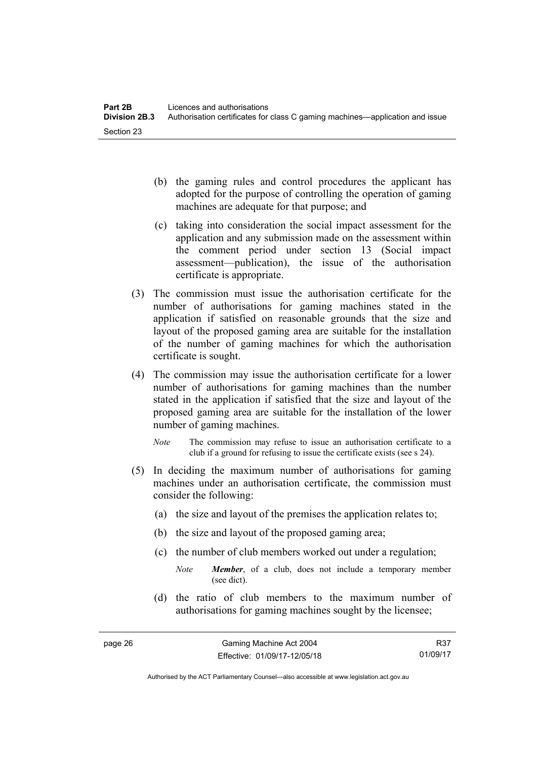- (b) the gaming rules and control procedures the applicant has adopted for the purpose of controlling the operation of gaming machines are adequate for that purpose; and
- (c) taking into consideration the social impact assessment for the application and any submission made on the assessment within the comment period under section 13 (Social impact assessment—publication), the issue of the authorisation certificate is appropriate.
- (3) The commission must issue the authorisation certificate for the number of authorisations for gaming machines stated in the application if satisfied on reasonable grounds that the size and layout of the proposed gaming area are suitable for the installation of the number of gaming machines for which the authorisation certificate is sought.
- (4) The commission may issue the authorisation certificate for a lower number of authorisations for gaming machines than the number stated in the application if satisfied that the size and layout of the proposed gaming area are suitable for the installation of the lower number of gaming machines.
	- *Note* The commission may refuse to issue an authorisation certificate to a club if a ground for refusing to issue the certificate exists (see s 24).
- (5) In deciding the maximum number of authorisations for gaming machines under an authorisation certificate, the commission must consider the following:
	- (a) the size and layout of the premises the application relates to;
	- (b) the size and layout of the proposed gaming area;
	- (c) the number of club members worked out under a regulation;
		- *Note Member*, of a club, does not include a temporary member (see dict).
	- (d) the ratio of club members to the maximum number of authorisations for gaming machines sought by the licensee;

R37 01/09/17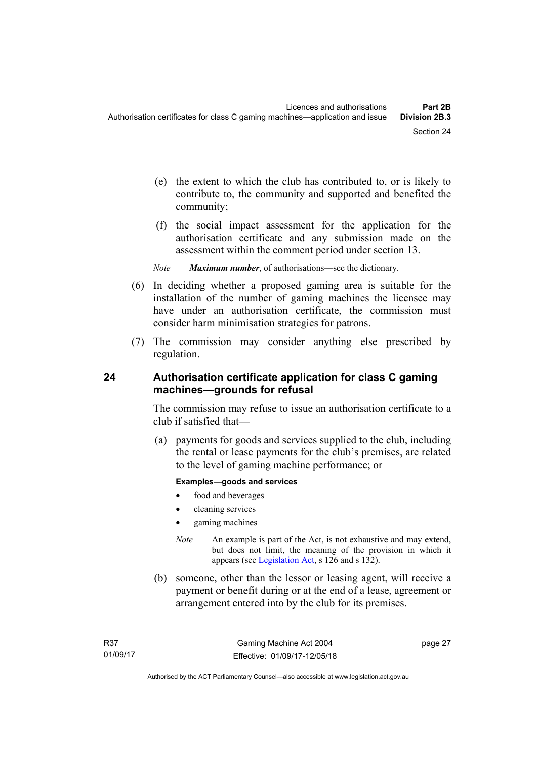- (e) the extent to which the club has contributed to, or is likely to contribute to, the community and supported and benefited the community;
- (f) the social impact assessment for the application for the authorisation certificate and any submission made on the assessment within the comment period under section 13.
- *Note Maximum number*, of authorisations—see the dictionary.
- (6) In deciding whether a proposed gaming area is suitable for the installation of the number of gaming machines the licensee may have under an authorisation certificate, the commission must consider harm minimisation strategies for patrons.
- (7) The commission may consider anything else prescribed by regulation.

## **24 Authorisation certificate application for class C gaming machines—grounds for refusal**

The commission may refuse to issue an authorisation certificate to a club if satisfied that—

 (a) payments for goods and services supplied to the club, including the rental or lease payments for the club's premises, are related to the level of gaming machine performance; or

#### **Examples—goods and services**

- food and beverages
- cleaning services
- gaming machines
- *Note* An example is part of the Act, is not exhaustive and may extend, but does not limit, the meaning of the provision in which it appears (see [Legislation Act,](http://www.legislation.act.gov.au/a/2001-14) s 126 and s 132).
- (b) someone, other than the lessor or leasing agent, will receive a payment or benefit during or at the end of a lease, agreement or arrangement entered into by the club for its premises.

page 27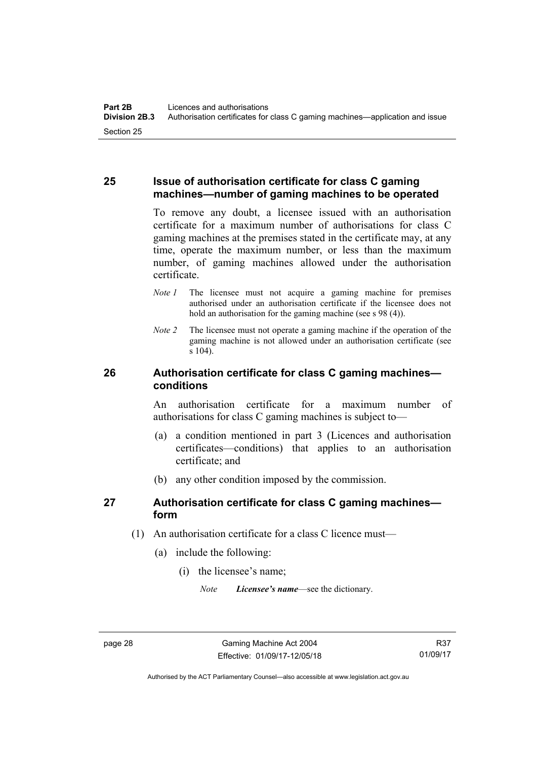### **25 Issue of authorisation certificate for class C gaming machines—number of gaming machines to be operated**

To remove any doubt, a licensee issued with an authorisation certificate for a maximum number of authorisations for class C gaming machines at the premises stated in the certificate may, at any time, operate the maximum number, or less than the maximum number, of gaming machines allowed under the authorisation certificate.

- *Note 1* The licensee must not acquire a gaming machine for premises authorised under an authorisation certificate if the licensee does not hold an authorisation for the gaming machine (see s 98 (4)).
- *Note 2* The licensee must not operate a gaming machine if the operation of the gaming machine is not allowed under an authorisation certificate (see s 104).

## **26 Authorisation certificate for class C gaming machines conditions**

An authorisation certificate for a maximum number of authorisations for class C gaming machines is subject to—

- (a) a condition mentioned in part 3 (Licences and authorisation certificates—conditions) that applies to an authorisation certificate; and
- (b) any other condition imposed by the commission.

## **27 Authorisation certificate for class C gaming machines form**

- (1) An authorisation certificate for a class C licence must—
	- (a) include the following:
		- (i) the licensee's name;

*Note Licensee's name*—see the dictionary.

Authorised by the ACT Parliamentary Counsel—also accessible at www.legislation.act.gov.au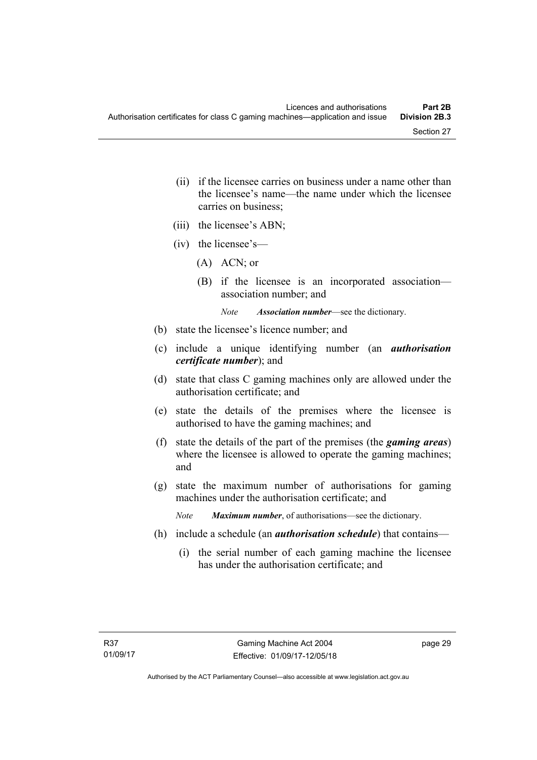- (ii) if the licensee carries on business under a name other than the licensee's name—the name under which the licensee carries on business;
- (iii) the licensee's ABN;
- (iv) the licensee's—
	- (A) ACN; or
	- (B) if the licensee is an incorporated association association number; and

*Note Association number*—see the dictionary.

- (b) state the licensee's licence number; and
- (c) include a unique identifying number (an *authorisation certificate number*); and
- (d) state that class C gaming machines only are allowed under the authorisation certificate; and
- (e) state the details of the premises where the licensee is authorised to have the gaming machines; and
- (f) state the details of the part of the premises (the *gaming areas*) where the licensee is allowed to operate the gaming machines; and
- (g) state the maximum number of authorisations for gaming machines under the authorisation certificate; and

*Note Maximum number*, of authorisations—see the dictionary.

- (h) include a schedule (an *authorisation schedule*) that contains—
	- (i) the serial number of each gaming machine the licensee has under the authorisation certificate; and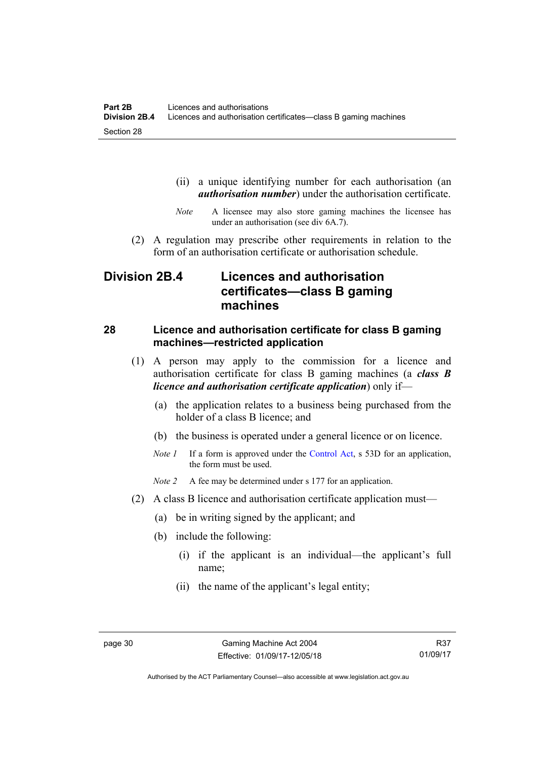- (ii) a unique identifying number for each authorisation (an *authorisation number*) under the authorisation certificate.
- *Note* A licensee may also store gaming machines the licensee has under an authorisation (see div 6A.7).
- (2) A regulation may prescribe other requirements in relation to the form of an authorisation certificate or authorisation schedule.

# **Division 2B.4 Licences and authorisation certificates—class B gaming machines**

#### **28 Licence and authorisation certificate for class B gaming machines—restricted application**

- (1) A person may apply to the commission for a licence and authorisation certificate for class B gaming machines (a *class B licence and authorisation certificate application*) only if—
	- (a) the application relates to a business being purchased from the holder of a class B licence; and
	- (b) the business is operated under a general licence or on licence.
	- *Note 1* If a form is approved under the [Control Act,](http://www.legislation.act.gov.au/a/1999-46/default.asp) s 53D for an application, the form must be used.

*Note 2* A fee may be determined under s 177 for an application.

- (2) A class B licence and authorisation certificate application must—
	- (a) be in writing signed by the applicant; and
	- (b) include the following:
		- (i) if the applicant is an individual—the applicant's full name;
		- (ii) the name of the applicant's legal entity;

Authorised by the ACT Parliamentary Counsel—also accessible at www.legislation.act.gov.au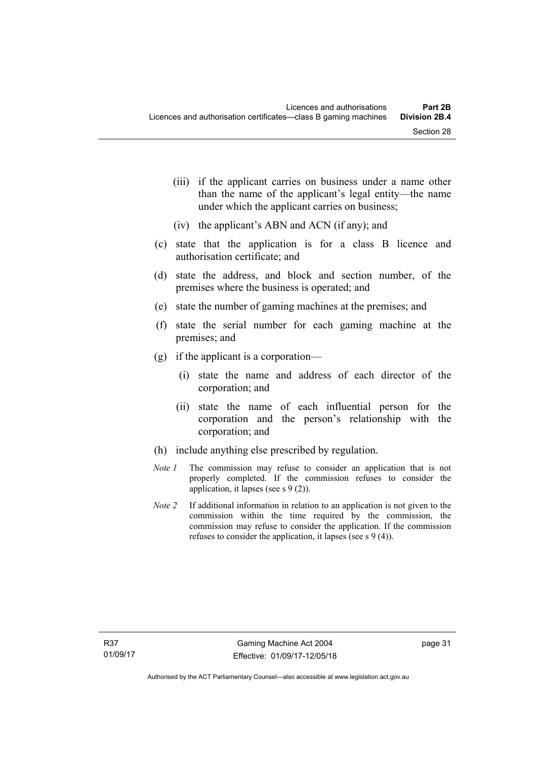- (iii) if the applicant carries on business under a name other than the name of the applicant's legal entity—the name under which the applicant carries on business;
- (iv) the applicant's ABN and ACN (if any); and
- (c) state that the application is for a class B licence and authorisation certificate; and
- (d) state the address, and block and section number, of the premises where the business is operated; and
- (e) state the number of gaming machines at the premises; and
- (f) state the serial number for each gaming machine at the premises; and
- (g) if the applicant is a corporation—
	- (i) state the name and address of each director of the corporation; and
	- (ii) state the name of each influential person for the corporation and the person's relationship with the corporation; and
- (h) include anything else prescribed by regulation.
- *Note 1* The commission may refuse to consider an application that is not properly completed. If the commission refuses to consider the application, it lapses (see s 9 (2)).
- *Note 2* If additional information in relation to an application is not given to the commission within the time required by the commission, the commission may refuse to consider the application. If the commission refuses to consider the application, it lapses (see s 9 (4)).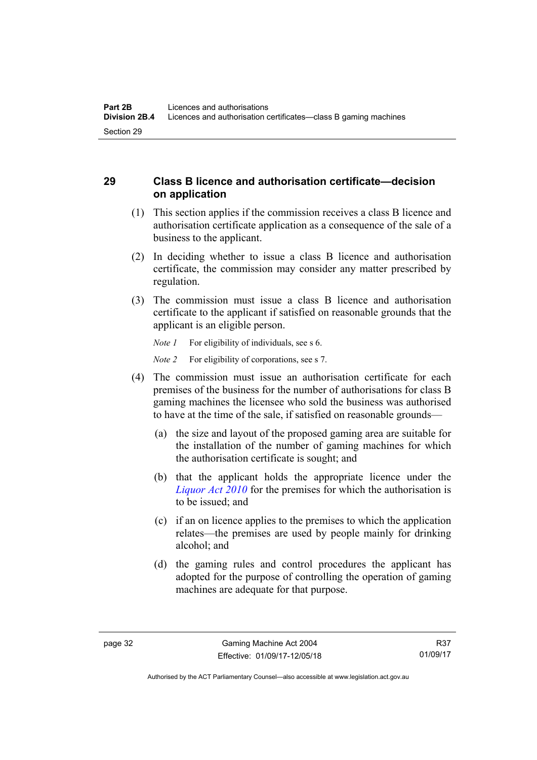## **29 Class B licence and authorisation certificate—decision on application**

- (1) This section applies if the commission receives a class B licence and authorisation certificate application as a consequence of the sale of a business to the applicant.
- (2) In deciding whether to issue a class B licence and authorisation certificate, the commission may consider any matter prescribed by regulation.
- (3) The commission must issue a class B licence and authorisation certificate to the applicant if satisfied on reasonable grounds that the applicant is an eligible person.

*Note 1* For eligibility of individuals, see s 6.

*Note 2* For eligibility of corporations, see s 7.

- (4) The commission must issue an authorisation certificate for each premises of the business for the number of authorisations for class B gaming machines the licensee who sold the business was authorised to have at the time of the sale, if satisfied on reasonable grounds—
	- (a) the size and layout of the proposed gaming area are suitable for the installation of the number of gaming machines for which the authorisation certificate is sought; and
	- (b) that the applicant holds the appropriate licence under the *[Liquor Act 2010](http://www.legislation.act.gov.au/a/2010-35)* for the premises for which the authorisation is to be issued; and
	- (c) if an on licence applies to the premises to which the application relates—the premises are used by people mainly for drinking alcohol; and
	- (d) the gaming rules and control procedures the applicant has adopted for the purpose of controlling the operation of gaming machines are adequate for that purpose.

Authorised by the ACT Parliamentary Counsel—also accessible at www.legislation.act.gov.au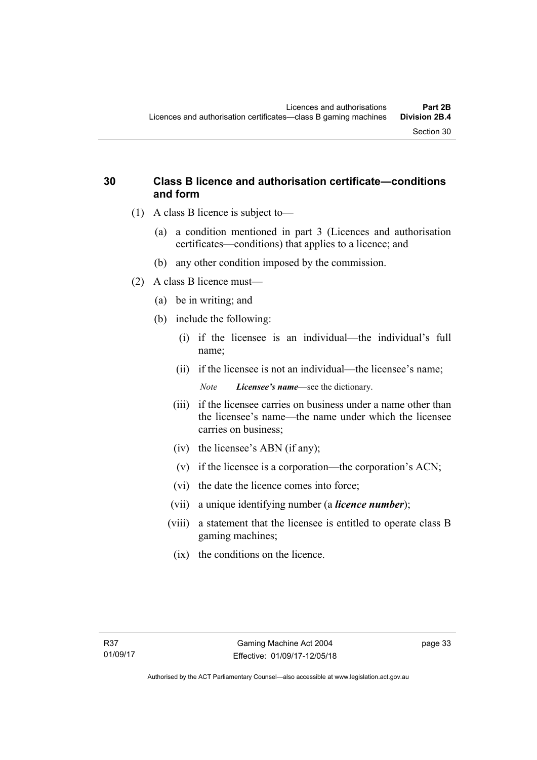### **30 Class B licence and authorisation certificate—conditions and form**

- (1) A class B licence is subject to—
	- (a) a condition mentioned in part 3 (Licences and authorisation certificates—conditions) that applies to a licence; and
	- (b) any other condition imposed by the commission.
- (2) A class B licence must—
	- (a) be in writing; and
	- (b) include the following:
		- (i) if the licensee is an individual—the individual's full name;
		- (ii) if the licensee is not an individual—the licensee's name; *Note Licensee's name*—see the dictionary.
		- (iii) if the licensee carries on business under a name other than the licensee's name—the name under which the licensee carries on business;
		- (iv) the licensee's ABN (if any);
		- (v) if the licensee is a corporation—the corporation's ACN;
		- (vi) the date the licence comes into force;
		- (vii) a unique identifying number (a *licence number*);
		- (viii) a statement that the licensee is entitled to operate class B gaming machines;
			- (ix) the conditions on the licence.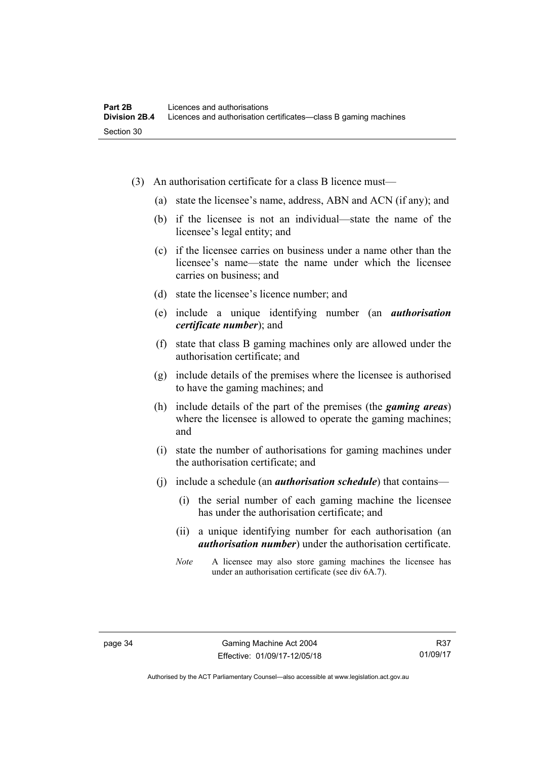- (3) An authorisation certificate for a class B licence must—
	- (a) state the licensee's name, address, ABN and ACN (if any); and
	- (b) if the licensee is not an individual—state the name of the licensee's legal entity; and
	- (c) if the licensee carries on business under a name other than the licensee's name—state the name under which the licensee carries on business; and
	- (d) state the licensee's licence number; and
	- (e) include a unique identifying number (an *authorisation certificate number*); and
	- (f) state that class B gaming machines only are allowed under the authorisation certificate; and
	- (g) include details of the premises where the licensee is authorised to have the gaming machines; and
	- (h) include details of the part of the premises (the *gaming areas*) where the licensee is allowed to operate the gaming machines; and
	- (i) state the number of authorisations for gaming machines under the authorisation certificate; and
	- (j) include a schedule (an *authorisation schedule*) that contains—
		- (i) the serial number of each gaming machine the licensee has under the authorisation certificate; and
		- (ii) a unique identifying number for each authorisation (an *authorisation number*) under the authorisation certificate.
		- *Note* A licensee may also store gaming machines the licensee has under an authorisation certificate (see div 6A.7).

Authorised by the ACT Parliamentary Counsel—also accessible at www.legislation.act.gov.au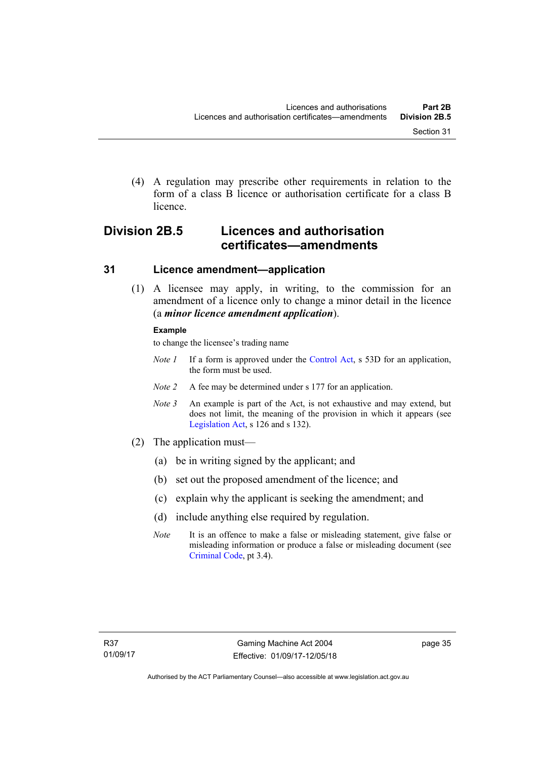(4) A regulation may prescribe other requirements in relation to the form of a class B licence or authorisation certificate for a class B licence.

# **Division 2B.5 Licences and authorisation certificates—amendments**

#### **31 Licence amendment—application**

 (1) A licensee may apply, in writing, to the commission for an amendment of a licence only to change a minor detail in the licence (a *minor licence amendment application*).

#### **Example**

to change the licensee's trading name

- *Note 1* If a form is approved under the [Control Act,](http://www.legislation.act.gov.au/a/1999-46/default.asp) s 53D for an application, the form must be used.
- *Note 2* A fee may be determined under s 177 for an application.
- *Note 3* An example is part of the Act, is not exhaustive and may extend, but does not limit, the meaning of the provision in which it appears (see [Legislation Act,](http://www.legislation.act.gov.au/a/2001-14) s 126 and s 132).
- (2) The application must—
	- (a) be in writing signed by the applicant; and
	- (b) set out the proposed amendment of the licence; and
	- (c) explain why the applicant is seeking the amendment; and
	- (d) include anything else required by regulation.
	- *Note* It is an offence to make a false or misleading statement, give false or misleading information or produce a false or misleading document (see [Criminal Code](http://www.legislation.act.gov.au/a/2002-51), pt 3.4).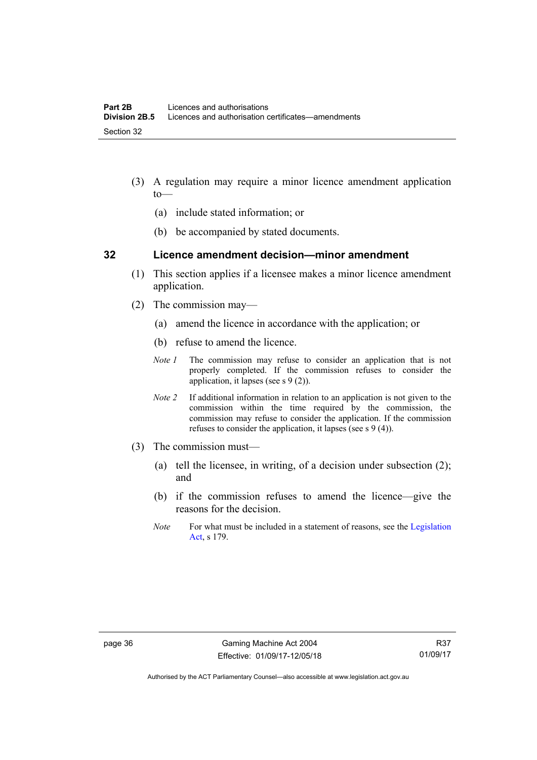- (3) A regulation may require a minor licence amendment application to—
	- (a) include stated information; or
	- (b) be accompanied by stated documents.

#### **32 Licence amendment decision—minor amendment**

- (1) This section applies if a licensee makes a minor licence amendment application.
- (2) The commission may—
	- (a) amend the licence in accordance with the application; or
	- (b) refuse to amend the licence.
	- *Note 1* The commission may refuse to consider an application that is not properly completed. If the commission refuses to consider the application, it lapses (see s 9 (2)).
	- *Note 2* If additional information in relation to an application is not given to the commission within the time required by the commission, the commission may refuse to consider the application. If the commission refuses to consider the application, it lapses (see s 9 (4)).
- (3) The commission must—
	- (a) tell the licensee, in writing, of a decision under subsection (2); and
	- (b) if the commission refuses to amend the licence—give the reasons for the decision.
	- *Note* For what must be included in a statement of reasons, see the Legislation [Act](http://www.legislation.act.gov.au/a/2001-14), s 179.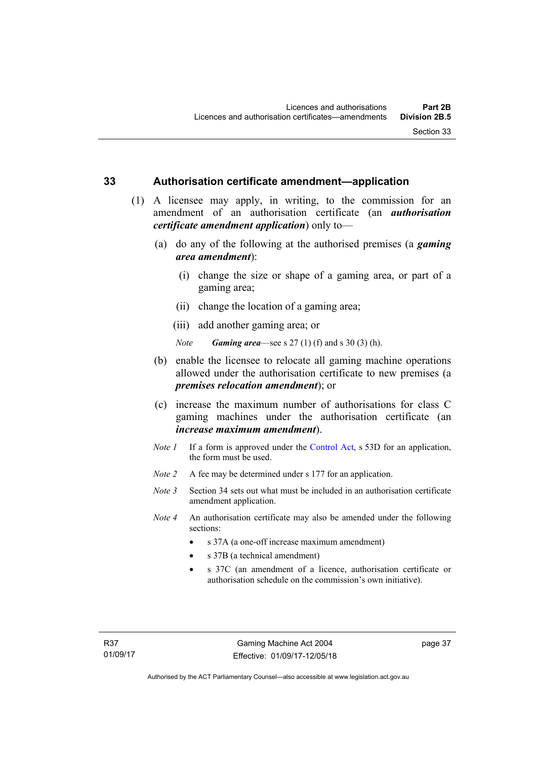#### **33 Authorisation certificate amendment—application**

- (1) A licensee may apply, in writing, to the commission for an amendment of an authorisation certificate (an *authorisation certificate amendment application*) only to—
	- (a) do any of the following at the authorised premises (a *gaming area amendment*):
		- (i) change the size or shape of a gaming area, or part of a gaming area;
		- (ii) change the location of a gaming area;
		- (iii) add another gaming area; or

*Note Gaming area*—see s 27 (1) (f) and s 30 (3) (h).

- (b) enable the licensee to relocate all gaming machine operations allowed under the authorisation certificate to new premises (a *premises relocation amendment*); or
- (c) increase the maximum number of authorisations for class C gaming machines under the authorisation certificate (an *increase maximum amendment*).
- *Note 1* If a form is approved under the [Control Act](http://www.legislation.act.gov.au/a/1999-46/default.asp), s 53D for an application, the form must be used.
- *Note 2* A fee may be determined under s 177 for an application.
- *Note* 3 Section 34 sets out what must be included in an authorisation certificate amendment application.
- *Note 4* An authorisation certificate may also be amended under the following sections:
	- s 37A (a one-off increase maximum amendment)
	- s 37B (a technical amendment)
	- s 37C (an amendment of a licence, authorisation certificate or authorisation schedule on the commission's own initiative).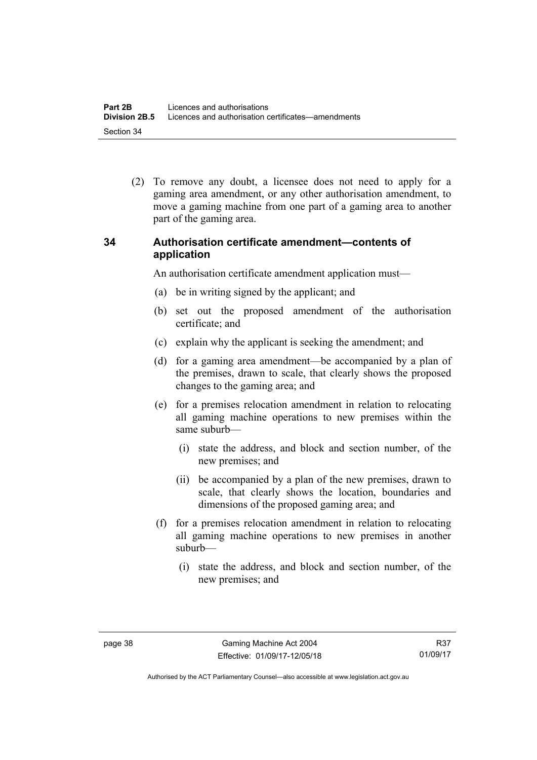(2) To remove any doubt, a licensee does not need to apply for a gaming area amendment, or any other authorisation amendment, to move a gaming machine from one part of a gaming area to another part of the gaming area.

## **34 Authorisation certificate amendment—contents of application**

An authorisation certificate amendment application must—

- (a) be in writing signed by the applicant; and
- (b) set out the proposed amendment of the authorisation certificate; and
- (c) explain why the applicant is seeking the amendment; and
- (d) for a gaming area amendment—be accompanied by a plan of the premises, drawn to scale, that clearly shows the proposed changes to the gaming area; and
- (e) for a premises relocation amendment in relation to relocating all gaming machine operations to new premises within the same suburb—
	- (i) state the address, and block and section number, of the new premises; and
	- (ii) be accompanied by a plan of the new premises, drawn to scale, that clearly shows the location, boundaries and dimensions of the proposed gaming area; and
- (f) for a premises relocation amendment in relation to relocating all gaming machine operations to new premises in another suburb—
	- (i) state the address, and block and section number, of the new premises; and

R37 01/09/17

Authorised by the ACT Parliamentary Counsel—also accessible at www.legislation.act.gov.au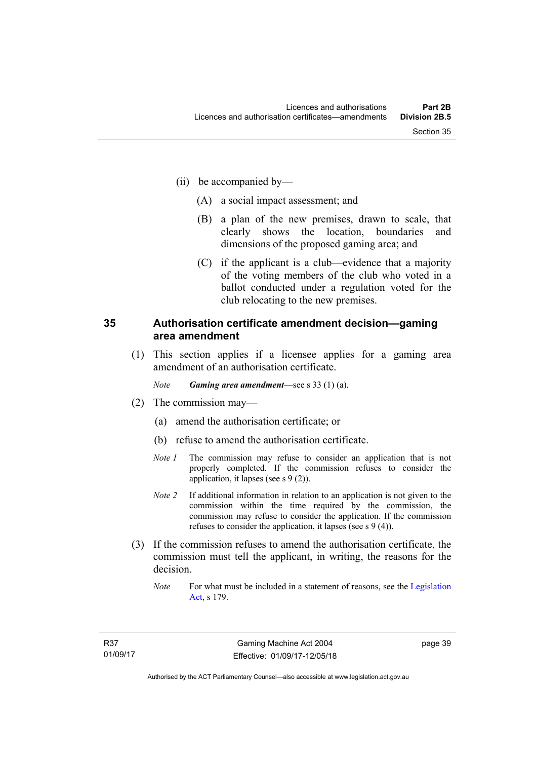- (ii) be accompanied by—
	- (A) a social impact assessment; and
	- (B) a plan of the new premises, drawn to scale, that clearly shows the location, boundaries and dimensions of the proposed gaming area; and
	- (C) if the applicant is a club—evidence that a majority of the voting members of the club who voted in a ballot conducted under a regulation voted for the club relocating to the new premises.

#### **35 Authorisation certificate amendment decision—gaming area amendment**

 (1) This section applies if a licensee applies for a gaming area amendment of an authorisation certificate.

*Note Gaming area amendment*—see s 33 (1) (a).

- (2) The commission may—
	- (a) amend the authorisation certificate; or
	- (b) refuse to amend the authorisation certificate.
	- *Note 1* The commission may refuse to consider an application that is not properly completed. If the commission refuses to consider the application, it lapses (see s 9 (2)).
	- *Note 2* If additional information in relation to an application is not given to the commission within the time required by the commission, the commission may refuse to consider the application. If the commission refuses to consider the application, it lapses (see s 9 (4)).
- (3) If the commission refuses to amend the authorisation certificate, the commission must tell the applicant, in writing, the reasons for the decision.
	- *Note* For what must be included in a statement of reasons, see the Legislation [Act](http://www.legislation.act.gov.au/a/2001-14), s 179.

page 39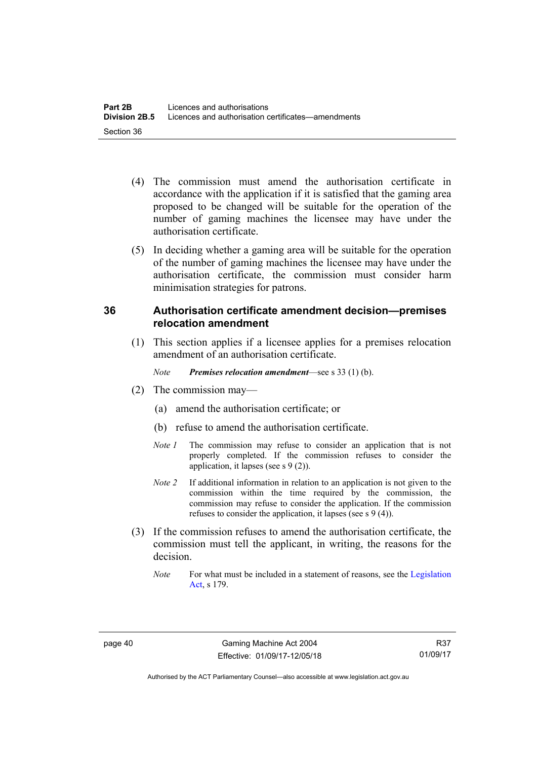- (4) The commission must amend the authorisation certificate in accordance with the application if it is satisfied that the gaming area proposed to be changed will be suitable for the operation of the number of gaming machines the licensee may have under the authorisation certificate.
- (5) In deciding whether a gaming area will be suitable for the operation of the number of gaming machines the licensee may have under the authorisation certificate, the commission must consider harm minimisation strategies for patrons.

## **36 Authorisation certificate amendment decision—premises relocation amendment**

(1) This section applies if a licensee applies for a premises relocation amendment of an authorisation certificate.

*Note Premises relocation amendment*—see s 33 (1) (b).

- (2) The commission may—
	- (a) amend the authorisation certificate; or
	- (b) refuse to amend the authorisation certificate.
	- *Note 1* The commission may refuse to consider an application that is not properly completed. If the commission refuses to consider the application, it lapses (see s 9 (2)).
	- *Note 2* If additional information in relation to an application is not given to the commission within the time required by the commission, the commission may refuse to consider the application. If the commission refuses to consider the application, it lapses (see s 9 (4)).
- (3) If the commission refuses to amend the authorisation certificate, the commission must tell the applicant, in writing, the reasons for the decision.
	- *Note* For what must be included in a statement of reasons, see the Legislation [Act](http://www.legislation.act.gov.au/a/2001-14), s 179.

Authorised by the ACT Parliamentary Counsel—also accessible at www.legislation.act.gov.au

R37 01/09/17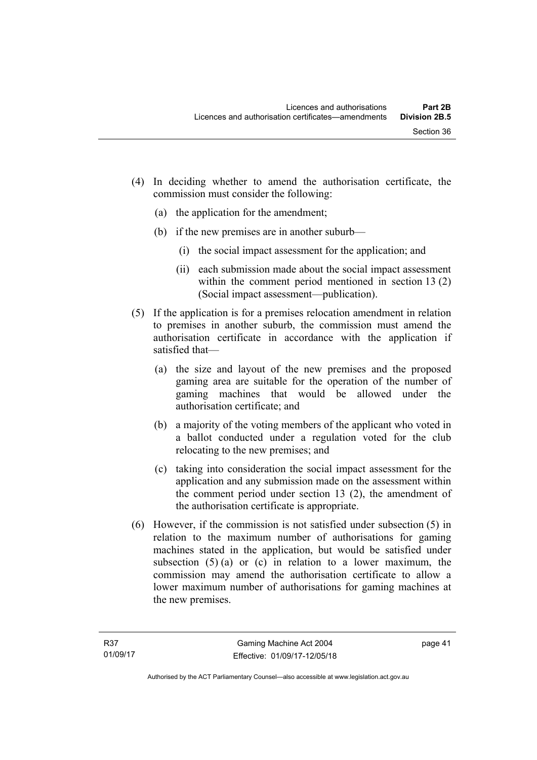- (4) In deciding whether to amend the authorisation certificate, the commission must consider the following:
	- (a) the application for the amendment;
	- (b) if the new premises are in another suburb—
		- (i) the social impact assessment for the application; and
		- (ii) each submission made about the social impact assessment within the comment period mentioned in section 13 (2) (Social impact assessment—publication).
- (5) If the application is for a premises relocation amendment in relation to premises in another suburb, the commission must amend the authorisation certificate in accordance with the application if satisfied that—
	- (a) the size and layout of the new premises and the proposed gaming area are suitable for the operation of the number of gaming machines that would be allowed under the authorisation certificate; and
	- (b) a majority of the voting members of the applicant who voted in a ballot conducted under a regulation voted for the club relocating to the new premises; and
	- (c) taking into consideration the social impact assessment for the application and any submission made on the assessment within the comment period under section 13 (2), the amendment of the authorisation certificate is appropriate.
- (6) However, if the commission is not satisfied under subsection (5) in relation to the maximum number of authorisations for gaming machines stated in the application, but would be satisfied under subsection  $(5)$  (a) or (c) in relation to a lower maximum, the commission may amend the authorisation certificate to allow a lower maximum number of authorisations for gaming machines at the new premises.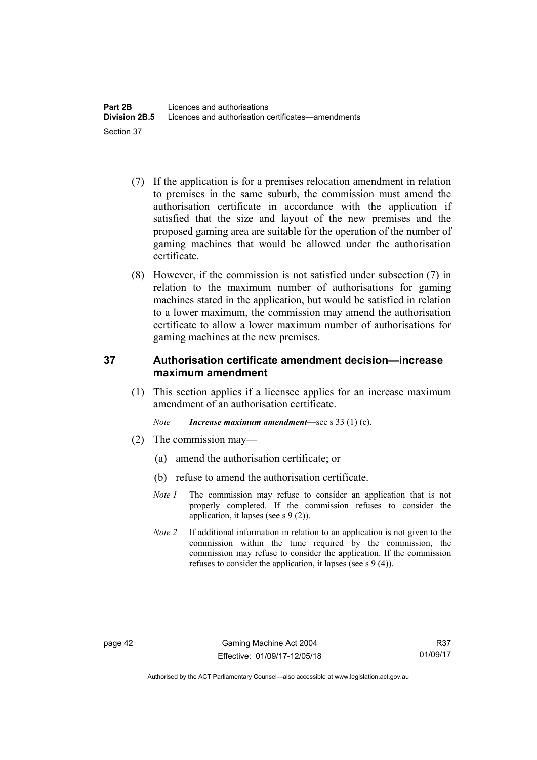- (7) If the application is for a premises relocation amendment in relation to premises in the same suburb, the commission must amend the authorisation certificate in accordance with the application if satisfied that the size and layout of the new premises and the proposed gaming area are suitable for the operation of the number of gaming machines that would be allowed under the authorisation certificate.
- (8) However, if the commission is not satisfied under subsection (7) in relation to the maximum number of authorisations for gaming machines stated in the application, but would be satisfied in relation to a lower maximum, the commission may amend the authorisation certificate to allow a lower maximum number of authorisations for gaming machines at the new premises.

## **37 Authorisation certificate amendment decision—increase maximum amendment**

(1) This section applies if a licensee applies for an increase maximum amendment of an authorisation certificate.

*Note Increase maximum amendment*—see s 33 (1) (c).

- (2) The commission may—
	- (a) amend the authorisation certificate; or
	- (b) refuse to amend the authorisation certificate.
	- *Note 1* The commission may refuse to consider an application that is not properly completed. If the commission refuses to consider the application, it lapses (see s 9 (2)).
	- *Note 2* If additional information in relation to an application is not given to the commission within the time required by the commission, the commission may refuse to consider the application. If the commission refuses to consider the application, it lapses (see s 9 (4)).

Authorised by the ACT Parliamentary Counsel—also accessible at www.legislation.act.gov.au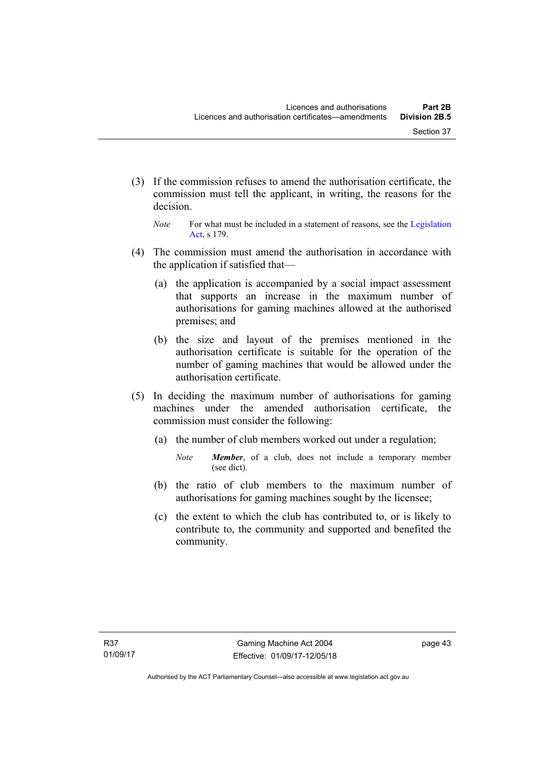- (3) If the commission refuses to amend the authorisation certificate, the commission must tell the applicant, in writing, the reasons for the decision.
	- *Note* For what must be included in a statement of reasons, see the Legislation [Act](http://www.legislation.act.gov.au/a/2001-14), s 179.
- (4) The commission must amend the authorisation in accordance with the application if satisfied that—
	- (a) the application is accompanied by a social impact assessment that supports an increase in the maximum number of authorisations for gaming machines allowed at the authorised premises; and
	- (b) the size and layout of the premises mentioned in the authorisation certificate is suitable for the operation of the number of gaming machines that would be allowed under the authorisation certificate.
- (5) In deciding the maximum number of authorisations for gaming machines under the amended authorisation certificate, the commission must consider the following:
	- (a) the number of club members worked out under a regulation;
		- *Note Member*, of a club, does not include a temporary member (see dict).
	- (b) the ratio of club members to the maximum number of authorisations for gaming machines sought by the licensee;
	- (c) the extent to which the club has contributed to, or is likely to contribute to, the community and supported and benefited the community.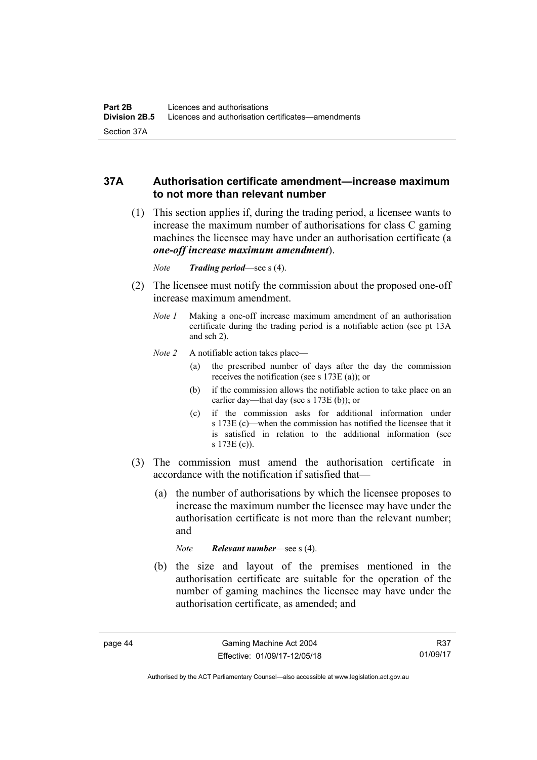## **37A Authorisation certificate amendment—increase maximum to not more than relevant number**

- (1) This section applies if, during the trading period, a licensee wants to increase the maximum number of authorisations for class C gaming machines the licensee may have under an authorisation certificate (a *one-off increase maximum amendment*).
	- *Note Trading period*—see s (4).
- (2) The licensee must notify the commission about the proposed one-off increase maximum amendment.
	- *Note 1* Making a one-off increase maximum amendment of an authorisation certificate during the trading period is a notifiable action (see pt 13A and sch 2).
	- *Note 2* A notifiable action takes place—
		- (a) the prescribed number of days after the day the commission receives the notification (see s 173E (a)); or
		- (b) if the commission allows the notifiable action to take place on an earlier day—that day (see s 173E (b)); or
		- (c) if the commission asks for additional information under s 173E (c)—when the commission has notified the licensee that it is satisfied in relation to the additional information (see s 173E (c)).
- (3) The commission must amend the authorisation certificate in accordance with the notification if satisfied that—
	- (a) the number of authorisations by which the licensee proposes to increase the maximum number the licensee may have under the authorisation certificate is not more than the relevant number; and

*Note Relevant number*—see s (4).

 (b) the size and layout of the premises mentioned in the authorisation certificate are suitable for the operation of the number of gaming machines the licensee may have under the authorisation certificate, as amended; and

R37 01/09/17

Authorised by the ACT Parliamentary Counsel—also accessible at www.legislation.act.gov.au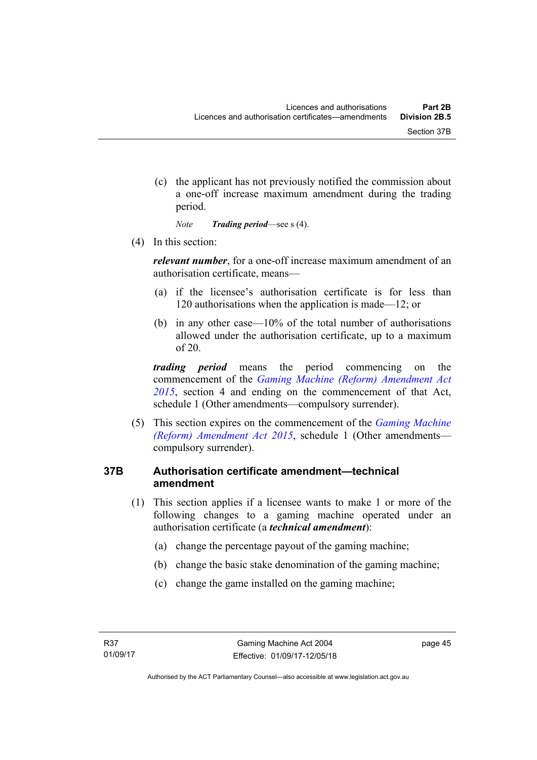(c) the applicant has not previously notified the commission about a one-off increase maximum amendment during the trading period.

*Note Trading period*—see s (4).

(4) In this section:

*relevant number*, for a one-off increase maximum amendment of an authorisation certificate, means—

- (a) if the licensee's authorisation certificate is for less than 120 authorisations when the application is made—12; or
- (b) in any other case—10% of the total number of authorisations allowed under the authorisation certificate, up to a maximum of 20.

*trading period* means the period commencing on the commencement of the *[Gaming Machine \(Reform\) Amendment Act](http://www.legislation.act.gov.au/a/2015-21/default.asp)  [2015](http://www.legislation.act.gov.au/a/2015-21/default.asp)*, section 4 and ending on the commencement of that Act, schedule 1 (Other amendments—compulsory surrender).

 (5) This section expires on the commencement of the *[Gaming Machine](http://www.legislation.act.gov.au/a/2015-21/default.asp)  [\(Reform\) Amendment Act 2015](http://www.legislation.act.gov.au/a/2015-21/default.asp)*, schedule 1 (Other amendments compulsory surrender).

#### **37B Authorisation certificate amendment—technical amendment**

- (1) This section applies if a licensee wants to make 1 or more of the following changes to a gaming machine operated under an authorisation certificate (a *technical amendment*):
	- (a) change the percentage payout of the gaming machine;
	- (b) change the basic stake denomination of the gaming machine;
	- (c) change the game installed on the gaming machine;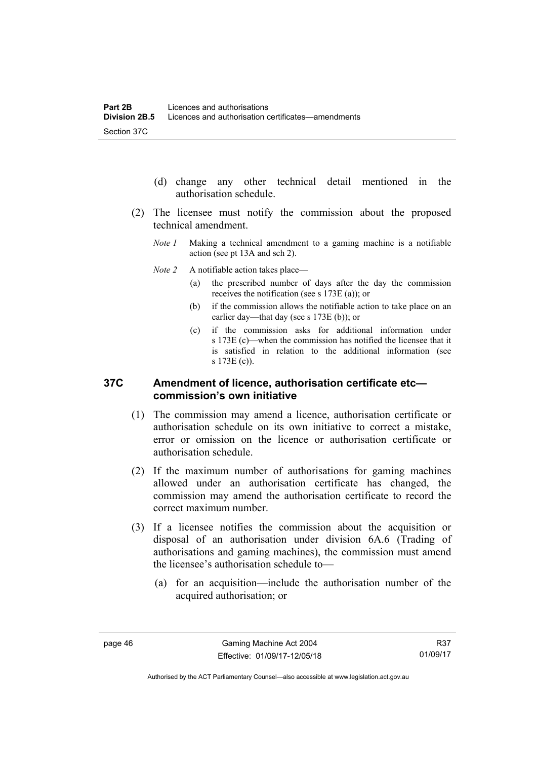- (d) change any other technical detail mentioned in the authorisation schedule.
- (2) The licensee must notify the commission about the proposed technical amendment.
	- *Note 1* Making a technical amendment to a gaming machine is a notifiable action (see pt 13A and sch 2).
	- *Note 2* A notifiable action takes place—
		- (a) the prescribed number of days after the day the commission receives the notification (see s 173E (a)); or
		- (b) if the commission allows the notifiable action to take place on an earlier day—that day (see s 173E (b)); or
		- (c) if the commission asks for additional information under s 173E (c)—when the commission has notified the licensee that it is satisfied in relation to the additional information (see s 173E (c)).

#### **37C Amendment of licence, authorisation certificate etc commission's own initiative**

- (1) The commission may amend a licence, authorisation certificate or authorisation schedule on its own initiative to correct a mistake, error or omission on the licence or authorisation certificate or authorisation schedule.
- (2) If the maximum number of authorisations for gaming machines allowed under an authorisation certificate has changed, the commission may amend the authorisation certificate to record the correct maximum number.
- (3) If a licensee notifies the commission about the acquisition or disposal of an authorisation under division 6A.6 (Trading of authorisations and gaming machines), the commission must amend the licensee's authorisation schedule to—
	- (a) for an acquisition—include the authorisation number of the acquired authorisation; or

R37 01/09/17

Authorised by the ACT Parliamentary Counsel—also accessible at www.legislation.act.gov.au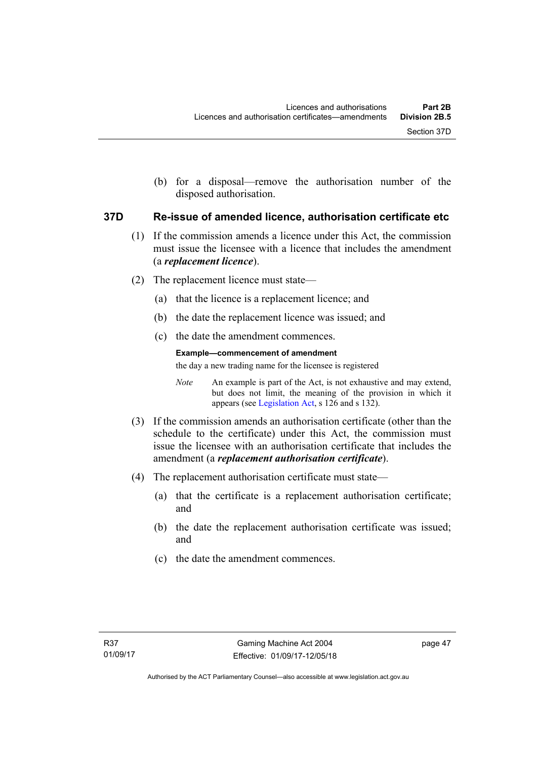(b) for a disposal—remove the authorisation number of the disposed authorisation.

#### **37D Re-issue of amended licence, authorisation certificate etc**

- (1) If the commission amends a licence under this Act, the commission must issue the licensee with a licence that includes the amendment (a *replacement licence*).
- (2) The replacement licence must state—
	- (a) that the licence is a replacement licence; and
	- (b) the date the replacement licence was issued; and
	- (c) the date the amendment commences.

#### **Example—commencement of amendment**

the day a new trading name for the licensee is registered

*Note* An example is part of the Act, is not exhaustive and may extend, but does not limit, the meaning of the provision in which it appears (see [Legislation Act,](http://www.legislation.act.gov.au/a/2001-14) s 126 and s 132).

- (3) If the commission amends an authorisation certificate (other than the schedule to the certificate) under this Act, the commission must issue the licensee with an authorisation certificate that includes the amendment (a *replacement authorisation certificate*).
- (4) The replacement authorisation certificate must state—
	- (a) that the certificate is a replacement authorisation certificate; and
	- (b) the date the replacement authorisation certificate was issued; and
	- (c) the date the amendment commences.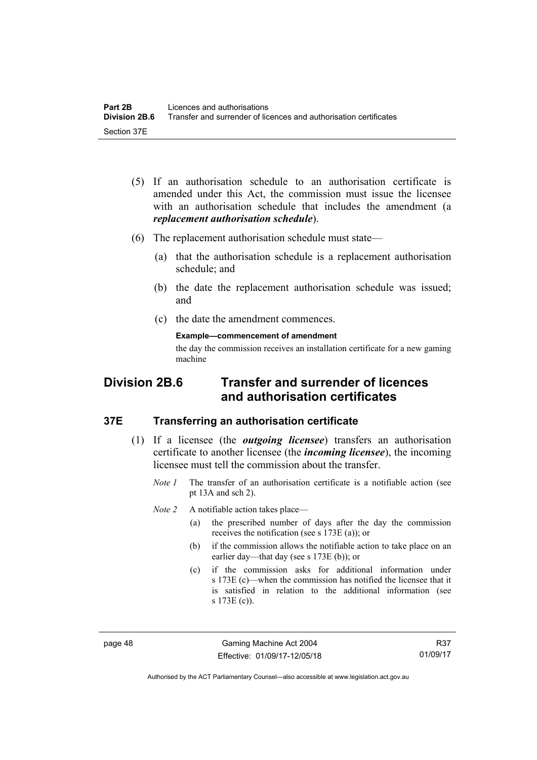- (5) If an authorisation schedule to an authorisation certificate is amended under this Act, the commission must issue the licensee with an authorisation schedule that includes the amendment (a *replacement authorisation schedule*).
- (6) The replacement authorisation schedule must state—
	- (a) that the authorisation schedule is a replacement authorisation schedule; and
	- (b) the date the replacement authorisation schedule was issued; and
	- (c) the date the amendment commences.

**Example—commencement of amendment** 

the day the commission receives an installation certificate for a new gaming machine

# **Division 2B.6 Transfer and surrender of licences and authorisation certificates**

#### **37E Transferring an authorisation certificate**

- (1) If a licensee (the *outgoing licensee*) transfers an authorisation certificate to another licensee (the *incoming licensee*), the incoming licensee must tell the commission about the transfer.
	- *Note 1* The transfer of an authorisation certificate is a notifiable action (see pt 13A and sch 2).

*Note 2* A notifiable action takes place—

- (a) the prescribed number of days after the day the commission receives the notification (see s 173E (a)); or
- (b) if the commission allows the notifiable action to take place on an earlier day—that day (see s 173E (b)); or
- (c) if the commission asks for additional information under s 173E (c)—when the commission has notified the licensee that it is satisfied in relation to the additional information (see s 173E (c)).

page 48 Gaming Machine Act 2004 Effective: 01/09/17-12/05/18

Authorised by the ACT Parliamentary Counsel—also accessible at www.legislation.act.gov.au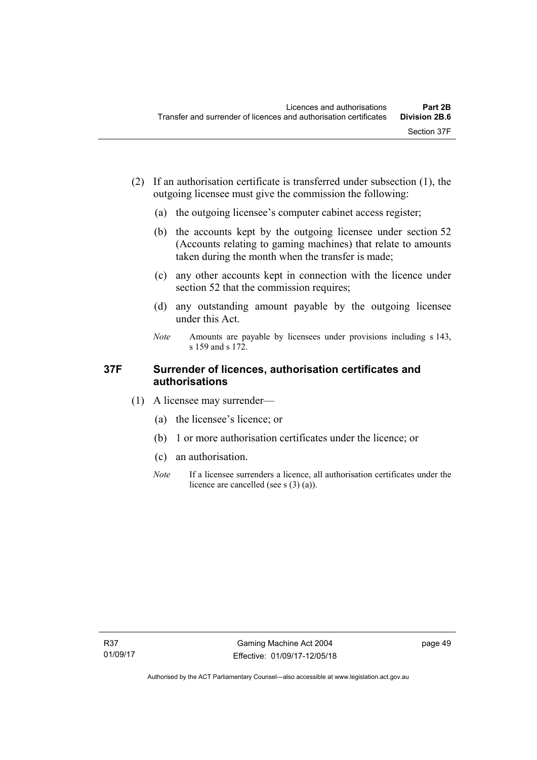- (2) If an authorisation certificate is transferred under subsection (1), the outgoing licensee must give the commission the following:
	- (a) the outgoing licensee's computer cabinet access register;
	- (b) the accounts kept by the outgoing licensee under section 52 (Accounts relating to gaming machines) that relate to amounts taken during the month when the transfer is made;
	- (c) any other accounts kept in connection with the licence under section 52 that the commission requires;
	- (d) any outstanding amount payable by the outgoing licensee under this Act.
	- *Note* Amounts are payable by licensees under provisions including s 143, s 159 and s 172.

## **37F Surrender of licences, authorisation certificates and authorisations**

- (1) A licensee may surrender—
	- (a) the licensee's licence; or
	- (b) 1 or more authorisation certificates under the licence; or
	- (c) an authorisation.
	- *Note* If a licensee surrenders a licence, all authorisation certificates under the licence are cancelled (see s (3) (a)).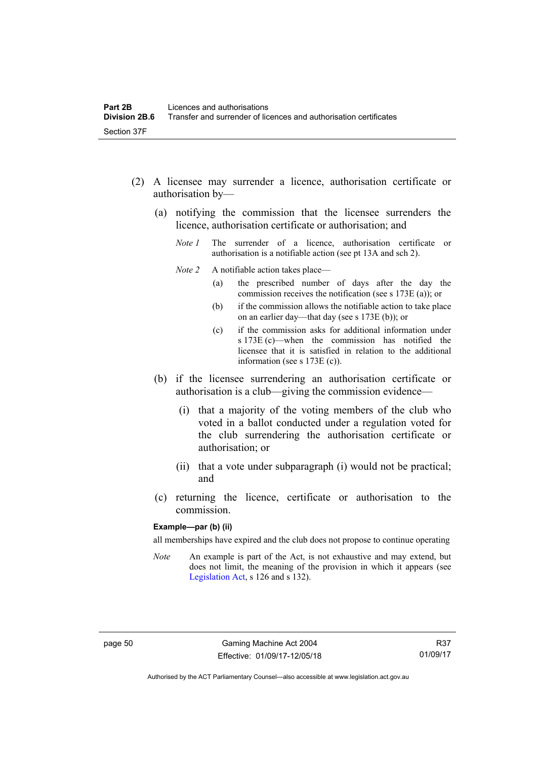- (2) A licensee may surrender a licence, authorisation certificate or authorisation by—
	- (a) notifying the commission that the licensee surrenders the licence, authorisation certificate or authorisation; and
		- *Note 1* The surrender of a licence, authorisation certificate or authorisation is a notifiable action (see pt 13A and sch 2).
		- *Note 2* A notifiable action takes place—
			- (a) the prescribed number of days after the day the commission receives the notification (see s 173E (a)); or
			- (b) if the commission allows the notifiable action to take place on an earlier day—that day (see s 173E (b)); or
			- (c) if the commission asks for additional information under s 173E (c)—when the commission has notified the licensee that it is satisfied in relation to the additional information (see s 173E (c)).
	- (b) if the licensee surrendering an authorisation certificate or authorisation is a club—giving the commission evidence—
		- (i) that a majority of the voting members of the club who voted in a ballot conducted under a regulation voted for the club surrendering the authorisation certificate or authorisation; or
		- (ii) that a vote under subparagraph (i) would not be practical; and
	- (c) returning the licence, certificate or authorisation to the commission.

#### **Example—par (b) (ii)**

all memberships have expired and the club does not propose to continue operating

*Note* An example is part of the Act, is not exhaustive and may extend, but does not limit, the meaning of the provision in which it appears (see [Legislation Act,](http://www.legislation.act.gov.au/a/2001-14) s 126 and s 132).

Authorised by the ACT Parliamentary Counsel—also accessible at www.legislation.act.gov.au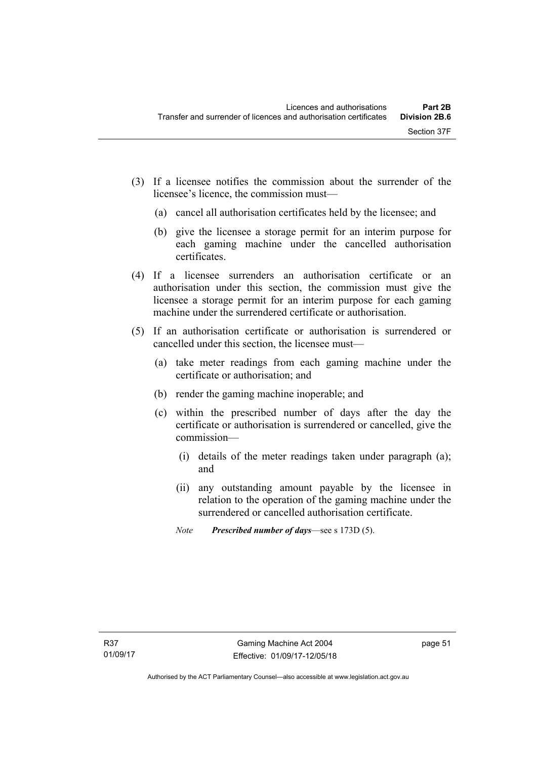- (3) If a licensee notifies the commission about the surrender of the licensee's licence, the commission must—
	- (a) cancel all authorisation certificates held by the licensee; and
	- (b) give the licensee a storage permit for an interim purpose for each gaming machine under the cancelled authorisation certificates.
- (4) If a licensee surrenders an authorisation certificate or an authorisation under this section, the commission must give the licensee a storage permit for an interim purpose for each gaming machine under the surrendered certificate or authorisation.
- (5) If an authorisation certificate or authorisation is surrendered or cancelled under this section, the licensee must—
	- (a) take meter readings from each gaming machine under the certificate or authorisation; and
	- (b) render the gaming machine inoperable; and
	- (c) within the prescribed number of days after the day the certificate or authorisation is surrendered or cancelled, give the commission—
		- (i) details of the meter readings taken under paragraph (a); and
		- (ii) any outstanding amount payable by the licensee in relation to the operation of the gaming machine under the surrendered or cancelled authorisation certificate.
		- *Note Prescribed number of days*—see s 173D (5).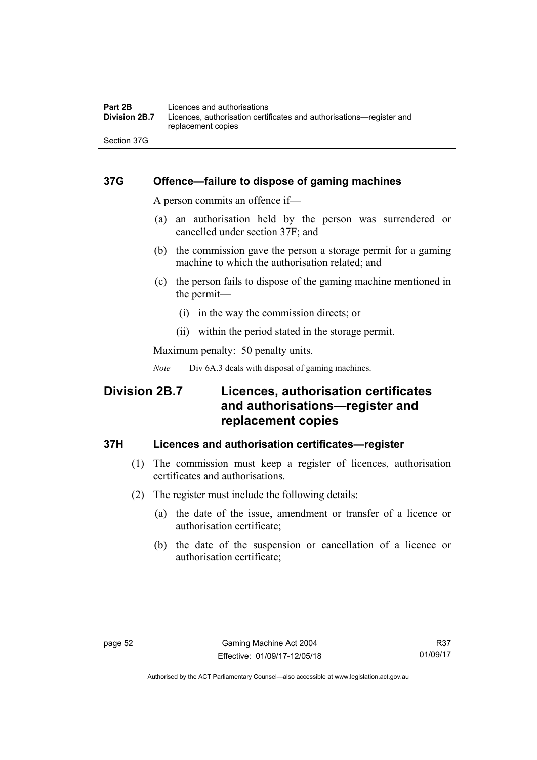## **37G Offence—failure to dispose of gaming machines**

A person commits an offence if—

- (a) an authorisation held by the person was surrendered or cancelled under section 37F; and
- (b) the commission gave the person a storage permit for a gaming machine to which the authorisation related; and
- (c) the person fails to dispose of the gaming machine mentioned in the permit—
	- (i) in the way the commission directs; or
	- (ii) within the period stated in the storage permit.

Maximum penalty: 50 penalty units.

*Note* Div 6A.3 deals with disposal of gaming machines.

# **Division 2B.7 Licences, authorisation certificates and authorisations—register and replacement copies**

#### **37H Licences and authorisation certificates—register**

- (1) The commission must keep a register of licences, authorisation certificates and authorisations.
- (2) The register must include the following details:
	- (a) the date of the issue, amendment or transfer of a licence or authorisation certificate;
	- (b) the date of the suspension or cancellation of a licence or authorisation certificate;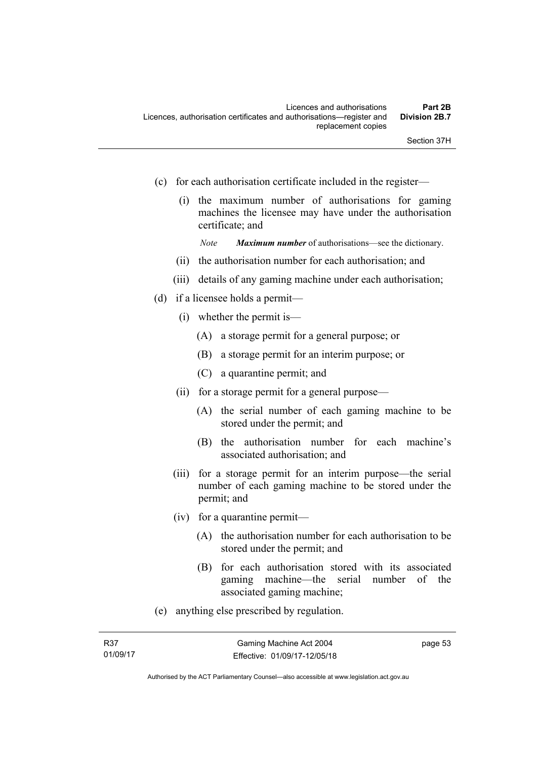- (c) for each authorisation certificate included in the register—
	- (i) the maximum number of authorisations for gaming machines the licensee may have under the authorisation certificate; and

*Note Maximum number* of authorisations—see the dictionary.

- (ii) the authorisation number for each authorisation; and
- (iii) details of any gaming machine under each authorisation;
- (d) if a licensee holds a permit—
	- (i) whether the permit is—
		- (A) a storage permit for a general purpose; or
		- (B) a storage permit for an interim purpose; or
		- (C) a quarantine permit; and
	- (ii) for a storage permit for a general purpose—
		- (A) the serial number of each gaming machine to be stored under the permit; and
		- (B) the authorisation number for each machine's associated authorisation; and
	- (iii) for a storage permit for an interim purpose—the serial number of each gaming machine to be stored under the permit; and
	- (iv) for a quarantine permit—
		- (A) the authorisation number for each authorisation to be stored under the permit; and
		- (B) for each authorisation stored with its associated gaming machine—the serial number of the associated gaming machine;
- (e) anything else prescribed by regulation.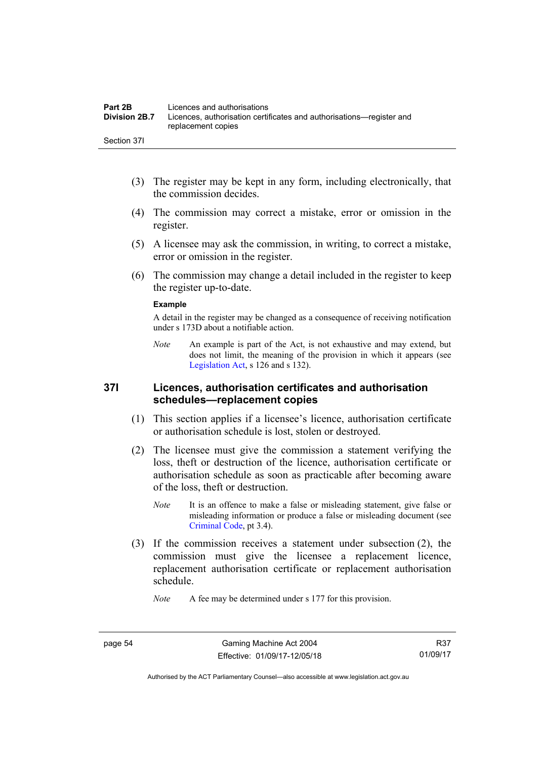- (3) The register may be kept in any form, including electronically, that the commission decides.
- (4) The commission may correct a mistake, error or omission in the register.
- (5) A licensee may ask the commission, in writing, to correct a mistake, error or omission in the register.
- (6) The commission may change a detail included in the register to keep the register up-to-date.

#### **Example**

A detail in the register may be changed as a consequence of receiving notification under s 173D about a notifiable action.

*Note* An example is part of the Act, is not exhaustive and may extend, but does not limit, the meaning of the provision in which it appears (see [Legislation Act,](http://www.legislation.act.gov.au/a/2001-14) s 126 and s 132).

#### **37I Licences, authorisation certificates and authorisation schedules—replacement copies**

- (1) This section applies if a licensee's licence, authorisation certificate or authorisation schedule is lost, stolen or destroyed.
- (2) The licensee must give the commission a statement verifying the loss, theft or destruction of the licence, authorisation certificate or authorisation schedule as soon as practicable after becoming aware of the loss, theft or destruction.
	- *Note* It is an offence to make a false or misleading statement, give false or misleading information or produce a false or misleading document (see [Criminal Code](http://www.legislation.act.gov.au/a/2002-51), pt 3.4).
- (3) If the commission receives a statement under subsection (2), the commission must give the licensee a replacement licence, replacement authorisation certificate or replacement authorisation schedule.

*Note* A fee may be determined under s 177 for this provision.

R37 01/09/17

Authorised by the ACT Parliamentary Counsel—also accessible at www.legislation.act.gov.au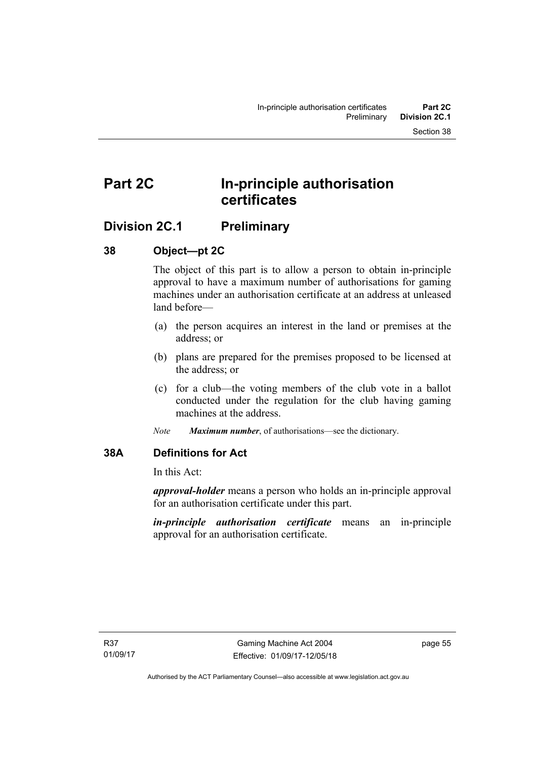# **Part 2C In-principle authorisation certificates**

# **Division 2C.1 Preliminary**

## **38 Object—pt 2C**

The object of this part is to allow a person to obtain in-principle approval to have a maximum number of authorisations for gaming machines under an authorisation certificate at an address at unleased land before—

- (a) the person acquires an interest in the land or premises at the address; or
- (b) plans are prepared for the premises proposed to be licensed at the address; or
- (c) for a club—the voting members of the club vote in a ballot conducted under the regulation for the club having gaming machines at the address.
- *Note Maximum number*, of authorisations—see the dictionary.

## **38A Definitions for Act**

In this Act:

*approval-holder* means a person who holds an in-principle approval for an authorisation certificate under this part.

*in-principle authorisation certificate* means an in-principle approval for an authorisation certificate.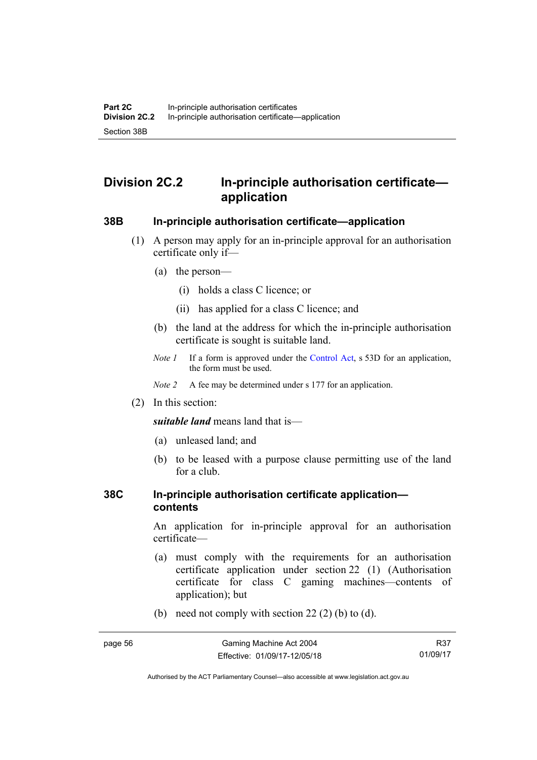# **Division 2C.2 In-principle authorisation certificate application**

#### **38B In-principle authorisation certificate—application**

- (1) A person may apply for an in-principle approval for an authorisation certificate only if—
	- (a) the person—
		- (i) holds a class C licence; or
		- (ii) has applied for a class C licence; and
	- (b) the land at the address for which the in-principle authorisation certificate is sought is suitable land.
	- *Note 1* If a form is approved under the [Control Act](http://www.legislation.act.gov.au/a/1999-46/default.asp), s 53D for an application, the form must be used.

*Note 2* A fee may be determined under s 177 for an application.

(2) In this section:

*suitable land* means land that is—

- (a) unleased land; and
- (b) to be leased with a purpose clause permitting use of the land for a club.

#### **38C In-principle authorisation certificate application contents**

An application for in-principle approval for an authorisation certificate—

- (a) must comply with the requirements for an authorisation certificate application under section 22 (1) (Authorisation certificate for class C gaming machines—contents of application); but
- (b) need not comply with section  $22(2)$  (b) to (d).

R37 01/09/17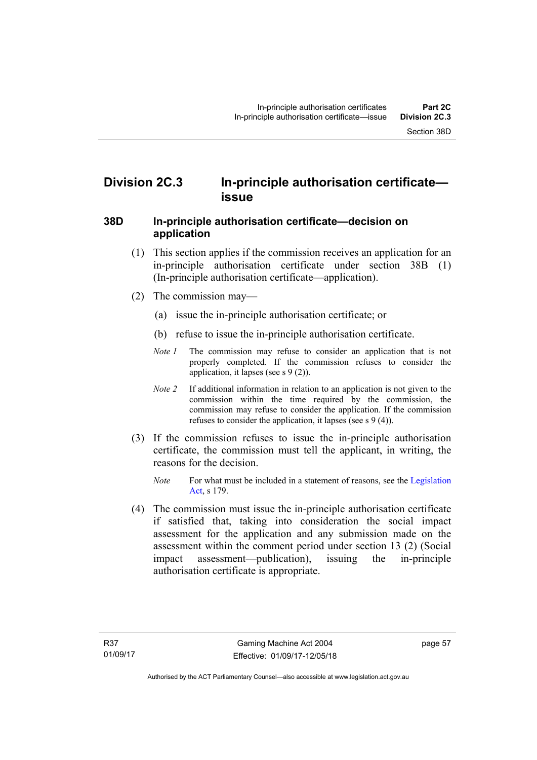# **Division 2C.3 In-principle authorisation certificate issue**

#### **38D In-principle authorisation certificate—decision on application**

- (1) This section applies if the commission receives an application for an in-principle authorisation certificate under section 38B (1) (In-principle authorisation certificate—application).
- (2) The commission may—
	- (a) issue the in-principle authorisation certificate; or
	- (b) refuse to issue the in-principle authorisation certificate.
	- *Note 1* The commission may refuse to consider an application that is not properly completed. If the commission refuses to consider the application, it lapses (see s 9 (2)).
	- *Note 2* If additional information in relation to an application is not given to the commission within the time required by the commission, the commission may refuse to consider the application. If the commission refuses to consider the application, it lapses (see s 9 (4)).
- (3) If the commission refuses to issue the in-principle authorisation certificate, the commission must tell the applicant, in writing, the reasons for the decision.
	- *Note* For what must be included in a statement of reasons, see the Legislation [Act](http://www.legislation.act.gov.au/a/2001-14), s 179.
- (4) The commission must issue the in-principle authorisation certificate if satisfied that, taking into consideration the social impact assessment for the application and any submission made on the assessment within the comment period under section 13 (2) (Social impact assessment—publication), issuing the in-principle authorisation certificate is appropriate.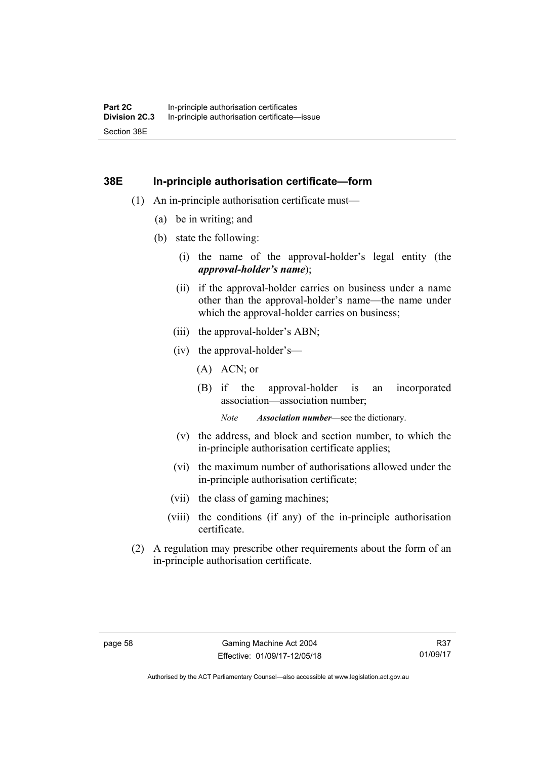#### **38E In-principle authorisation certificate—form**

- (1) An in-principle authorisation certificate must—
	- (a) be in writing; and
	- (b) state the following:
		- (i) the name of the approval-holder's legal entity (the *approval-holder's name*);
		- (ii) if the approval-holder carries on business under a name other than the approval-holder's name—the name under which the approval-holder carries on business:
		- (iii) the approval-holder's ABN;
		- (iv) the approval-holder's—
			- (A) ACN; or
			- (B) if the approval-holder is an incorporated association—association number;

*Note Association number*—see the dictionary.

- (v) the address, and block and section number, to which the in-principle authorisation certificate applies;
- (vi) the maximum number of authorisations allowed under the in-principle authorisation certificate;
- (vii) the class of gaming machines;
- (viii) the conditions (if any) of the in-principle authorisation certificate.
- (2) A regulation may prescribe other requirements about the form of an in-principle authorisation certificate.

Authorised by the ACT Parliamentary Counsel—also accessible at www.legislation.act.gov.au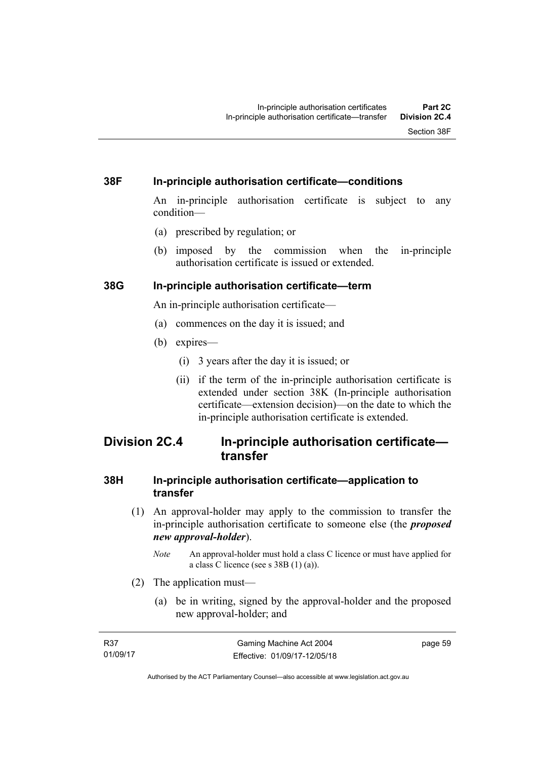#### **38F In-principle authorisation certificate—conditions**

An in-principle authorisation certificate is subject to any condition—

- (a) prescribed by regulation; or
- (b) imposed by the commission when the in-principle authorisation certificate is issued or extended.

#### **38G In-principle authorisation certificate—term**

An in-principle authorisation certificate—

- (a) commences on the day it is issued; and
- (b) expires—
	- (i) 3 years after the day it is issued; or
	- (ii) if the term of the in-principle authorisation certificate is extended under section 38K (In-principle authorisation certificate—extension decision)—on the date to which the in-principle authorisation certificate is extended.

## **Division 2C.4 In-principle authorisation certificate transfer**

#### **38H In-principle authorisation certificate—application to transfer**

- (1) An approval-holder may apply to the commission to transfer the in-principle authorisation certificate to someone else (the *proposed new approval-holder*).
	- *Note* An approval-holder must hold a class C licence or must have applied for a class C licence (see s  $38B(1)(a)$ ).
- (2) The application must—
	- (a) be in writing, signed by the approval-holder and the proposed new approval-holder; and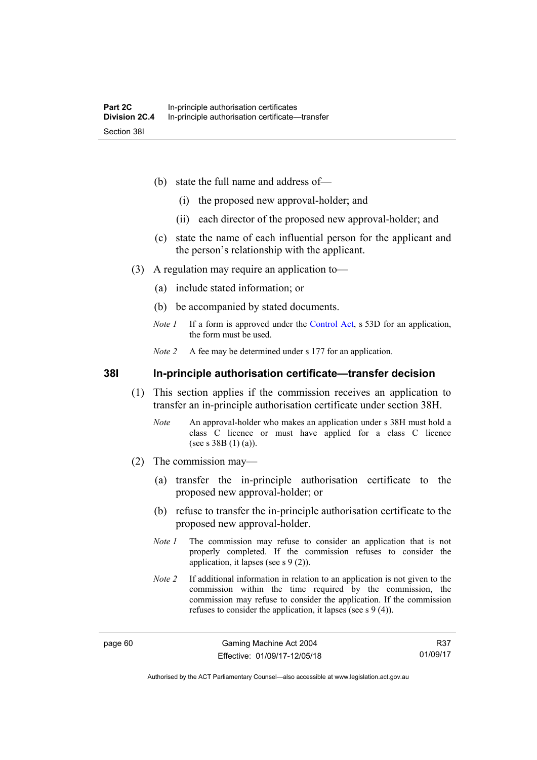- (b) state the full name and address of—
	- (i) the proposed new approval-holder; and
	- (ii) each director of the proposed new approval-holder; and
- (c) state the name of each influential person for the applicant and the person's relationship with the applicant.
- (3) A regulation may require an application to—
	- (a) include stated information; or
	- (b) be accompanied by stated documents.
	- *Note 1* If a form is approved under the [Control Act](http://www.legislation.act.gov.au/a/1999-46/default.asp), s 53D for an application, the form must be used.
	- *Note 2* A fee may be determined under s 177 for an application.

**38I In-principle authorisation certificate—transfer decision** 

- (1) This section applies if the commission receives an application to transfer an in-principle authorisation certificate under section 38H.
	- *Note* An approval-holder who makes an application under s 38H must hold a class C licence or must have applied for a class C licence (see s 38B (1) (a)).
- (2) The commission may—
	- (a) transfer the in-principle authorisation certificate to the proposed new approval-holder; or
	- (b) refuse to transfer the in-principle authorisation certificate to the proposed new approval-holder.
	- *Note 1* The commission may refuse to consider an application that is not properly completed. If the commission refuses to consider the application, it lapses (see s 9 (2)).
	- *Note 2* If additional information in relation to an application is not given to the commission within the time required by the commission, the commission may refuse to consider the application. If the commission refuses to consider the application, it lapses (see s 9 (4)).

R37 01/09/17

Authorised by the ACT Parliamentary Counsel—also accessible at www.legislation.act.gov.au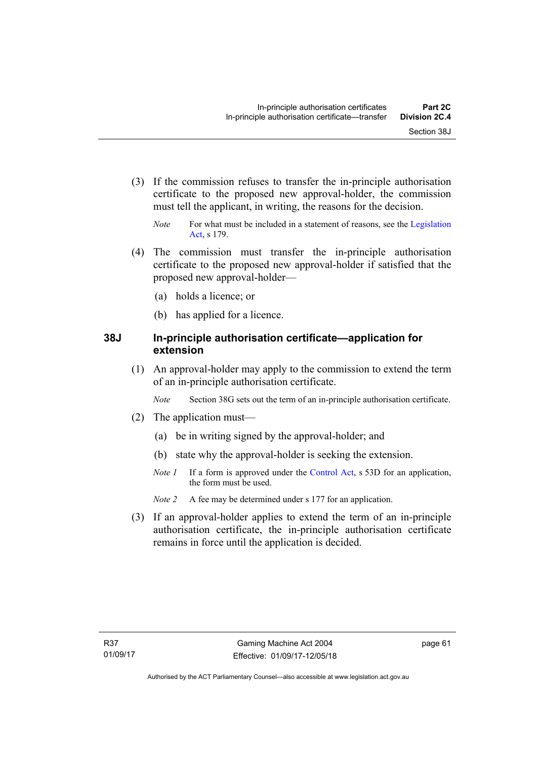- (3) If the commission refuses to transfer the in-principle authorisation certificate to the proposed new approval-holder, the commission must tell the applicant, in writing, the reasons for the decision.
	- *Note* For what must be included in a statement of reasons, see the Legislation [Act](http://www.legislation.act.gov.au/a/2001-14), s 179.
- (4) The commission must transfer the in-principle authorisation certificate to the proposed new approval-holder if satisfied that the proposed new approval-holder—
	- (a) holds a licence; or
	- (b) has applied for a licence.

#### **38J In-principle authorisation certificate—application for extension**

 (1) An approval-holder may apply to the commission to extend the term of an in-principle authorisation certificate.

*Note* Section 38G sets out the term of an in-principle authorisation certificate.

- (2) The application must—
	- (a) be in writing signed by the approval-holder; and
	- (b) state why the approval-holder is seeking the extension.
	- *Note 1* If a form is approved under the [Control Act](http://www.legislation.act.gov.au/a/1999-46/default.asp), s 53D for an application, the form must be used.
	- *Note 2* A fee may be determined under s 177 for an application.
- (3) If an approval-holder applies to extend the term of an in-principle authorisation certificate, the in-principle authorisation certificate remains in force until the application is decided.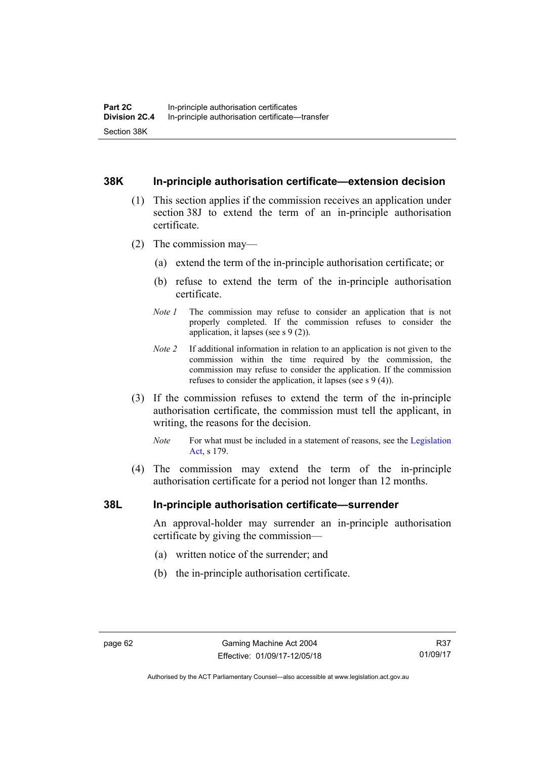#### **38K In-principle authorisation certificate—extension decision**

- (1) This section applies if the commission receives an application under section 38J to extend the term of an in-principle authorisation certificate.
- (2) The commission may—
	- (a) extend the term of the in-principle authorisation certificate; or
	- (b) refuse to extend the term of the in-principle authorisation certificate.
	- *Note 1* The commission may refuse to consider an application that is not properly completed. If the commission refuses to consider the application, it lapses (see s 9 (2)).
	- *Note 2* If additional information in relation to an application is not given to the commission within the time required by the commission, the commission may refuse to consider the application. If the commission refuses to consider the application, it lapses (see s 9 (4)).
- (3) If the commission refuses to extend the term of the in-principle authorisation certificate, the commission must tell the applicant, in writing, the reasons for the decision.
	- *Note* For what must be included in a statement of reasons, see the Legislation [Act](http://www.legislation.act.gov.au/a/2001-14), s 179.
- (4) The commission may extend the term of the in-principle authorisation certificate for a period not longer than 12 months.

#### **38L In-principle authorisation certificate—surrender**

An approval-holder may surrender an in-principle authorisation certificate by giving the commission—

- (a) written notice of the surrender; and
- (b) the in-principle authorisation certificate.

Authorised by the ACT Parliamentary Counsel—also accessible at www.legislation.act.gov.au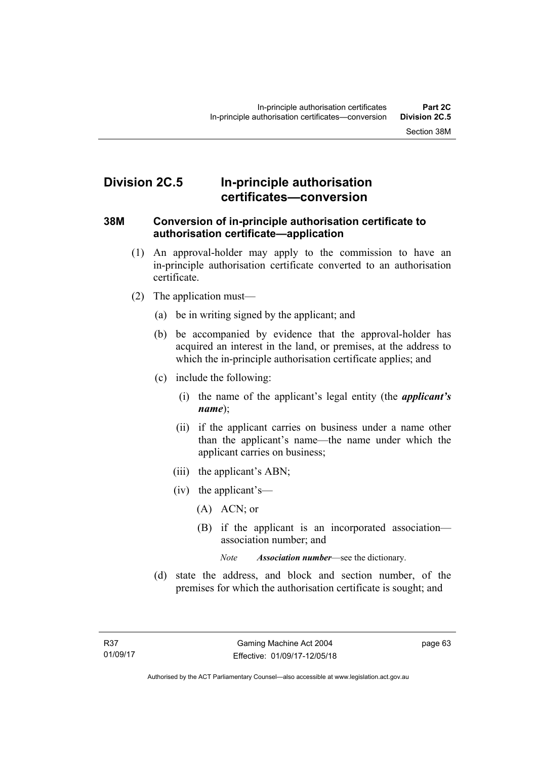# **Division 2C.5 In-principle authorisation certificates—conversion**

#### **38M Conversion of in-principle authorisation certificate to authorisation certificate—application**

- (1) An approval-holder may apply to the commission to have an in-principle authorisation certificate converted to an authorisation certificate.
- (2) The application must—
	- (a) be in writing signed by the applicant; and
	- (b) be accompanied by evidence that the approval-holder has acquired an interest in the land, or premises, at the address to which the in-principle authorisation certificate applies; and
	- (c) include the following:
		- (i) the name of the applicant's legal entity (the *applicant's name*);
		- (ii) if the applicant carries on business under a name other than the applicant's name—the name under which the applicant carries on business;
		- (iii) the applicant's ABN;
		- (iv) the applicant's—
			- (A) ACN; or
			- (B) if the applicant is an incorporated association association number; and

*Note Association number*—see the dictionary.

 (d) state the address, and block and section number, of the premises for which the authorisation certificate is sought; and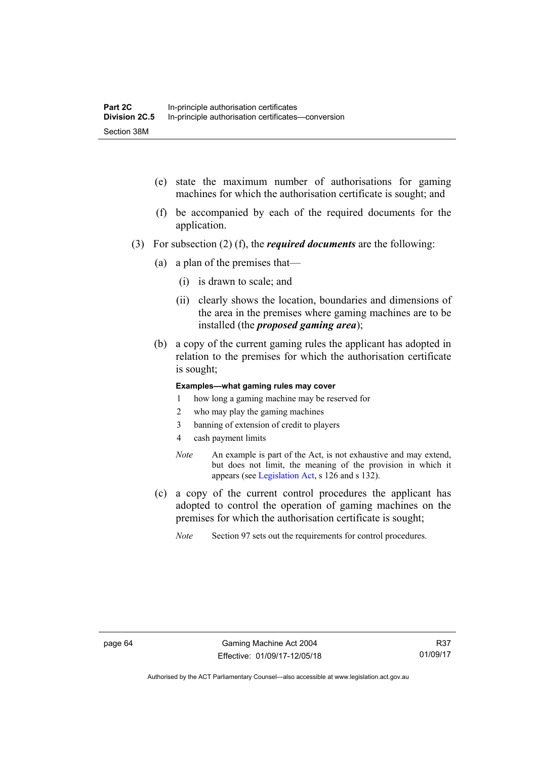- (e) state the maximum number of authorisations for gaming machines for which the authorisation certificate is sought; and
- (f) be accompanied by each of the required documents for the application.
- (3) For subsection (2) (f), the *required documents* are the following:
	- (a) a plan of the premises that—
		- (i) is drawn to scale; and
		- (ii) clearly shows the location, boundaries and dimensions of the area in the premises where gaming machines are to be installed (the *proposed gaming area*);
	- (b) a copy of the current gaming rules the applicant has adopted in relation to the premises for which the authorisation certificate is sought;

#### **Examples—what gaming rules may cover**

- 1 how long a gaming machine may be reserved for
- 2 who may play the gaming machines
- 3 banning of extension of credit to players
- 4 cash payment limits
- *Note* An example is part of the Act, is not exhaustive and may extend, but does not limit, the meaning of the provision in which it appears (see [Legislation Act,](http://www.legislation.act.gov.au/a/2001-14) s 126 and s 132).
- (c) a copy of the current control procedures the applicant has adopted to control the operation of gaming machines on the premises for which the authorisation certificate is sought;
	- *Note* Section 97 sets out the requirements for control procedures.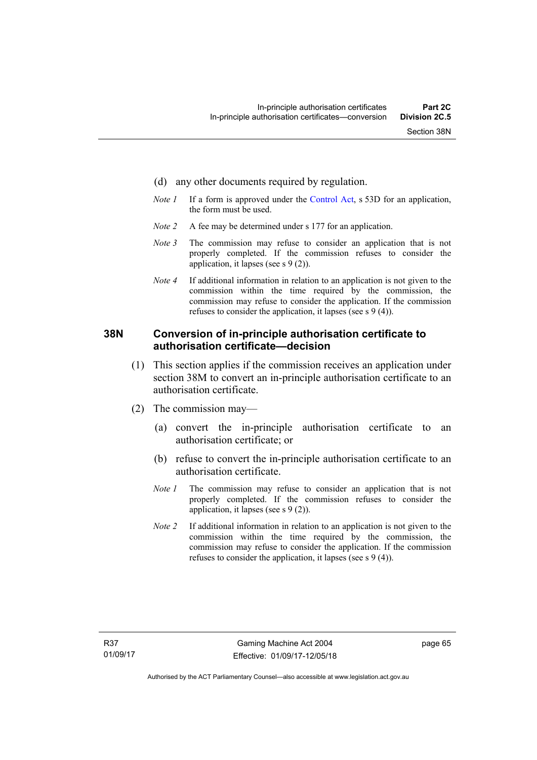- (d) any other documents required by regulation.
- *Note 1* If a form is approved under the [Control Act](http://www.legislation.act.gov.au/a/1999-46/default.asp), s 53D for an application, the form must be used.
- *Note 2* A fee may be determined under s 177 for an application.
- *Note* 3 The commission may refuse to consider an application that is not properly completed. If the commission refuses to consider the application, it lapses (see s 9 (2)).
- *Note 4* If additional information in relation to an application is not given to the commission within the time required by the commission, the commission may refuse to consider the application. If the commission refuses to consider the application, it lapses (see s 9 (4)).

#### **38N Conversion of in-principle authorisation certificate to authorisation certificate—decision**

- (1) This section applies if the commission receives an application under section 38M to convert an in-principle authorisation certificate to an authorisation certificate.
- (2) The commission may—
	- (a) convert the in-principle authorisation certificate to an authorisation certificate; or
	- (b) refuse to convert the in-principle authorisation certificate to an authorisation certificate.
	- *Note 1* The commission may refuse to consider an application that is not properly completed. If the commission refuses to consider the application, it lapses (see s 9 (2)).
	- *Note 2* If additional information in relation to an application is not given to the commission within the time required by the commission, the commission may refuse to consider the application. If the commission refuses to consider the application, it lapses (see s 9 (4)).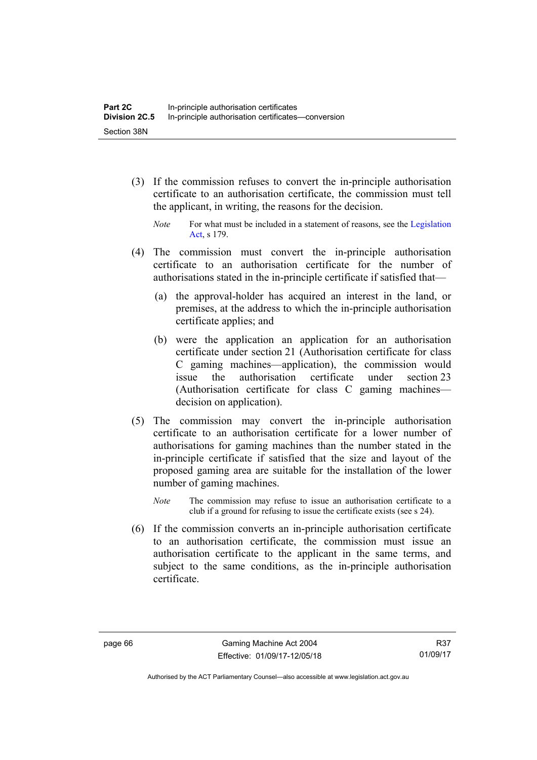- (3) If the commission refuses to convert the in-principle authorisation certificate to an authorisation certificate, the commission must tell the applicant, in writing, the reasons for the decision.
	- *Note* For what must be included in a statement of reasons, see the Legislation [Act](http://www.legislation.act.gov.au/a/2001-14), s 179.
- (4) The commission must convert the in-principle authorisation certificate to an authorisation certificate for the number of authorisations stated in the in-principle certificate if satisfied that—
	- (a) the approval-holder has acquired an interest in the land, or premises, at the address to which the in-principle authorisation certificate applies; and
	- (b) were the application an application for an authorisation certificate under section 21 (Authorisation certificate for class C gaming machines—application), the commission would issue the authorisation certificate under section 23 (Authorisation certificate for class C gaming machines decision on application).
- (5) The commission may convert the in-principle authorisation certificate to an authorisation certificate for a lower number of authorisations for gaming machines than the number stated in the in-principle certificate if satisfied that the size and layout of the proposed gaming area are suitable for the installation of the lower number of gaming machines.
	- *Note* The commission may refuse to issue an authorisation certificate to a club if a ground for refusing to issue the certificate exists (see s 24).
- (6) If the commission converts an in-principle authorisation certificate to an authorisation certificate, the commission must issue an authorisation certificate to the applicant in the same terms, and subject to the same conditions, as the in-principle authorisation certificate.

Authorised by the ACT Parliamentary Counsel—also accessible at www.legislation.act.gov.au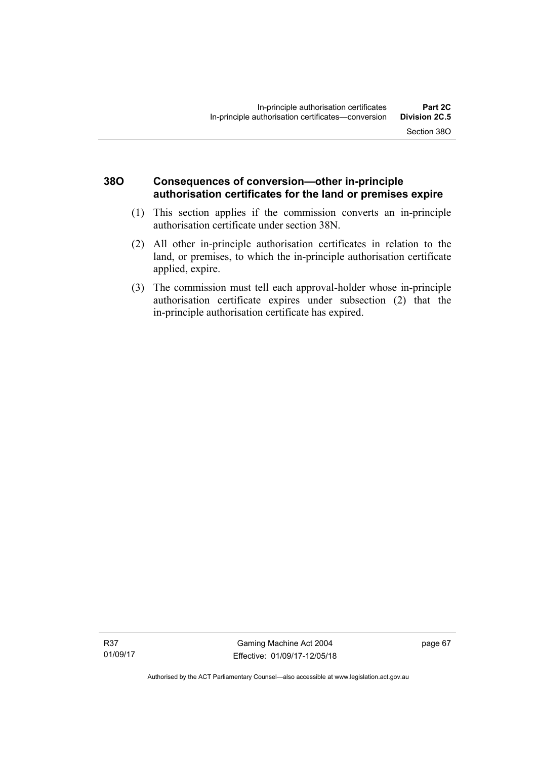## **38O Consequences of conversion—other in-principle authorisation certificates for the land or premises expire**

- (1) This section applies if the commission converts an in-principle authorisation certificate under section 38N.
- (2) All other in-principle authorisation certificates in relation to the land, or premises, to which the in-principle authorisation certificate applied, expire.
- (3) The commission must tell each approval-holder whose in-principle authorisation certificate expires under subsection (2) that the in-principle authorisation certificate has expired.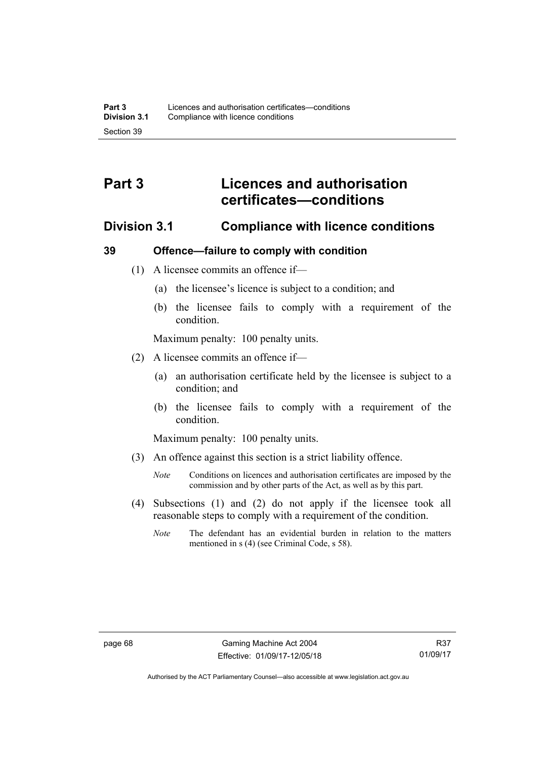# **Part 3 Licences and authorisation certificates—conditions**

## **Division 3.1 Compliance with licence conditions**

#### **39 Offence—failure to comply with condition**

- (1) A licensee commits an offence if—
	- (a) the licensee's licence is subject to a condition; and
	- (b) the licensee fails to comply with a requirement of the condition.

Maximum penalty: 100 penalty units.

- (2) A licensee commits an offence if—
	- (a) an authorisation certificate held by the licensee is subject to a condition; and
	- (b) the licensee fails to comply with a requirement of the condition.

Maximum penalty: 100 penalty units.

- (3) An offence against this section is a strict liability offence.
	- *Note* Conditions on licences and authorisation certificates are imposed by the commission and by other parts of the Act, as well as by this part.
- (4) Subsections (1) and (2) do not apply if the licensee took all reasonable steps to comply with a requirement of the condition.
	- *Note* The defendant has an evidential burden in relation to the matters mentioned in s (4) (see Criminal Code, s 58).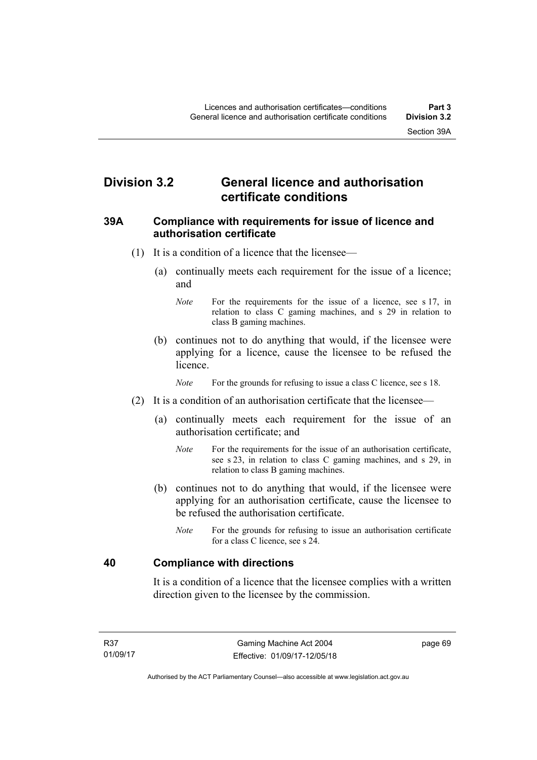# **Division 3.2 General licence and authorisation certificate conditions**

#### **39A Compliance with requirements for issue of licence and authorisation certificate**

- (1) It is a condition of a licence that the licensee—
	- (a) continually meets each requirement for the issue of a licence; and
		- *Note* For the requirements for the issue of a licence, see s 17, in relation to class C gaming machines, and s 29 in relation to class B gaming machines.
	- (b) continues not to do anything that would, if the licensee were applying for a licence, cause the licensee to be refused the licence.

*Note* For the grounds for refusing to issue a class C licence, see s 18.

- (2) It is a condition of an authorisation certificate that the licensee—
	- (a) continually meets each requirement for the issue of an authorisation certificate; and
		- *Note* For the requirements for the issue of an authorisation certificate, see s 23, in relation to class C gaming machines, and s 29, in relation to class B gaming machines.
	- (b) continues not to do anything that would, if the licensee were applying for an authorisation certificate, cause the licensee to be refused the authorisation certificate.
		- *Note* For the grounds for refusing to issue an authorisation certificate for a class C licence, see s 24.

#### **40 Compliance with directions**

It is a condition of a licence that the licensee complies with a written direction given to the licensee by the commission.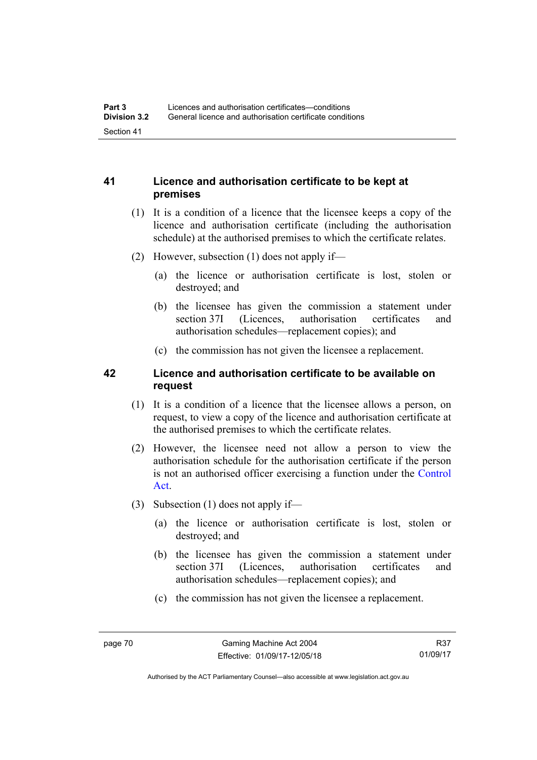## **41 Licence and authorisation certificate to be kept at premises**

- (1) It is a condition of a licence that the licensee keeps a copy of the licence and authorisation certificate (including the authorisation schedule) at the authorised premises to which the certificate relates.
- (2) However, subsection (1) does not apply if—
	- (a) the licence or authorisation certificate is lost, stolen or destroyed; and
	- (b) the licensee has given the commission a statement under section 37I (Licences, authorisation certificates and authorisation schedules—replacement copies); and
	- (c) the commission has not given the licensee a replacement.

## **42 Licence and authorisation certificate to be available on request**

- (1) It is a condition of a licence that the licensee allows a person, on request, to view a copy of the licence and authorisation certificate at the authorised premises to which the certificate relates.
- (2) However, the licensee need not allow a person to view the authorisation schedule for the authorisation certificate if the person is not an authorised officer exercising a function under the [Control](http://www.legislation.act.gov.au/a/1999-46)  [Act](http://www.legislation.act.gov.au/a/1999-46).
- (3) Subsection (1) does not apply if—
	- (a) the licence or authorisation certificate is lost, stolen or destroyed; and
	- (b) the licensee has given the commission a statement under section 37I (Licences, authorisation certificates and authorisation schedules—replacement copies); and
	- (c) the commission has not given the licensee a replacement.

Authorised by the ACT Parliamentary Counsel—also accessible at www.legislation.act.gov.au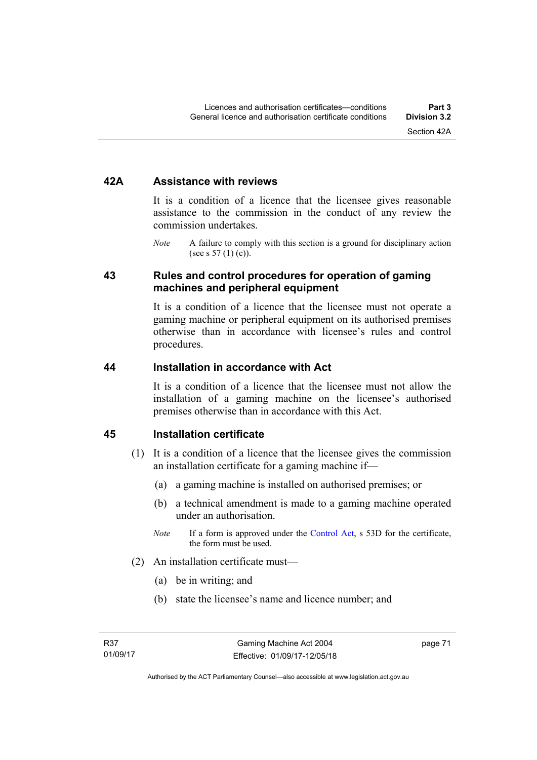#### **42A Assistance with reviews**

It is a condition of a licence that the licensee gives reasonable assistance to the commission in the conduct of any review the commission undertakes.

*Note* A failure to comply with this section is a ground for disciplinary action (see s  $57(1)(c)$ ).

#### **43 Rules and control procedures for operation of gaming machines and peripheral equipment**

It is a condition of a licence that the licensee must not operate a gaming machine or peripheral equipment on its authorised premises otherwise than in accordance with licensee's rules and control procedures.

#### **44 Installation in accordance with Act**

It is a condition of a licence that the licensee must not allow the installation of a gaming machine on the licensee's authorised premises otherwise than in accordance with this Act.

#### **45 Installation certificate**

- (1) It is a condition of a licence that the licensee gives the commission an installation certificate for a gaming machine if—
	- (a) a gaming machine is installed on authorised premises; or
	- (b) a technical amendment is made to a gaming machine operated under an authorisation.
	- *Note* If a form is approved under the [Control Act,](http://www.legislation.act.gov.au/a/1999-46) s 53D for the certificate, the form must be used.
- (2) An installation certificate must—
	- (a) be in writing; and
	- (b) state the licensee's name and licence number; and

page 71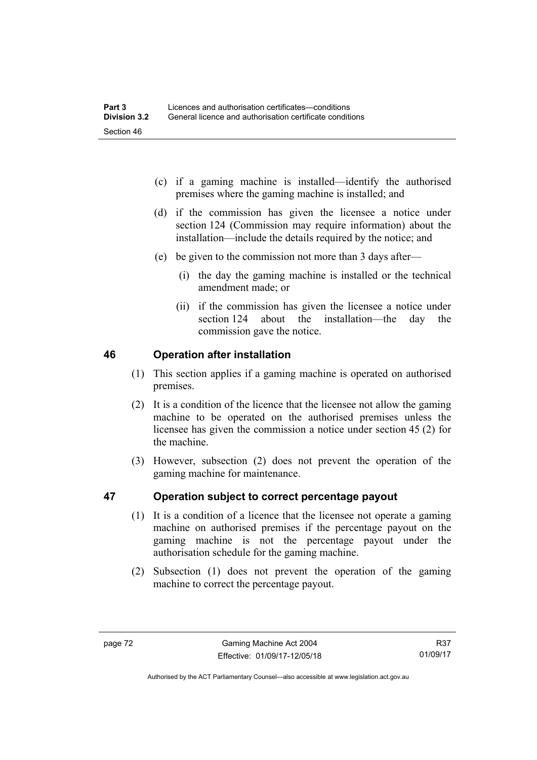- (c) if a gaming machine is installed—identify the authorised premises where the gaming machine is installed; and
- (d) if the commission has given the licensee a notice under section 124 (Commission may require information) about the installation—include the details required by the notice; and
- (e) be given to the commission not more than 3 days after—
	- (i) the day the gaming machine is installed or the technical amendment made; or
	- (ii) if the commission has given the licensee a notice under section 124 about the installation—the day the commission gave the notice.

## **46 Operation after installation**

- (1) This section applies if a gaming machine is operated on authorised premises.
- (2) It is a condition of the licence that the licensee not allow the gaming machine to be operated on the authorised premises unless the licensee has given the commission a notice under section 45 (2) for the machine.
- (3) However, subsection (2) does not prevent the operation of the gaming machine for maintenance.

## **47 Operation subject to correct percentage payout**

- (1) It is a condition of a licence that the licensee not operate a gaming machine on authorised premises if the percentage payout on the gaming machine is not the percentage payout under the authorisation schedule for the gaming machine.
- (2) Subsection (1) does not prevent the operation of the gaming machine to correct the percentage payout.

R37 01/09/17

Authorised by the ACT Parliamentary Counsel—also accessible at www.legislation.act.gov.au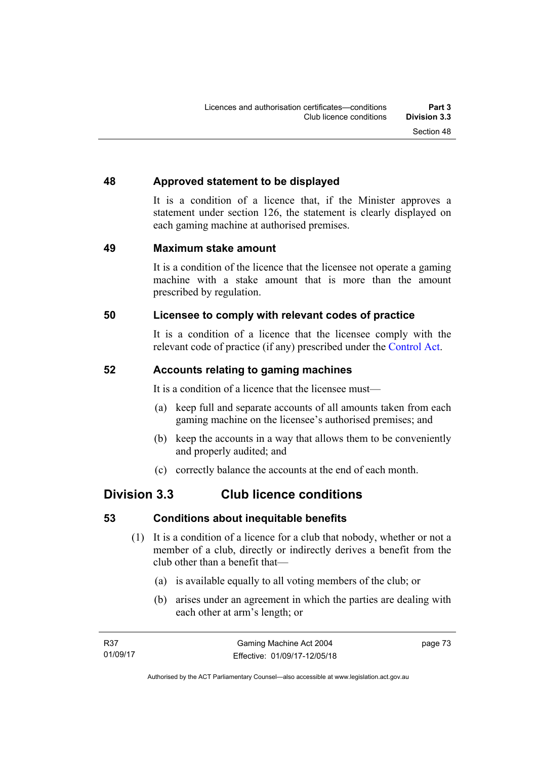## **48 Approved statement to be displayed**

It is a condition of a licence that, if the Minister approves a statement under section 126, the statement is clearly displayed on each gaming machine at authorised premises.

## **49 Maximum stake amount**

It is a condition of the licence that the licensee not operate a gaming machine with a stake amount that is more than the amount prescribed by regulation.

## **50 Licensee to comply with relevant codes of practice**

It is a condition of a licence that the licensee comply with the relevant code of practice (if any) prescribed under the [Control Act.](http://www.legislation.act.gov.au/a/1999-46)

## **52 Accounts relating to gaming machines**

It is a condition of a licence that the licensee must—

- (a) keep full and separate accounts of all amounts taken from each gaming machine on the licensee's authorised premises; and
- (b) keep the accounts in a way that allows them to be conveniently and properly audited; and
- (c) correctly balance the accounts at the end of each month.

# **Division 3.3 Club licence conditions**

## **53 Conditions about inequitable benefits**

- (1) It is a condition of a licence for a club that nobody, whether or not a member of a club, directly or indirectly derives a benefit from the club other than a benefit that—
	- (a) is available equally to all voting members of the club; or
	- (b) arises under an agreement in which the parties are dealing with each other at arm's length; or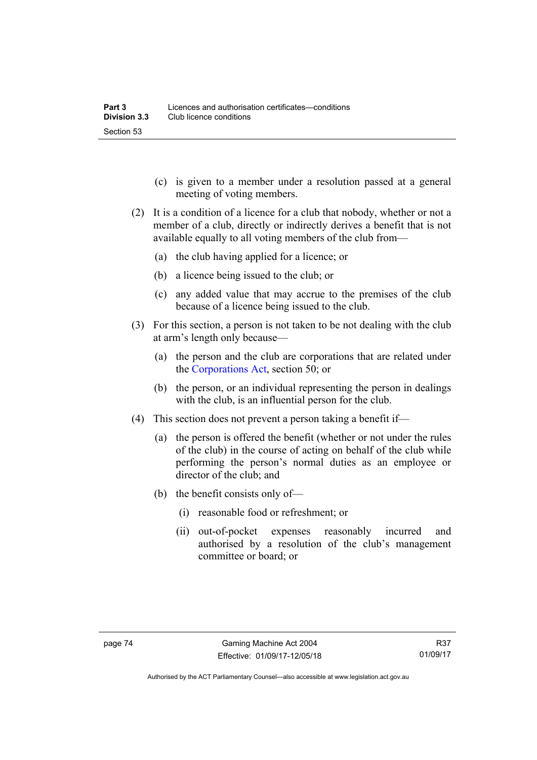- (c) is given to a member under a resolution passed at a general meeting of voting members.
- (2) It is a condition of a licence for a club that nobody, whether or not a member of a club, directly or indirectly derives a benefit that is not available equally to all voting members of the club from—
	- (a) the club having applied for a licence; or
	- (b) a licence being issued to the club; or
	- (c) any added value that may accrue to the premises of the club because of a licence being issued to the club.
- (3) For this section, a person is not taken to be not dealing with the club at arm's length only because—
	- (a) the person and the club are corporations that are related under the [Corporations Act,](http://www.comlaw.gov.au/Series/C2004A00818) section 50; or
	- (b) the person, or an individual representing the person in dealings with the club, is an influential person for the club.
- (4) This section does not prevent a person taking a benefit if—
	- (a) the person is offered the benefit (whether or not under the rules of the club) in the course of acting on behalf of the club while performing the person's normal duties as an employee or director of the club; and
	- (b) the benefit consists only of—
		- (i) reasonable food or refreshment; or
		- (ii) out-of-pocket expenses reasonably incurred and authorised by a resolution of the club's management committee or board; or

Authorised by the ACT Parliamentary Counsel—also accessible at www.legislation.act.gov.au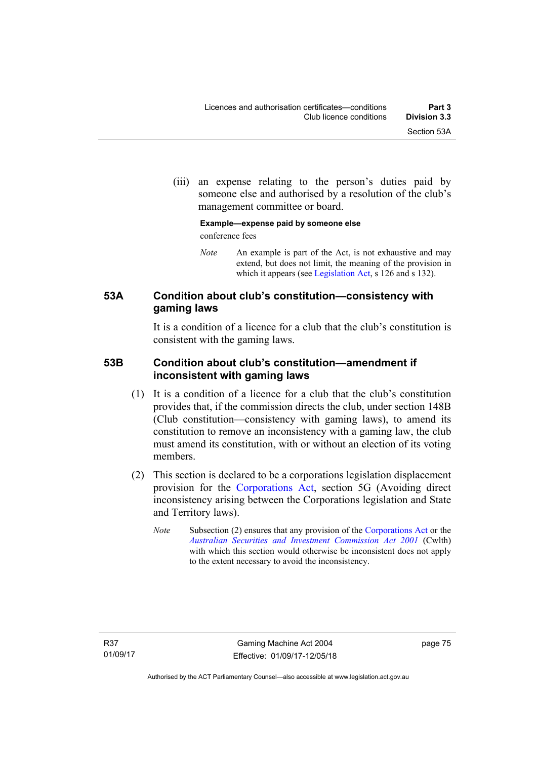(iii) an expense relating to the person's duties paid by someone else and authorised by a resolution of the club's management committee or board.

#### **Example—expense paid by someone else**  conference fees

*Note* An example is part of the Act, is not exhaustive and may extend, but does not limit, the meaning of the provision in which it appears (see [Legislation Act,](http://www.legislation.act.gov.au/a/2001-14) s 126 and s 132).

## **53A Condition about club's constitution—consistency with gaming laws**

It is a condition of a licence for a club that the club's constitution is consistent with the gaming laws.

## **53B Condition about club's constitution—amendment if inconsistent with gaming laws**

- (1) It is a condition of a licence for a club that the club's constitution provides that, if the commission directs the club, under section 148B (Club constitution—consistency with gaming laws), to amend its constitution to remove an inconsistency with a gaming law, the club must amend its constitution, with or without an election of its voting members.
- (2) This section is declared to be a corporations legislation displacement provision for the [Corporations Act](http://www.comlaw.gov.au/Series/C2004A00818), section 5G (Avoiding direct inconsistency arising between the Corporations legislation and State and Territory laws).
	- *Note* Subsection (2) ensures that any provision of the [Corporations Act](http://www.comlaw.gov.au/Series/C2004A00818) or the *[Australian Securities and Investment Commission Act 2001](http://www.comlaw.gov.au/Series/C2004A00819)* (Cwlth) with which this section would otherwise be inconsistent does not apply to the extent necessary to avoid the inconsistency.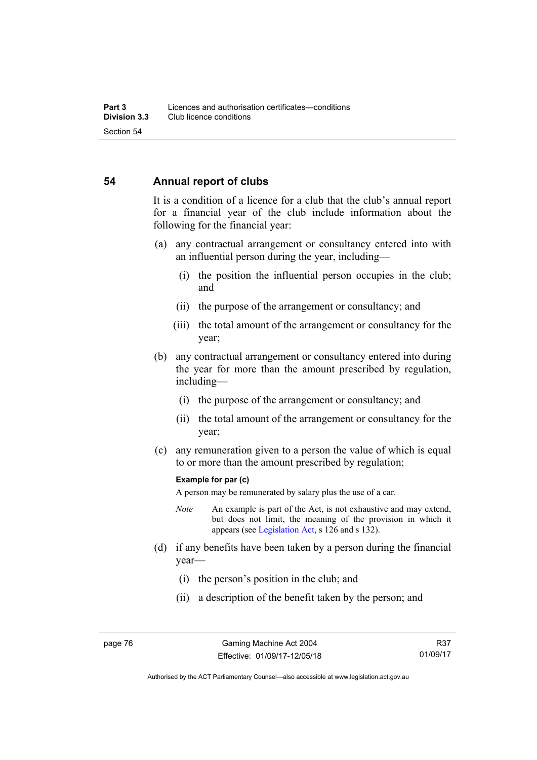#### **54 Annual report of clubs**

It is a condition of a licence for a club that the club's annual report for a financial year of the club include information about the following for the financial year:

- (a) any contractual arrangement or consultancy entered into with an influential person during the year, including—
	- (i) the position the influential person occupies in the club; and
	- (ii) the purpose of the arrangement or consultancy; and
	- (iii) the total amount of the arrangement or consultancy for the year;
- (b) any contractual arrangement or consultancy entered into during the year for more than the amount prescribed by regulation, including—
	- (i) the purpose of the arrangement or consultancy; and
	- (ii) the total amount of the arrangement or consultancy for the year;
- (c) any remuneration given to a person the value of which is equal to or more than the amount prescribed by regulation;

#### **Example for par (c)**

A person may be remunerated by salary plus the use of a car.

- *Note* An example is part of the Act, is not exhaustive and may extend, but does not limit, the meaning of the provision in which it appears (see [Legislation Act,](http://www.legislation.act.gov.au/a/2001-14) s 126 and s 132).
- (d) if any benefits have been taken by a person during the financial year—
	- (i) the person's position in the club; and
	- (ii) a description of the benefit taken by the person; and

Authorised by the ACT Parliamentary Counsel—also accessible at www.legislation.act.gov.au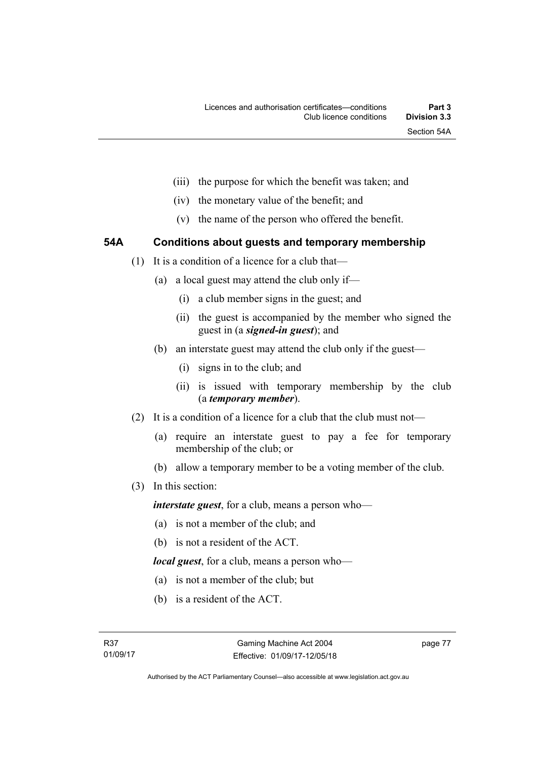- (iii) the purpose for which the benefit was taken; and
- (iv) the monetary value of the benefit; and
- (v) the name of the person who offered the benefit.

## **54A Conditions about guests and temporary membership**

- (1) It is a condition of a licence for a club that—
	- (a) a local guest may attend the club only if—
		- (i) a club member signs in the guest; and
		- (ii) the guest is accompanied by the member who signed the guest in (a *signed-in guest*); and
	- (b) an interstate guest may attend the club only if the guest—
		- (i) signs in to the club; and
		- (ii) is issued with temporary membership by the club (a *temporary member*).
- (2) It is a condition of a licence for a club that the club must not—
	- (a) require an interstate guest to pay a fee for temporary membership of the club; or
	- (b) allow a temporary member to be a voting member of the club.
- (3) In this section:

*interstate guest*, for a club, means a person who—

- (a) is not a member of the club; and
- (b) is not a resident of the ACT.

*local guest*, for a club, means a person who—

- (a) is not a member of the club; but
- (b) is a resident of the ACT.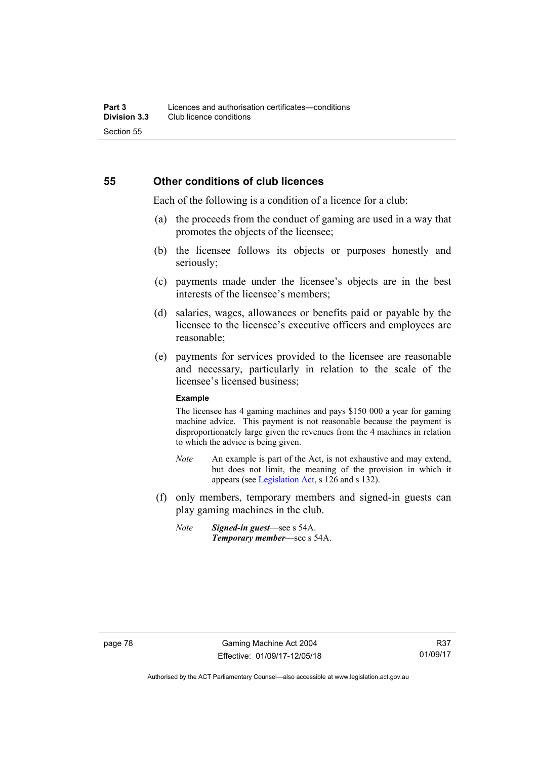#### **55 Other conditions of club licences**

Each of the following is a condition of a licence for a club:

- (a) the proceeds from the conduct of gaming are used in a way that promotes the objects of the licensee;
- (b) the licensee follows its objects or purposes honestly and seriously;
- (c) payments made under the licensee's objects are in the best interests of the licensee's members;
- (d) salaries, wages, allowances or benefits paid or payable by the licensee to the licensee's executive officers and employees are reasonable;
- (e) payments for services provided to the licensee are reasonable and necessary, particularly in relation to the scale of the licensee's licensed business;

#### **Example**

The licensee has 4 gaming machines and pays \$150 000 a year for gaming machine advice. This payment is not reasonable because the payment is disproportionately large given the revenues from the 4 machines in relation to which the advice is being given.

- *Note* An example is part of the Act, is not exhaustive and may extend, but does not limit, the meaning of the provision in which it appears (see [Legislation Act,](http://www.legislation.act.gov.au/a/2001-14) s 126 and s 132).
- (f) only members, temporary members and signed-in guests can play gaming machines in the club.
	- *Note Signed-in guest*—see s 54A. *Temporary member*—see s 54A.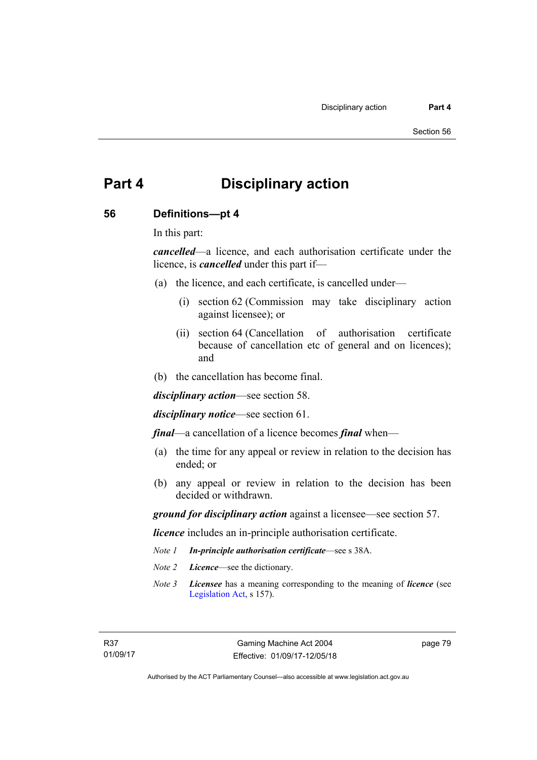# **Part 4 Disciplinary action**

#### **56 Definitions—pt 4**

In this part:

*cancelled*—a licence, and each authorisation certificate under the licence, is *cancelled* under this part if—

- (a) the licence, and each certificate, is cancelled under—
	- (i) section 62 (Commission may take disciplinary action against licensee); or
	- (ii) section 64 (Cancellation of authorisation certificate because of cancellation etc of general and on licences); and
- (b) the cancellation has become final.

*disciplinary action*—see section 58.

*disciplinary notice*—see section 61.

*final*—a cancellation of a licence becomes *final* when—

- (a) the time for any appeal or review in relation to the decision has ended; or
- (b) any appeal or review in relation to the decision has been decided or withdrawn.

*ground for disciplinary action* against a licensee—see section 57.

*licence* includes an in-principle authorisation certificate.

- *Note 1 In-principle authorisation certificate*—see s 38A.
- *Note 2 Licence*—see the dictionary.
- *Note 3 Licensee* has a meaning corresponding to the meaning of *licence* (see [Legislation Act,](http://www.legislation.act.gov.au/a/2001-14) s 157).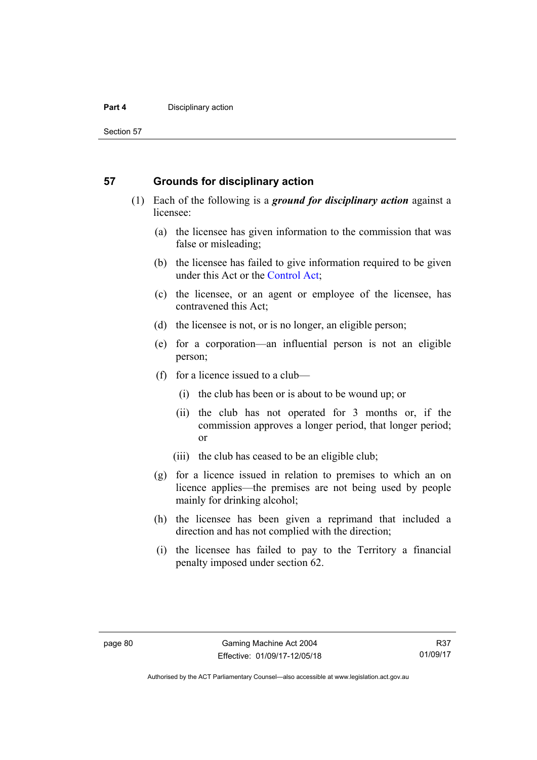#### **Part 4 Disciplinary action**

Section 57

#### **57 Grounds for disciplinary action**

- (1) Each of the following is a *ground for disciplinary action* against a licensee:
	- (a) the licensee has given information to the commission that was false or misleading;
	- (b) the licensee has failed to give information required to be given under this Act or the [Control Act;](http://www.legislation.act.gov.au/a/1999-46)
	- (c) the licensee, or an agent or employee of the licensee, has contravened this Act;
	- (d) the licensee is not, or is no longer, an eligible person;
	- (e) for a corporation—an influential person is not an eligible person;
	- (f) for a licence issued to a club—
		- (i) the club has been or is about to be wound up; or
		- (ii) the club has not operated for 3 months or, if the commission approves a longer period, that longer period; or
		- (iii) the club has ceased to be an eligible club;
	- (g) for a licence issued in relation to premises to which an on licence applies—the premises are not being used by people mainly for drinking alcohol;
	- (h) the licensee has been given a reprimand that included a direction and has not complied with the direction;
	- (i) the licensee has failed to pay to the Territory a financial penalty imposed under section 62.

Authorised by the ACT Parliamentary Counsel—also accessible at www.legislation.act.gov.au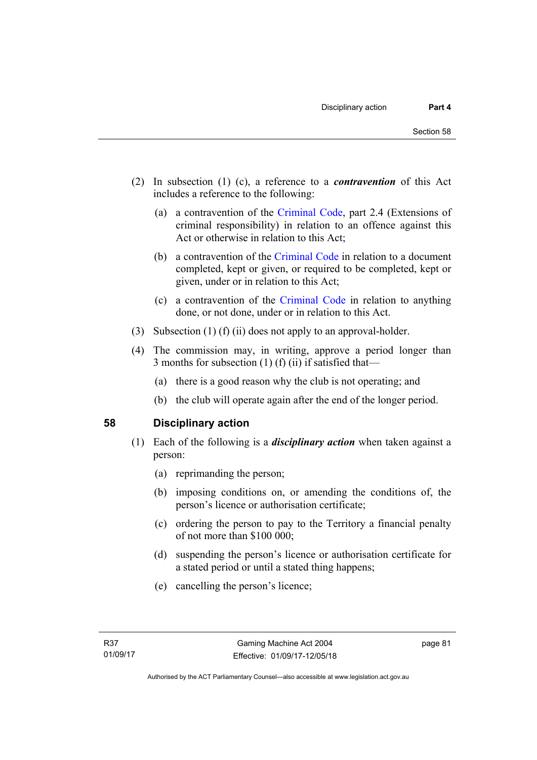- (2) In subsection (1) (c), a reference to a *contravention* of this Act includes a reference to the following:
	- (a) a contravention of the [Criminal Code](http://www.legislation.act.gov.au/a/2002-51), part 2.4 (Extensions of criminal responsibility) in relation to an offence against this Act or otherwise in relation to this Act;
	- (b) a contravention of the [Criminal Code](http://www.legislation.act.gov.au/a/2002-51) in relation to a document completed, kept or given, or required to be completed, kept or given, under or in relation to this Act;
	- (c) a contravention of the [Criminal Code](http://www.legislation.act.gov.au/a/2002-51) in relation to anything done, or not done, under or in relation to this Act.
- (3) Subsection (1) (f) (ii) does not apply to an approval-holder.
- (4) The commission may, in writing, approve a period longer than 3 months for subsection  $(1)$   $(f)$   $(ii)$  if satisfied that-
	- (a) there is a good reason why the club is not operating; and
	- (b) the club will operate again after the end of the longer period.

## **58 Disciplinary action**

- (1) Each of the following is a *disciplinary action* when taken against a person:
	- (a) reprimanding the person;
	- (b) imposing conditions on, or amending the conditions of, the person's licence or authorisation certificate;
	- (c) ordering the person to pay to the Territory a financial penalty of not more than \$100 000;
	- (d) suspending the person's licence or authorisation certificate for a stated period or until a stated thing happens;
	- (e) cancelling the person's licence;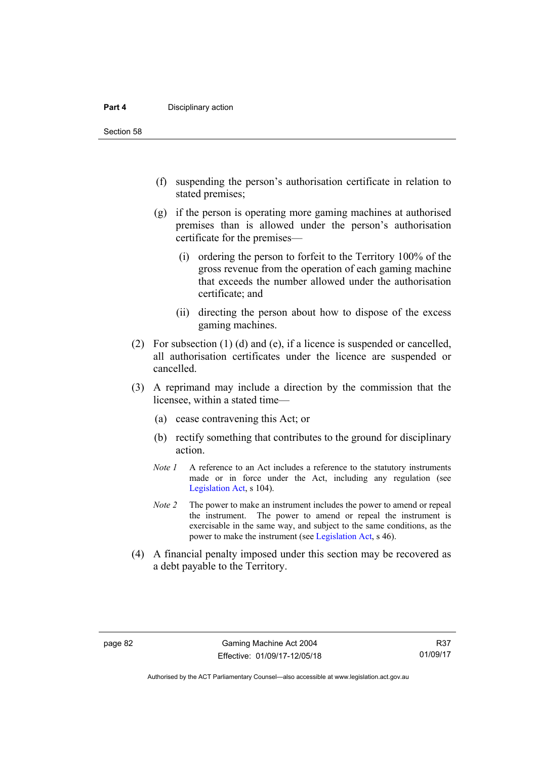#### **Part 4 Disciplinary action**

Section 58

- (f) suspending the person's authorisation certificate in relation to stated premises;
- (g) if the person is operating more gaming machines at authorised premises than is allowed under the person's authorisation certificate for the premises—
	- (i) ordering the person to forfeit to the Territory 100% of the gross revenue from the operation of each gaming machine that exceeds the number allowed under the authorisation certificate; and
	- (ii) directing the person about how to dispose of the excess gaming machines.
- (2) For subsection (1) (d) and (e), if a licence is suspended or cancelled, all authorisation certificates under the licence are suspended or cancelled.
- (3) A reprimand may include a direction by the commission that the licensee, within a stated time—
	- (a) cease contravening this Act; or
	- (b) rectify something that contributes to the ground for disciplinary action.
	- *Note 1* A reference to an Act includes a reference to the statutory instruments made or in force under the Act, including any regulation (see [Legislation Act,](http://www.legislation.act.gov.au/a/2001-14) s 104).
	- *Note 2* The power to make an instrument includes the power to amend or repeal the instrument. The power to amend or repeal the instrument is exercisable in the same way, and subject to the same conditions, as the power to make the instrument (see [Legislation Act,](http://www.legislation.act.gov.au/a/2001-14) s 46).
- (4) A financial penalty imposed under this section may be recovered as a debt payable to the Territory.

Authorised by the ACT Parliamentary Counsel—also accessible at www.legislation.act.gov.au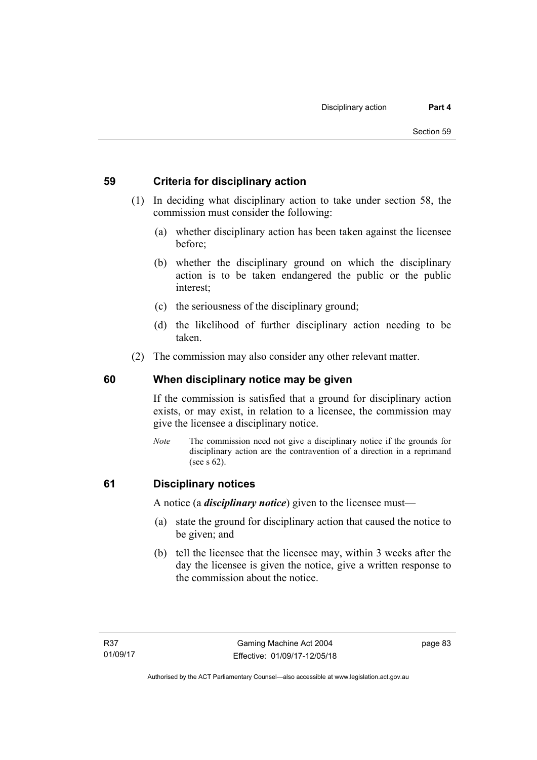#### **59 Criteria for disciplinary action**

- (1) In deciding what disciplinary action to take under section 58, the commission must consider the following:
	- (a) whether disciplinary action has been taken against the licensee before;
	- (b) whether the disciplinary ground on which the disciplinary action is to be taken endangered the public or the public interest;
	- (c) the seriousness of the disciplinary ground;
	- (d) the likelihood of further disciplinary action needing to be taken.
- (2) The commission may also consider any other relevant matter.

#### **60 When disciplinary notice may be given**

If the commission is satisfied that a ground for disciplinary action exists, or may exist, in relation to a licensee, the commission may give the licensee a disciplinary notice.

*Note* The commission need not give a disciplinary notice if the grounds for disciplinary action are the contravention of a direction in a reprimand (see s 62).

#### **61 Disciplinary notices**

A notice (a *disciplinary notice*) given to the licensee must—

- (a) state the ground for disciplinary action that caused the notice to be given; and
- (b) tell the licensee that the licensee may, within 3 weeks after the day the licensee is given the notice, give a written response to the commission about the notice.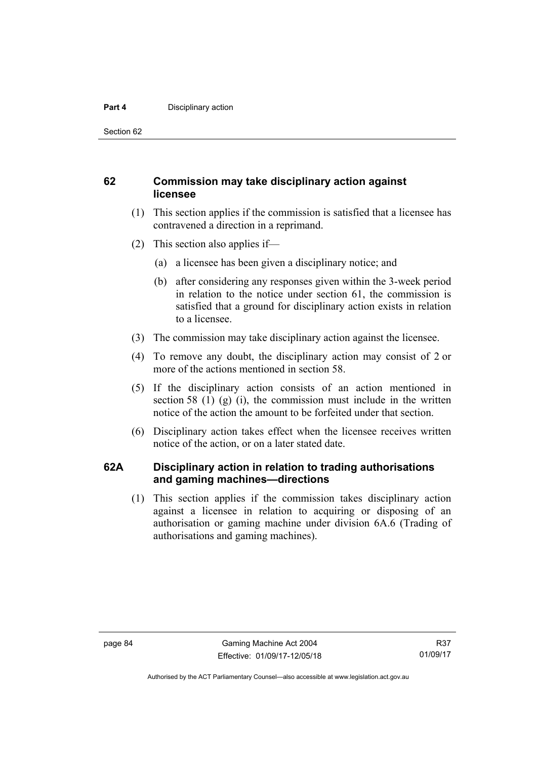#### **Part 4 Disciplinary action**

Section 62

#### **62 Commission may take disciplinary action against licensee**

- (1) This section applies if the commission is satisfied that a licensee has contravened a direction in a reprimand.
- (2) This section also applies if—
	- (a) a licensee has been given a disciplinary notice; and
	- (b) after considering any responses given within the 3-week period in relation to the notice under section 61, the commission is satisfied that a ground for disciplinary action exists in relation to a licensee.
- (3) The commission may take disciplinary action against the licensee.
- (4) To remove any doubt, the disciplinary action may consist of 2 or more of the actions mentioned in section 58.
- (5) If the disciplinary action consists of an action mentioned in section 58  $(1)$   $(g)$   $(i)$ , the commission must include in the written notice of the action the amount to be forfeited under that section.
- (6) Disciplinary action takes effect when the licensee receives written notice of the action, or on a later stated date.

#### **62A Disciplinary action in relation to trading authorisations and gaming machines—directions**

(1) This section applies if the commission takes disciplinary action against a licensee in relation to acquiring or disposing of an authorisation or gaming machine under division 6A.6 (Trading of authorisations and gaming machines).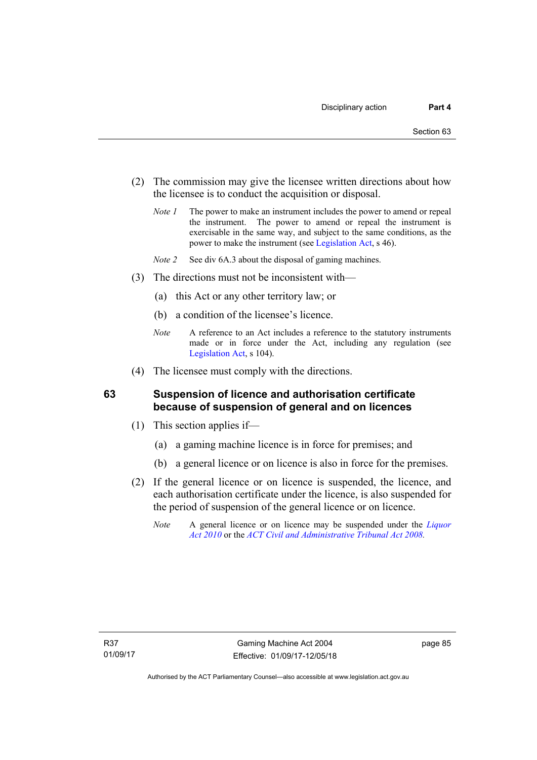- (2) The commission may give the licensee written directions about how the licensee is to conduct the acquisition or disposal.
	- *Note 1* The power to make an instrument includes the power to amend or repeal the instrument. The power to amend or repeal the instrument is exercisable in the same way, and subject to the same conditions, as the power to make the instrument (see [Legislation Act,](http://www.legislation.act.gov.au/a/2001-14) s 46).
	- *Note 2* See div 6A.3 about the disposal of gaming machines.
- (3) The directions must not be inconsistent with—
	- (a) this Act or any other territory law; or
	- (b) a condition of the licensee's licence.
	- *Note* A reference to an Act includes a reference to the statutory instruments made or in force under the Act, including any regulation (see [Legislation Act,](http://www.legislation.act.gov.au/a/2001-14) s 104).
- (4) The licensee must comply with the directions.

#### **63 Suspension of licence and authorisation certificate because of suspension of general and on licences**

- (1) This section applies if—
	- (a) a gaming machine licence is in force for premises; and
	- (b) a general licence or on licence is also in force for the premises.
- (2) If the general licence or on licence is suspended, the licence, and each authorisation certificate under the licence, is also suspended for the period of suspension of the general licence or on licence.
	- *Note* A general licence or on licence may be suspended under the *[Liquor](http://www.legislation.act.gov.au/a/2010-35)  [Act 2010](http://www.legislation.act.gov.au/a/2010-35)* or the *[ACT Civil and Administrative Tribunal Act 2008.](http://www.legislation.act.gov.au/a/2008-35)*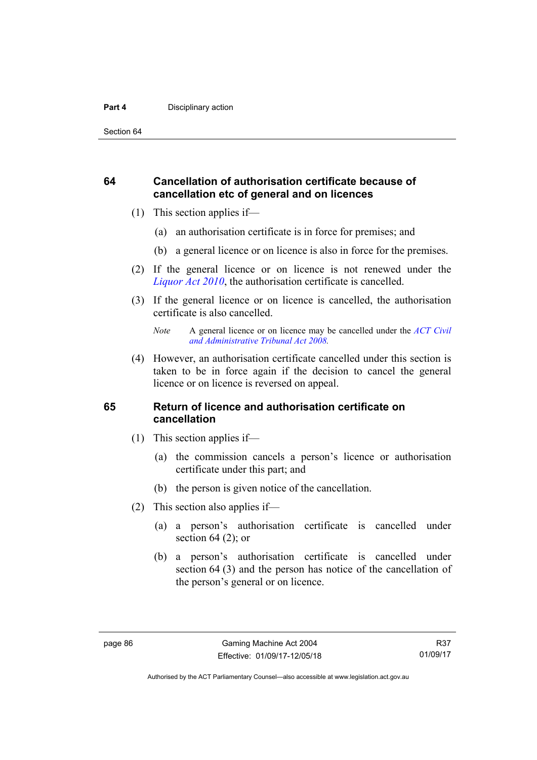#### **Part 4 Disciplinary action**

Section 64

#### **64 Cancellation of authorisation certificate because of cancellation etc of general and on licences**

- (1) This section applies if—
	- (a) an authorisation certificate is in force for premises; and
	- (b) a general licence or on licence is also in force for the premises.
- (2) If the general licence or on licence is not renewed under the *[Liquor Act 2010](http://www.legislation.act.gov.au/a/2010-35)*, the authorisation certificate is cancelled.
- (3) If the general licence or on licence is cancelled, the authorisation certificate is also cancelled.

 (4) However, an authorisation certificate cancelled under this section is taken to be in force again if the decision to cancel the general licence or on licence is reversed on appeal.

#### **65 Return of licence and authorisation certificate on cancellation**

- (1) This section applies if—
	- (a) the commission cancels a person's licence or authorisation certificate under this part; and
	- (b) the person is given notice of the cancellation.
- (2) This section also applies if—
	- (a) a person's authorisation certificate is cancelled under section  $64$  (2); or
	- (b) a person's authorisation certificate is cancelled under section 64 (3) and the person has notice of the cancellation of the person's general or on licence.

*Note* A general licence or on licence may be cancelled under the *[ACT Civil](http://www.legislation.act.gov.au/a/2008-35)  [and Administrative Tribunal Act 2008](http://www.legislation.act.gov.au/a/2008-35).*

Authorised by the ACT Parliamentary Counsel—also accessible at www.legislation.act.gov.au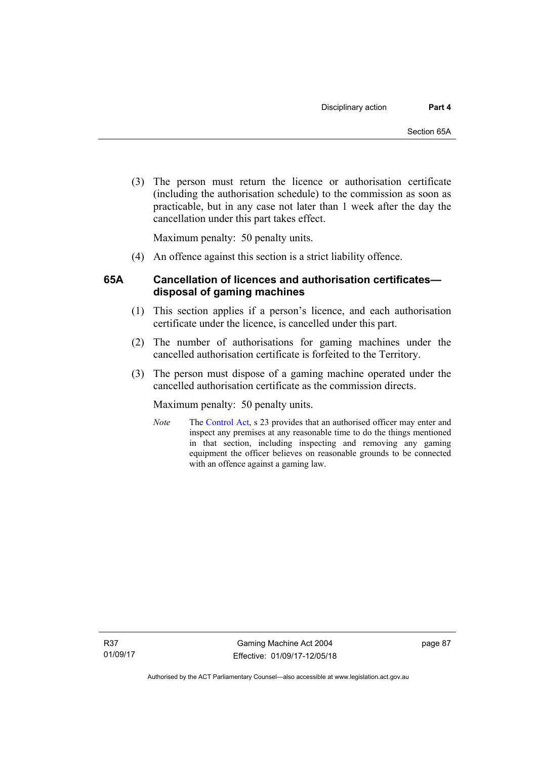(3) The person must return the licence or authorisation certificate (including the authorisation schedule) to the commission as soon as practicable, but in any case not later than 1 week after the day the cancellation under this part takes effect.

Maximum penalty: 50 penalty units.

(4) An offence against this section is a strict liability offence.

#### **65A Cancellation of licences and authorisation certificates disposal of gaming machines**

- (1) This section applies if a person's licence, and each authorisation certificate under the licence, is cancelled under this part.
- (2) The number of authorisations for gaming machines under the cancelled authorisation certificate is forfeited to the Territory.
- (3) The person must dispose of a gaming machine operated under the cancelled authorisation certificate as the commission directs.

Maximum penalty: 50 penalty units.

*Note* The [Control Act](http://www.legislation.act.gov.au/a/1999-46/default.asp), s 23 provides that an authorised officer may enter and inspect any premises at any reasonable time to do the things mentioned in that section, including inspecting and removing any gaming equipment the officer believes on reasonable grounds to be connected with an offence against a gaming law.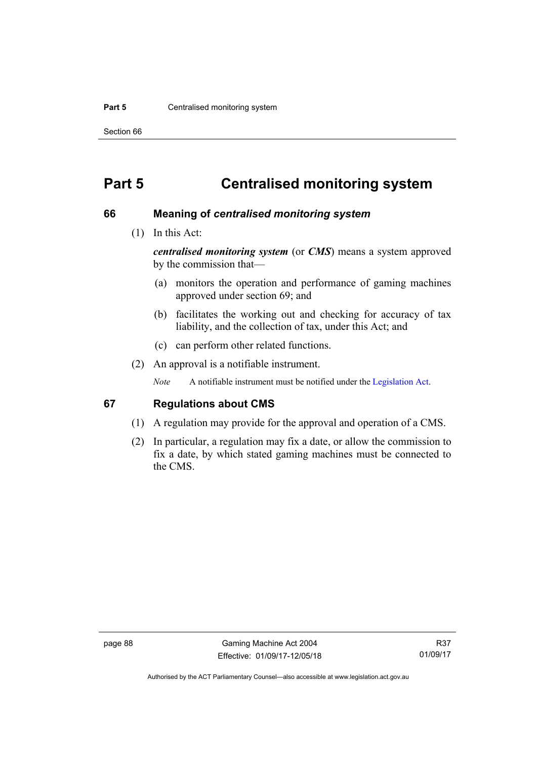#### **Part 5 Centralised monitoring system**

Section 66

# **Part 5 Centralised monitoring system**

#### **66 Meaning of** *centralised monitoring system*

(1) In this Act:

*centralised monitoring system* (or *CMS*) means a system approved by the commission that—

- (a) monitors the operation and performance of gaming machines approved under section 69; and
- (b) facilitates the working out and checking for accuracy of tax liability, and the collection of tax, under this Act; and
- (c) can perform other related functions.
- (2) An approval is a notifiable instrument.

*Note* A notifiable instrument must be notified under the [Legislation Act](http://www.legislation.act.gov.au/a/2001-14).

#### **67 Regulations about CMS**

- (1) A regulation may provide for the approval and operation of a CMS.
- (2) In particular, a regulation may fix a date, or allow the commission to fix a date, by which stated gaming machines must be connected to the CMS.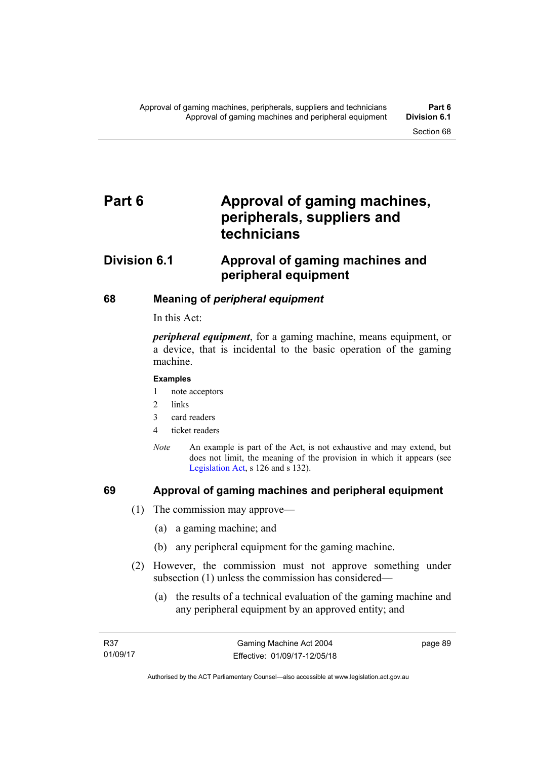# Part 6 **Approval of gaming machines, peripherals, suppliers and technicians**

# **Division 6.1 Approval of gaming machines and peripheral equipment**

## **68 Meaning of** *peripheral equipment*

In this Act:

*peripheral equipment*, for a gaming machine, means equipment, or a device, that is incidental to the basic operation of the gaming machine.

#### **Examples**

- 1 note acceptors
- 2 links
- 3 card readers
- 4 ticket readers
- *Note* An example is part of the Act, is not exhaustive and may extend, but does not limit, the meaning of the provision in which it appears (see [Legislation Act,](http://www.legislation.act.gov.au/a/2001-14) s 126 and s 132).

#### **69 Approval of gaming machines and peripheral equipment**

- (1) The commission may approve—
	- (a) a gaming machine; and
	- (b) any peripheral equipment for the gaming machine.
- (2) However, the commission must not approve something under subsection (1) unless the commission has considered—
	- (a) the results of a technical evaluation of the gaming machine and any peripheral equipment by an approved entity; and

page 89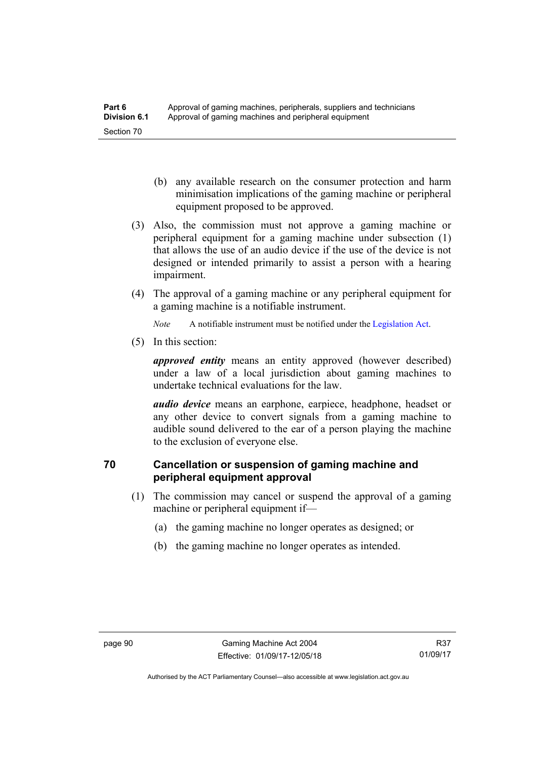- (b) any available research on the consumer protection and harm minimisation implications of the gaming machine or peripheral equipment proposed to be approved.
- (3) Also, the commission must not approve a gaming machine or peripheral equipment for a gaming machine under subsection (1) that allows the use of an audio device if the use of the device is not designed or intended primarily to assist a person with a hearing impairment.
- (4) The approval of a gaming machine or any peripheral equipment for a gaming machine is a notifiable instrument.

*Note* A notifiable instrument must be notified under the [Legislation Act](http://www.legislation.act.gov.au/a/2001-14).

(5) In this section:

*approved entity* means an entity approved (however described) under a law of a local jurisdiction about gaming machines to undertake technical evaluations for the law.

*audio device* means an earphone, earpiece, headphone, headset or any other device to convert signals from a gaming machine to audible sound delivered to the ear of a person playing the machine to the exclusion of everyone else.

## **70 Cancellation or suspension of gaming machine and peripheral equipment approval**

- (1) The commission may cancel or suspend the approval of a gaming machine or peripheral equipment if—
	- (a) the gaming machine no longer operates as designed; or
	- (b) the gaming machine no longer operates as intended.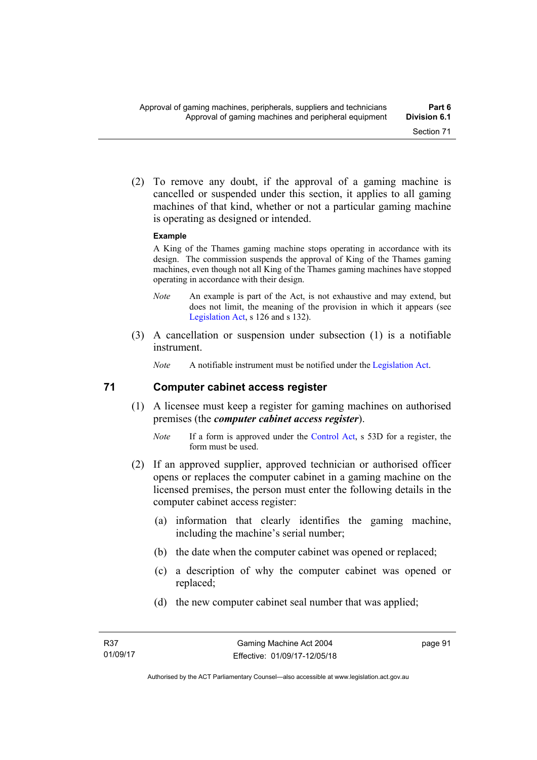(2) To remove any doubt, if the approval of a gaming machine is cancelled or suspended under this section, it applies to all gaming machines of that kind, whether or not a particular gaming machine is operating as designed or intended.

#### **Example**

A King of the Thames gaming machine stops operating in accordance with its design. The commission suspends the approval of King of the Thames gaming machines, even though not all King of the Thames gaming machines have stopped operating in accordance with their design.

- *Note* An example is part of the Act, is not exhaustive and may extend, but does not limit, the meaning of the provision in which it appears (see [Legislation Act,](http://www.legislation.act.gov.au/a/2001-14) s 126 and s 132).
- (3) A cancellation or suspension under subsection (1) is a notifiable instrument.

*Note* A notifiable instrument must be notified under the [Legislation Act](http://www.legislation.act.gov.au/a/2001-14).

#### **71 Computer cabinet access register**

- (1) A licensee must keep a register for gaming machines on authorised premises (the *computer cabinet access register*).
	- *Note* If a form is approved under the [Control Act,](http://www.legislation.act.gov.au/a/1999-46/) s 53D for a register, the form must be used.
- (2) If an approved supplier, approved technician or authorised officer opens or replaces the computer cabinet in a gaming machine on the licensed premises, the person must enter the following details in the computer cabinet access register:
	- (a) information that clearly identifies the gaming machine, including the machine's serial number;
	- (b) the date when the computer cabinet was opened or replaced;
	- (c) a description of why the computer cabinet was opened or replaced;
	- (d) the new computer cabinet seal number that was applied;

page 91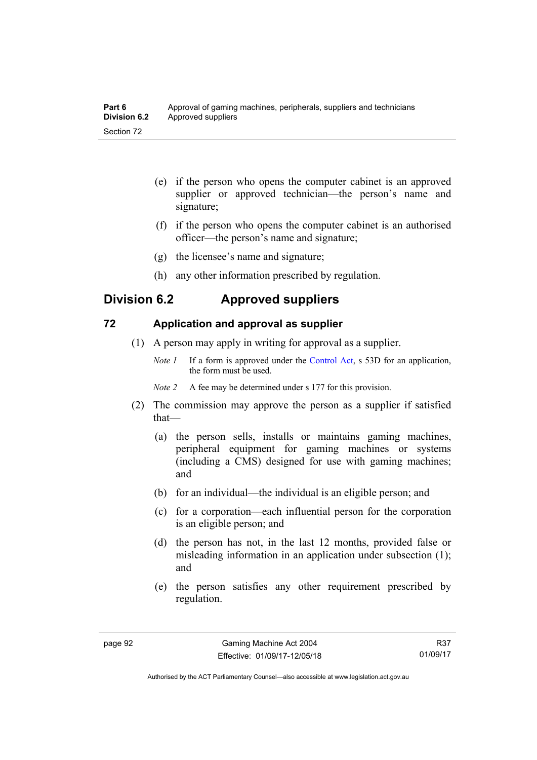| Part 6              | Approval of gaming machines, peripherals, suppliers and technicians |
|---------------------|---------------------------------------------------------------------|
| <b>Division 6.2</b> | Approved suppliers                                                  |
| Section 72          |                                                                     |

- (e) if the person who opens the computer cabinet is an approved supplier or approved technician—the person's name and signature;
- (f) if the person who opens the computer cabinet is an authorised officer—the person's name and signature;
- (g) the licensee's name and signature;
- (h) any other information prescribed by regulation.

# **Division 6.2 Approved suppliers**

#### **72 Application and approval as supplier**

- (1) A person may apply in writing for approval as a supplier.
	- *Note 1* If a form is approved under the [Control Act,](http://www.legislation.act.gov.au/a/1999-46) s 53D for an application, the form must be used.
	- *Note 2* A fee may be determined under s 177 for this provision.
- (2) The commission may approve the person as a supplier if satisfied that—
	- (a) the person sells, installs or maintains gaming machines, peripheral equipment for gaming machines or systems (including a CMS) designed for use with gaming machines; and
	- (b) for an individual—the individual is an eligible person; and
	- (c) for a corporation—each influential person for the corporation is an eligible person; and
	- (d) the person has not, in the last 12 months, provided false or misleading information in an application under subsection (1); and
	- (e) the person satisfies any other requirement prescribed by regulation.

R37 01/09/17

Authorised by the ACT Parliamentary Counsel—also accessible at www.legislation.act.gov.au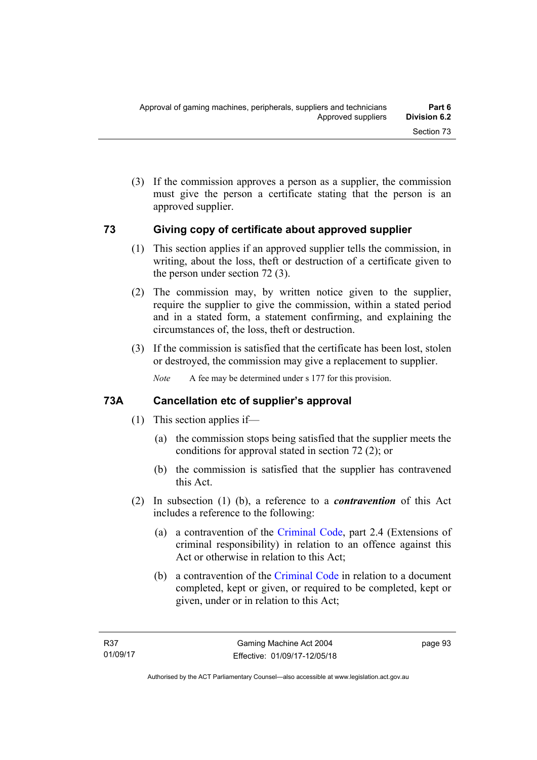(3) If the commission approves a person as a supplier, the commission must give the person a certificate stating that the person is an approved supplier.

# **73 Giving copy of certificate about approved supplier**

- (1) This section applies if an approved supplier tells the commission, in writing, about the loss, theft or destruction of a certificate given to the person under section 72 (3).
- (2) The commission may, by written notice given to the supplier, require the supplier to give the commission, within a stated period and in a stated form, a statement confirming, and explaining the circumstances of, the loss, theft or destruction.
- (3) If the commission is satisfied that the certificate has been lost, stolen or destroyed, the commission may give a replacement to supplier.

*Note* A fee may be determined under s 177 for this provision.

# **73A Cancellation etc of supplier's approval**

- (1) This section applies if—
	- (a) the commission stops being satisfied that the supplier meets the conditions for approval stated in section 72 (2); or
	- (b) the commission is satisfied that the supplier has contravened this Act.
- (2) In subsection (1) (b), a reference to a *contravention* of this Act includes a reference to the following:
	- (a) a contravention of the [Criminal Code](http://www.legislation.act.gov.au/a/2002-51), part 2.4 (Extensions of criminal responsibility) in relation to an offence against this Act or otherwise in relation to this Act;
	- (b) a contravention of the [Criminal Code](http://www.legislation.act.gov.au/a/2002-51) in relation to a document completed, kept or given, or required to be completed, kept or given, under or in relation to this Act;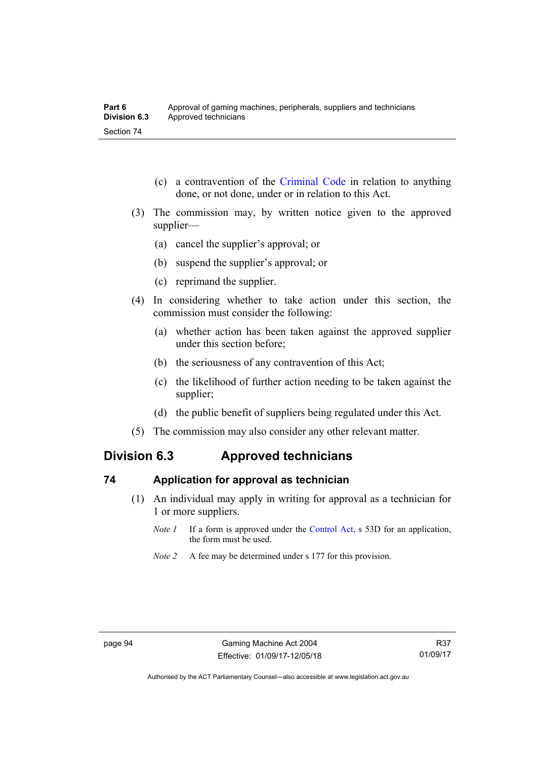- (c) a contravention of the [Criminal Code](http://www.legislation.act.gov.au/a/2002-51) in relation to anything done, or not done, under or in relation to this Act.
- (3) The commission may, by written notice given to the approved supplier—
	- (a) cancel the supplier's approval; or
	- (b) suspend the supplier's approval; or
	- (c) reprimand the supplier.
- (4) In considering whether to take action under this section, the commission must consider the following:
	- (a) whether action has been taken against the approved supplier under this section before;
	- (b) the seriousness of any contravention of this Act;
	- (c) the likelihood of further action needing to be taken against the supplier;
	- (d) the public benefit of suppliers being regulated under this Act.
- (5) The commission may also consider any other relevant matter.

# **Division 6.3 Approved technicians**

#### **74 Application for approval as technician**

- (1) An individual may apply in writing for approval as a technician for 1 or more suppliers.
	- *Note 1* If a form is approved under the [Control Act,](http://www.legislation.act.gov.au/a/1999-46) s 53D for an application, the form must be used.
	- *Note 2* A fee may be determined under s 177 for this provision.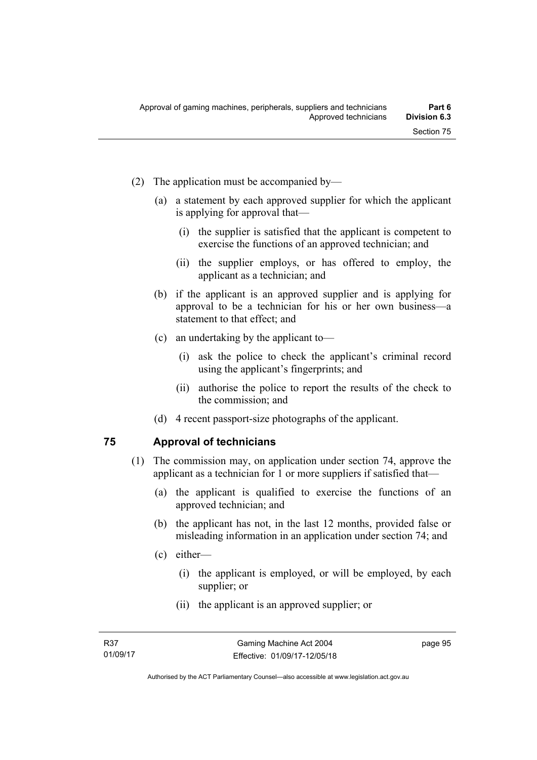- (2) The application must be accompanied by—
	- (a) a statement by each approved supplier for which the applicant is applying for approval that—
		- (i) the supplier is satisfied that the applicant is competent to exercise the functions of an approved technician; and
		- (ii) the supplier employs, or has offered to employ, the applicant as a technician; and
	- (b) if the applicant is an approved supplier and is applying for approval to be a technician for his or her own business—a statement to that effect; and
	- (c) an undertaking by the applicant to—
		- (i) ask the police to check the applicant's criminal record using the applicant's fingerprints; and
		- (ii) authorise the police to report the results of the check to the commission; and
	- (d) 4 recent passport-size photographs of the applicant.

#### **75 Approval of technicians**

- (1) The commission may, on application under section 74, approve the applicant as a technician for 1 or more suppliers if satisfied that—
	- (a) the applicant is qualified to exercise the functions of an approved technician; and
	- (b) the applicant has not, in the last 12 months, provided false or misleading information in an application under section 74; and
	- (c) either—
		- (i) the applicant is employed, or will be employed, by each supplier; or
		- (ii) the applicant is an approved supplier; or

page 95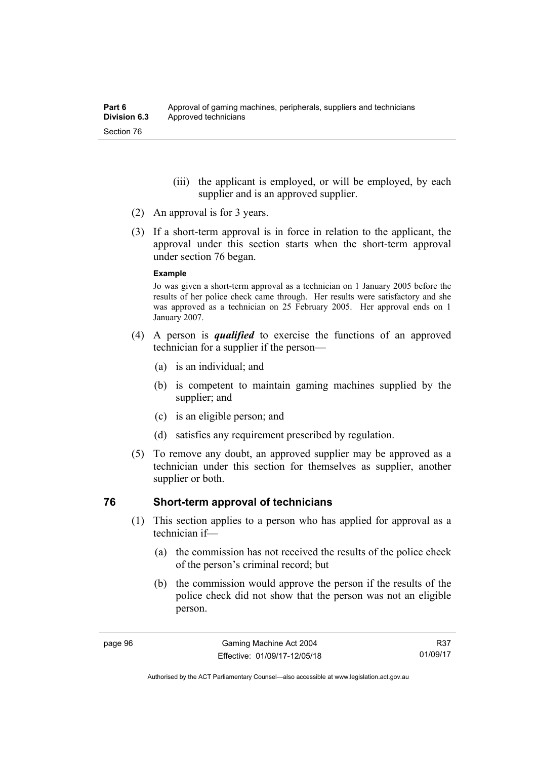- (iii) the applicant is employed, or will be employed, by each supplier and is an approved supplier.
- (2) An approval is for 3 years.
- (3) If a short-term approval is in force in relation to the applicant, the approval under this section starts when the short-term approval under section 76 began.

#### **Example**

Jo was given a short-term approval as a technician on 1 January 2005 before the results of her police check came through. Her results were satisfactory and she was approved as a technician on 25 February 2005. Her approval ends on 1 January 2007.

- (4) A person is *qualified* to exercise the functions of an approved technician for a supplier if the person—
	- (a) is an individual; and
	- (b) is competent to maintain gaming machines supplied by the supplier; and
	- (c) is an eligible person; and
	- (d) satisfies any requirement prescribed by regulation.
- (5) To remove any doubt, an approved supplier may be approved as a technician under this section for themselves as supplier, another supplier or both.

#### **76 Short-term approval of technicians**

- (1) This section applies to a person who has applied for approval as a technician if—
	- (a) the commission has not received the results of the police check of the person's criminal record; but
	- (b) the commission would approve the person if the results of the police check did not show that the person was not an eligible person.

R37 01/09/17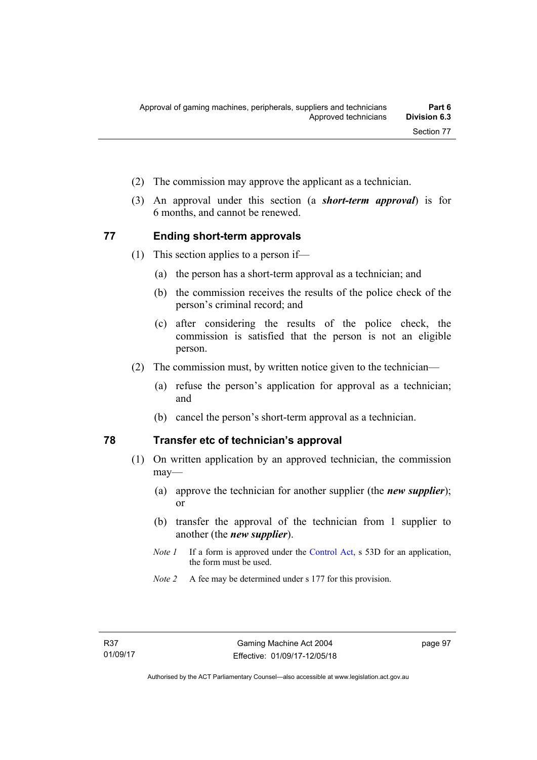- (2) The commission may approve the applicant as a technician.
- (3) An approval under this section (a *short-term approval*) is for 6 months, and cannot be renewed.

# **77 Ending short-term approvals**

- (1) This section applies to a person if—
	- (a) the person has a short-term approval as a technician; and
	- (b) the commission receives the results of the police check of the person's criminal record; and
	- (c) after considering the results of the police check, the commission is satisfied that the person is not an eligible person.
- (2) The commission must, by written notice given to the technician—
	- (a) refuse the person's application for approval as a technician; and
	- (b) cancel the person's short-term approval as a technician.

# **78 Transfer etc of technician's approval**

- (1) On written application by an approved technician, the commission may—
	- (a) approve the technician for another supplier (the *new supplier*); or
	- (b) transfer the approval of the technician from 1 supplier to another (the *new supplier*).
	- *Note 1* If a form is approved under the [Control Act,](http://www.legislation.act.gov.au/a/1999-46) s 53D for an application, the form must be used.
	- *Note 2* A fee may be determined under s 177 for this provision.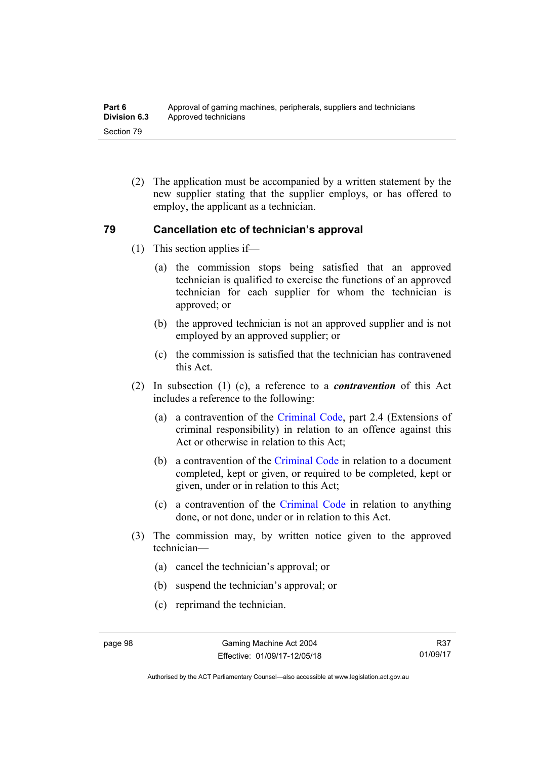(2) The application must be accompanied by a written statement by the new supplier stating that the supplier employs, or has offered to employ, the applicant as a technician.

# **79 Cancellation etc of technician's approval**

- (1) This section applies if—
	- (a) the commission stops being satisfied that an approved technician is qualified to exercise the functions of an approved technician for each supplier for whom the technician is approved; or
	- (b) the approved technician is not an approved supplier and is not employed by an approved supplier; or
	- (c) the commission is satisfied that the technician has contravened this Act.
- (2) In subsection (1) (c), a reference to a *contravention* of this Act includes a reference to the following:
	- (a) a contravention of the [Criminal Code](http://www.legislation.act.gov.au/a/2002-51), part 2.4 (Extensions of criminal responsibility) in relation to an offence against this Act or otherwise in relation to this Act;
	- (b) a contravention of the [Criminal Code](http://www.legislation.act.gov.au/a/2002-51) in relation to a document completed, kept or given, or required to be completed, kept or given, under or in relation to this Act;
	- (c) a contravention of the [Criminal Code](http://www.legislation.act.gov.au/a/2002-51) in relation to anything done, or not done, under or in relation to this Act.
- (3) The commission may, by written notice given to the approved technician—
	- (a) cancel the technician's approval; or
	- (b) suspend the technician's approval; or
	- (c) reprimand the technician.

Authorised by the ACT Parliamentary Counsel—also accessible at www.legislation.act.gov.au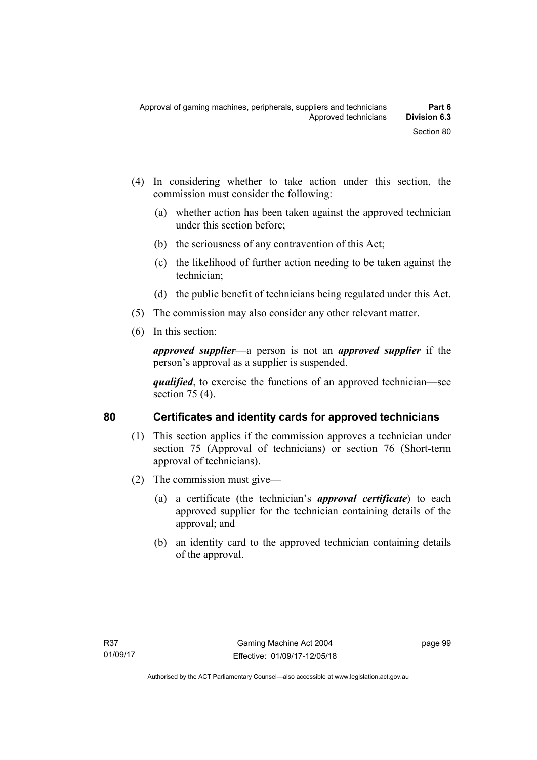- (4) In considering whether to take action under this section, the commission must consider the following:
	- (a) whether action has been taken against the approved technician under this section before;
	- (b) the seriousness of any contravention of this Act;
	- (c) the likelihood of further action needing to be taken against the technician;
	- (d) the public benefit of technicians being regulated under this Act.
- (5) The commission may also consider any other relevant matter.
- (6) In this section:

*approved supplier*—a person is not an *approved supplier* if the person's approval as a supplier is suspended.

*qualified*, to exercise the functions of an approved technician—see section 75 (4).

# **80 Certificates and identity cards for approved technicians**

- (1) This section applies if the commission approves a technician under section 75 (Approval of technicians) or section 76 (Short-term approval of technicians).
- (2) The commission must give—
	- (a) a certificate (the technician's *approval certificate*) to each approved supplier for the technician containing details of the approval; and
	- (b) an identity card to the approved technician containing details of the approval.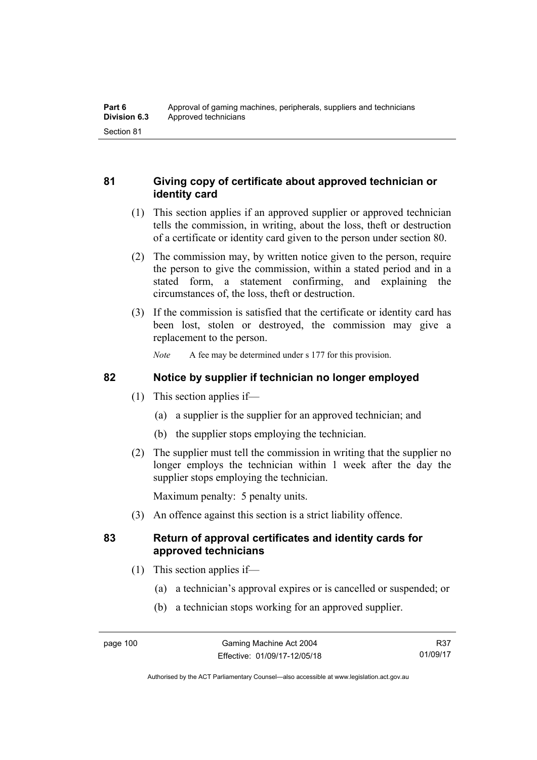# **81 Giving copy of certificate about approved technician or identity card**

- (1) This section applies if an approved supplier or approved technician tells the commission, in writing, about the loss, theft or destruction of a certificate or identity card given to the person under section 80.
- (2) The commission may, by written notice given to the person, require the person to give the commission, within a stated period and in a stated form, a statement confirming, and explaining the circumstances of, the loss, theft or destruction.
- (3) If the commission is satisfied that the certificate or identity card has been lost, stolen or destroyed, the commission may give a replacement to the person.

*Note* A fee may be determined under s 177 for this provision.

# **82 Notice by supplier if technician no longer employed**

- (1) This section applies if—
	- (a) a supplier is the supplier for an approved technician; and
	- (b) the supplier stops employing the technician.
- (2) The supplier must tell the commission in writing that the supplier no longer employs the technician within 1 week after the day the supplier stops employing the technician.

Maximum penalty: 5 penalty units.

(3) An offence against this section is a strict liability offence.

# **83 Return of approval certificates and identity cards for approved technicians**

- (1) This section applies if—
	- (a) a technician's approval expires or is cancelled or suspended; or
	- (b) a technician stops working for an approved supplier.

Authorised by the ACT Parliamentary Counsel—also accessible at www.legislation.act.gov.au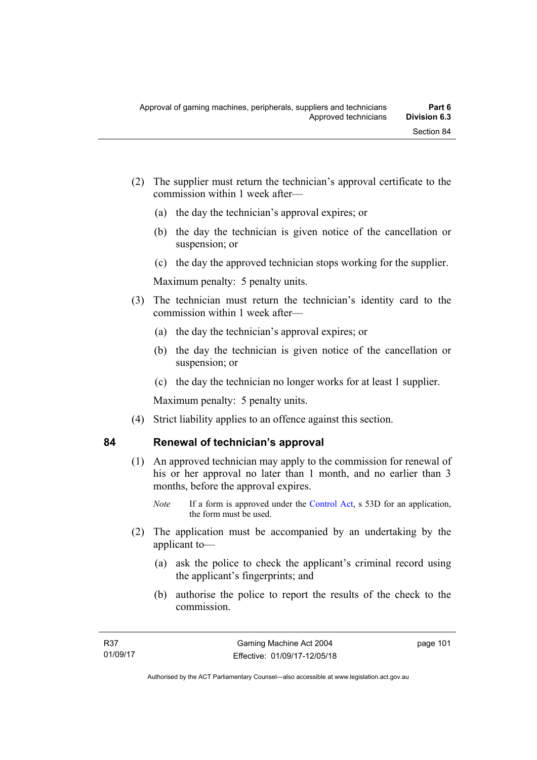- (2) The supplier must return the technician's approval certificate to the commission within 1 week after—
	- (a) the day the technician's approval expires; or
	- (b) the day the technician is given notice of the cancellation or suspension; or
	- (c) the day the approved technician stops working for the supplier.

Maximum penalty: 5 penalty units.

- (3) The technician must return the technician's identity card to the commission within 1 week after—
	- (a) the day the technician's approval expires; or
	- (b) the day the technician is given notice of the cancellation or suspension; or
	- (c) the day the technician no longer works for at least 1 supplier.

Maximum penalty: 5 penalty units.

(4) Strict liability applies to an offence against this section.

# **84 Renewal of technician's approval**

- (1) An approved technician may apply to the commission for renewal of his or her approval no later than 1 month, and no earlier than 3 months, before the approval expires.
	- *Note* If a form is approved under the [Control Act,](http://www.legislation.act.gov.au/a/1999-46) s 53D for an application, the form must be used.
- (2) The application must be accompanied by an undertaking by the applicant to—
	- (a) ask the police to check the applicant's criminal record using the applicant's fingerprints; and
	- (b) authorise the police to report the results of the check to the commission.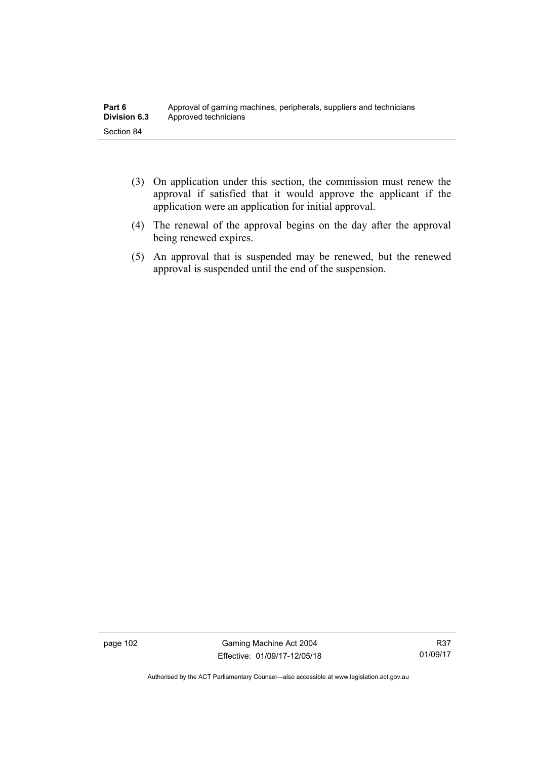| Part 6              | Approval of gaming machines, peripherals, suppliers and technicians |
|---------------------|---------------------------------------------------------------------|
| <b>Division 6.3</b> | Approved technicians                                                |
| Section 84          |                                                                     |

- (3) On application under this section, the commission must renew the approval if satisfied that it would approve the applicant if the application were an application for initial approval.
- (4) The renewal of the approval begins on the day after the approval being renewed expires.
- (5) An approval that is suspended may be renewed, but the renewed approval is suspended until the end of the suspension.

page 102 Gaming Machine Act 2004 Effective: 01/09/17-12/05/18

Authorised by the ACT Parliamentary Counsel—also accessible at www.legislation.act.gov.au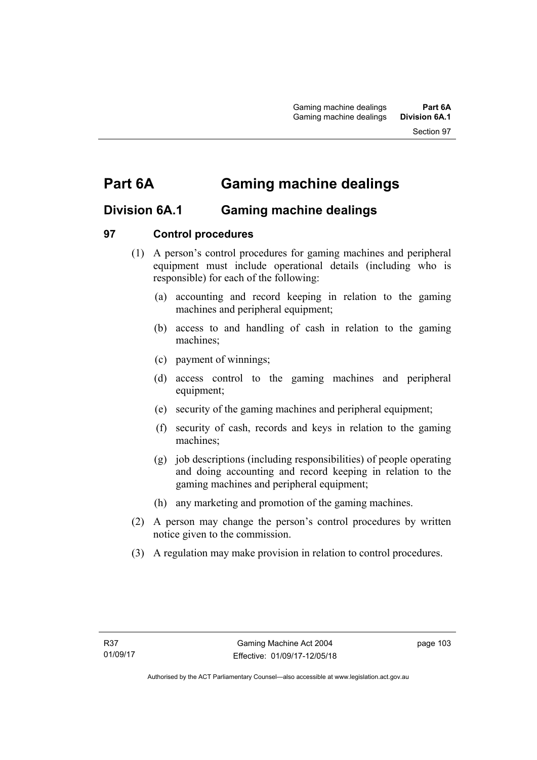# **Part 6A Gaming machine dealings**

# **Division 6A.1 Gaming machine dealings**

# **97 Control procedures**

- (1) A person's control procedures for gaming machines and peripheral equipment must include operational details (including who is responsible) for each of the following:
	- (a) accounting and record keeping in relation to the gaming machines and peripheral equipment;
	- (b) access to and handling of cash in relation to the gaming machines;
	- (c) payment of winnings;
	- (d) access control to the gaming machines and peripheral equipment;
	- (e) security of the gaming machines and peripheral equipment;
	- (f) security of cash, records and keys in relation to the gaming machines;
	- (g) job descriptions (including responsibilities) of people operating and doing accounting and record keeping in relation to the gaming machines and peripheral equipment;
	- (h) any marketing and promotion of the gaming machines.
- (2) A person may change the person's control procedures by written notice given to the commission.
- (3) A regulation may make provision in relation to control procedures.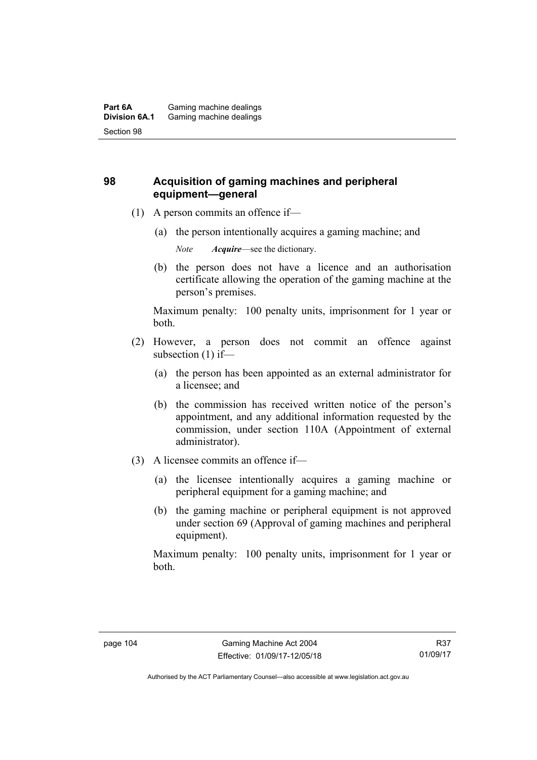# **98 Acquisition of gaming machines and peripheral equipment—general**

- (1) A person commits an offence if—
	- (a) the person intentionally acquires a gaming machine; and

*Note Acquire*—see the dictionary.

 (b) the person does not have a licence and an authorisation certificate allowing the operation of the gaming machine at the person's premises.

Maximum penalty: 100 penalty units, imprisonment for 1 year or both.

- (2) However, a person does not commit an offence against subsection (1) if—
	- (a) the person has been appointed as an external administrator for a licensee; and
	- (b) the commission has received written notice of the person's appointment, and any additional information requested by the commission, under section 110A (Appointment of external administrator).
- (3) A licensee commits an offence if—
	- (a) the licensee intentionally acquires a gaming machine or peripheral equipment for a gaming machine; and
	- (b) the gaming machine or peripheral equipment is not approved under section 69 (Approval of gaming machines and peripheral equipment).

Maximum penalty: 100 penalty units, imprisonment for 1 year or both.

Authorised by the ACT Parliamentary Counsel—also accessible at www.legislation.act.gov.au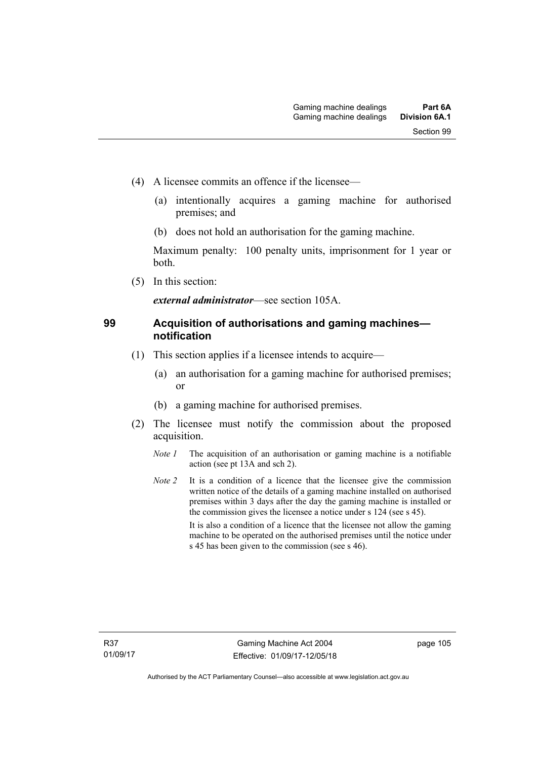- (4) A licensee commits an offence if the licensee—
	- (a) intentionally acquires a gaming machine for authorised premises; and
	- (b) does not hold an authorisation for the gaming machine.

Maximum penalty: 100 penalty units, imprisonment for 1 year or both.

(5) In this section:

*external administrator*—see section 105A.

# **99 Acquisition of authorisations and gaming machines notification**

- (1) This section applies if a licensee intends to acquire—
	- (a) an authorisation for a gaming machine for authorised premises; or
	- (b) a gaming machine for authorised premises.
- (2) The licensee must notify the commission about the proposed acquisition.
	- *Note 1* The acquisition of an authorisation or gaming machine is a notifiable action (see pt 13A and sch 2).
	- *Note 2* It is a condition of a licence that the licensee give the commission written notice of the details of a gaming machine installed on authorised premises within 3 days after the day the gaming machine is installed or the commission gives the licensee a notice under s 124 (see s 45). It is also a condition of a licence that the licensee not allow the gaming machine to be operated on the authorised premises until the notice under s 45 has been given to the commission (see s 46).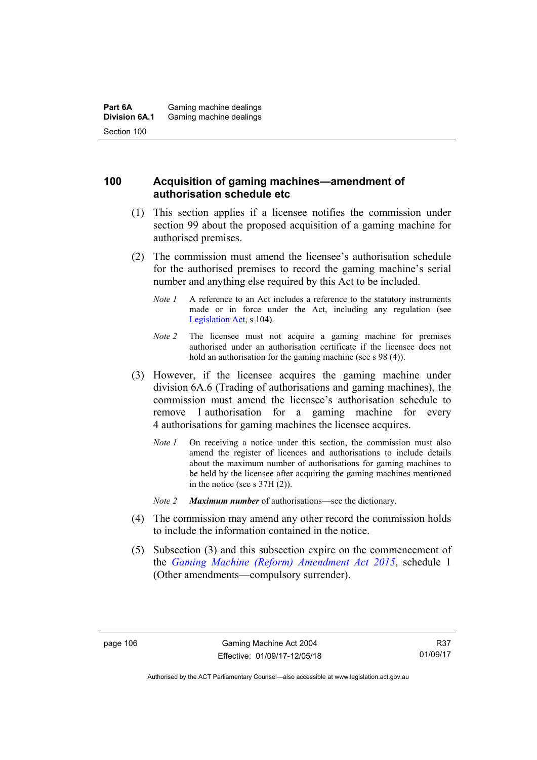# **100 Acquisition of gaming machines—amendment of authorisation schedule etc**

- (1) This section applies if a licensee notifies the commission under section 99 about the proposed acquisition of a gaming machine for authorised premises.
- (2) The commission must amend the licensee's authorisation schedule for the authorised premises to record the gaming machine's serial number and anything else required by this Act to be included.
	- *Note 1* A reference to an Act includes a reference to the statutory instruments made or in force under the Act, including any regulation (see [Legislation Act,](http://www.legislation.act.gov.au/a/2001-14) s 104).
	- *Note 2* The licensee must not acquire a gaming machine for premises authorised under an authorisation certificate if the licensee does not hold an authorisation for the gaming machine (see s 98 (4)).
- (3) However, if the licensee acquires the gaming machine under division 6A.6 (Trading of authorisations and gaming machines), the commission must amend the licensee's authorisation schedule to remove 1 authorisation for a gaming machine for every 4 authorisations for gaming machines the licensee acquires.
	- *Note 1* On receiving a notice under this section, the commission must also amend the register of licences and authorisations to include details about the maximum number of authorisations for gaming machines to be held by the licensee after acquiring the gaming machines mentioned in the notice (see s 37H (2)).
	- *Note 2 Maximum number* of authorisations—see the dictionary.
- (4) The commission may amend any other record the commission holds to include the information contained in the notice.
- (5) Subsection (3) and this subsection expire on the commencement of the *[Gaming Machine \(Reform\) Amendment Act 2015](http://www.legislation.act.gov.au/a/2015-21/default.asp)*, schedule 1 (Other amendments—compulsory surrender).

Authorised by the ACT Parliamentary Counsel—also accessible at www.legislation.act.gov.au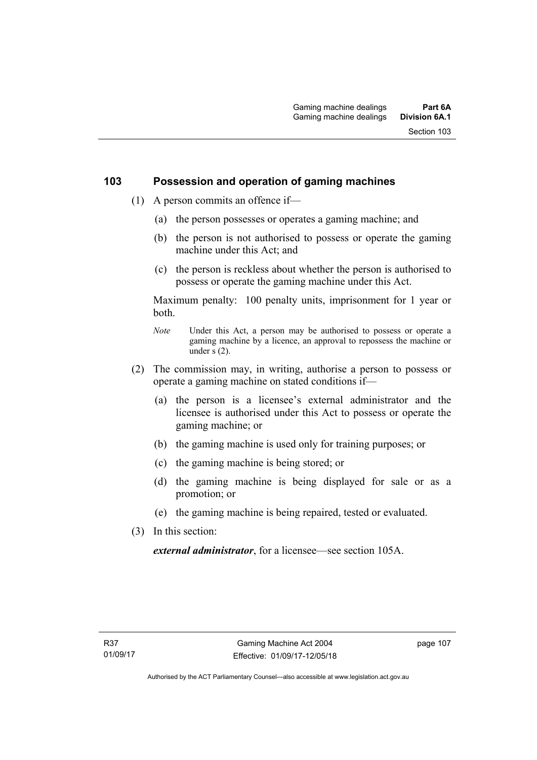# **103 Possession and operation of gaming machines**

- (1) A person commits an offence if—
	- (a) the person possesses or operates a gaming machine; and
	- (b) the person is not authorised to possess or operate the gaming machine under this Act; and
	- (c) the person is reckless about whether the person is authorised to possess or operate the gaming machine under this Act.

Maximum penalty: 100 penalty units, imprisonment for 1 year or both.

- *Note* Under this Act, a person may be authorised to possess or operate a gaming machine by a licence, an approval to repossess the machine or under  $\overline{s}$  (2).
- (2) The commission may, in writing, authorise a person to possess or operate a gaming machine on stated conditions if—
	- (a) the person is a licensee's external administrator and the licensee is authorised under this Act to possess or operate the gaming machine; or
	- (b) the gaming machine is used only for training purposes; or
	- (c) the gaming machine is being stored; or
	- (d) the gaming machine is being displayed for sale or as a promotion; or
	- (e) the gaming machine is being repaired, tested or evaluated.
- (3) In this section:

*external administrator*, for a licensee—see section 105A.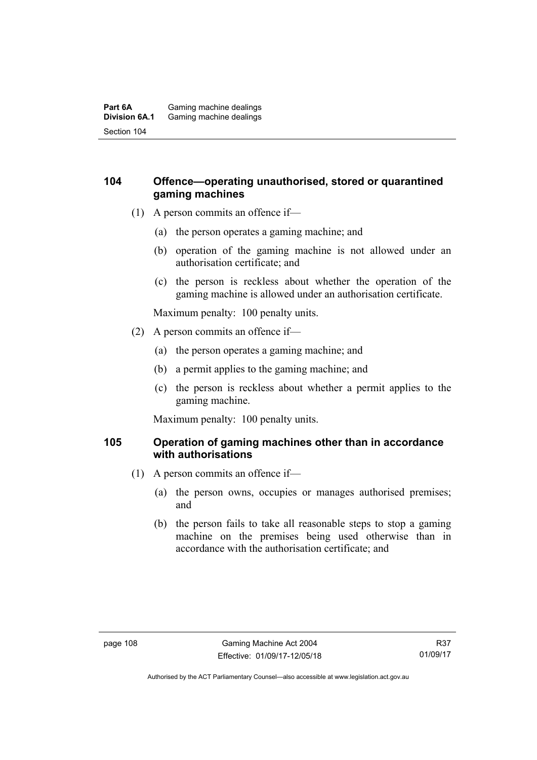#### **Part 6A** Gaming machine dealings<br>**Division 6A.1** Gaming machine dealings Gaming machine dealings Section 104

# **104 Offence—operating unauthorised, stored or quarantined gaming machines**

- (1) A person commits an offence if—
	- (a) the person operates a gaming machine; and
	- (b) operation of the gaming machine is not allowed under an authorisation certificate; and
	- (c) the person is reckless about whether the operation of the gaming machine is allowed under an authorisation certificate.

Maximum penalty: 100 penalty units.

- (2) A person commits an offence if—
	- (a) the person operates a gaming machine; and
	- (b) a permit applies to the gaming machine; and
	- (c) the person is reckless about whether a permit applies to the gaming machine.

Maximum penalty: 100 penalty units.

# **105 Operation of gaming machines other than in accordance with authorisations**

- (1) A person commits an offence if—
	- (a) the person owns, occupies or manages authorised premises; and
	- (b) the person fails to take all reasonable steps to stop a gaming machine on the premises being used otherwise than in accordance with the authorisation certificate; and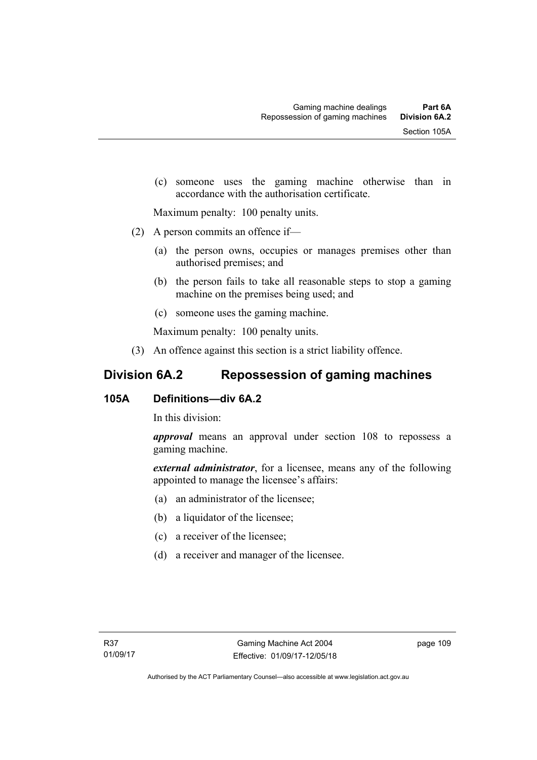(c) someone uses the gaming machine otherwise than in accordance with the authorisation certificate.

Maximum penalty: 100 penalty units.

- (2) A person commits an offence if—
	- (a) the person owns, occupies or manages premises other than authorised premises; and
	- (b) the person fails to take all reasonable steps to stop a gaming machine on the premises being used; and
	- (c) someone uses the gaming machine.

Maximum penalty: 100 penalty units.

(3) An offence against this section is a strict liability offence.

# **Division 6A.2 Repossession of gaming machines**

# **105A Definitions—div 6A.2**

In this division:

*approval* means an approval under section 108 to repossess a gaming machine.

*external administrator*, for a licensee, means any of the following appointed to manage the licensee's affairs:

- (a) an administrator of the licensee;
- (b) a liquidator of the licensee;
- (c) a receiver of the licensee;
- (d) a receiver and manager of the licensee.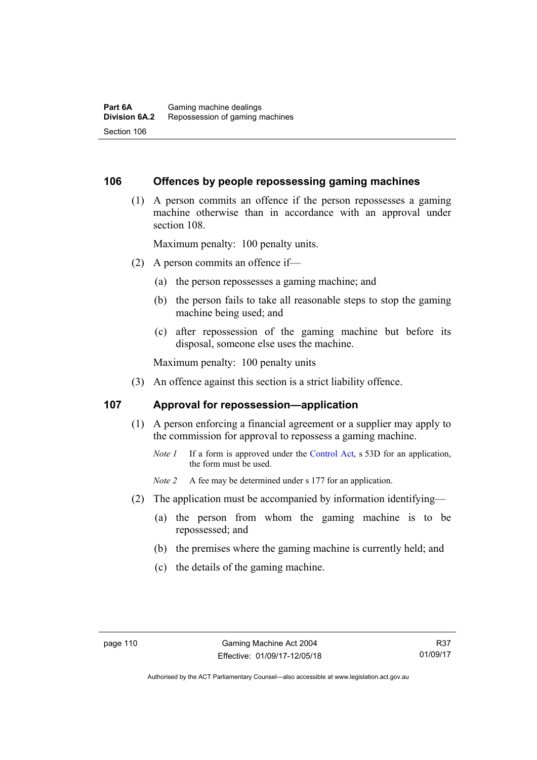#### **106 Offences by people repossessing gaming machines**

 (1) A person commits an offence if the person repossesses a gaming machine otherwise than in accordance with an approval under section 108.

Maximum penalty: 100 penalty units.

- (2) A person commits an offence if—
	- (a) the person repossesses a gaming machine; and
	- (b) the person fails to take all reasonable steps to stop the gaming machine being used; and
	- (c) after repossession of the gaming machine but before its disposal, someone else uses the machine.

Maximum penalty: 100 penalty units

(3) An offence against this section is a strict liability offence.

#### **107 Approval for repossession—application**

- (1) A person enforcing a financial agreement or a supplier may apply to the commission for approval to repossess a gaming machine.
	- *Note 1* If a form is approved under the [Control Act](http://www.legislation.act.gov.au/a/1999-46/default.asp), s 53D for an application, the form must be used.

*Note 2* A fee may be determined under s 177 for an application.

- (2) The application must be accompanied by information identifying—
	- (a) the person from whom the gaming machine is to be repossessed; and
	- (b) the premises where the gaming machine is currently held; and
	- (c) the details of the gaming machine.

Authorised by the ACT Parliamentary Counsel—also accessible at www.legislation.act.gov.au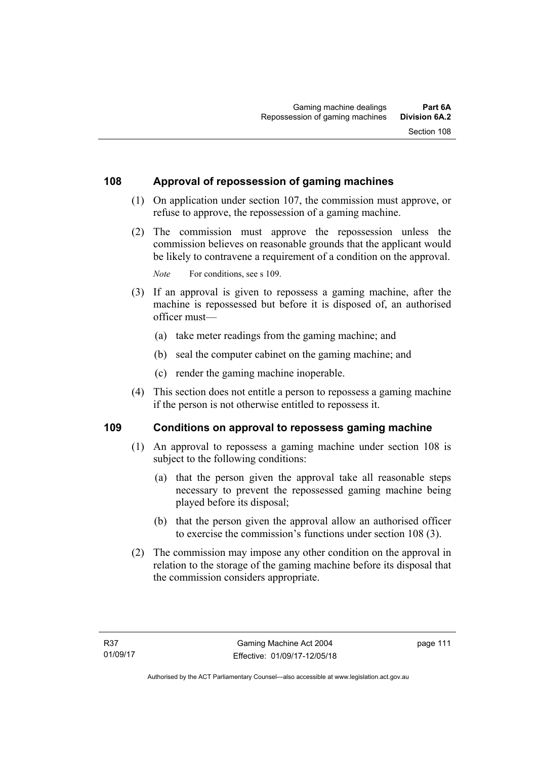# **108 Approval of repossession of gaming machines**

- (1) On application under section 107, the commission must approve, or refuse to approve, the repossession of a gaming machine.
- (2) The commission must approve the repossession unless the commission believes on reasonable grounds that the applicant would be likely to contravene a requirement of a condition on the approval.

*Note* For conditions, see s 109.

- (3) If an approval is given to repossess a gaming machine, after the machine is repossessed but before it is disposed of, an authorised officer must—
	- (a) take meter readings from the gaming machine; and
	- (b) seal the computer cabinet on the gaming machine; and
	- (c) render the gaming machine inoperable.
- (4) This section does not entitle a person to repossess a gaming machine if the person is not otherwise entitled to repossess it.

#### **109 Conditions on approval to repossess gaming machine**

- (1) An approval to repossess a gaming machine under section 108 is subject to the following conditions:
	- (a) that the person given the approval take all reasonable steps necessary to prevent the repossessed gaming machine being played before its disposal;
	- (b) that the person given the approval allow an authorised officer to exercise the commission's functions under section 108 (3).
- (2) The commission may impose any other condition on the approval in relation to the storage of the gaming machine before its disposal that the commission considers appropriate.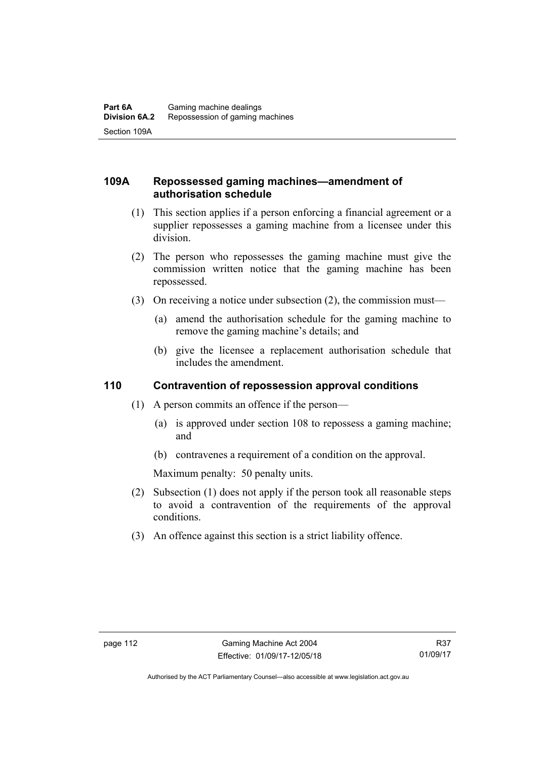# **109A Repossessed gaming machines—amendment of authorisation schedule**

- (1) This section applies if a person enforcing a financial agreement or a supplier repossesses a gaming machine from a licensee under this division.
- (2) The person who repossesses the gaming machine must give the commission written notice that the gaming machine has been repossessed.
- (3) On receiving a notice under subsection (2), the commission must—
	- (a) amend the authorisation schedule for the gaming machine to remove the gaming machine's details; and
	- (b) give the licensee a replacement authorisation schedule that includes the amendment.

# **110 Contravention of repossession approval conditions**

- (1) A person commits an offence if the person—
	- (a) is approved under section 108 to repossess a gaming machine; and
	- (b) contravenes a requirement of a condition on the approval.

Maximum penalty: 50 penalty units.

- (2) Subsection (1) does not apply if the person took all reasonable steps to avoid a contravention of the requirements of the approval conditions.
- (3) An offence against this section is a strict liability offence.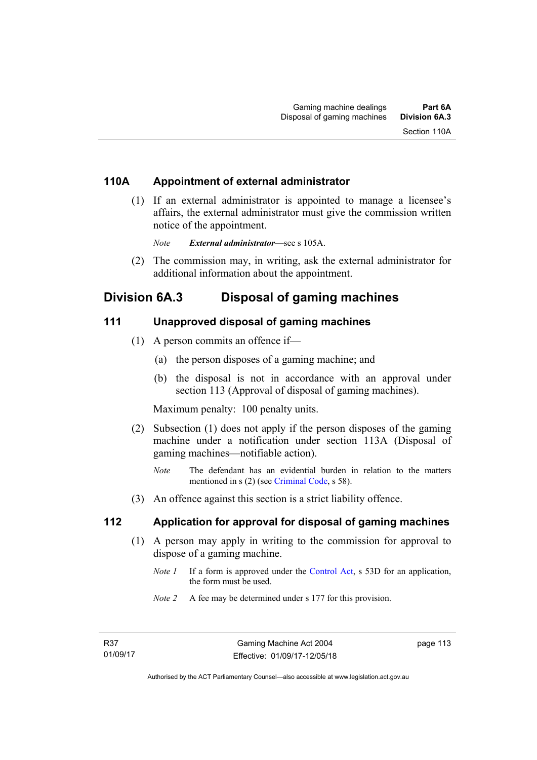# **110A Appointment of external administrator**

 (1) If an external administrator is appointed to manage a licensee's affairs, the external administrator must give the commission written notice of the appointment.

*Note External administrator*—see s 105A.

 (2) The commission may, in writing, ask the external administrator for additional information about the appointment.

# **Division 6A.3 Disposal of gaming machines**

# **111 Unapproved disposal of gaming machines**

- (1) A person commits an offence if—
	- (a) the person disposes of a gaming machine; and
	- (b) the disposal is not in accordance with an approval under section 113 (Approval of disposal of gaming machines).

Maximum penalty: 100 penalty units.

- (2) Subsection (1) does not apply if the person disposes of the gaming machine under a notification under section 113A (Disposal of gaming machines—notifiable action).
	- *Note* The defendant has an evidential burden in relation to the matters mentioned in s (2) (see [Criminal Code](http://www.legislation.act.gov.au/a/2002-51), s 58).
- (3) An offence against this section is a strict liability offence.

# **112 Application for approval for disposal of gaming machines**

- (1) A person may apply in writing to the commission for approval to dispose of a gaming machine.
	- *Note 1* If a form is approved under the [Control Act,](http://www.legislation.act.gov.au/a/1999-46) s 53D for an application, the form must be used.
	- *Note 2* A fee may be determined under s 177 for this provision.

page 113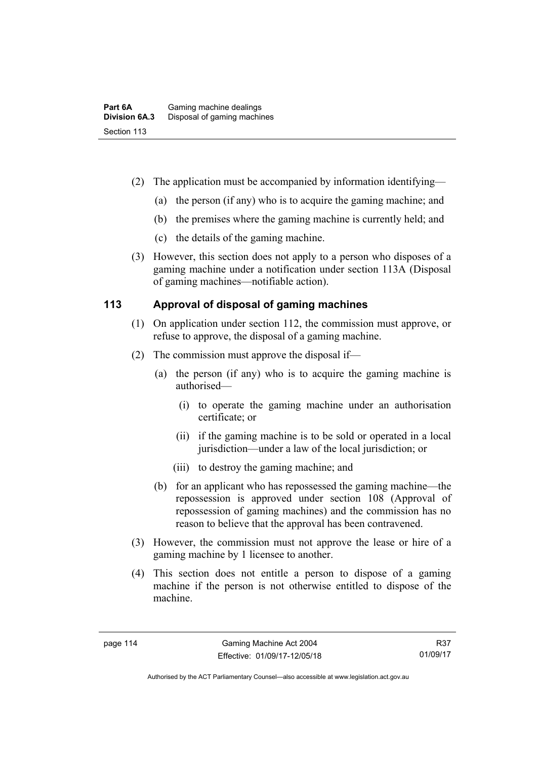- (2) The application must be accompanied by information identifying—
	- (a) the person (if any) who is to acquire the gaming machine; and
	- (b) the premises where the gaming machine is currently held; and
	- (c) the details of the gaming machine.
- (3) However, this section does not apply to a person who disposes of a gaming machine under a notification under section 113A (Disposal of gaming machines—notifiable action).

# **113 Approval of disposal of gaming machines**

- (1) On application under section 112, the commission must approve, or refuse to approve, the disposal of a gaming machine.
- (2) The commission must approve the disposal if—
	- (a) the person (if any) who is to acquire the gaming machine is authorised—
		- (i) to operate the gaming machine under an authorisation certificate; or
		- (ii) if the gaming machine is to be sold or operated in a local jurisdiction—under a law of the local jurisdiction; or
		- (iii) to destroy the gaming machine; and
	- (b) for an applicant who has repossessed the gaming machine—the repossession is approved under section 108 (Approval of repossession of gaming machines) and the commission has no reason to believe that the approval has been contravened.
- (3) However, the commission must not approve the lease or hire of a gaming machine by 1 licensee to another.
- (4) This section does not entitle a person to dispose of a gaming machine if the person is not otherwise entitled to dispose of the machine.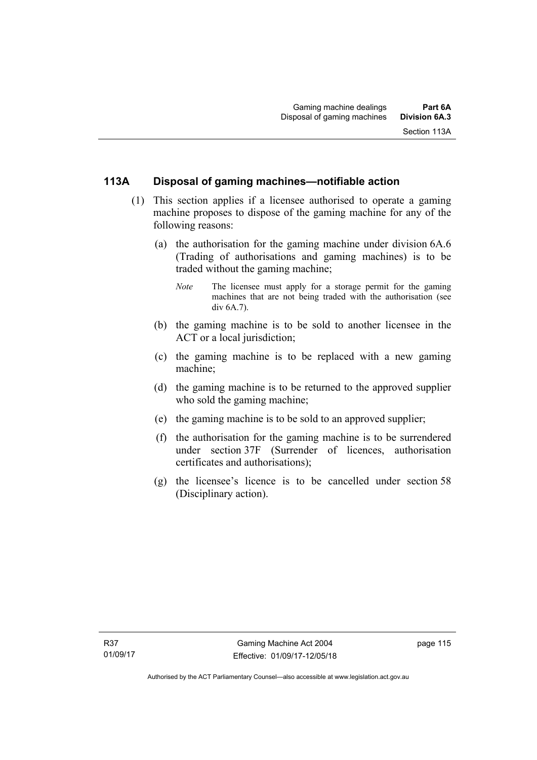# **113A Disposal of gaming machines—notifiable action**

- (1) This section applies if a licensee authorised to operate a gaming machine proposes to dispose of the gaming machine for any of the following reasons:
	- (a) the authorisation for the gaming machine under division 6A.6 (Trading of authorisations and gaming machines) is to be traded without the gaming machine;
		- *Note* The licensee must apply for a storage permit for the gaming machines that are not being traded with the authorisation (see  $div 6A.7$
	- (b) the gaming machine is to be sold to another licensee in the ACT or a local jurisdiction;
	- (c) the gaming machine is to be replaced with a new gaming machine;
	- (d) the gaming machine is to be returned to the approved supplier who sold the gaming machine;
	- (e) the gaming machine is to be sold to an approved supplier;
	- (f) the authorisation for the gaming machine is to be surrendered under section 37F (Surrender of licences, authorisation certificates and authorisations);
	- (g) the licensee's licence is to be cancelled under section 58 (Disciplinary action).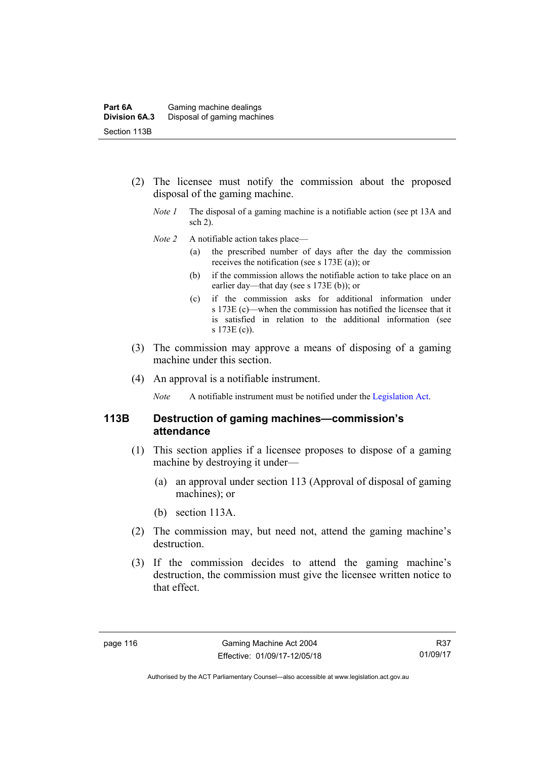- (2) The licensee must notify the commission about the proposed disposal of the gaming machine.
	- *Note 1* The disposal of a gaming machine is a notifiable action (see pt 13A and sch 2).
	- *Note 2* A notifiable action takes place—
		- (a) the prescribed number of days after the day the commission receives the notification (see s 173E (a)); or
		- (b) if the commission allows the notifiable action to take place on an earlier day—that day (see s 173E (b)); or
		- (c) if the commission asks for additional information under s 173E (c)—when the commission has notified the licensee that it is satisfied in relation to the additional information (see s 173E (c)).
- (3) The commission may approve a means of disposing of a gaming machine under this section.
- (4) An approval is a notifiable instrument.

*Note* A notifiable instrument must be notified under the [Legislation Act](http://www.legislation.act.gov.au/a/2001-14).

# **113B Destruction of gaming machines—commission's attendance**

- (1) This section applies if a licensee proposes to dispose of a gaming machine by destroying it under—
	- (a) an approval under section 113 (Approval of disposal of gaming machines); or
	- (b) section 113A.
- (2) The commission may, but need not, attend the gaming machine's destruction.
- (3) If the commission decides to attend the gaming machine's destruction, the commission must give the licensee written notice to that effect.

Authorised by the ACT Parliamentary Counsel—also accessible at www.legislation.act.gov.au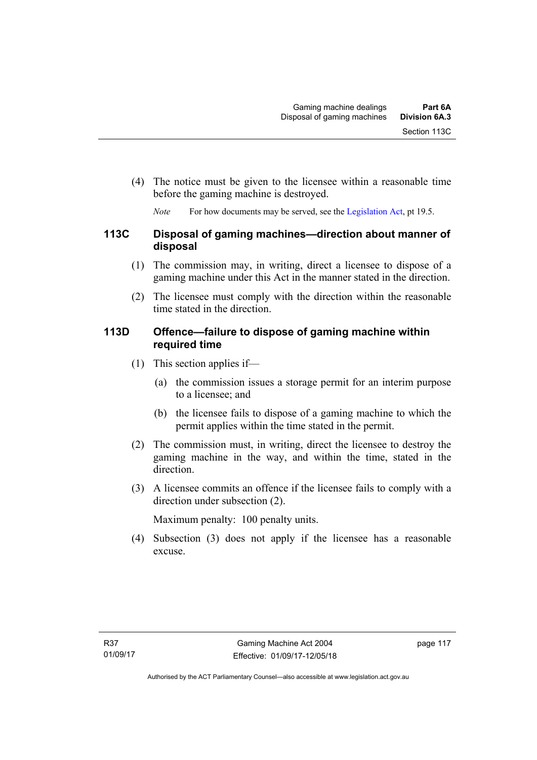(4) The notice must be given to the licensee within a reasonable time before the gaming machine is destroyed.

*Note* For how documents may be served, see the [Legislation Act,](http://www.legislation.act.gov.au/a/2001-14) pt 19.5.

# **113C Disposal of gaming machines—direction about manner of disposal**

- (1) The commission may, in writing, direct a licensee to dispose of a gaming machine under this Act in the manner stated in the direction.
- (2) The licensee must comply with the direction within the reasonable time stated in the direction.

# **113D Offence—failure to dispose of gaming machine within required time**

- (1) This section applies if—
	- (a) the commission issues a storage permit for an interim purpose to a licensee; and
	- (b) the licensee fails to dispose of a gaming machine to which the permit applies within the time stated in the permit.
- (2) The commission must, in writing, direct the licensee to destroy the gaming machine in the way, and within the time, stated in the direction.
- (3) A licensee commits an offence if the licensee fails to comply with a direction under subsection (2).

Maximum penalty: 100 penalty units.

 (4) Subsection (3) does not apply if the licensee has a reasonable excuse.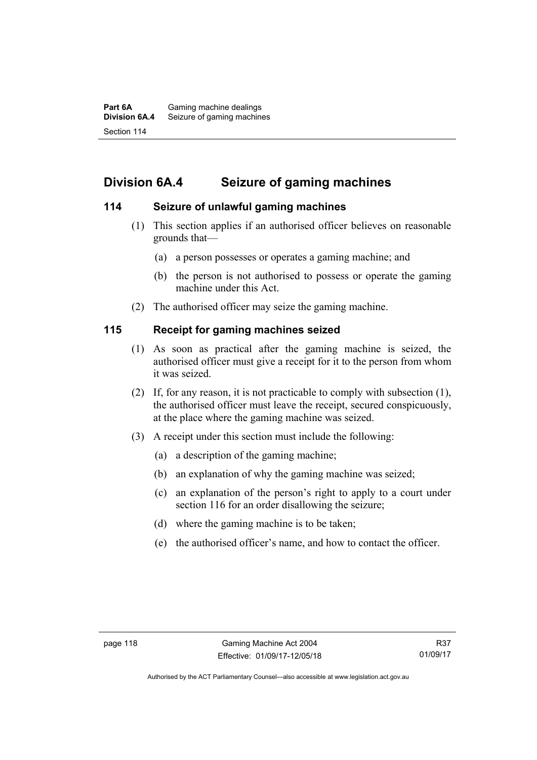# **Division 6A.4 Seizure of gaming machines**

# **114 Seizure of unlawful gaming machines**

- (1) This section applies if an authorised officer believes on reasonable grounds that—
	- (a) a person possesses or operates a gaming machine; and
	- (b) the person is not authorised to possess or operate the gaming machine under this Act.
- (2) The authorised officer may seize the gaming machine.

# **115 Receipt for gaming machines seized**

- (1) As soon as practical after the gaming machine is seized, the authorised officer must give a receipt for it to the person from whom it was seized.
- (2) If, for any reason, it is not practicable to comply with subsection (1), the authorised officer must leave the receipt, secured conspicuously, at the place where the gaming machine was seized.
- (3) A receipt under this section must include the following:
	- (a) a description of the gaming machine;
	- (b) an explanation of why the gaming machine was seized;
	- (c) an explanation of the person's right to apply to a court under section 116 for an order disallowing the seizure;
	- (d) where the gaming machine is to be taken;
	- (e) the authorised officer's name, and how to contact the officer.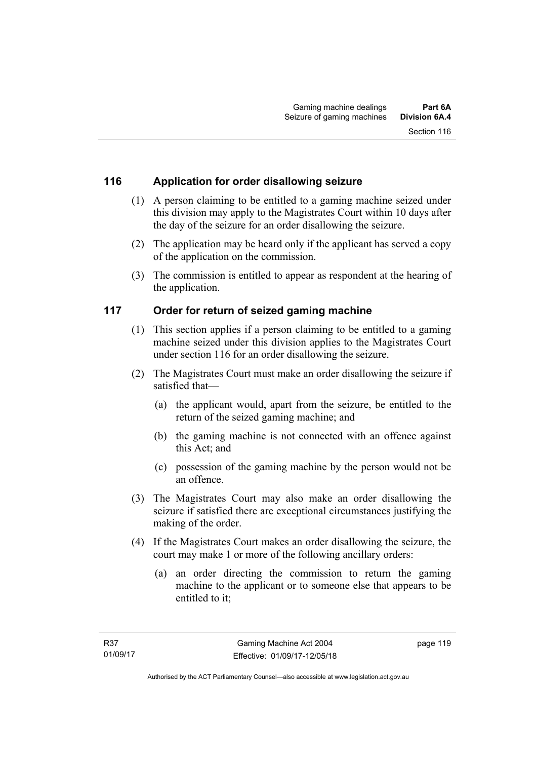# **116 Application for order disallowing seizure**

- (1) A person claiming to be entitled to a gaming machine seized under this division may apply to the Magistrates Court within 10 days after the day of the seizure for an order disallowing the seizure.
- (2) The application may be heard only if the applicant has served a copy of the application on the commission.
- (3) The commission is entitled to appear as respondent at the hearing of the application.

# **117 Order for return of seized gaming machine**

- (1) This section applies if a person claiming to be entitled to a gaming machine seized under this division applies to the Magistrates Court under section 116 for an order disallowing the seizure.
- (2) The Magistrates Court must make an order disallowing the seizure if satisfied that—
	- (a) the applicant would, apart from the seizure, be entitled to the return of the seized gaming machine; and
	- (b) the gaming machine is not connected with an offence against this Act; and
	- (c) possession of the gaming machine by the person would not be an offence.
- (3) The Magistrates Court may also make an order disallowing the seizure if satisfied there are exceptional circumstances justifying the making of the order.
- (4) If the Magistrates Court makes an order disallowing the seizure, the court may make 1 or more of the following ancillary orders:
	- (a) an order directing the commission to return the gaming machine to the applicant or to someone else that appears to be entitled to it;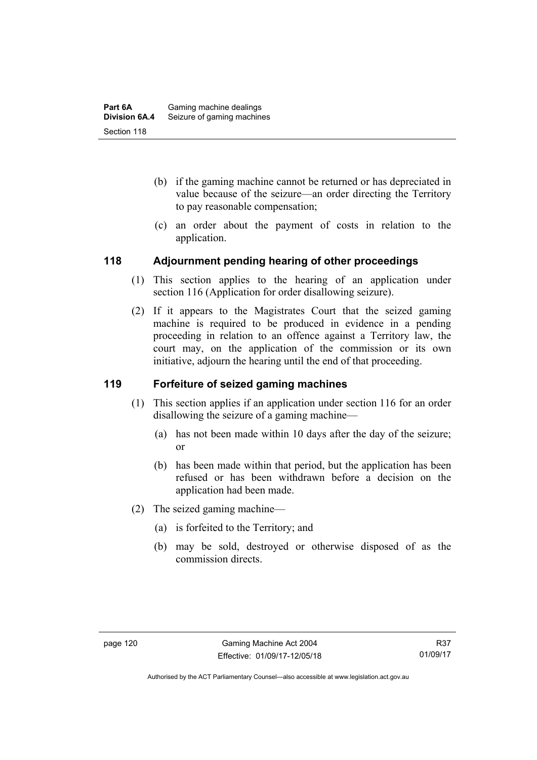- (b) if the gaming machine cannot be returned or has depreciated in value because of the seizure—an order directing the Territory to pay reasonable compensation;
- (c) an order about the payment of costs in relation to the application.

# **118 Adjournment pending hearing of other proceedings**

- (1) This section applies to the hearing of an application under section 116 (Application for order disallowing seizure).
- (2) If it appears to the Magistrates Court that the seized gaming machine is required to be produced in evidence in a pending proceeding in relation to an offence against a Territory law, the court may, on the application of the commission or its own initiative, adjourn the hearing until the end of that proceeding.

# **119 Forfeiture of seized gaming machines**

- (1) This section applies if an application under section 116 for an order disallowing the seizure of a gaming machine—
	- (a) has not been made within 10 days after the day of the seizure; or
	- (b) has been made within that period, but the application has been refused or has been withdrawn before a decision on the application had been made.
- (2) The seized gaming machine—
	- (a) is forfeited to the Territory; and
	- (b) may be sold, destroyed or otherwise disposed of as the commission directs.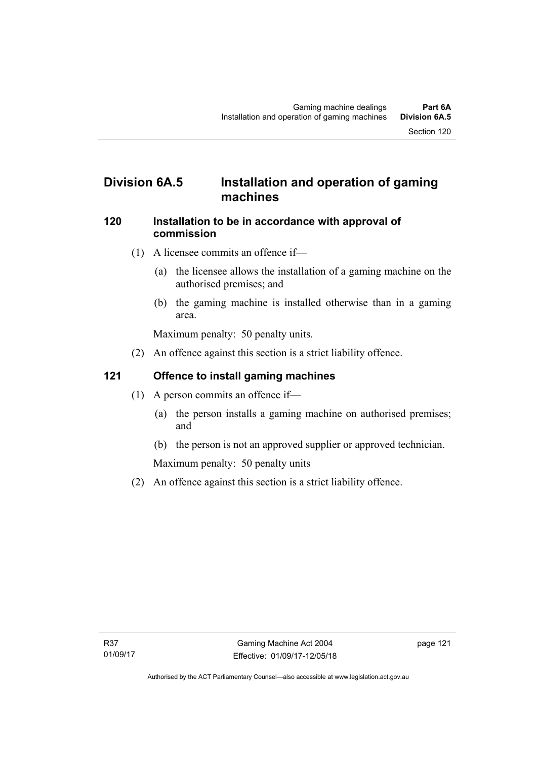# **Division 6A.5 Installation and operation of gaming machines**

### **120 Installation to be in accordance with approval of commission**

- (1) A licensee commits an offence if—
	- (a) the licensee allows the installation of a gaming machine on the authorised premises; and
	- (b) the gaming machine is installed otherwise than in a gaming area.

Maximum penalty: 50 penalty units.

(2) An offence against this section is a strict liability offence.

# **121 Offence to install gaming machines**

- (1) A person commits an offence if—
	- (a) the person installs a gaming machine on authorised premises; and
	- (b) the person is not an approved supplier or approved technician.

Maximum penalty: 50 penalty units

(2) An offence against this section is a strict liability offence.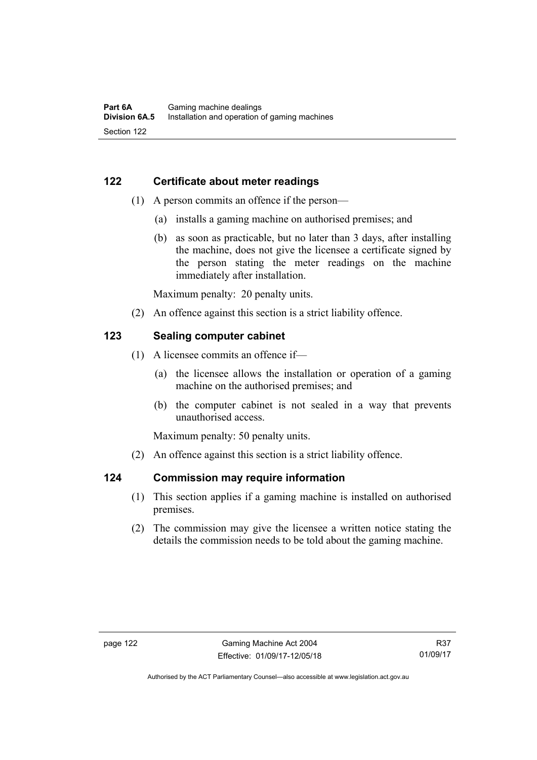# **122 Certificate about meter readings**

- (1) A person commits an offence if the person—
	- (a) installs a gaming machine on authorised premises; and
	- (b) as soon as practicable, but no later than 3 days, after installing the machine, does not give the licensee a certificate signed by the person stating the meter readings on the machine immediately after installation.

Maximum penalty: 20 penalty units.

(2) An offence against this section is a strict liability offence.

# **123 Sealing computer cabinet**

- (1) A licensee commits an offence if—
	- (a) the licensee allows the installation or operation of a gaming machine on the authorised premises; and
	- (b) the computer cabinet is not sealed in a way that prevents unauthorised access.

Maximum penalty: 50 penalty units.

(2) An offence against this section is a strict liability offence.

#### **124 Commission may require information**

- (1) This section applies if a gaming machine is installed on authorised premises.
- (2) The commission may give the licensee a written notice stating the details the commission needs to be told about the gaming machine.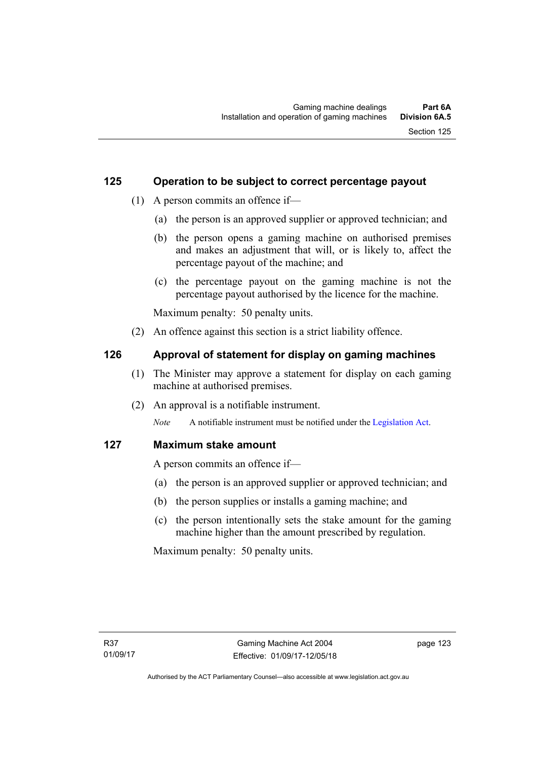# **125 Operation to be subject to correct percentage payout**

- (1) A person commits an offence if—
	- (a) the person is an approved supplier or approved technician; and
	- (b) the person opens a gaming machine on authorised premises and makes an adjustment that will, or is likely to, affect the percentage payout of the machine; and
	- (c) the percentage payout on the gaming machine is not the percentage payout authorised by the licence for the machine.

Maximum penalty: 50 penalty units.

(2) An offence against this section is a strict liability offence.

# **126 Approval of statement for display on gaming machines**

- (1) The Minister may approve a statement for display on each gaming machine at authorised premises.
- (2) An approval is a notifiable instrument.

*Note* A notifiable instrument must be notified under the [Legislation Act](http://www.legislation.act.gov.au/a/2001-14).

# **127 Maximum stake amount**

A person commits an offence if—

- (a) the person is an approved supplier or approved technician; and
- (b) the person supplies or installs a gaming machine; and
- (c) the person intentionally sets the stake amount for the gaming machine higher than the amount prescribed by regulation.

Maximum penalty: 50 penalty units.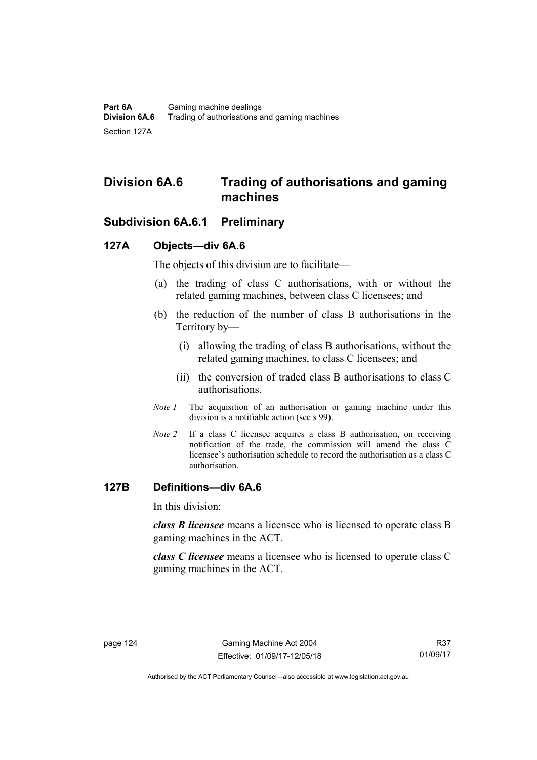# **Division 6A.6 Trading of authorisations and gaming machines**

# **Subdivision 6A.6.1 Preliminary**

# **127A Objects—div 6A.6**

The objects of this division are to facilitate—

- (a) the trading of class C authorisations, with or without the related gaming machines, between class C licensees; and
- (b) the reduction of the number of class B authorisations in the Territory by—
	- (i) allowing the trading of class B authorisations, without the related gaming machines, to class C licensees; and
	- (ii) the conversion of traded class B authorisations to class C authorisations.
- *Note 1* The acquisition of an authorisation or gaming machine under this division is a notifiable action (see s 99).
- *Note 2* If a class C licensee acquires a class B authorisation, on receiving notification of the trade, the commission will amend the class C licensee's authorisation schedule to record the authorisation as a class C authorisation.

#### **127B Definitions—div 6A.6**

In this division:

*class B licensee* means a licensee who is licensed to operate class B gaming machines in the ACT.

*class C licensee* means a licensee who is licensed to operate class C gaming machines in the ACT.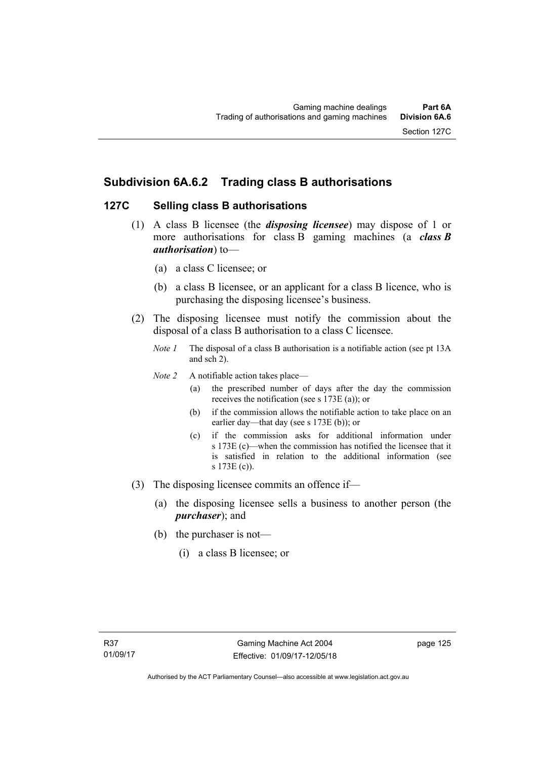# **Subdivision 6A.6.2 Trading class B authorisations**

# **127C Selling class B authorisations**

- (1) A class B licensee (the *disposing licensee*) may dispose of 1 or more authorisations for class B gaming machines (a *class B authorisation*) to—
	- (a) a class C licensee; or
	- (b) a class B licensee, or an applicant for a class B licence, who is purchasing the disposing licensee's business.
- (2) The disposing licensee must notify the commission about the disposal of a class B authorisation to a class C licensee.
	- *Note 1* The disposal of a class B authorisation is a notifiable action (see pt 13A) and sch 2).
	- *Note 2* A notifiable action takes place—
		- (a) the prescribed number of days after the day the commission receives the notification (see s 173E (a)); or
		- (b) if the commission allows the notifiable action to take place on an earlier day—that day (see s 173E (b)); or
		- (c) if the commission asks for additional information under s 173E (c)—when the commission has notified the licensee that it is satisfied in relation to the additional information (see s 173E (c)).
- (3) The disposing licensee commits an offence if—
	- (a) the disposing licensee sells a business to another person (the *purchaser*); and
	- (b) the purchaser is not—
		- (i) a class B licensee; or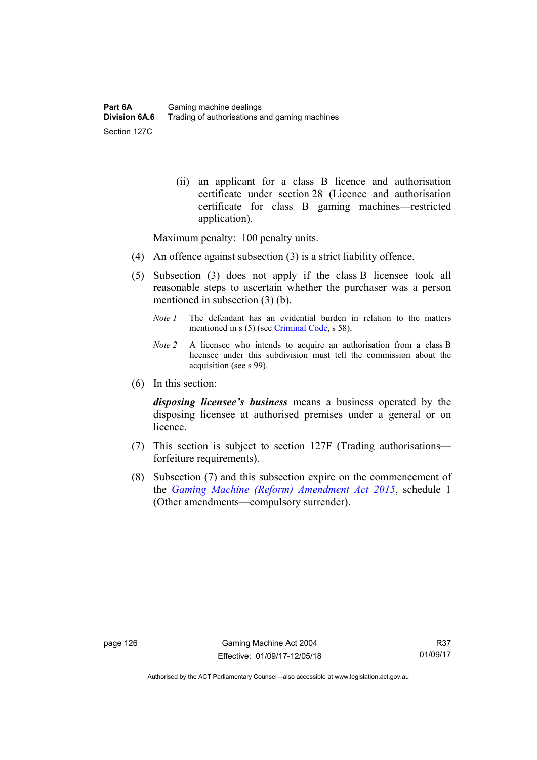(ii) an applicant for a class B licence and authorisation certificate under section 28 (Licence and authorisation certificate for class B gaming machines—restricted application).

Maximum penalty: 100 penalty units.

- (4) An offence against subsection (3) is a strict liability offence.
- (5) Subsection (3) does not apply if the class B licensee took all reasonable steps to ascertain whether the purchaser was a person mentioned in subsection (3) (b).
	- *Note 1* The defendant has an evidential burden in relation to the matters mentioned in s (5) (see [Criminal Code](http://www.legislation.act.gov.au/a/2002-51), s 58).
	- *Note 2* A licensee who intends to acquire an authorisation from a class B licensee under this subdivision must tell the commission about the acquisition (see s 99).
- (6) In this section:

*disposing licensee's business* means a business operated by the disposing licensee at authorised premises under a general or on **licence** 

- (7) This section is subject to section 127F (Trading authorisations forfeiture requirements).
- (8) Subsection (7) and this subsection expire on the commencement of the *[Gaming Machine \(Reform\) Amendment Act 2015](http://www.legislation.act.gov.au/a/2015-21/default.asp)*, schedule 1 (Other amendments—compulsory surrender).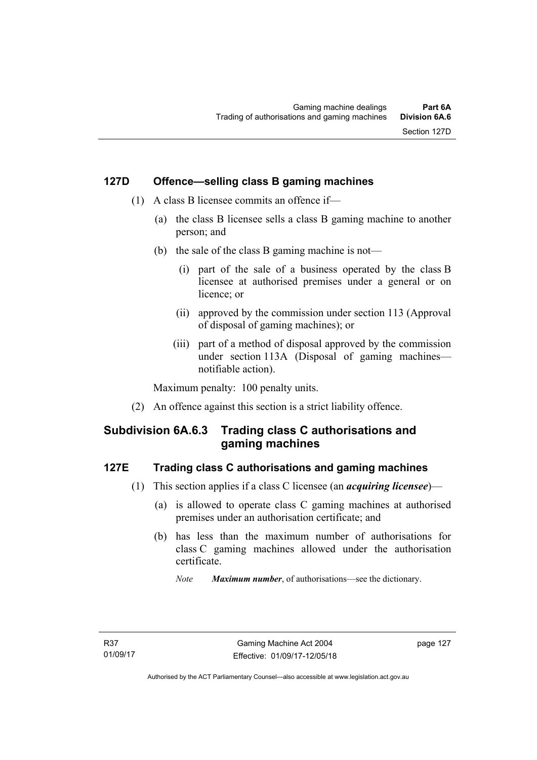# **127D Offence—selling class B gaming machines**

- (1) A class B licensee commits an offence if—
	- (a) the class B licensee sells a class B gaming machine to another person; and
	- (b) the sale of the class B gaming machine is not—
		- (i) part of the sale of a business operated by the class B licensee at authorised premises under a general or on licence; or
		- (ii) approved by the commission under section 113 (Approval of disposal of gaming machines); or
		- (iii) part of a method of disposal approved by the commission under section 113A (Disposal of gaming machines notifiable action).

Maximum penalty: 100 penalty units.

(2) An offence against this section is a strict liability offence.

# **Subdivision 6A.6.3 Trading class C authorisations and gaming machines**

#### **127E Trading class C authorisations and gaming machines**

- (1) This section applies if a class C licensee (an *acquiring licensee*)—
	- (a) is allowed to operate class C gaming machines at authorised premises under an authorisation certificate; and
	- (b) has less than the maximum number of authorisations for class C gaming machines allowed under the authorisation certificate.
		- *Note Maximum number*, of authorisations—see the dictionary.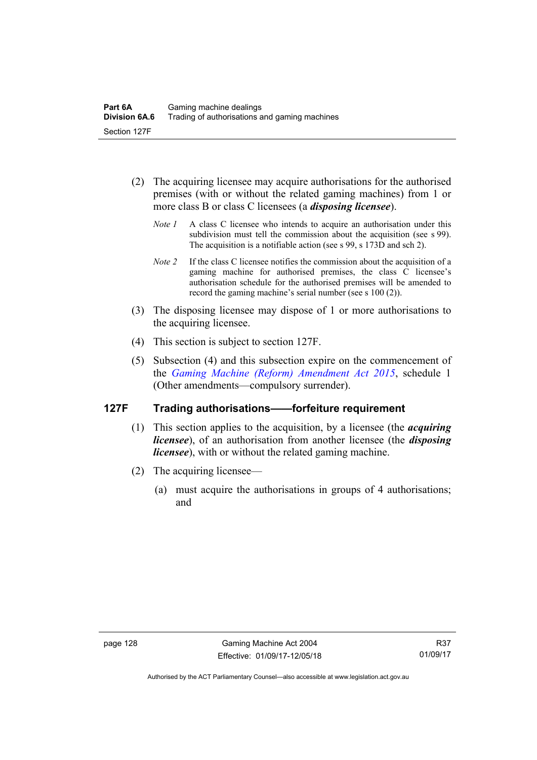- (2) The acquiring licensee may acquire authorisations for the authorised premises (with or without the related gaming machines) from 1 or more class B or class C licensees (a *disposing licensee*).
	- *Note 1* A class C licensee who intends to acquire an authorisation under this subdivision must tell the commission about the acquisition (see s 99). The acquisition is a notifiable action (see s 99, s 173D and sch 2).
	- *Note 2* If the class C licensee notifies the commission about the acquisition of a gaming machine for authorised premises, the class C licensee's authorisation schedule for the authorised premises will be amended to record the gaming machine's serial number (see s 100 (2)).
- (3) The disposing licensee may dispose of 1 or more authorisations to the acquiring licensee.
- (4) This section is subject to section 127F.
- (5) Subsection (4) and this subsection expire on the commencement of the *[Gaming Machine \(Reform\) Amendment Act 2015](http://www.legislation.act.gov.au/a/2015-21/default.asp)*, schedule 1 (Other amendments—compulsory surrender).

# **127F Trading authorisations——forfeiture requirement**

- (1) This section applies to the acquisition, by a licensee (the *acquiring licensee*), of an authorisation from another licensee (the *disposing licensee*), with or without the related gaming machine.
- (2) The acquiring licensee—
	- (a) must acquire the authorisations in groups of 4 authorisations; and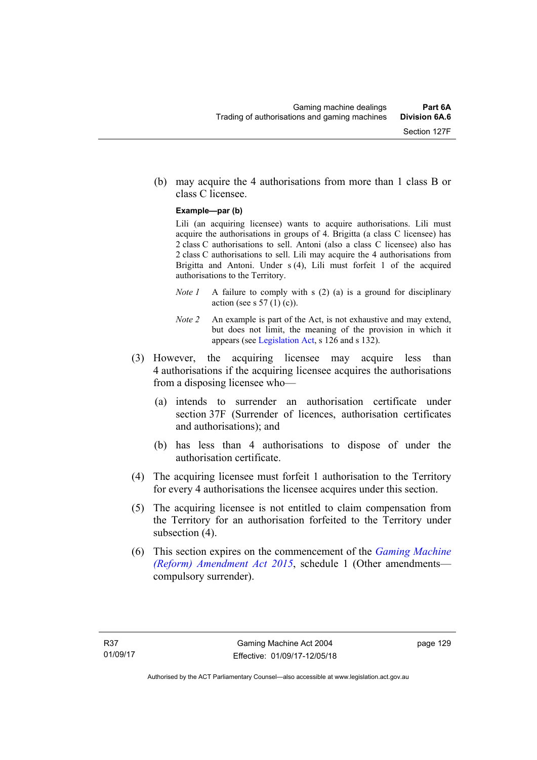(b) may acquire the 4 authorisations from more than 1 class B or class C licensee.

#### **Example—par (b)**

Lili (an acquiring licensee) wants to acquire authorisations. Lili must acquire the authorisations in groups of 4. Brigitta (a class C licensee) has 2 class C authorisations to sell. Antoni (also a class C licensee) also has 2 class C authorisations to sell. Lili may acquire the 4 authorisations from Brigitta and Antoni. Under s (4), Lili must forfeit 1 of the acquired authorisations to the Territory.

- *Note 1* A failure to comply with s (2) (a) is a ground for disciplinary action (see s  $57(1)(c)$ ).
- *Note 2* An example is part of the Act, is not exhaustive and may extend, but does not limit, the meaning of the provision in which it appears (see [Legislation Act,](http://www.legislation.act.gov.au/a/2001-14) s 126 and s 132).
- (3) However, the acquiring licensee may acquire less than 4 authorisations if the acquiring licensee acquires the authorisations from a disposing licensee who—
	- (a) intends to surrender an authorisation certificate under section 37F (Surrender of licences, authorisation certificates and authorisations); and
	- (b) has less than 4 authorisations to dispose of under the authorisation certificate.
- (4) The acquiring licensee must forfeit 1 authorisation to the Territory for every 4 authorisations the licensee acquires under this section.
- (5) The acquiring licensee is not entitled to claim compensation from the Territory for an authorisation forfeited to the Territory under subsection  $(4)$ .
- (6) This section expires on the commencement of the *[Gaming Machine](http://www.legislation.act.gov.au/a/2015-21/default.asp)  [\(Reform\) Amendment Act 2015](http://www.legislation.act.gov.au/a/2015-21/default.asp)*, schedule 1 (Other amendments compulsory surrender).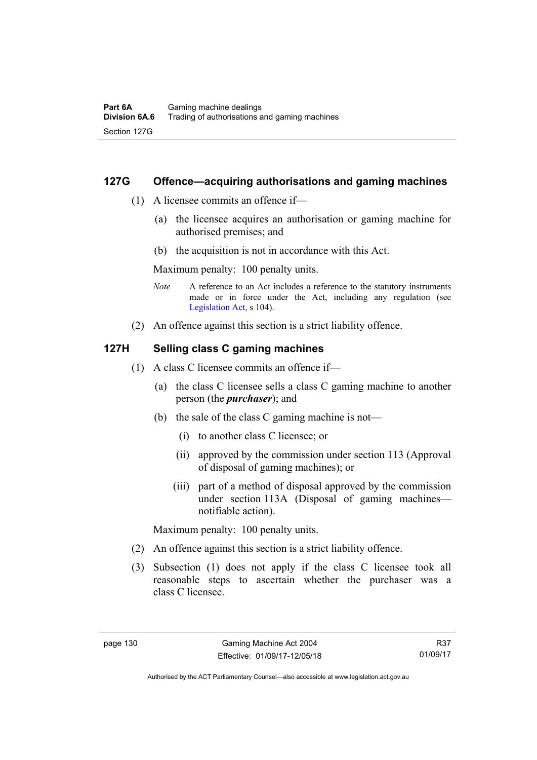### **127G Offence—acquiring authorisations and gaming machines**

- (1) A licensee commits an offence if—
	- (a) the licensee acquires an authorisation or gaming machine for authorised premises; and
	- (b) the acquisition is not in accordance with this Act.

Maximum penalty: 100 penalty units.

- *Note* A reference to an Act includes a reference to the statutory instruments made or in force under the Act, including any regulation (see [Legislation Act,](http://www.legislation.act.gov.au/a/2001-14) s 104).
- (2) An offence against this section is a strict liability offence.

### **127H Selling class C gaming machines**

- (1) A class C licensee commits an offence if—
	- (a) the class C licensee sells a class C gaming machine to another person (the *purchaser*); and
	- (b) the sale of the class C gaming machine is not—
		- (i) to another class C licensee; or
		- (ii) approved by the commission under section 113 (Approval of disposal of gaming machines); or
		- (iii) part of a method of disposal approved by the commission under section 113A (Disposal of gaming machines notifiable action).

Maximum penalty: 100 penalty units.

- (2) An offence against this section is a strict liability offence.
- (3) Subsection (1) does not apply if the class C licensee took all reasonable steps to ascertain whether the purchaser was a class C licensee.

R37 01/09/17

Authorised by the ACT Parliamentary Counsel—also accessible at www.legislation.act.gov.au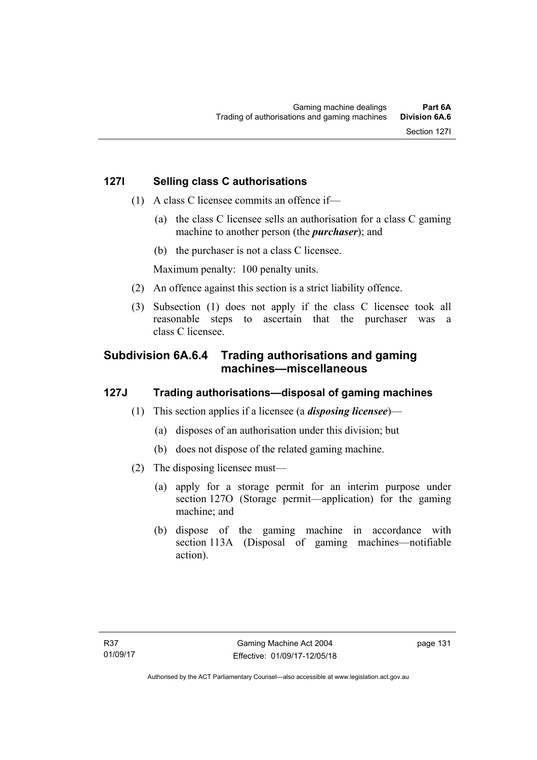- (1) A class C licensee commits an offence if—
	- (a) the class C licensee sells an authorisation for a class C gaming machine to another person (the *purchaser*); and
	- (b) the purchaser is not a class C licensee.

Maximum penalty: 100 penalty units.

- (2) An offence against this section is a strict liability offence.
- (3) Subsection (1) does not apply if the class C licensee took all reasonable steps to ascertain that the purchaser was a class C licensee.

# **Subdivision 6A.6.4 Trading authorisations and gaming machines—miscellaneous**

# **127J Trading authorisations—disposal of gaming machines**

- (1) This section applies if a licensee (a *disposing licensee*)—
	- (a) disposes of an authorisation under this division; but
	- (b) does not dispose of the related gaming machine.
- (2) The disposing licensee must—
	- (a) apply for a storage permit for an interim purpose under section 127O (Storage permit—application) for the gaming machine; and
	- (b) dispose of the gaming machine in accordance with section 113A (Disposal of gaming machines—notifiable action).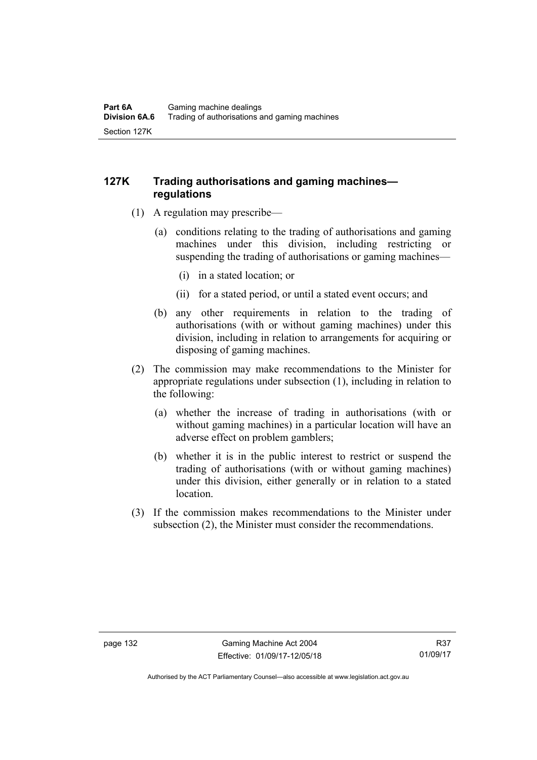# **127K Trading authorisations and gaming machines regulations**

- (1) A regulation may prescribe—
	- (a) conditions relating to the trading of authorisations and gaming machines under this division, including restricting or suspending the trading of authorisations or gaming machines—
		- (i) in a stated location; or
		- (ii) for a stated period, or until a stated event occurs; and
	- (b) any other requirements in relation to the trading of authorisations (with or without gaming machines) under this division, including in relation to arrangements for acquiring or disposing of gaming machines.
- (2) The commission may make recommendations to the Minister for appropriate regulations under subsection (1), including in relation to the following:
	- (a) whether the increase of trading in authorisations (with or without gaming machines) in a particular location will have an adverse effect on problem gamblers;
	- (b) whether it is in the public interest to restrict or suspend the trading of authorisations (with or without gaming machines) under this division, either generally or in relation to a stated location.
- (3) If the commission makes recommendations to the Minister under subsection (2), the Minister must consider the recommendations.

Authorised by the ACT Parliamentary Counsel—also accessible at www.legislation.act.gov.au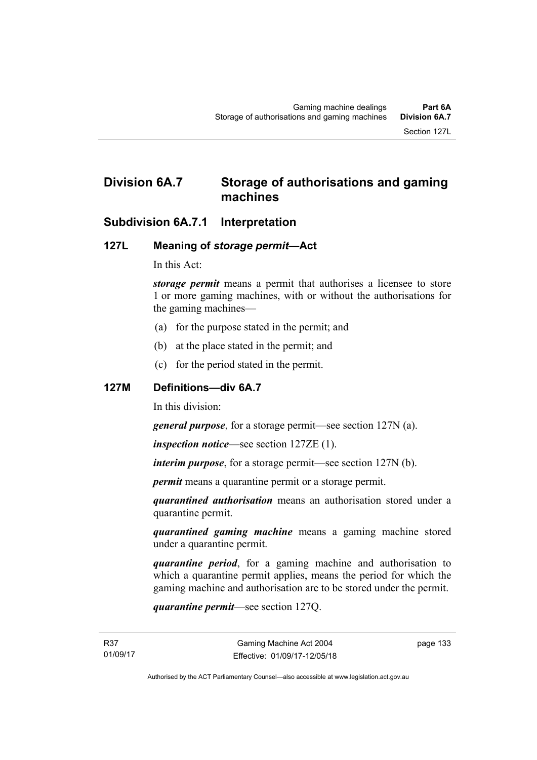# **Division 6A.7 Storage of authorisations and gaming machines**

# **Subdivision 6A.7.1 Interpretation**

# **127L Meaning of** *storage permit***—Act**

In this Act:

*storage permit* means a permit that authorises a licensee to store 1 or more gaming machines, with or without the authorisations for the gaming machines—

- (a) for the purpose stated in the permit; and
- (b) at the place stated in the permit; and
- (c) for the period stated in the permit.

### **127M Definitions—div 6A.7**

In this division:

*general purpose*, for a storage permit—see section 127N (a).

*inspection notice*—see section 127ZE (1).

*interim purpose*, for a storage permit—see section 127N (b).

*permit* means a quarantine permit or a storage permit.

*quarantined authorisation* means an authorisation stored under a quarantine permit.

*quarantined gaming machine* means a gaming machine stored under a quarantine permit.

*quarantine period*, for a gaming machine and authorisation to which a quarantine permit applies, means the period for which the gaming machine and authorisation are to be stored under the permit.

*quarantine permit*—see section 127Q.

page 133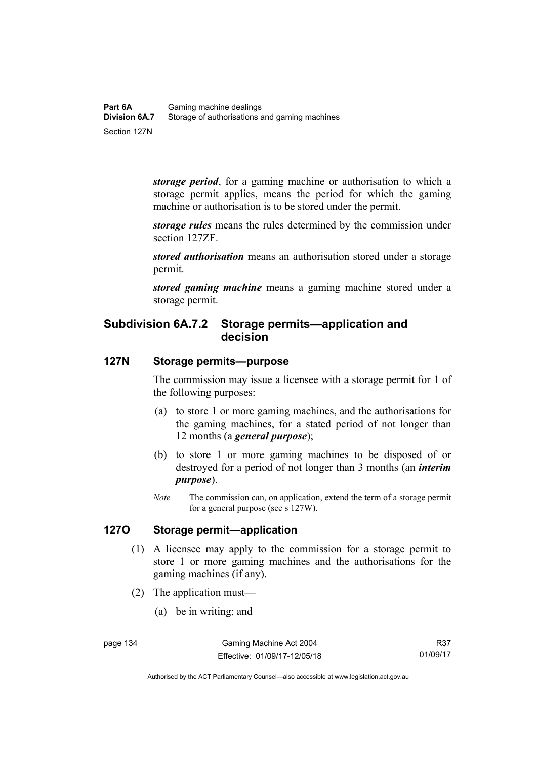*storage period*, for a gaming machine or authorisation to which a storage permit applies, means the period for which the gaming machine or authorisation is to be stored under the permit.

*storage rules* means the rules determined by the commission under section 127ZF.

*stored authorisation* means an authorisation stored under a storage permit.

*stored gaming machine* means a gaming machine stored under a storage permit.

# **Subdivision 6A.7.2 Storage permits—application and decision**

# **127N Storage permits—purpose**

The commission may issue a licensee with a storage permit for 1 of the following purposes:

- (a) to store 1 or more gaming machines, and the authorisations for the gaming machines, for a stated period of not longer than 12 months (a *general purpose*);
- (b) to store 1 or more gaming machines to be disposed of or destroyed for a period of not longer than 3 months (an *interim purpose*).
- *Note* The commission can, on application, extend the term of a storage permit for a general purpose (see s 127W).

# **127O Storage permit—application**

- (1) A licensee may apply to the commission for a storage permit to store 1 or more gaming machines and the authorisations for the gaming machines (if any).
- (2) The application must—
	- (a) be in writing; and

Authorised by the ACT Parliamentary Counsel—also accessible at www.legislation.act.gov.au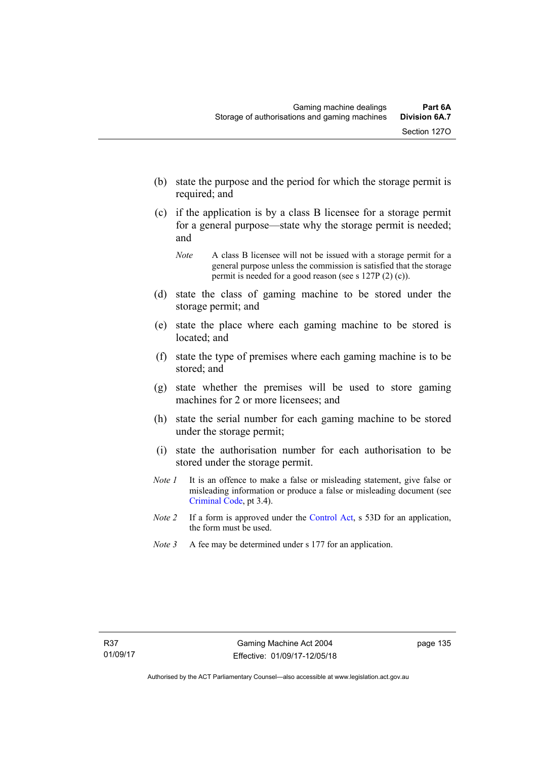- (b) state the purpose and the period for which the storage permit is required; and
- (c) if the application is by a class B licensee for a storage permit for a general purpose—state why the storage permit is needed; and

- (d) state the class of gaming machine to be stored under the storage permit; and
- (e) state the place where each gaming machine to be stored is located; and
- (f) state the type of premises where each gaming machine is to be stored; and
- (g) state whether the premises will be used to store gaming machines for 2 or more licensees; and
- (h) state the serial number for each gaming machine to be stored under the storage permit;
- (i) state the authorisation number for each authorisation to be stored under the storage permit.
- *Note 1* It is an offence to make a false or misleading statement, give false or misleading information or produce a false or misleading document (see [Criminal Code](http://www.legislation.act.gov.au/a/2002-51), pt 3.4).
- *Note 2* If a form is approved under the [Control Act,](http://www.legislation.act.gov.au/a/1999-46/default.asp) s 53D for an application, the form must be used.
- *Note* 3 A fee may be determined under s 177 for an application.

*Note* A class B licensee will not be issued with a storage permit for a general purpose unless the commission is satisfied that the storage permit is needed for a good reason (see s 127P (2) (c)).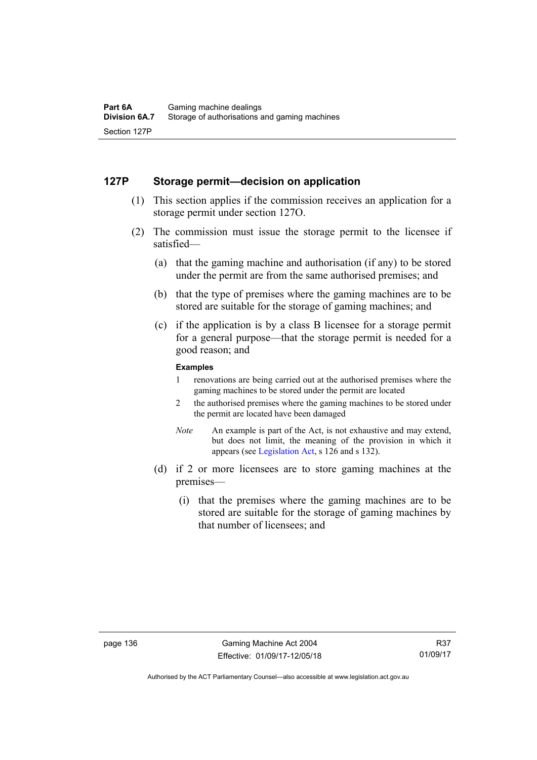### **127P Storage permit—decision on application**

- (1) This section applies if the commission receives an application for a storage permit under section 127O.
- (2) The commission must issue the storage permit to the licensee if satisfied—
	- (a) that the gaming machine and authorisation (if any) to be stored under the permit are from the same authorised premises; and
	- (b) that the type of premises where the gaming machines are to be stored are suitable for the storage of gaming machines; and
	- (c) if the application is by a class B licensee for a storage permit for a general purpose—that the storage permit is needed for a good reason; and

#### **Examples**

- 1 renovations are being carried out at the authorised premises where the gaming machines to be stored under the permit are located
- 2 the authorised premises where the gaming machines to be stored under the permit are located have been damaged
- *Note* An example is part of the Act, is not exhaustive and may extend, but does not limit, the meaning of the provision in which it appears (see [Legislation Act,](http://www.legislation.act.gov.au/a/2001-14/default.asp) s 126 and s 132).
- (d) if 2 or more licensees are to store gaming machines at the premises—
	- (i) that the premises where the gaming machines are to be stored are suitable for the storage of gaming machines by that number of licensees; and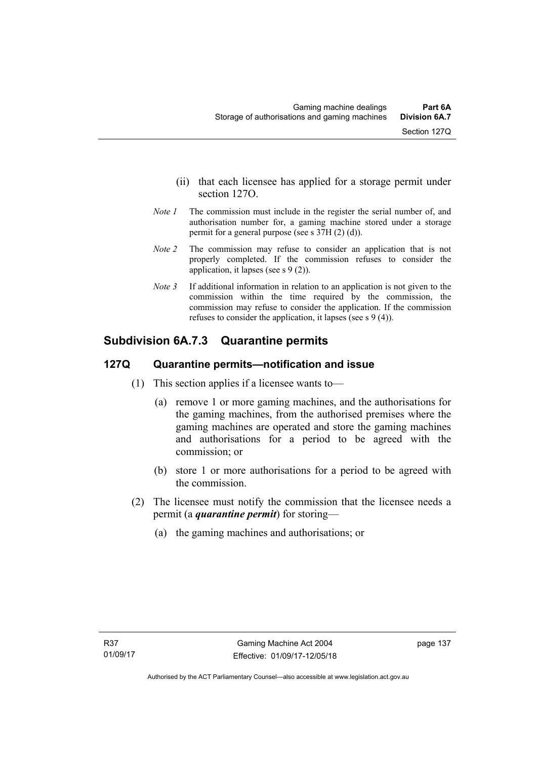- (ii) that each licensee has applied for a storage permit under section 127O.
- *Note 1* The commission must include in the register the serial number of, and authorisation number for, a gaming machine stored under a storage permit for a general purpose (see s 37H (2) (d)).
- *Note 2* The commission may refuse to consider an application that is not properly completed. If the commission refuses to consider the application, it lapses (see s 9 (2)).
- *Note 3* If additional information in relation to an application is not given to the commission within the time required by the commission, the commission may refuse to consider the application. If the commission refuses to consider the application, it lapses (see s 9 (4)).

# **Subdivision 6A.7.3 Quarantine permits**

# **127Q Quarantine permits—notification and issue**

- (1) This section applies if a licensee wants to—
	- (a) remove 1 or more gaming machines, and the authorisations for the gaming machines, from the authorised premises where the gaming machines are operated and store the gaming machines and authorisations for a period to be agreed with the commission; or
	- (b) store 1 or more authorisations for a period to be agreed with the commission.
- (2) The licensee must notify the commission that the licensee needs a permit (a *quarantine permit*) for storing—
	- (a) the gaming machines and authorisations; or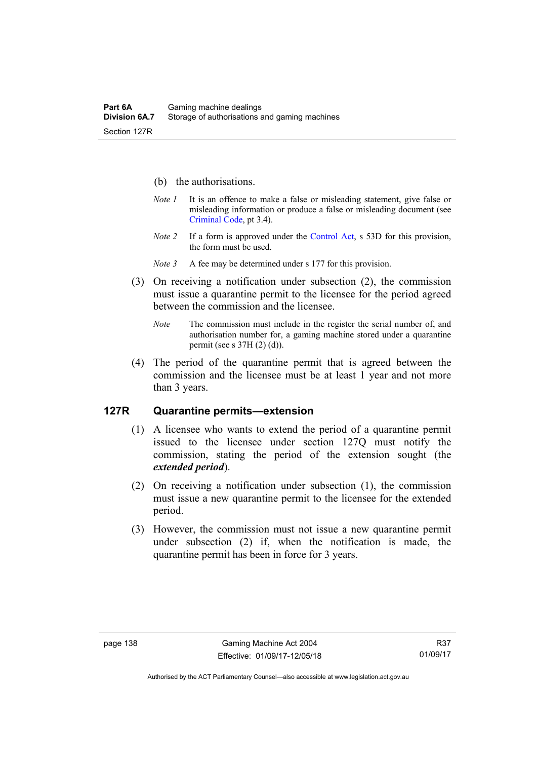- (b) the authorisations.
- *Note 1* It is an offence to make a false or misleading statement, give false or misleading information or produce a false or misleading document (see [Criminal Code](http://www.legislation.act.gov.au/a/2002-51), pt 3.4).
- *Note 2* If a form is approved under the [Control Act,](http://www.legislation.act.gov.au/a/1999-46) s 53D for this provision, the form must be used.
- *Note 3* A fee may be determined under s 177 for this provision.
- (3) On receiving a notification under subsection (2), the commission must issue a quarantine permit to the licensee for the period agreed between the commission and the licensee.
	- *Note* The commission must include in the register the serial number of, and authorisation number for, a gaming machine stored under a quarantine permit (see s 37H (2) (d)).
- (4) The period of the quarantine permit that is agreed between the commission and the licensee must be at least 1 year and not more than 3 years.

#### **127R Quarantine permits—extension**

- (1) A licensee who wants to extend the period of a quarantine permit issued to the licensee under section 127Q must notify the commission, stating the period of the extension sought (the *extended period*).
- (2) On receiving a notification under subsection (1), the commission must issue a new quarantine permit to the licensee for the extended period.
- (3) However, the commission must not issue a new quarantine permit under subsection (2) if, when the notification is made, the quarantine permit has been in force for 3 years.

Authorised by the ACT Parliamentary Counsel—also accessible at www.legislation.act.gov.au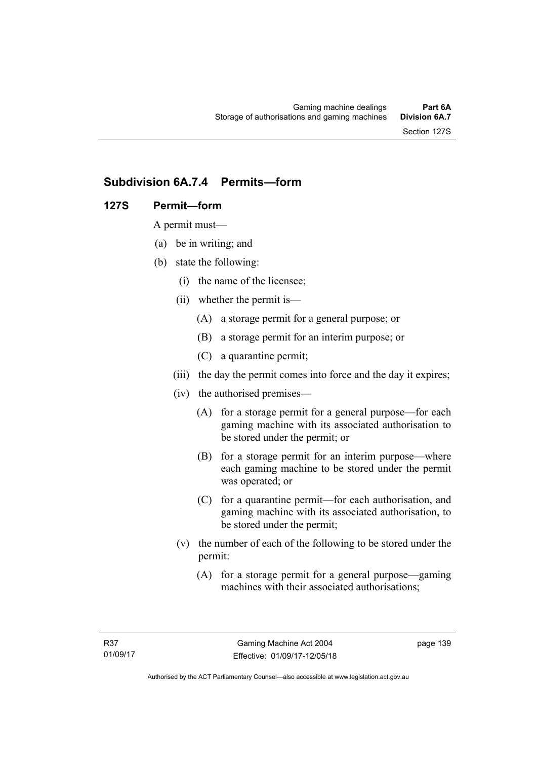# **Subdivision 6A.7.4 Permits—form**

# **127S Permit—form**

A permit must—

- (a) be in writing; and
- (b) state the following:
	- (i) the name of the licensee;
	- (ii) whether the permit is—
		- (A) a storage permit for a general purpose; or
		- (B) a storage permit for an interim purpose; or
		- (C) a quarantine permit;
	- (iii) the day the permit comes into force and the day it expires;
	- (iv) the authorised premises—
		- (A) for a storage permit for a general purpose—for each gaming machine with its associated authorisation to be stored under the permit; or
		- (B) for a storage permit for an interim purpose—where each gaming machine to be stored under the permit was operated; or
		- (C) for a quarantine permit—for each authorisation, and gaming machine with its associated authorisation, to be stored under the permit;
	- (v) the number of each of the following to be stored under the permit:
		- (A) for a storage permit for a general purpose—gaming machines with their associated authorisations;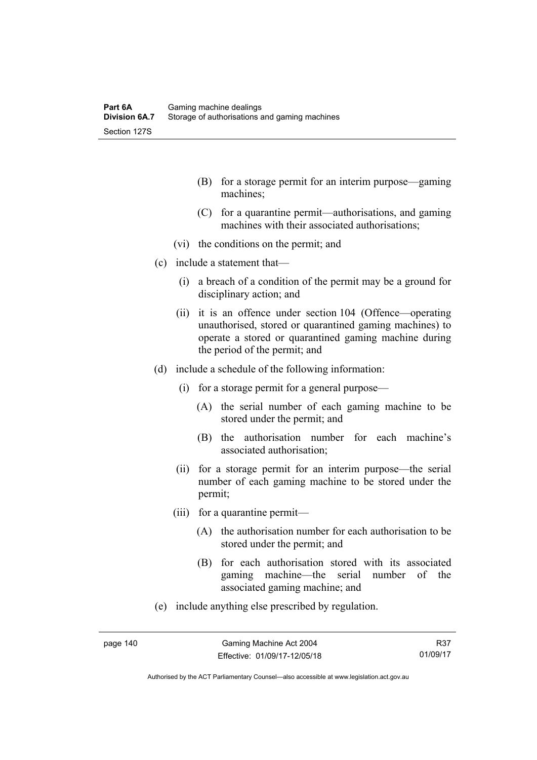- (B) for a storage permit for an interim purpose—gaming machines;
- (C) for a quarantine permit—authorisations, and gaming machines with their associated authorisations;
- (vi) the conditions on the permit; and
- (c) include a statement that—
	- (i) a breach of a condition of the permit may be a ground for disciplinary action; and
	- (ii) it is an offence under section 104 (Offence—operating unauthorised, stored or quarantined gaming machines) to operate a stored or quarantined gaming machine during the period of the permit; and
- (d) include a schedule of the following information:
	- (i) for a storage permit for a general purpose—
		- (A) the serial number of each gaming machine to be stored under the permit; and
		- (B) the authorisation number for each machine's associated authorisation;
	- (ii) for a storage permit for an interim purpose—the serial number of each gaming machine to be stored under the permit;
	- (iii) for a quarantine permit—
		- (A) the authorisation number for each authorisation to be stored under the permit; and
		- (B) for each authorisation stored with its associated gaming machine—the serial number of the associated gaming machine; and
- (e) include anything else prescribed by regulation.

Authorised by the ACT Parliamentary Counsel—also accessible at www.legislation.act.gov.au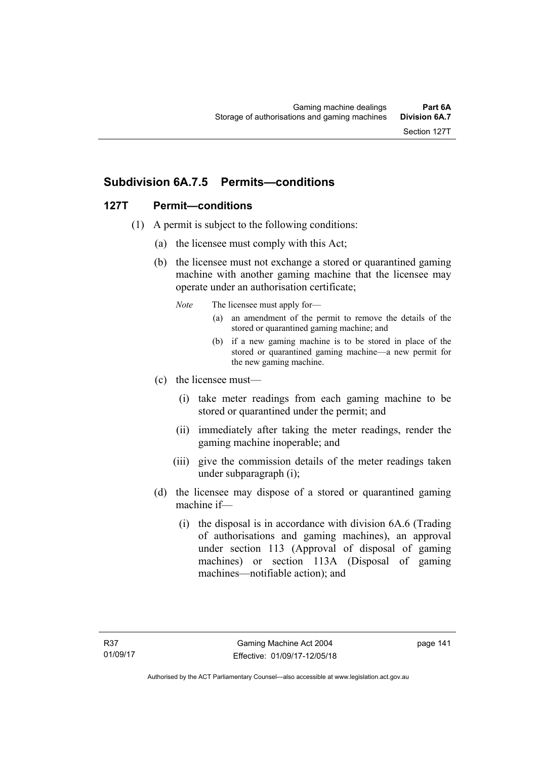# **Subdivision 6A.7.5 Permits—conditions**

# **127T Permit—conditions**

- (1) A permit is subject to the following conditions:
	- (a) the licensee must comply with this Act;
	- (b) the licensee must not exchange a stored or quarantined gaming machine with another gaming machine that the licensee may operate under an authorisation certificate;
		- *Note* The licensee must apply for—
			- (a) an amendment of the permit to remove the details of the stored or quarantined gaming machine; and
			- (b) if a new gaming machine is to be stored in place of the stored or quarantined gaming machine—a new permit for the new gaming machine.
	- (c) the licensee must—
		- (i) take meter readings from each gaming machine to be stored or quarantined under the permit; and
		- (ii) immediately after taking the meter readings, render the gaming machine inoperable; and
		- (iii) give the commission details of the meter readings taken under subparagraph (i);
	- (d) the licensee may dispose of a stored or quarantined gaming machine if—
		- (i) the disposal is in accordance with division 6A.6 (Trading of authorisations and gaming machines), an approval under section 113 (Approval of disposal of gaming machines) or section 113A (Disposal of gaming machines—notifiable action); and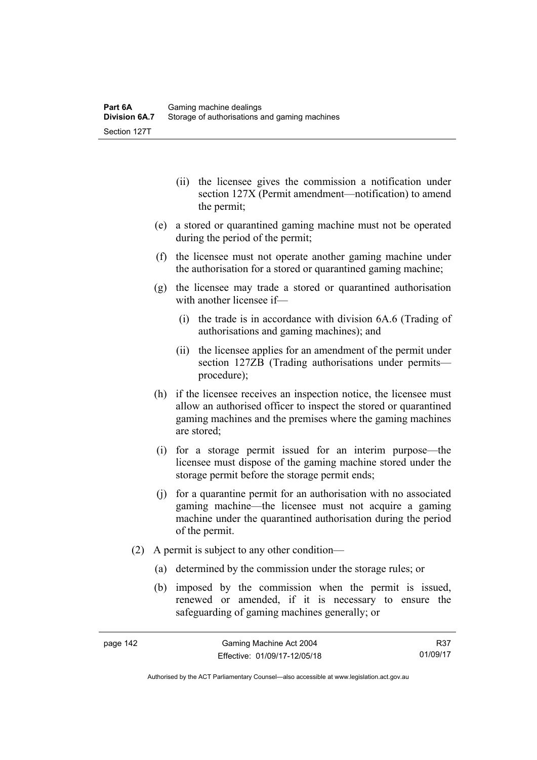- (ii) the licensee gives the commission a notification under section 127X (Permit amendment—notification) to amend the permit;
- (e) a stored or quarantined gaming machine must not be operated during the period of the permit;
- (f) the licensee must not operate another gaming machine under the authorisation for a stored or quarantined gaming machine;
- (g) the licensee may trade a stored or quarantined authorisation with another licensee if—
	- (i) the trade is in accordance with division 6A.6 (Trading of authorisations and gaming machines); and
	- (ii) the licensee applies for an amendment of the permit under section 127ZB (Trading authorisations under permits procedure);
- (h) if the licensee receives an inspection notice, the licensee must allow an authorised officer to inspect the stored or quarantined gaming machines and the premises where the gaming machines are stored;
- (i) for a storage permit issued for an interim purpose—the licensee must dispose of the gaming machine stored under the storage permit before the storage permit ends;
- (j) for a quarantine permit for an authorisation with no associated gaming machine—the licensee must not acquire a gaming machine under the quarantined authorisation during the period of the permit.
- (2) A permit is subject to any other condition—
	- (a) determined by the commission under the storage rules; or
	- (b) imposed by the commission when the permit is issued, renewed or amended, if it is necessary to ensure the safeguarding of gaming machines generally; or

R37 01/09/17

Authorised by the ACT Parliamentary Counsel—also accessible at www.legislation.act.gov.au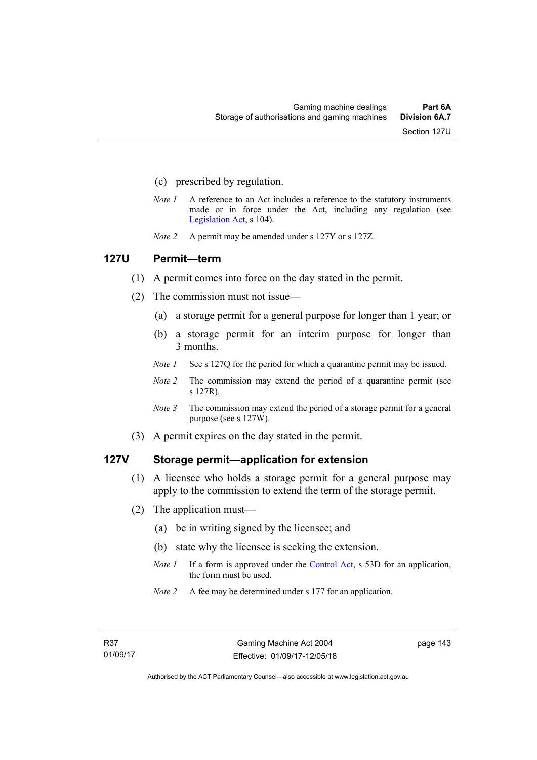- (c) prescribed by regulation.
- *Note 1* A reference to an Act includes a reference to the statutory instruments made or in force under the Act, including any regulation (see [Legislation Act,](http://www.legislation.act.gov.au/a/2001-14) s 104).
- *Note 2* A permit may be amended under s 127Y or s 127Z.

#### **127U Permit—term**

- (1) A permit comes into force on the day stated in the permit.
- (2) The commission must not issue—
	- (a) a storage permit for a general purpose for longer than 1 year; or
	- (b) a storage permit for an interim purpose for longer than 3 months.
	- *Note 1* See s 127Q for the period for which a quarantine permit may be issued.
	- *Note 2* The commission may extend the period of a quarantine permit (see s 127R).
	- *Note 3* The commission may extend the period of a storage permit for a general purpose (see s 127W).
- (3) A permit expires on the day stated in the permit.

#### **127V Storage permit—application for extension**

- (1) A licensee who holds a storage permit for a general purpose may apply to the commission to extend the term of the storage permit.
- (2) The application must—
	- (a) be in writing signed by the licensee; and
	- (b) state why the licensee is seeking the extension.
	- *Note 1* If a form is approved under the [Control Act,](http://www.legislation.act.gov.au/a/1999-46/default.asp) s 53D for an application, the form must be used.
	- *Note 2* A fee may be determined under s 177 for an application.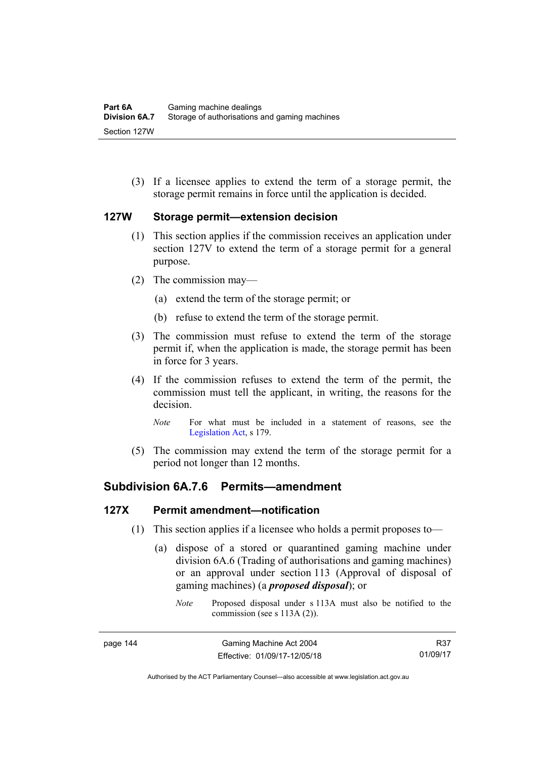(3) If a licensee applies to extend the term of a storage permit, the storage permit remains in force until the application is decided.

# **127W Storage permit—extension decision**

- (1) This section applies if the commission receives an application under section 127V to extend the term of a storage permit for a general purpose.
- (2) The commission may—
	- (a) extend the term of the storage permit; or
	- (b) refuse to extend the term of the storage permit.
- (3) The commission must refuse to extend the term of the storage permit if, when the application is made, the storage permit has been in force for 3 years.
- (4) If the commission refuses to extend the term of the permit, the commission must tell the applicant, in writing, the reasons for the decision.
	- *Note* For what must be included in a statement of reasons, see the [Legislation Act,](http://www.legislation.act.gov.au/a/2001-14) s 179.
- (5) The commission may extend the term of the storage permit for a period not longer than 12 months.

# **Subdivision 6A.7.6 Permits—amendment**

### **127X Permit amendment—notification**

- (1) This section applies if a licensee who holds a permit proposes to—
	- (a) dispose of a stored or quarantined gaming machine under division 6A.6 (Trading of authorisations and gaming machines) or an approval under section 113 (Approval of disposal of gaming machines) (a *proposed disposal*); or
		- *Note* Proposed disposal under s 113A must also be notified to the commission (see s 113A (2)).

R37 01/09/17

Authorised by the ACT Parliamentary Counsel—also accessible at www.legislation.act.gov.au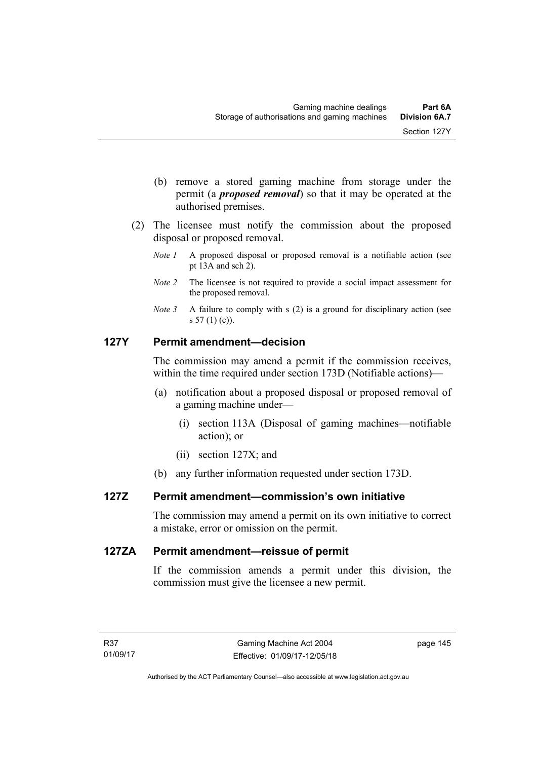- (b) remove a stored gaming machine from storage under the permit (a *proposed removal*) so that it may be operated at the authorised premises.
- (2) The licensee must notify the commission about the proposed disposal or proposed removal.
	- *Note 1* A proposed disposal or proposed removal is a notifiable action (see pt 13A and sch 2).
	- *Note 2* The licensee is not required to provide a social impact assessment for the proposed removal.
	- *Note 3* A failure to comply with s (2) is a ground for disciplinary action (see s 57 (1) (c)).

# **127Y Permit amendment—decision**

The commission may amend a permit if the commission receives, within the time required under section 173D (Notifiable actions)—

- (a) notification about a proposed disposal or proposed removal of a gaming machine under—
	- (i) section 113A (Disposal of gaming machines—notifiable action); or
	- (ii) section 127X; and
- (b) any further information requested under section 173D.

### **127Z Permit amendment—commission's own initiative**

The commission may amend a permit on its own initiative to correct a mistake, error or omission on the permit.

### **127ZA Permit amendment—reissue of permit**

If the commission amends a permit under this division, the commission must give the licensee a new permit.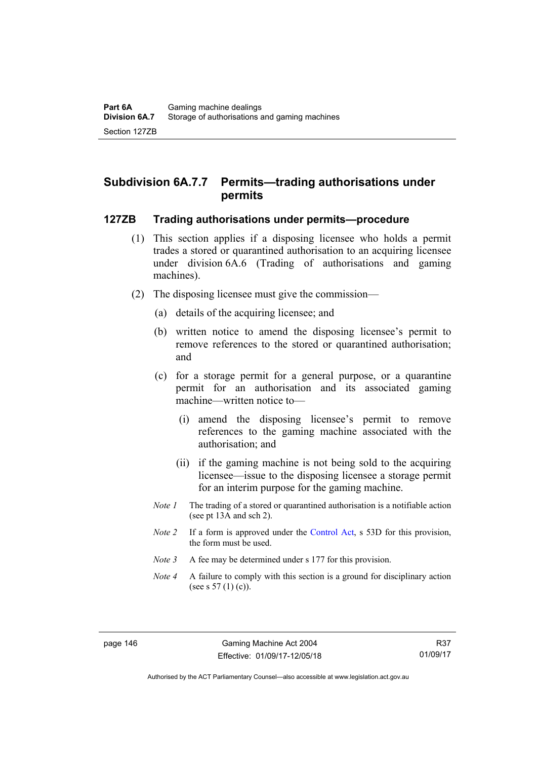# **Subdivision 6A.7.7 Permits—trading authorisations under permits**

#### **127ZB Trading authorisations under permits—procedure**

- (1) This section applies if a disposing licensee who holds a permit trades a stored or quarantined authorisation to an acquiring licensee under division 6A.6 (Trading of authorisations and gaming machines).
- (2) The disposing licensee must give the commission—
	- (a) details of the acquiring licensee; and
	- (b) written notice to amend the disposing licensee's permit to remove references to the stored or quarantined authorisation; and
	- (c) for a storage permit for a general purpose, or a quarantine permit for an authorisation and its associated gaming machine—written notice to—
		- (i) amend the disposing licensee's permit to remove references to the gaming machine associated with the authorisation; and
		- (ii) if the gaming machine is not being sold to the acquiring licensee—issue to the disposing licensee a storage permit for an interim purpose for the gaming machine.
	- *Note 1* The trading of a stored or quarantined authorisation is a notifiable action (see pt 13A and sch 2).
	- *Note 2* If a form is approved under the [Control Act,](http://www.legislation.act.gov.au/a/1999-46/default.asp) s 53D for this provision, the form must be used.
	- *Note 3* A fee may be determined under s 177 for this provision.
	- *Note 4* A failure to comply with this section is a ground for disciplinary action (see s  $57(1)(c)$ ).

Authorised by the ACT Parliamentary Counsel—also accessible at www.legislation.act.gov.au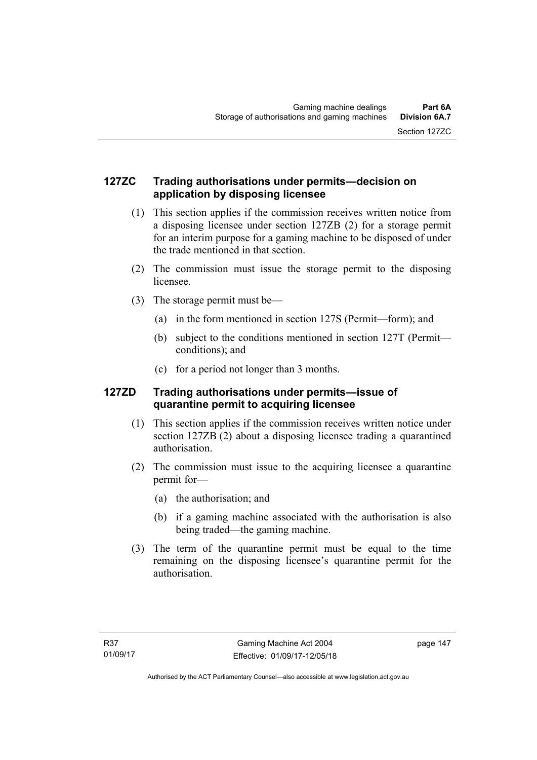# **127ZC Trading authorisations under permits—decision on application by disposing licensee**

- (1) This section applies if the commission receives written notice from a disposing licensee under section 127ZB (2) for a storage permit for an interim purpose for a gaming machine to be disposed of under the trade mentioned in that section.
- (2) The commission must issue the storage permit to the disposing licensee.
- (3) The storage permit must be—
	- (a) in the form mentioned in section 127S (Permit—form); and
	- (b) subject to the conditions mentioned in section 127T (Permit conditions); and
	- (c) for a period not longer than 3 months.

# **127ZD Trading authorisations under permits—issue of quarantine permit to acquiring licensee**

- (1) This section applies if the commission receives written notice under section 127ZB (2) about a disposing licensee trading a quarantined authorisation.
- (2) The commission must issue to the acquiring licensee a quarantine permit for—
	- (a) the authorisation; and
	- (b) if a gaming machine associated with the authorisation is also being traded—the gaming machine.
- (3) The term of the quarantine permit must be equal to the time remaining on the disposing licensee's quarantine permit for the authorisation.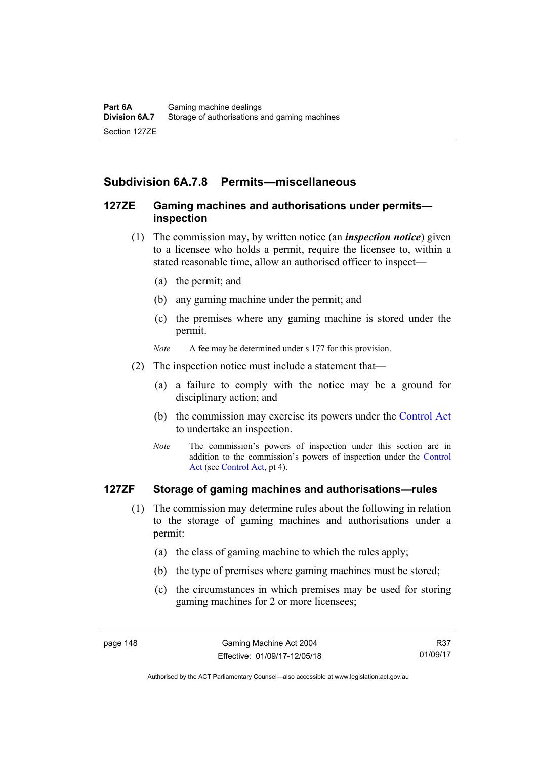# **Subdivision 6A.7.8 Permits—miscellaneous**

## **127ZE Gaming machines and authorisations under permits inspection**

- (1) The commission may, by written notice (an *inspection notice*) given to a licensee who holds a permit, require the licensee to, within a stated reasonable time, allow an authorised officer to inspect—
	- (a) the permit; and
	- (b) any gaming machine under the permit; and
	- (c) the premises where any gaming machine is stored under the permit.
	- *Note* A fee may be determined under s 177 for this provision.
- (2) The inspection notice must include a statement that—
	- (a) a failure to comply with the notice may be a ground for disciplinary action; and
	- (b) the commission may exercise its powers under the [Control Act](http://www.legislation.act.gov.au/a/1999-46/default.asp) to undertake an inspection.
	- *Note* The commission's powers of inspection under this section are in addition to the commission's powers of inspection under the [Control](http://www.legislation.act.gov.au/a/1999-46/default.asp)  [Act](http://www.legislation.act.gov.au/a/1999-46/default.asp) (see [Control Act](http://www.legislation.act.gov.au/a/1999-46/default.asp), pt 4).

# **127ZF Storage of gaming machines and authorisations—rules**

- (1) The commission may determine rules about the following in relation to the storage of gaming machines and authorisations under a permit:
	- (a) the class of gaming machine to which the rules apply;
	- (b) the type of premises where gaming machines must be stored;
	- (c) the circumstances in which premises may be used for storing gaming machines for 2 or more licensees;

R37 01/09/17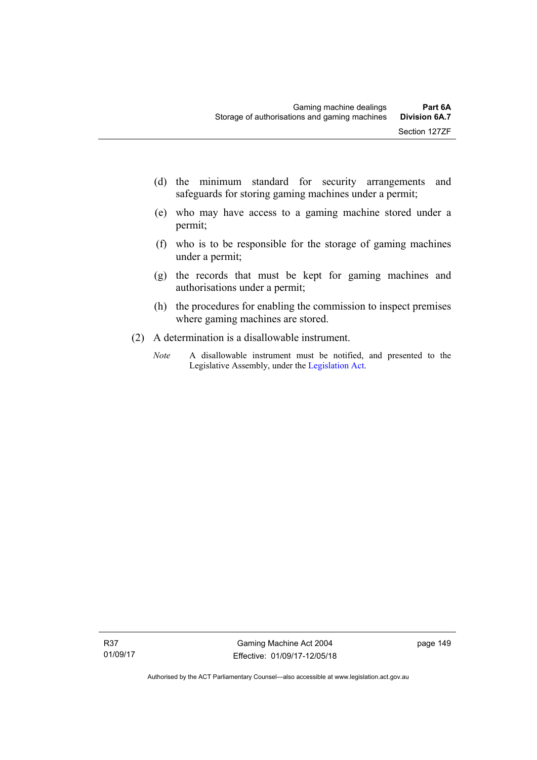- (d) the minimum standard for security arrangements and safeguards for storing gaming machines under a permit;
- (e) who may have access to a gaming machine stored under a permit;
- (f) who is to be responsible for the storage of gaming machines under a permit;
- (g) the records that must be kept for gaming machines and authorisations under a permit;
- (h) the procedures for enabling the commission to inspect premises where gaming machines are stored.
- (2) A determination is a disallowable instrument.
	- *Note* A disallowable instrument must be notified, and presented to the Legislative Assembly, under the [Legislation Act.](http://www.legislation.act.gov.au/a/2001-14)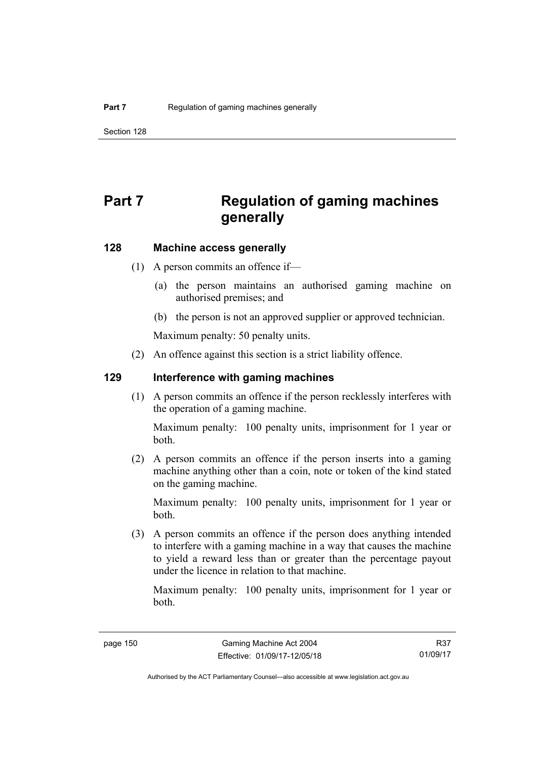# **Part 7 Regulation of gaming machines generally**

# **128 Machine access generally**

- (1) A person commits an offence if—
	- (a) the person maintains an authorised gaming machine on authorised premises; and
	- (b) the person is not an approved supplier or approved technician.

Maximum penalty: 50 penalty units.

(2) An offence against this section is a strict liability offence.

#### **129 Interference with gaming machines**

(1) A person commits an offence if the person recklessly interferes with the operation of a gaming machine.

Maximum penalty: 100 penalty units, imprisonment for 1 year or both.

 (2) A person commits an offence if the person inserts into a gaming machine anything other than a coin, note or token of the kind stated on the gaming machine.

Maximum penalty: 100 penalty units, imprisonment for 1 year or both.

 (3) A person commits an offence if the person does anything intended to interfere with a gaming machine in a way that causes the machine to yield a reward less than or greater than the percentage payout under the licence in relation to that machine.

Maximum penalty: 100 penalty units, imprisonment for 1 year or both.

R37 01/09/17

Authorised by the ACT Parliamentary Counsel—also accessible at www.legislation.act.gov.au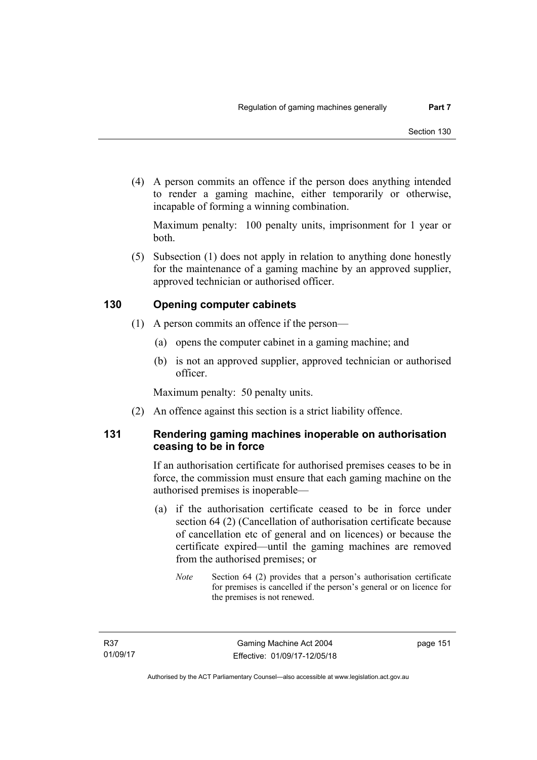(4) A person commits an offence if the person does anything intended to render a gaming machine, either temporarily or otherwise, incapable of forming a winning combination.

Maximum penalty: 100 penalty units, imprisonment for 1 year or both.

 (5) Subsection (1) does not apply in relation to anything done honestly for the maintenance of a gaming machine by an approved supplier, approved technician or authorised officer.

# **130 Opening computer cabinets**

- (1) A person commits an offence if the person—
	- (a) opens the computer cabinet in a gaming machine; and
	- (b) is not an approved supplier, approved technician or authorised officer.

Maximum penalty: 50 penalty units.

(2) An offence against this section is a strict liability offence.

# **131 Rendering gaming machines inoperable on authorisation ceasing to be in force**

If an authorisation certificate for authorised premises ceases to be in force, the commission must ensure that each gaming machine on the authorised premises is inoperable—

- (a) if the authorisation certificate ceased to be in force under section 64 (2) (Cancellation of authorisation certificate because of cancellation etc of general and on licences) or because the certificate expired—until the gaming machines are removed from the authorised premises; or
	- *Note* Section 64 (2) provides that a person's authorisation certificate for premises is cancelled if the person's general or on licence for the premises is not renewed.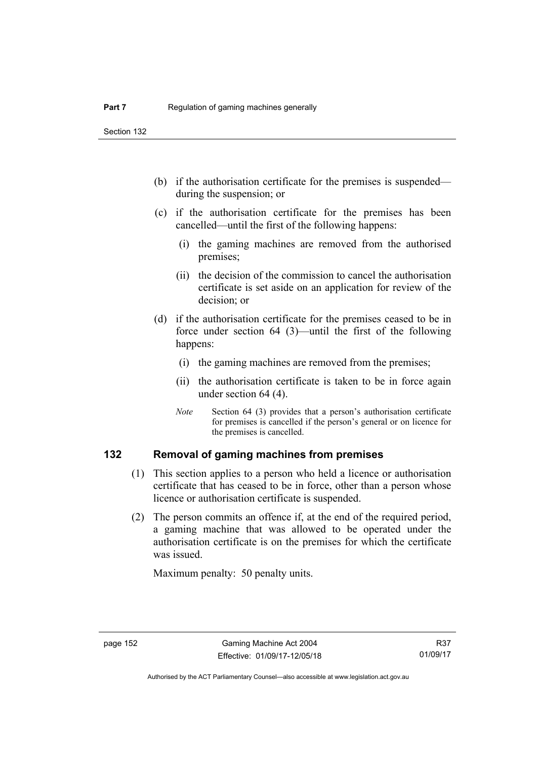Section 132

- (b) if the authorisation certificate for the premises is suspended during the suspension; or
- (c) if the authorisation certificate for the premises has been cancelled—until the first of the following happens:
	- (i) the gaming machines are removed from the authorised premises;
	- (ii) the decision of the commission to cancel the authorisation certificate is set aside on an application for review of the decision; or
- (d) if the authorisation certificate for the premises ceased to be in force under section 64 (3)—until the first of the following happens:
	- (i) the gaming machines are removed from the premises;
	- (ii) the authorisation certificate is taken to be in force again under section 64 (4).
	- *Note* Section 64 (3) provides that a person's authorisation certificate for premises is cancelled if the person's general or on licence for the premises is cancelled.

### **132 Removal of gaming machines from premises**

- (1) This section applies to a person who held a licence or authorisation certificate that has ceased to be in force, other than a person whose licence or authorisation certificate is suspended.
- (2) The person commits an offence if, at the end of the required period, a gaming machine that was allowed to be operated under the authorisation certificate is on the premises for which the certificate was issued.

Maximum penalty: 50 penalty units.

Authorised by the ACT Parliamentary Counsel—also accessible at www.legislation.act.gov.au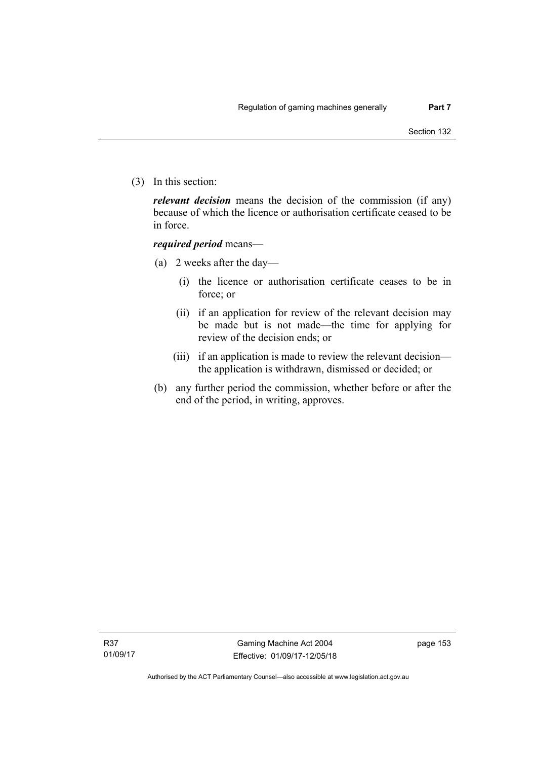(3) In this section:

*relevant decision* means the decision of the commission (if any) because of which the licence or authorisation certificate ceased to be in force.

### *required period* means—

- (a) 2 weeks after the day—
	- (i) the licence or authorisation certificate ceases to be in force; or
	- (ii) if an application for review of the relevant decision may be made but is not made—the time for applying for review of the decision ends; or
	- (iii) if an application is made to review the relevant decision the application is withdrawn, dismissed or decided; or
- (b) any further period the commission, whether before or after the end of the period, in writing, approves.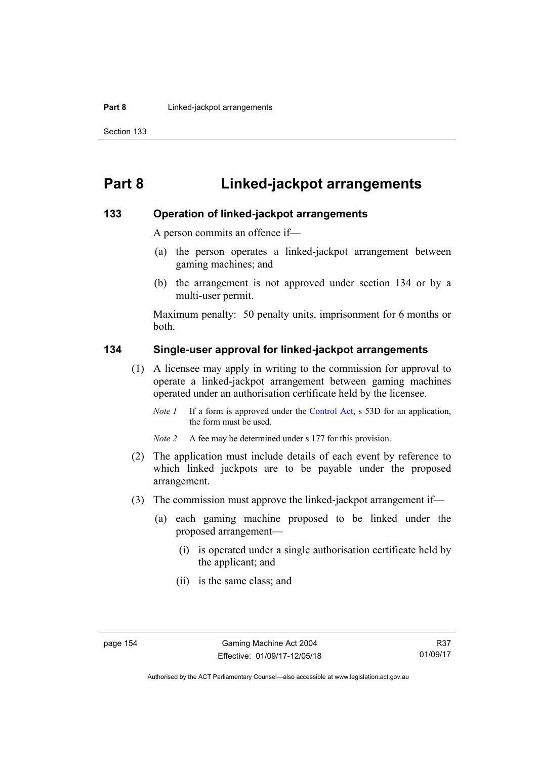# **Part 8 Linked-jackpot arrangements**

#### **133 Operation of linked-jackpot arrangements**

A person commits an offence if—

- (a) the person operates a linked-jackpot arrangement between gaming machines; and
- (b) the arrangement is not approved under section 134 or by a multi-user permit.

Maximum penalty: 50 penalty units, imprisonment for 6 months or both.

#### **134 Single-user approval for linked-jackpot arrangements**

- (1) A licensee may apply in writing to the commission for approval to operate a linked-jackpot arrangement between gaming machines operated under an authorisation certificate held by the licensee.
	- *Note 1* If a form is approved under the [Control Act,](http://www.legislation.act.gov.au/a/1999-46) s 53D for an application, the form must be used.

*Note 2* A fee may be determined under s 177 for this provision.

- (2) The application must include details of each event by reference to which linked jackpots are to be payable under the proposed arrangement.
- (3) The commission must approve the linked-jackpot arrangement if—
	- (a) each gaming machine proposed to be linked under the proposed arrangement—
		- (i) is operated under a single authorisation certificate held by the applicant; and
		- (ii) is the same class; and

Authorised by the ACT Parliamentary Counsel—also accessible at www.legislation.act.gov.au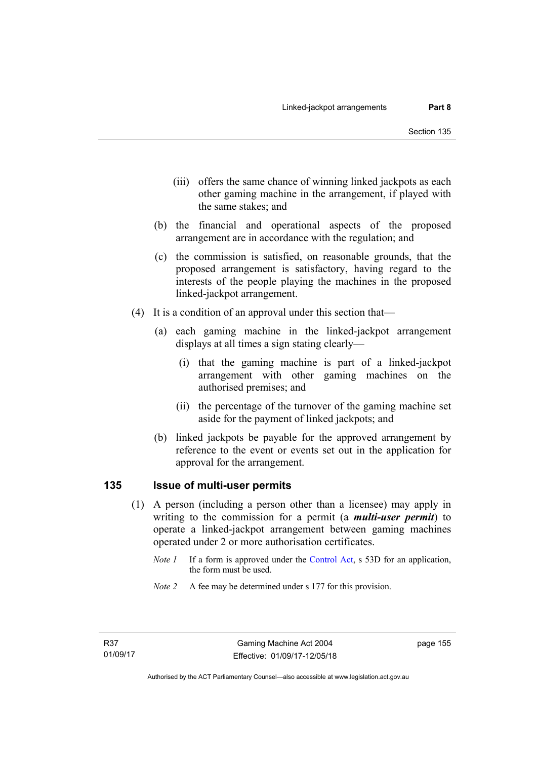- (iii) offers the same chance of winning linked jackpots as each other gaming machine in the arrangement, if played with the same stakes; and
- (b) the financial and operational aspects of the proposed arrangement are in accordance with the regulation; and
- (c) the commission is satisfied, on reasonable grounds, that the proposed arrangement is satisfactory, having regard to the interests of the people playing the machines in the proposed linked-jackpot arrangement.
- (4) It is a condition of an approval under this section that—
	- (a) each gaming machine in the linked-jackpot arrangement displays at all times a sign stating clearly—
		- (i) that the gaming machine is part of a linked-jackpot arrangement with other gaming machines on the authorised premises; and
		- (ii) the percentage of the turnover of the gaming machine set aside for the payment of linked jackpots; and
	- (b) linked jackpots be payable for the approved arrangement by reference to the event or events set out in the application for approval for the arrangement.

### **135 Issue of multi-user permits**

- (1) A person (including a person other than a licensee) may apply in writing to the commission for a permit (a *multi-user permit*) to operate a linked-jackpot arrangement between gaming machines operated under 2 or more authorisation certificates.
	- *Note 1* If a form is approved under the [Control Act,](http://www.legislation.act.gov.au/a/1999-46) s 53D for an application, the form must be used.
	- *Note 2* A fee may be determined under s 177 for this provision.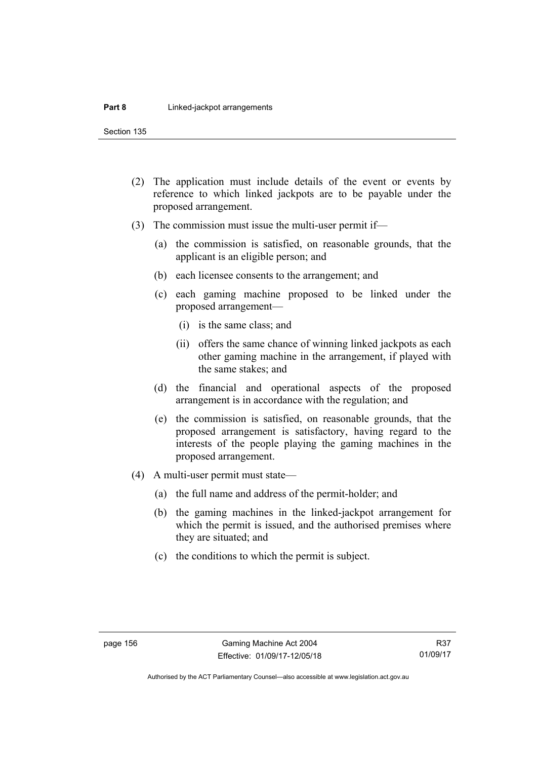Section 135

- (2) The application must include details of the event or events by reference to which linked jackpots are to be payable under the proposed arrangement.
- (3) The commission must issue the multi-user permit if—
	- (a) the commission is satisfied, on reasonable grounds, that the applicant is an eligible person; and
	- (b) each licensee consents to the arrangement; and
	- (c) each gaming machine proposed to be linked under the proposed arrangement—
		- (i) is the same class; and
		- (ii) offers the same chance of winning linked jackpots as each other gaming machine in the arrangement, if played with the same stakes; and
	- (d) the financial and operational aspects of the proposed arrangement is in accordance with the regulation; and
	- (e) the commission is satisfied, on reasonable grounds, that the proposed arrangement is satisfactory, having regard to the interests of the people playing the gaming machines in the proposed arrangement.
- (4) A multi-user permit must state—
	- (a) the full name and address of the permit-holder; and
	- (b) the gaming machines in the linked-jackpot arrangement for which the permit is issued, and the authorised premises where they are situated; and
	- (c) the conditions to which the permit is subject.

R37 01/09/17

Authorised by the ACT Parliamentary Counsel—also accessible at www.legislation.act.gov.au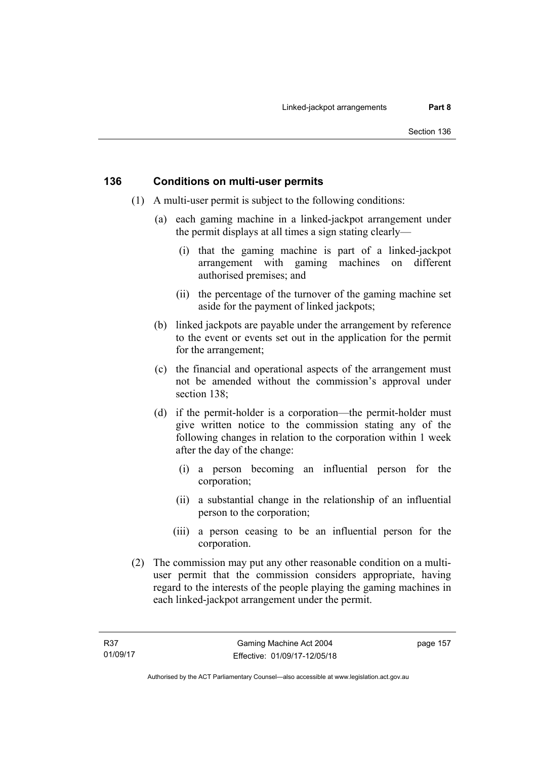# **136 Conditions on multi-user permits**

- (1) A multi-user permit is subject to the following conditions:
	- (a) each gaming machine in a linked-jackpot arrangement under the permit displays at all times a sign stating clearly—
		- (i) that the gaming machine is part of a linked-jackpot arrangement with gaming machines on different authorised premises; and
		- (ii) the percentage of the turnover of the gaming machine set aside for the payment of linked jackpots;
	- (b) linked jackpots are payable under the arrangement by reference to the event or events set out in the application for the permit for the arrangement;
	- (c) the financial and operational aspects of the arrangement must not be amended without the commission's approval under section 138:
	- (d) if the permit-holder is a corporation—the permit-holder must give written notice to the commission stating any of the following changes in relation to the corporation within 1 week after the day of the change:
		- (i) a person becoming an influential person for the corporation;
		- (ii) a substantial change in the relationship of an influential person to the corporation;
		- (iii) a person ceasing to be an influential person for the corporation.
- (2) The commission may put any other reasonable condition on a multiuser permit that the commission considers appropriate, having regard to the interests of the people playing the gaming machines in each linked-jackpot arrangement under the permit.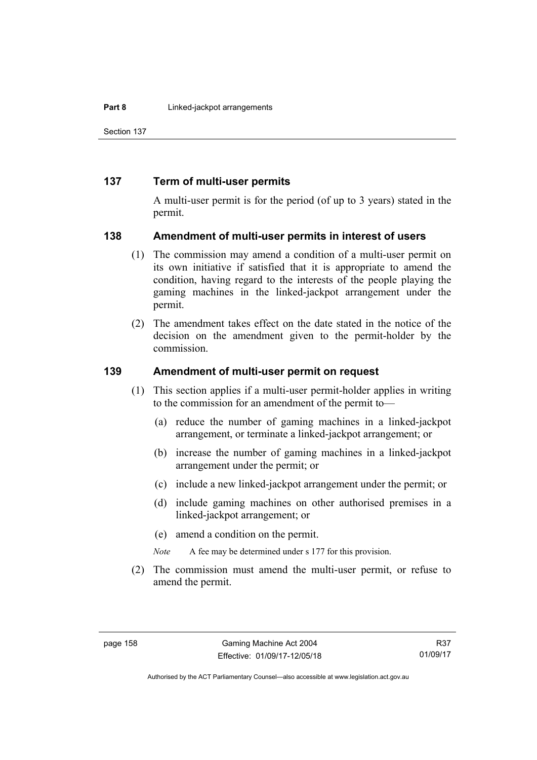Section 137

## **137 Term of multi-user permits**

A multi-user permit is for the period (of up to 3 years) stated in the permit.

#### **138 Amendment of multi-user permits in interest of users**

- (1) The commission may amend a condition of a multi-user permit on its own initiative if satisfied that it is appropriate to amend the condition, having regard to the interests of the people playing the gaming machines in the linked-jackpot arrangement under the permit.
- (2) The amendment takes effect on the date stated in the notice of the decision on the amendment given to the permit-holder by the commission.

# **139 Amendment of multi-user permit on request**

- (1) This section applies if a multi-user permit-holder applies in writing to the commission for an amendment of the permit to—
	- (a) reduce the number of gaming machines in a linked-jackpot arrangement, or terminate a linked-jackpot arrangement; or
	- (b) increase the number of gaming machines in a linked-jackpot arrangement under the permit; or
	- (c) include a new linked-jackpot arrangement under the permit; or
	- (d) include gaming machines on other authorised premises in a linked-jackpot arrangement; or
	- (e) amend a condition on the permit.
	- *Note* A fee may be determined under s 177 for this provision.
- (2) The commission must amend the multi-user permit, or refuse to amend the permit.

R37 01/09/17

Authorised by the ACT Parliamentary Counsel—also accessible at www.legislation.act.gov.au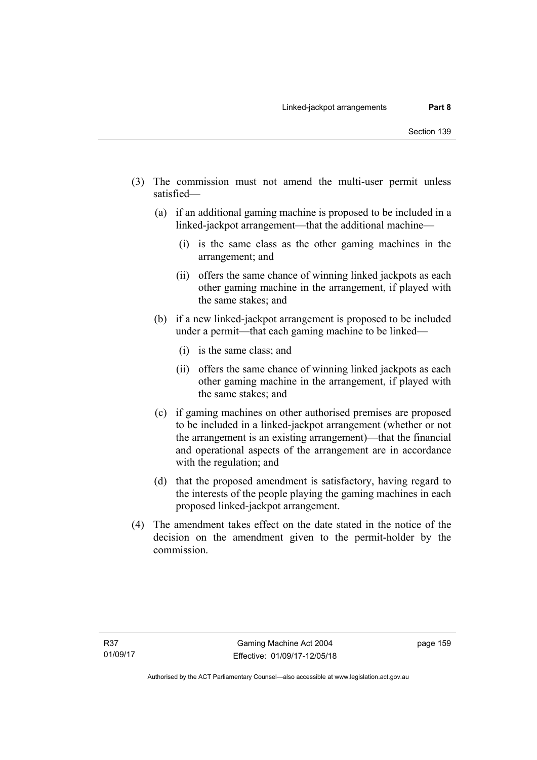- (3) The commission must not amend the multi-user permit unless satisfied—
	- (a) if an additional gaming machine is proposed to be included in a linked-jackpot arrangement—that the additional machine—
		- (i) is the same class as the other gaming machines in the arrangement; and
		- (ii) offers the same chance of winning linked jackpots as each other gaming machine in the arrangement, if played with the same stakes; and
	- (b) if a new linked-jackpot arrangement is proposed to be included under a permit—that each gaming machine to be linked—
		- (i) is the same class; and
		- (ii) offers the same chance of winning linked jackpots as each other gaming machine in the arrangement, if played with the same stakes; and
	- (c) if gaming machines on other authorised premises are proposed to be included in a linked-jackpot arrangement (whether or not the arrangement is an existing arrangement)—that the financial and operational aspects of the arrangement are in accordance with the regulation; and
	- (d) that the proposed amendment is satisfactory, having regard to the interests of the people playing the gaming machines in each proposed linked-jackpot arrangement.
- (4) The amendment takes effect on the date stated in the notice of the decision on the amendment given to the permit-holder by the commission.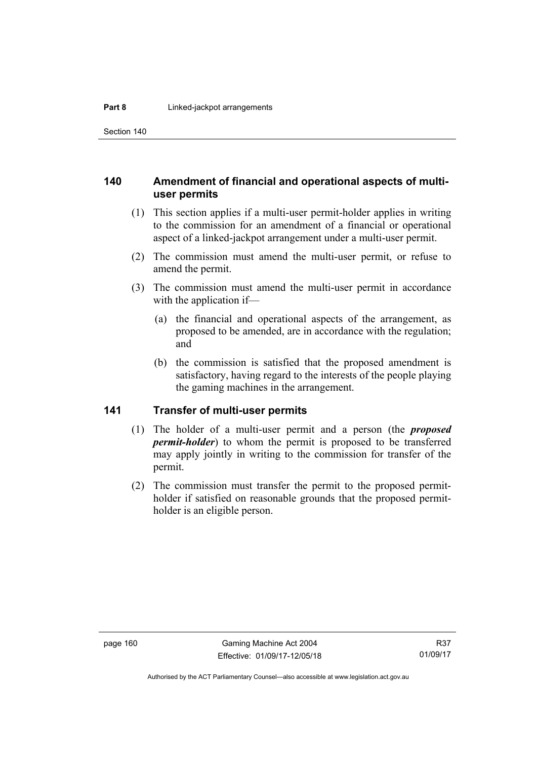Section 140

# **140 Amendment of financial and operational aspects of multiuser permits**

- (1) This section applies if a multi-user permit-holder applies in writing to the commission for an amendment of a financial or operational aspect of a linked-jackpot arrangement under a multi-user permit.
- (2) The commission must amend the multi-user permit, or refuse to amend the permit.
- (3) The commission must amend the multi-user permit in accordance with the application if—
	- (a) the financial and operational aspects of the arrangement, as proposed to be amended, are in accordance with the regulation; and
	- (b) the commission is satisfied that the proposed amendment is satisfactory, having regard to the interests of the people playing the gaming machines in the arrangement.

# **141 Transfer of multi-user permits**

- (1) The holder of a multi-user permit and a person (the *proposed permit-holder*) to whom the permit is proposed to be transferred may apply jointly in writing to the commission for transfer of the permit.
- (2) The commission must transfer the permit to the proposed permitholder if satisfied on reasonable grounds that the proposed permitholder is an eligible person.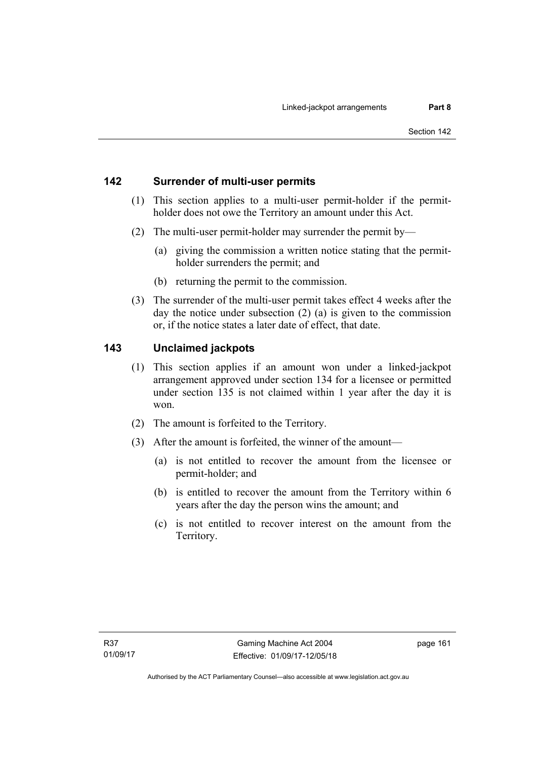# **142 Surrender of multi-user permits**

- (1) This section applies to a multi-user permit-holder if the permitholder does not owe the Territory an amount under this Act.
- (2) The multi-user permit-holder may surrender the permit by—
	- (a) giving the commission a written notice stating that the permitholder surrenders the permit; and
	- (b) returning the permit to the commission.
- (3) The surrender of the multi-user permit takes effect 4 weeks after the day the notice under subsection (2) (a) is given to the commission or, if the notice states a later date of effect, that date.

# **143 Unclaimed jackpots**

- (1) This section applies if an amount won under a linked-jackpot arrangement approved under section 134 for a licensee or permitted under section 135 is not claimed within 1 year after the day it is won.
- (2) The amount is forfeited to the Territory.
- (3) After the amount is forfeited, the winner of the amount—
	- (a) is not entitled to recover the amount from the licensee or permit-holder; and
	- (b) is entitled to recover the amount from the Territory within 6 years after the day the person wins the amount; and
	- (c) is not entitled to recover interest on the amount from the Territory.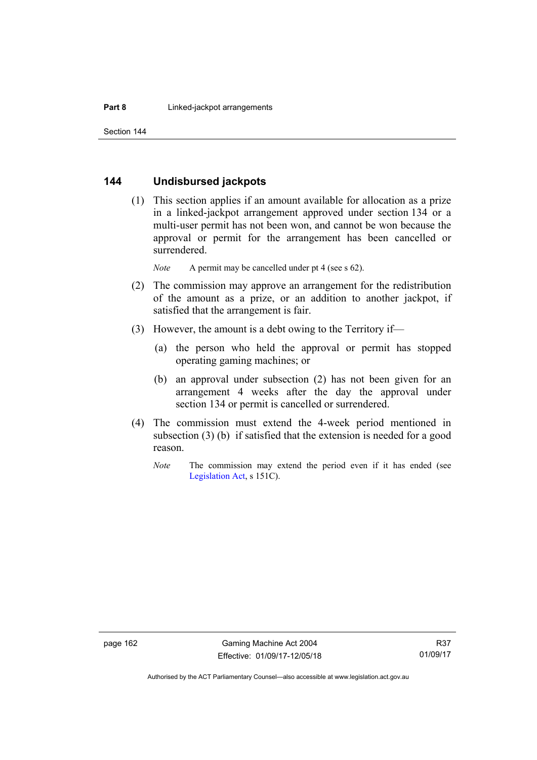## **144 Undisbursed jackpots**

 (1) This section applies if an amount available for allocation as a prize in a linked-jackpot arrangement approved under section 134 or a multi-user permit has not been won, and cannot be won because the approval or permit for the arrangement has been cancelled or surrendered.

*Note* A permit may be cancelled under pt 4 (see s 62).

- (2) The commission may approve an arrangement for the redistribution of the amount as a prize, or an addition to another jackpot, if satisfied that the arrangement is fair.
- (3) However, the amount is a debt owing to the Territory if—
	- (a) the person who held the approval or permit has stopped operating gaming machines; or
	- (b) an approval under subsection (2) has not been given for an arrangement 4 weeks after the day the approval under section 134 or permit is cancelled or surrendered.
- (4) The commission must extend the 4-week period mentioned in subsection (3) (b) if satisfied that the extension is needed for a good reason.
	- *Note* The commission may extend the period even if it has ended (see [Legislation Act,](http://www.legislation.act.gov.au/a/2001-14) s 151C).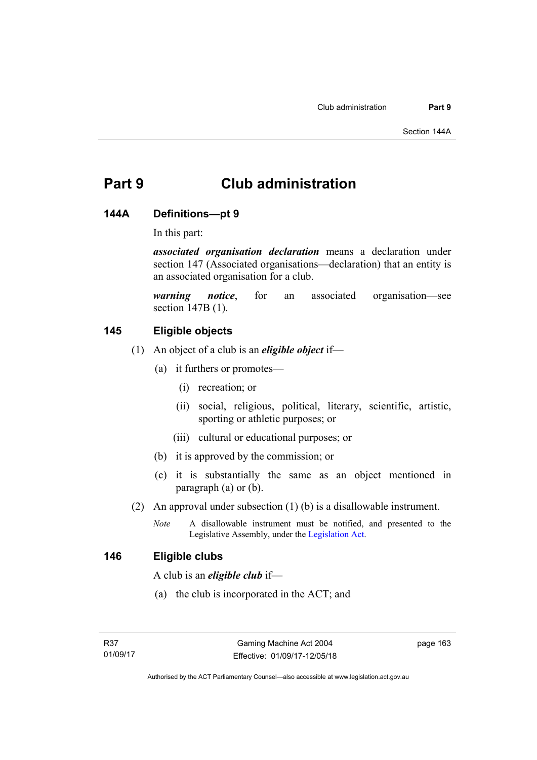# **Part 9 Club administration**

### **144A Definitions—pt 9**

In this part:

*associated organisation declaration* means a declaration under section 147 (Associated organisations—declaration) that an entity is an associated organisation for a club.

*warning notice*, for an associated organisation—see section 147B (1).

# **145 Eligible objects**

- (1) An object of a club is an *eligible object* if—
	- (a) it furthers or promotes—
		- (i) recreation; or
		- (ii) social, religious, political, literary, scientific, artistic, sporting or athletic purposes; or
		- (iii) cultural or educational purposes; or
	- (b) it is approved by the commission; or
	- (c) it is substantially the same as an object mentioned in paragraph (a) or (b).
- (2) An approval under subsection (1) (b) is a disallowable instrument.
	- *Note* A disallowable instrument must be notified, and presented to the Legislative Assembly, under the [Legislation Act.](http://www.legislation.act.gov.au/a/2001-14)

#### **146 Eligible clubs**

A club is an *eligible club* if—

(a) the club is incorporated in the ACT; and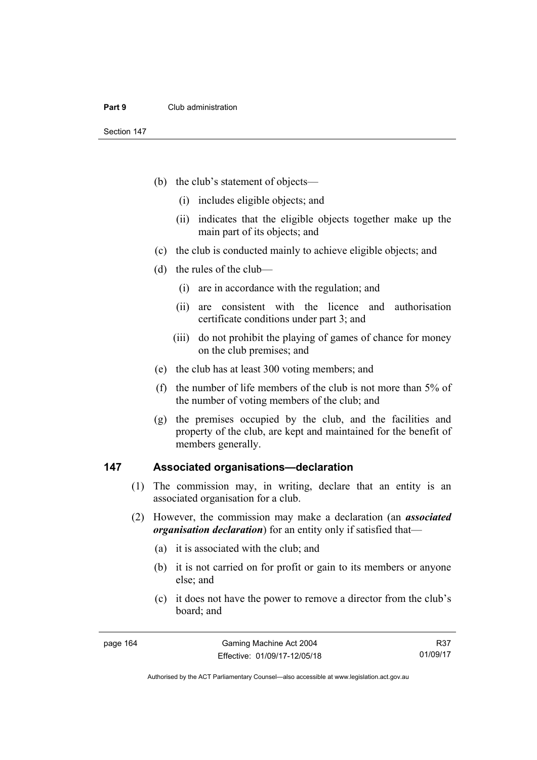- (b) the club's statement of objects—
	- (i) includes eligible objects; and
	- (ii) indicates that the eligible objects together make up the main part of its objects; and
- (c) the club is conducted mainly to achieve eligible objects; and
- (d) the rules of the club—
	- (i) are in accordance with the regulation; and
	- (ii) are consistent with the licence and authorisation certificate conditions under part 3; and
	- (iii) do not prohibit the playing of games of chance for money on the club premises; and
- (e) the club has at least 300 voting members; and
- (f) the number of life members of the club is not more than 5% of the number of voting members of the club; and
- (g) the premises occupied by the club, and the facilities and property of the club, are kept and maintained for the benefit of members generally.

#### **147 Associated organisations—declaration**

- (1) The commission may, in writing, declare that an entity is an associated organisation for a club.
- (2) However, the commission may make a declaration (an *associated organisation declaration*) for an entity only if satisfied that—
	- (a) it is associated with the club; and
	- (b) it is not carried on for profit or gain to its members or anyone else; and
	- (c) it does not have the power to remove a director from the club's board; and

R37 01/09/17

Authorised by the ACT Parliamentary Counsel—also accessible at www.legislation.act.gov.au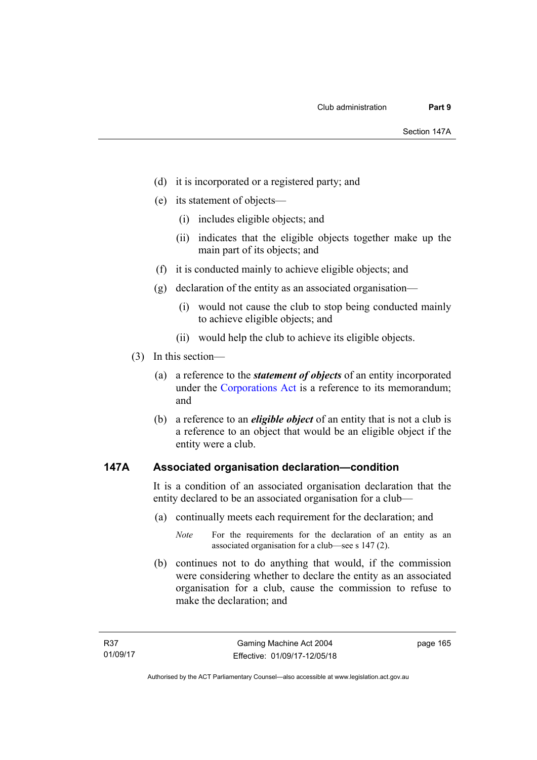- (d) it is incorporated or a registered party; and
- (e) its statement of objects—
	- (i) includes eligible objects; and
	- (ii) indicates that the eligible objects together make up the main part of its objects; and
- (f) it is conducted mainly to achieve eligible objects; and
- (g) declaration of the entity as an associated organisation—
	- (i) would not cause the club to stop being conducted mainly to achieve eligible objects; and
	- (ii) would help the club to achieve its eligible objects.
- (3) In this section—
	- (a) a reference to the *statement of objects* of an entity incorporated under the [Corporations Act](http://www.comlaw.gov.au/Series/C2004A00818) is a reference to its memorandum; and
	- (b) a reference to an *eligible object* of an entity that is not a club is a reference to an object that would be an eligible object if the entity were a club.

### **147A Associated organisation declaration—condition**

It is a condition of an associated organisation declaration that the entity declared to be an associated organisation for a club—

- (a) continually meets each requirement for the declaration; and
	- *Note* For the requirements for the declaration of an entity as an associated organisation for a club—see s 147 (2).
- (b) continues not to do anything that would, if the commission were considering whether to declare the entity as an associated organisation for a club, cause the commission to refuse to make the declaration; and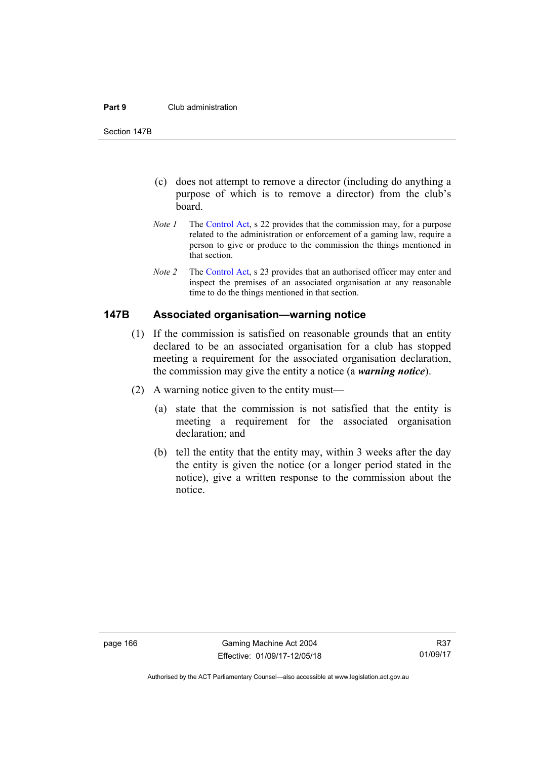#### **Part 9** Club administration

Section 147B

- (c) does not attempt to remove a director (including do anything a purpose of which is to remove a director) from the club's board.
- *Note 1* The [Control Act,](http://www.legislation.act.gov.au/a/1999-46) s 22 provides that the commission may, for a purpose related to the administration or enforcement of a gaming law, require a person to give or produce to the commission the things mentioned in that section.
- *Note 2* The [Control Act](http://www.legislation.act.gov.au/a/1999-46), s 23 provides that an authorised officer may enter and inspect the premises of an associated organisation at any reasonable time to do the things mentioned in that section.

#### **147B Associated organisation—warning notice**

- (1) If the commission is satisfied on reasonable grounds that an entity declared to be an associated organisation for a club has stopped meeting a requirement for the associated organisation declaration, the commission may give the entity a notice (a *warning notice*).
- (2) A warning notice given to the entity must—
	- (a) state that the commission is not satisfied that the entity is meeting a requirement for the associated organisation declaration; and
	- (b) tell the entity that the entity may, within 3 weeks after the day the entity is given the notice (or a longer period stated in the notice), give a written response to the commission about the notice.

Authorised by the ACT Parliamentary Counsel—also accessible at www.legislation.act.gov.au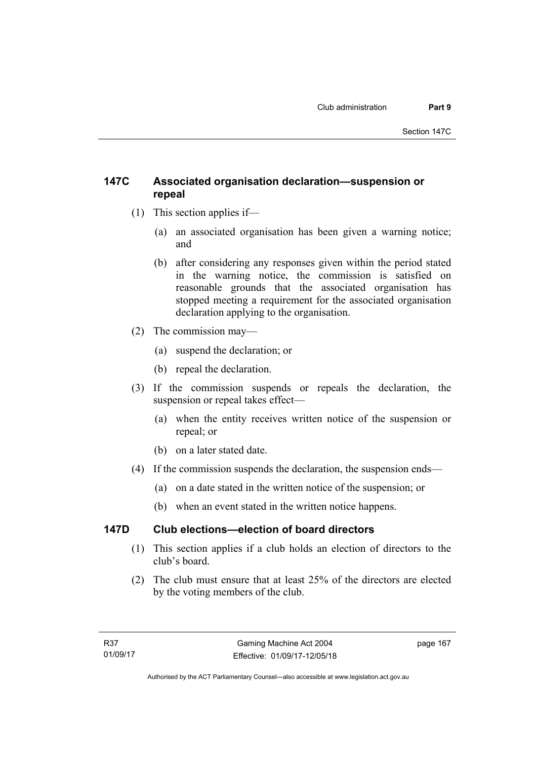## **147C Associated organisation declaration—suspension or repeal**

- (1) This section applies if—
	- (a) an associated organisation has been given a warning notice; and
	- (b) after considering any responses given within the period stated in the warning notice, the commission is satisfied on reasonable grounds that the associated organisation has stopped meeting a requirement for the associated organisation declaration applying to the organisation.
- (2) The commission may—
	- (a) suspend the declaration; or
	- (b) repeal the declaration.
- (3) If the commission suspends or repeals the declaration, the suspension or repeal takes effect—
	- (a) when the entity receives written notice of the suspension or repeal; or
	- (b) on a later stated date.
- (4) If the commission suspends the declaration, the suspension ends—
	- (a) on a date stated in the written notice of the suspension; or
	- (b) when an event stated in the written notice happens.

## **147D Club elections—election of board directors**

- (1) This section applies if a club holds an election of directors to the club's board.
- (2) The club must ensure that at least 25% of the directors are elected by the voting members of the club.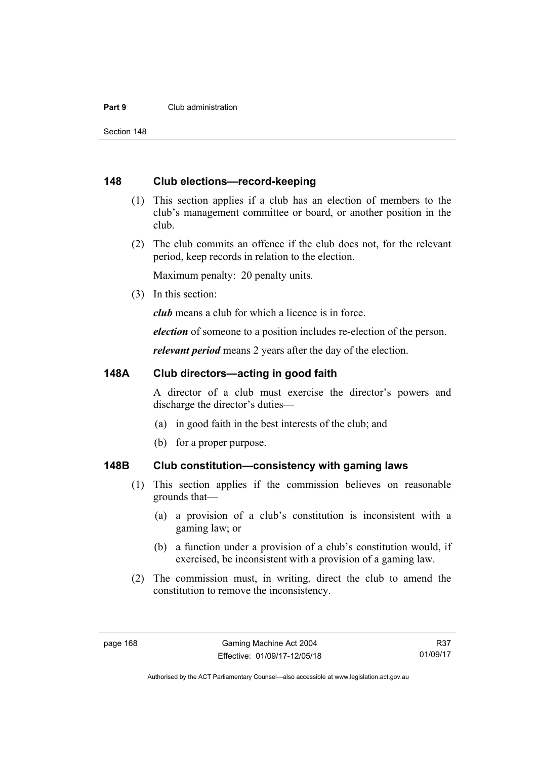#### **Part 9** Club administration

Section 148

#### **148 Club elections—record-keeping**

- (1) This section applies if a club has an election of members to the club's management committee or board, or another position in the club.
- (2) The club commits an offence if the club does not, for the relevant period, keep records in relation to the election.

Maximum penalty: 20 penalty units.

(3) In this section:

*club* means a club for which a licence is in force.

*election* of someone to a position includes re-election of the person.

*relevant period* means 2 years after the day of the election.

#### **148A Club directors—acting in good faith**

A director of a club must exercise the director's powers and discharge the director's duties—

- (a) in good faith in the best interests of the club; and
- (b) for a proper purpose.

### **148B Club constitution—consistency with gaming laws**

- (1) This section applies if the commission believes on reasonable grounds that—
	- (a) a provision of a club's constitution is inconsistent with a gaming law; or
	- (b) a function under a provision of a club's constitution would, if exercised, be inconsistent with a provision of a gaming law.
- (2) The commission must, in writing, direct the club to amend the constitution to remove the inconsistency.

R37 01/09/17

Authorised by the ACT Parliamentary Counsel—also accessible at www.legislation.act.gov.au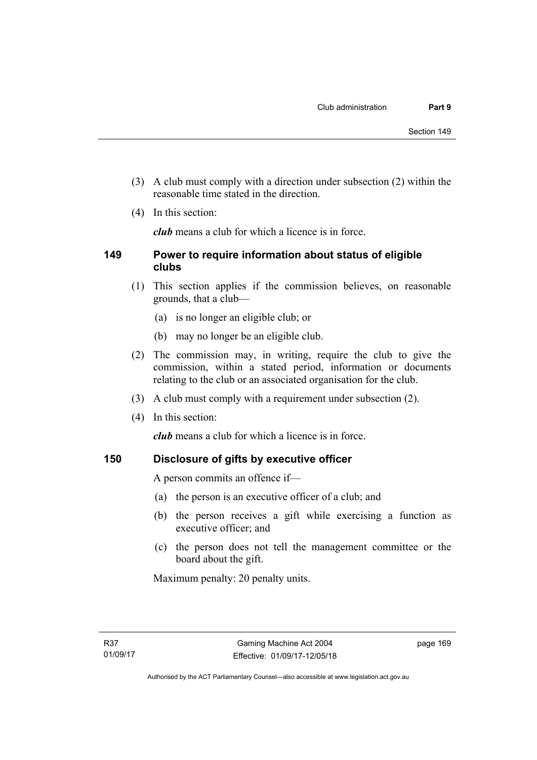- (3) A club must comply with a direction under subsection (2) within the reasonable time stated in the direction.
- (4) In this section:

*club* means a club for which a licence is in force.

### **149 Power to require information about status of eligible clubs**

- (1) This section applies if the commission believes, on reasonable grounds, that a club—
	- (a) is no longer an eligible club; or
	- (b) may no longer be an eligible club.
- (2) The commission may, in writing, require the club to give the commission, within a stated period, information or documents relating to the club or an associated organisation for the club.
- (3) A club must comply with a requirement under subsection (2).
- (4) In this section:

*club* means a club for which a licence is in force.

## **150 Disclosure of gifts by executive officer**

A person commits an offence if—

- (a) the person is an executive officer of a club; and
- (b) the person receives a gift while exercising a function as executive officer; and
- (c) the person does not tell the management committee or the board about the gift.

Maximum penalty: 20 penalty units.

page 169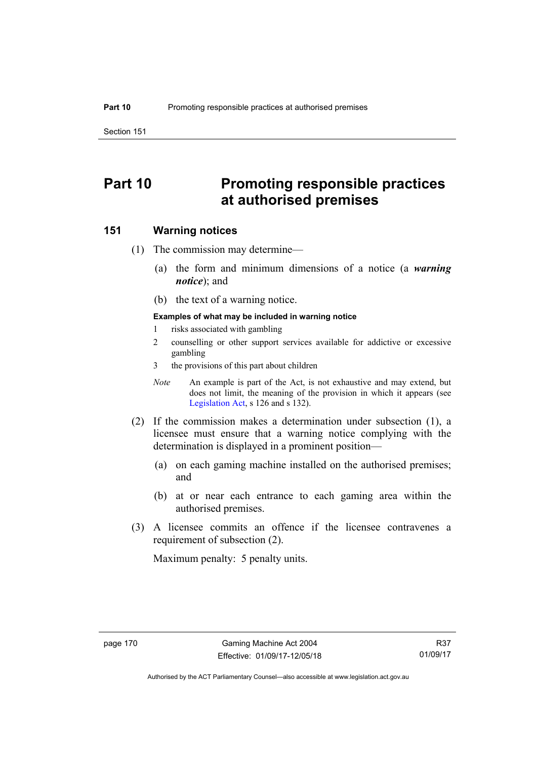Section 151

# **Part 10 Promoting responsible practices at authorised premises**

#### **151 Warning notices**

- (1) The commission may determine—
	- (a) the form and minimum dimensions of a notice (a *warning notice*); and
	- (b) the text of a warning notice.

#### **Examples of what may be included in warning notice**

- 1 risks associated with gambling
- 2 counselling or other support services available for addictive or excessive gambling
- 3 the provisions of this part about children
- *Note* An example is part of the Act, is not exhaustive and may extend, but does not limit, the meaning of the provision in which it appears (see [Legislation Act,](http://www.legislation.act.gov.au/a/2001-14) s 126 and s 132).
- (2) If the commission makes a determination under subsection (1), a licensee must ensure that a warning notice complying with the determination is displayed in a prominent position—
	- (a) on each gaming machine installed on the authorised premises; and
	- (b) at or near each entrance to each gaming area within the authorised premises.
- (3) A licensee commits an offence if the licensee contravenes a requirement of subsection (2).

Maximum penalty: 5 penalty units.

Authorised by the ACT Parliamentary Counsel—also accessible at www.legislation.act.gov.au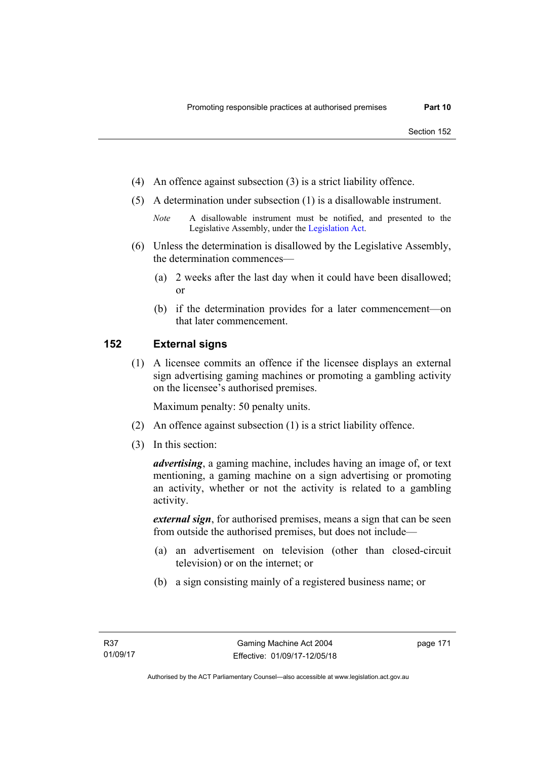- (4) An offence against subsection (3) is a strict liability offence.
- (5) A determination under subsection (1) is a disallowable instrument.
	- *Note* A disallowable instrument must be notified, and presented to the Legislative Assembly, under the [Legislation Act.](http://www.legislation.act.gov.au/a/2001-14)
- (6) Unless the determination is disallowed by the Legislative Assembly, the determination commences—
	- (a) 2 weeks after the last day when it could have been disallowed; or
	- (b) if the determination provides for a later commencement—on that later commencement.

### **152 External signs**

(1) A licensee commits an offence if the licensee displays an external sign advertising gaming machines or promoting a gambling activity on the licensee's authorised premises.

Maximum penalty: 50 penalty units.

- (2) An offence against subsection (1) is a strict liability offence.
- (3) In this section:

*advertising*, a gaming machine, includes having an image of, or text mentioning, a gaming machine on a sign advertising or promoting an activity, whether or not the activity is related to a gambling activity.

*external sign*, for authorised premises, means a sign that can be seen from outside the authorised premises, but does not include—

- (a) an advertisement on television (other than closed-circuit television) or on the internet; or
- (b) a sign consisting mainly of a registered business name; or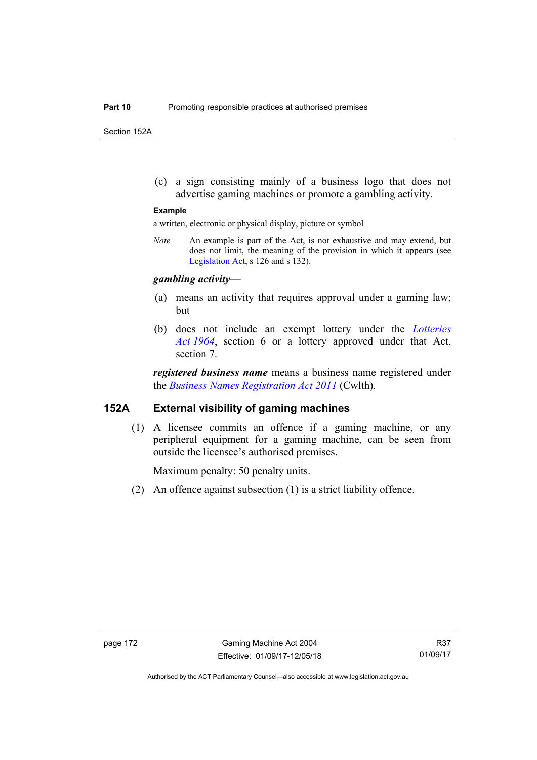Section 152A

 (c) a sign consisting mainly of a business logo that does not advertise gaming machines or promote a gambling activity.

#### **Example**

a written, electronic or physical display, picture or symbol

*Note* An example is part of the Act, is not exhaustive and may extend, but does not limit, the meaning of the provision in which it appears (see [Legislation Act,](http://www.legislation.act.gov.au/a/2001-14) s 126 and s 132).

#### *gambling activity*—

- (a) means an activity that requires approval under a gaming law; but
- (b) does not include an exempt lottery under the *[Lotteries](http://www.legislation.act.gov.au/a/1964-13)  [Act 1964](http://www.legislation.act.gov.au/a/1964-13)*, section 6 or a lottery approved under that Act, section 7.

*registered business name* means a business name registered under the *[Business Names Registration Act 2011](http://www.comlaw.gov.au/Series/C2011A00126)* (Cwlth)*.*

#### **152A External visibility of gaming machines**

(1) A licensee commits an offence if a gaming machine, or any peripheral equipment for a gaming machine, can be seen from outside the licensee's authorised premises.

Maximum penalty: 50 penalty units.

(2) An offence against subsection (1) is a strict liability offence.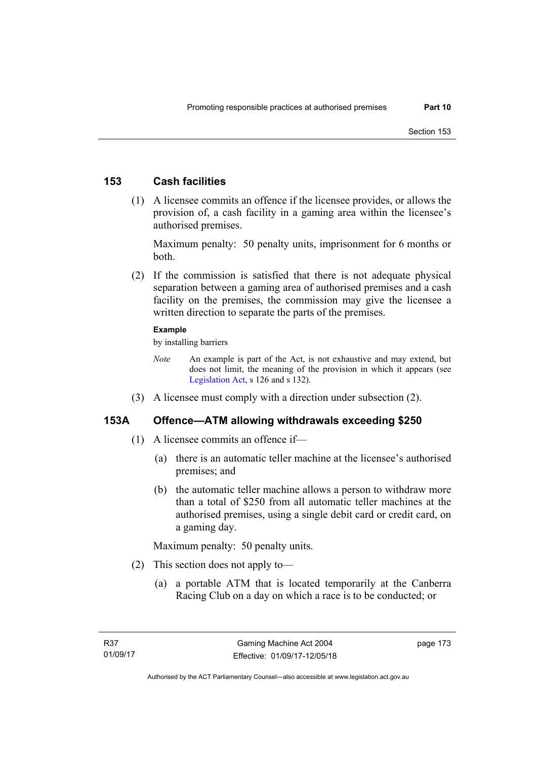### **153 Cash facilities**

 (1) A licensee commits an offence if the licensee provides, or allows the provision of, a cash facility in a gaming area within the licensee's authorised premises.

Maximum penalty: 50 penalty units, imprisonment for 6 months or both.

 (2) If the commission is satisfied that there is not adequate physical separation between a gaming area of authorised premises and a cash facility on the premises, the commission may give the licensee a written direction to separate the parts of the premises.

#### **Example**

by installing barriers

- *Note* An example is part of the Act, is not exhaustive and may extend, but does not limit, the meaning of the provision in which it appears (see [Legislation Act,](http://www.legislation.act.gov.au/a/2001-14) s 126 and s 132).
- (3) A licensee must comply with a direction under subsection (2).

### **153A Offence—ATM allowing withdrawals exceeding \$250**

- (1) A licensee commits an offence if—
	- (a) there is an automatic teller machine at the licensee's authorised premises; and
	- (b) the automatic teller machine allows a person to withdraw more than a total of \$250 from all automatic teller machines at the authorised premises, using a single debit card or credit card, on a gaming day.

Maximum penalty: 50 penalty units.

- (2) This section does not apply to—
	- (a) a portable ATM that is located temporarily at the Canberra Racing Club on a day on which a race is to be conducted; or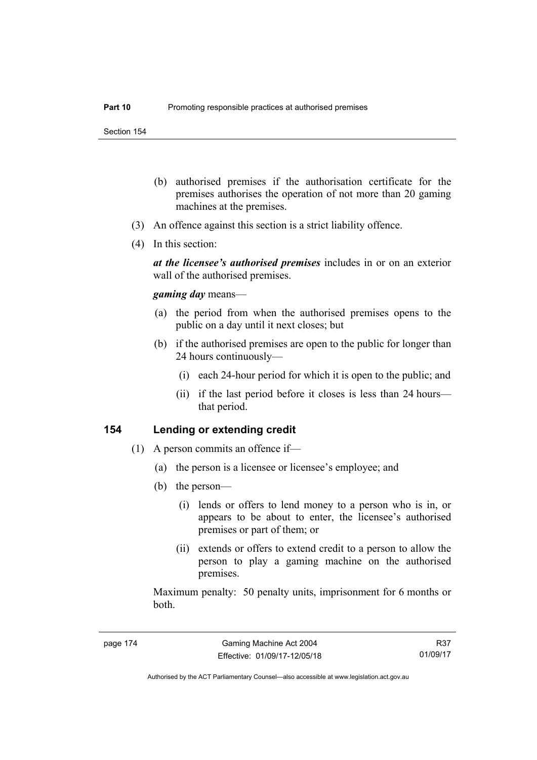- (b) authorised premises if the authorisation certificate for the premises authorises the operation of not more than 20 gaming machines at the premises.
- (3) An offence against this section is a strict liability offence.
- (4) In this section:

*at the licensee's authorised premises* includes in or on an exterior wall of the authorised premises.

#### *gaming day* means—

- (a) the period from when the authorised premises opens to the public on a day until it next closes; but
- (b) if the authorised premises are open to the public for longer than 24 hours continuously—
	- (i) each 24-hour period for which it is open to the public; and
	- (ii) if the last period before it closes is less than 24 hours that period.

#### **154 Lending or extending credit**

- (1) A person commits an offence if—
	- (a) the person is a licensee or licensee's employee; and
	- (b) the person—
		- (i) lends or offers to lend money to a person who is in, or appears to be about to enter, the licensee's authorised premises or part of them; or
		- (ii) extends or offers to extend credit to a person to allow the person to play a gaming machine on the authorised premises.

Maximum penalty: 50 penalty units, imprisonment for 6 months or both.

R37 01/09/17

Authorised by the ACT Parliamentary Counsel—also accessible at www.legislation.act.gov.au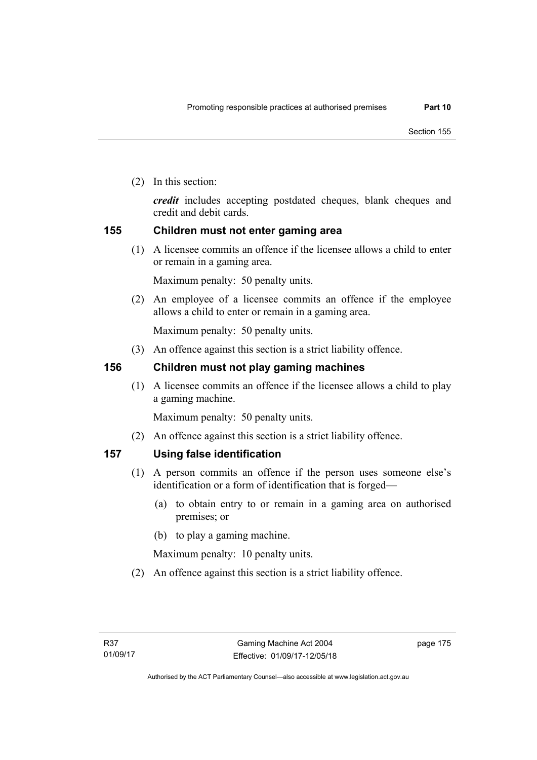(2) In this section:

*credit* includes accepting postdated cheques, blank cheques and credit and debit cards.

### **155 Children must not enter gaming area**

(1) A licensee commits an offence if the licensee allows a child to enter or remain in a gaming area.

Maximum penalty: 50 penalty units.

 (2) An employee of a licensee commits an offence if the employee allows a child to enter or remain in a gaming area.

Maximum penalty: 50 penalty units.

(3) An offence against this section is a strict liability offence.

### **156 Children must not play gaming machines**

(1) A licensee commits an offence if the licensee allows a child to play a gaming machine.

Maximum penalty: 50 penalty units.

(2) An offence against this section is a strict liability offence.

### **157 Using false identification**

- (1) A person commits an offence if the person uses someone else's identification or a form of identification that is forged—
	- (a) to obtain entry to or remain in a gaming area on authorised premises; or
	- (b) to play a gaming machine.

Maximum penalty: 10 penalty units.

(2) An offence against this section is a strict liability offence.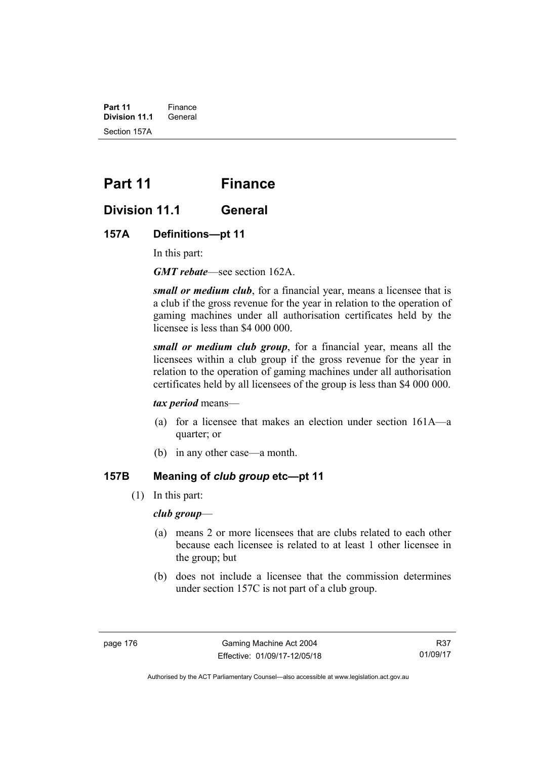**Part 11** Finance<br>**Division 11.1** General **Division 11.1** Section 157A

# **Part 11 Finance**

## **Division 11.1 General**

#### **157A Definitions—pt 11**

In this part:

*GMT rebate*—see section 162A.

*small or medium club*, for a financial year, means a licensee that is a club if the gross revenue for the year in relation to the operation of gaming machines under all authorisation certificates held by the licensee is less than \$4 000 000.

*small or medium club group*, for a financial year, means all the licensees within a club group if the gross revenue for the year in relation to the operation of gaming machines under all authorisation certificates held by all licensees of the group is less than \$4 000 000.

#### *tax period* means—

- (a) for a licensee that makes an election under section 161A—a quarter; or
- (b) in any other case—a month.

## **157B Meaning of** *club group* **etc—pt 11**

(1) In this part:

#### *club group*—

- (a) means 2 or more licensees that are clubs related to each other because each licensee is related to at least 1 other licensee in the group; but
- (b) does not include a licensee that the commission determines under section 157C is not part of a club group.

Authorised by the ACT Parliamentary Counsel—also accessible at www.legislation.act.gov.au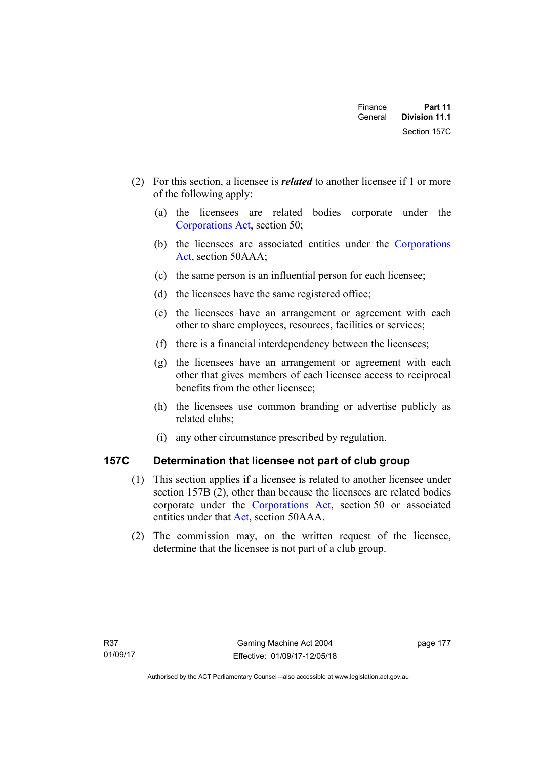| Finance | Part 11<br><b>Division 11.1</b> |  |
|---------|---------------------------------|--|
| General |                                 |  |
|         | Section 157C                    |  |

- (2) For this section, a licensee is *related* to another licensee if 1 or more of the following apply:
	- (a) the licensees are related bodies corporate under the [Corporations Act,](http://www.comlaw.gov.au/Series/C2004A00818) section 50;
	- (b) the licensees are associated entities under the [Corporations](http://www.comlaw.gov.au/Series/C2004A00818)  [Act](http://www.comlaw.gov.au/Series/C2004A00818), section 50AAA;
	- (c) the same person is an influential person for each licensee;
	- (d) the licensees have the same registered office;
	- (e) the licensees have an arrangement or agreement with each other to share employees, resources, facilities or services;
	- (f) there is a financial interdependency between the licensees;
	- (g) the licensees have an arrangement or agreement with each other that gives members of each licensee access to reciprocal benefits from the other licensee;
	- (h) the licensees use common branding or advertise publicly as related clubs;
	- (i) any other circumstance prescribed by regulation.

## **157C Determination that licensee not part of club group**

- (1) This section applies if a licensee is related to another licensee under section 157B (2), other than because the licensees are related bodies corporate under the [Corporations Act,](http://www.comlaw.gov.au/Series/C2004A00818) section 50 or associated entities under that [Act](http://www.comlaw.gov.au/Series/C2004A00818), section 50AAA.
- (2) The commission may, on the written request of the licensee, determine that the licensee is not part of a club group.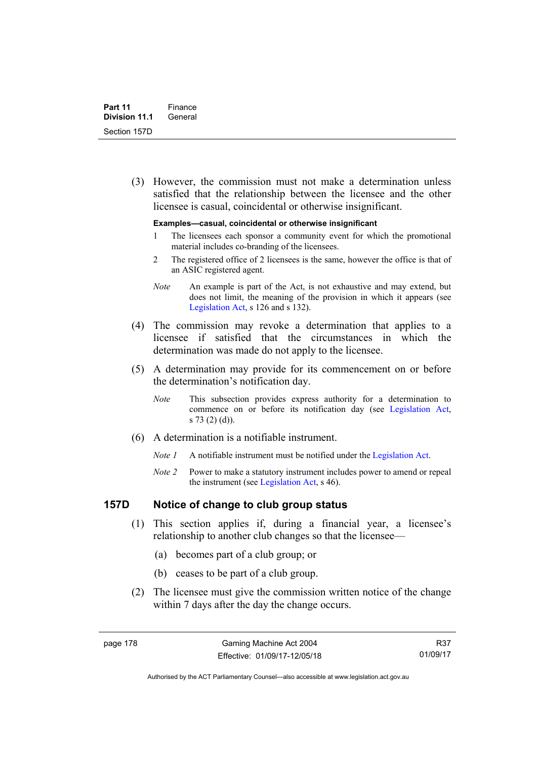(3) However, the commission must not make a determination unless satisfied that the relationship between the licensee and the other licensee is casual, coincidental or otherwise insignificant.

#### **Examples—casual, coincidental or otherwise insignificant**

- 1 The licensees each sponsor a community event for which the promotional material includes co-branding of the licensees.
- 2 The registered office of 2 licensees is the same, however the office is that of an ASIC registered agent.
- *Note* An example is part of the Act, is not exhaustive and may extend, but does not limit, the meaning of the provision in which it appears (see [Legislation Act,](http://www.legislation.act.gov.au/a/2001-14) s 126 and s 132).
- (4) The commission may revoke a determination that applies to a licensee if satisfied that the circumstances in which the determination was made do not apply to the licensee.
- (5) A determination may provide for its commencement on or before the determination's notification day.
	- *Note* This subsection provides express authority for a determination to commence on or before its notification day (see [Legislation Act,](http://www.legislation.act.gov.au/a/2001-14) s 73 (2) (d)).
- (6) A determination is a notifiable instrument.
	- *Note 1* A notifiable instrument must be notified under the [Legislation Act](http://www.legislation.act.gov.au/a/2001-14).
	- *Note 2* Power to make a statutory instrument includes power to amend or repeal the instrument (see [Legislation Act,](http://www.legislation.act.gov.au/a/2001-14) s 46).

### **157D Notice of change to club group status**

- (1) This section applies if, during a financial year, a licensee's relationship to another club changes so that the licensee—
	- (a) becomes part of a club group; or
	- (b) ceases to be part of a club group.
- (2) The licensee must give the commission written notice of the change within 7 days after the day the change occurs.

R37 01/09/17

Authorised by the ACT Parliamentary Counsel—also accessible at www.legislation.act.gov.au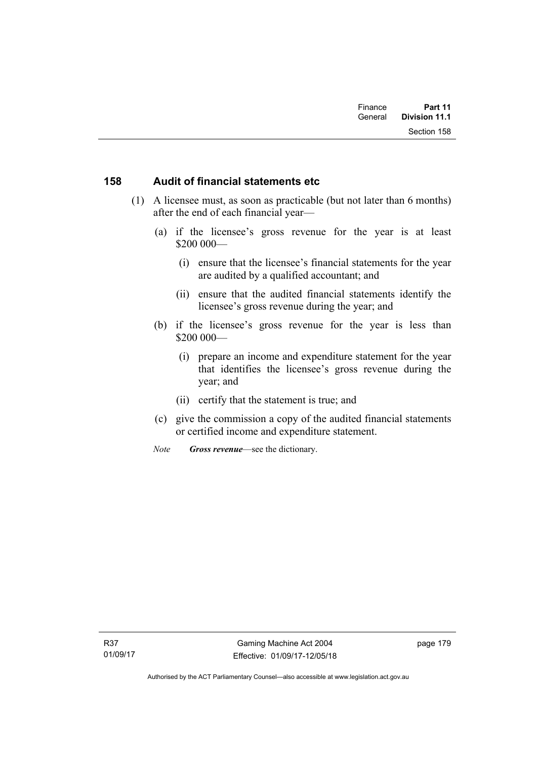### **158 Audit of financial statements etc**

- (1) A licensee must, as soon as practicable (but not later than 6 months) after the end of each financial year—
	- (a) if the licensee's gross revenue for the year is at least \$200 000—
		- (i) ensure that the licensee's financial statements for the year are audited by a qualified accountant; and
		- (ii) ensure that the audited financial statements identify the licensee's gross revenue during the year; and
	- (b) if the licensee's gross revenue for the year is less than \$200 000—
		- (i) prepare an income and expenditure statement for the year that identifies the licensee's gross revenue during the year; and
		- (ii) certify that the statement is true; and
	- (c) give the commission a copy of the audited financial statements or certified income and expenditure statement.
	- *Note Gross revenue*—see the dictionary.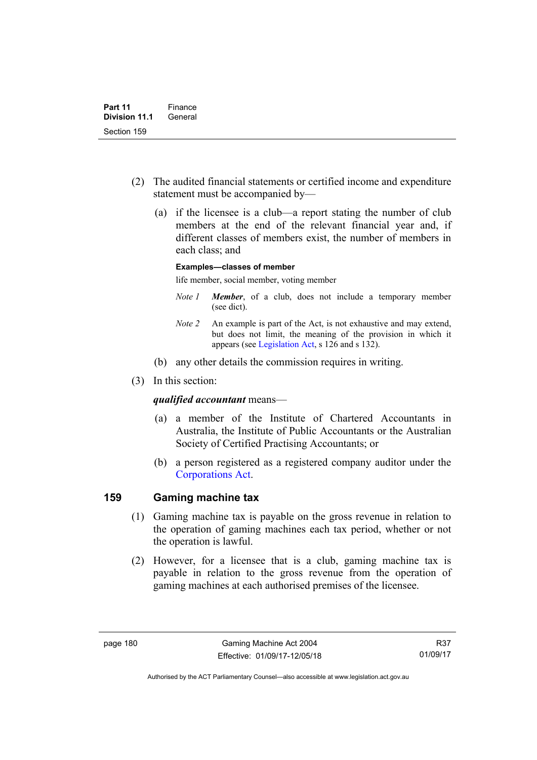- (2) The audited financial statements or certified income and expenditure statement must be accompanied by—
	- (a) if the licensee is a club—a report stating the number of club members at the end of the relevant financial year and, if different classes of members exist, the number of members in each class; and

#### **Examples—classes of member**

life member, social member, voting member

- *Note 1 Member*, of a club, does not include a temporary member (see dict).
- *Note 2* An example is part of the Act, is not exhaustive and may extend, but does not limit, the meaning of the provision in which it appears (see [Legislation Act,](http://www.legislation.act.gov.au/a/2001-14) s 126 and s 132).
- (b) any other details the commission requires in writing.
- (3) In this section:

#### *qualified accountant* means—

- (a) a member of the Institute of Chartered Accountants in Australia, the Institute of Public Accountants or the Australian Society of Certified Practising Accountants; or
- (b) a person registered as a registered company auditor under the [Corporations Act.](http://www.comlaw.gov.au/Series/C2004A00818)

### **159 Gaming machine tax**

- (1) Gaming machine tax is payable on the gross revenue in relation to the operation of gaming machines each tax period, whether or not the operation is lawful.
- (2) However, for a licensee that is a club, gaming machine tax is payable in relation to the gross revenue from the operation of gaming machines at each authorised premises of the licensee.

R37 01/09/17

Authorised by the ACT Parliamentary Counsel—also accessible at www.legislation.act.gov.au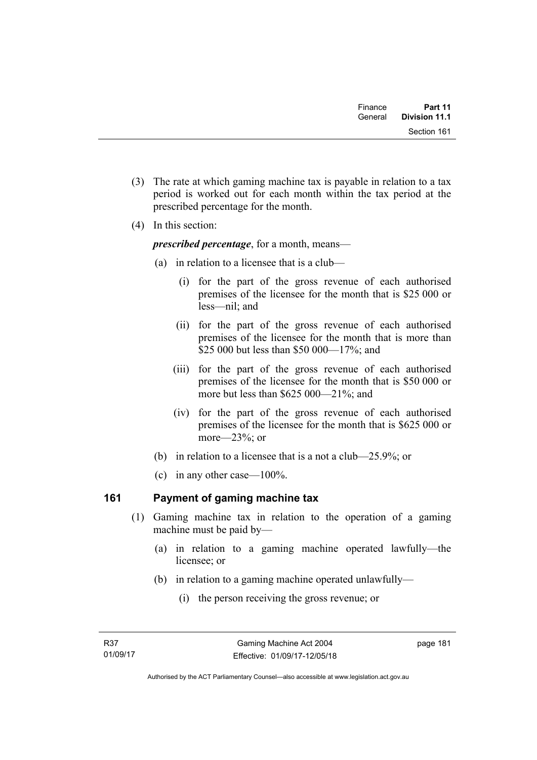| Finance | Part 11       |  |
|---------|---------------|--|
| General | Division 11.1 |  |
|         | Section 161   |  |

- (3) The rate at which gaming machine tax is payable in relation to a tax period is worked out for each month within the tax period at the prescribed percentage for the month.
- (4) In this section:

*prescribed percentage*, for a month, means—

- (a) in relation to a licensee that is a club—
	- (i) for the part of the gross revenue of each authorised premises of the licensee for the month that is \$25 000 or less—nil; and
	- (ii) for the part of the gross revenue of each authorised premises of the licensee for the month that is more than \$25 000 but less than \$50 000—17%; and
	- (iii) for the part of the gross revenue of each authorised premises of the licensee for the month that is \$50 000 or more but less than \$625 000—21%; and
	- (iv) for the part of the gross revenue of each authorised premises of the licensee for the month that is \$625 000 or more—23%; or
- (b) in relation to a licensee that is a not a club—25.9%; or
- (c) in any other case—100%.

## **161 Payment of gaming machine tax**

- (1) Gaming machine tax in relation to the operation of a gaming machine must be paid by—
	- (a) in relation to a gaming machine operated lawfully—the licensee; or
	- (b) in relation to a gaming machine operated unlawfully—
		- (i) the person receiving the gross revenue; or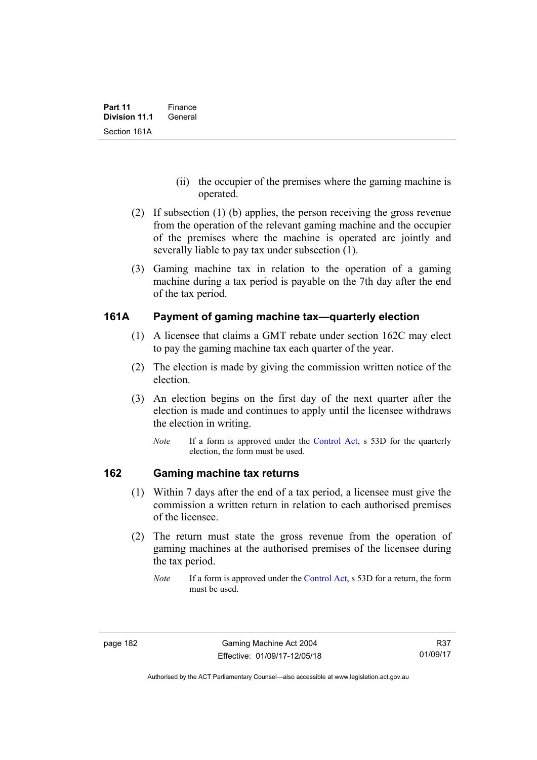- (ii) the occupier of the premises where the gaming machine is operated.
- (2) If subsection (1) (b) applies, the person receiving the gross revenue from the operation of the relevant gaming machine and the occupier of the premises where the machine is operated are jointly and severally liable to pay tax under subsection (1).
- (3) Gaming machine tax in relation to the operation of a gaming machine during a tax period is payable on the 7th day after the end of the tax period.

### **161A Payment of gaming machine tax—quarterly election**

- (1) A licensee that claims a GMT rebate under section 162C may elect to pay the gaming machine tax each quarter of the year.
- (2) The election is made by giving the commission written notice of the election.
- (3) An election begins on the first day of the next quarter after the election is made and continues to apply until the licensee withdraws the election in writing.
	- *Note* If a form is approved under the [Control Act,](http://www.legislation.act.gov.au/a/1999-46) s 53D for the quarterly election, the form must be used.

### **162 Gaming machine tax returns**

- (1) Within 7 days after the end of a tax period, a licensee must give the commission a written return in relation to each authorised premises of the licensee.
- (2) The return must state the gross revenue from the operation of gaming machines at the authorised premises of the licensee during the tax period.
	- *Note* If a form is approved under the [Control Act,](http://www.legislation.act.gov.au/a/1999-46) s 53D for a return, the form must be used.

Authorised by the ACT Parliamentary Counsel—also accessible at www.legislation.act.gov.au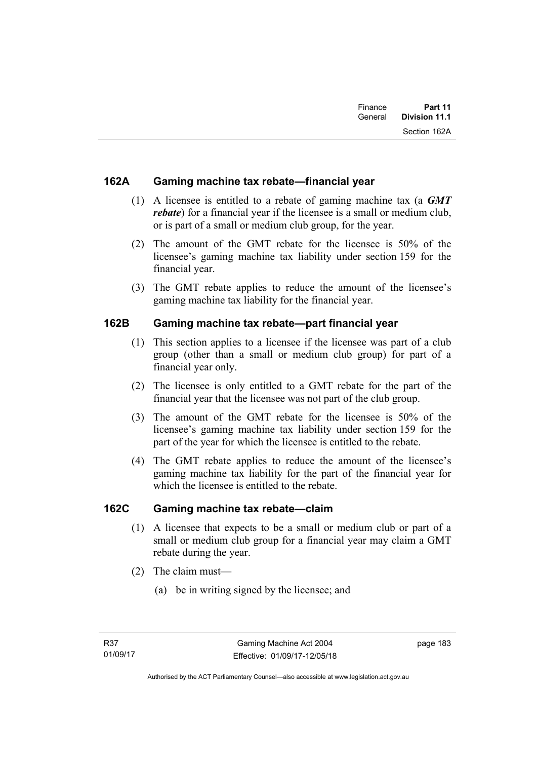| Finance<br>General | Part 11<br>Division 11.1 |
|--------------------|--------------------------|
|                    | Section 162A             |

## **162A Gaming machine tax rebate—financial year**

- (1) A licensee is entitled to a rebate of gaming machine tax (a *GMT rebate*) for a financial year if the licensee is a small or medium club, or is part of a small or medium club group, for the year.
- (2) The amount of the GMT rebate for the licensee is 50% of the licensee's gaming machine tax liability under section 159 for the financial year.
- (3) The GMT rebate applies to reduce the amount of the licensee's gaming machine tax liability for the financial year.

## **162B Gaming machine tax rebate—part financial year**

- (1) This section applies to a licensee if the licensee was part of a club group (other than a small or medium club group) for part of a financial year only.
- (2) The licensee is only entitled to a GMT rebate for the part of the financial year that the licensee was not part of the club group.
- (3) The amount of the GMT rebate for the licensee is 50% of the licensee's gaming machine tax liability under section 159 for the part of the year for which the licensee is entitled to the rebate.
- (4) The GMT rebate applies to reduce the amount of the licensee's gaming machine tax liability for the part of the financial year for which the licensee is entitled to the rebate.

## **162C Gaming machine tax rebate—claim**

- (1) A licensee that expects to be a small or medium club or part of a small or medium club group for a financial year may claim a GMT rebate during the year.
- (2) The claim must—
	- (a) be in writing signed by the licensee; and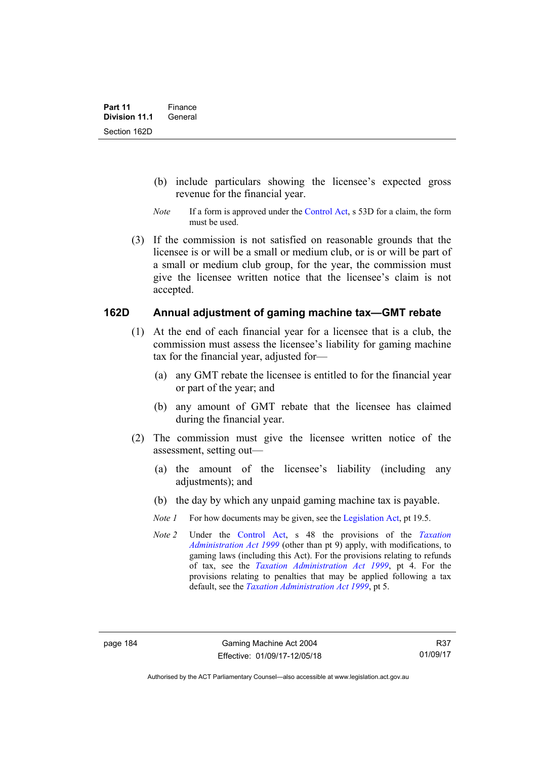- (b) include particulars showing the licensee's expected gross revenue for the financial year.
- *Note* If a form is approved under the [Control Act,](http://www.legislation.act.gov.au/a/1999-46) s 53D for a claim, the form must be used.
- (3) If the commission is not satisfied on reasonable grounds that the licensee is or will be a small or medium club, or is or will be part of a small or medium club group, for the year, the commission must give the licensee written notice that the licensee's claim is not accepted.

## **162D Annual adjustment of gaming machine tax—GMT rebate**

- (1) At the end of each financial year for a licensee that is a club, the commission must assess the licensee's liability for gaming machine tax for the financial year, adjusted for—
	- (a) any GMT rebate the licensee is entitled to for the financial year or part of the year; and
	- (b) any amount of GMT rebate that the licensee has claimed during the financial year.
- (2) The commission must give the licensee written notice of the assessment, setting out—
	- (a) the amount of the licensee's liability (including any adjustments); and
	- (b) the day by which any unpaid gaming machine tax is payable.
	- *Note 1* For how documents may be given, see the [Legislation Act,](http://www.legislation.act.gov.au/a/2001-14) pt 19.5.
	- *Note 2* Under the [Control Act,](http://www.legislation.act.gov.au/a/1999-46) s 48 the provisions of the *[Taxation](http://www.legislation.act.gov.au/a/1999-4)  [Administration Act 1999](http://www.legislation.act.gov.au/a/1999-4)* (other than pt 9) apply, with modifications, to gaming laws (including this Act). For the provisions relating to refunds of tax, see the *[Taxation Administration Act 1999](http://www.legislation.act.gov.au/a/1999-4)*, pt 4. For the provisions relating to penalties that may be applied following a tax default, see the *[Taxation Administration Act 1999](http://www.legislation.act.gov.au/a/1999-4)*, pt 5.

Authorised by the ACT Parliamentary Counsel—also accessible at www.legislation.act.gov.au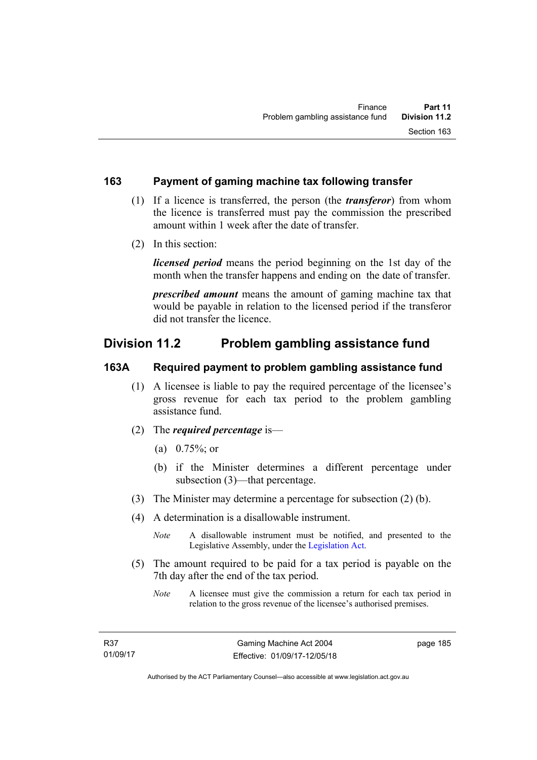### **163 Payment of gaming machine tax following transfer**

- (1) If a licence is transferred, the person (the *transferor*) from whom the licence is transferred must pay the commission the prescribed amount within 1 week after the date of transfer.
- (2) In this section:

*licensed period* means the period beginning on the 1st day of the month when the transfer happens and ending on the date of transfer.

*prescribed amount* means the amount of gaming machine tax that would be payable in relation to the licensed period if the transferor did not transfer the licence.

## **Division 11.2 Problem gambling assistance fund**

### **163A Required payment to problem gambling assistance fund**

- (1) A licensee is liable to pay the required percentage of the licensee's gross revenue for each tax period to the problem gambling assistance fund.
- (2) The *required percentage* is—
	- (a) 0.75%; or
	- (b) if the Minister determines a different percentage under subsection (3)—that percentage.
- (3) The Minister may determine a percentage for subsection (2) (b).
- (4) A determination is a disallowable instrument.

*Note* A disallowable instrument must be notified, and presented to the Legislative Assembly, under the [Legislation Act.](http://www.legislation.act.gov.au/a/2001-14)

- (5) The amount required to be paid for a tax period is payable on the 7th day after the end of the tax period.
	- *Note* A licensee must give the commission a return for each tax period in relation to the gross revenue of the licensee's authorised premises.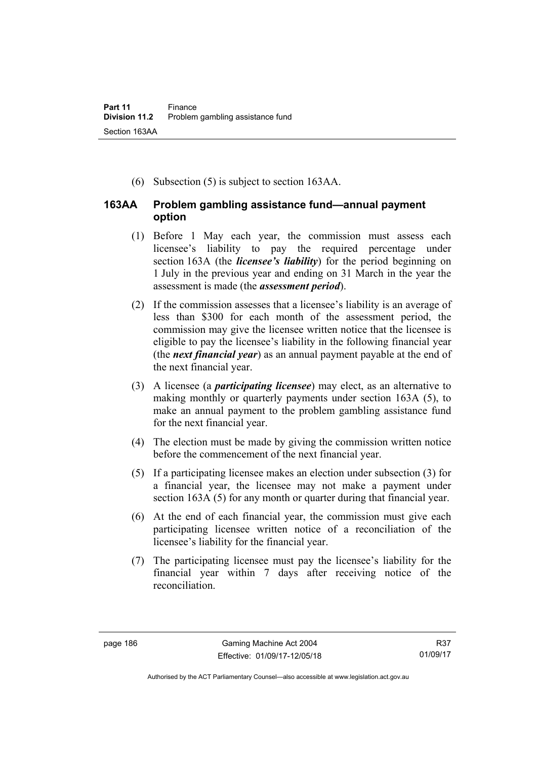(6) Subsection (5) is subject to section 163AA.

## **163AA Problem gambling assistance fund—annual payment option**

- (1) Before 1 May each year, the commission must assess each licensee's liability to pay the required percentage under section 163A (the *licensee's liability*) for the period beginning on 1 July in the previous year and ending on 31 March in the year the assessment is made (the *assessment period*).
- (2) If the commission assesses that a licensee's liability is an average of less than \$300 for each month of the assessment period, the commission may give the licensee written notice that the licensee is eligible to pay the licensee's liability in the following financial year (the *next financial year*) as an annual payment payable at the end of the next financial year.
- (3) A licensee (a *participating licensee*) may elect, as an alternative to making monthly or quarterly payments under section 163A (5), to make an annual payment to the problem gambling assistance fund for the next financial year.
- (4) The election must be made by giving the commission written notice before the commencement of the next financial year.
- (5) If a participating licensee makes an election under subsection (3) for a financial year, the licensee may not make a payment under section 163A (5) for any month or quarter during that financial year.
- (6) At the end of each financial year, the commission must give each participating licensee written notice of a reconciliation of the licensee's liability for the financial year.
- (7) The participating licensee must pay the licensee's liability for the financial year within 7 days after receiving notice of the reconciliation.

Authorised by the ACT Parliamentary Counsel—also accessible at www.legislation.act.gov.au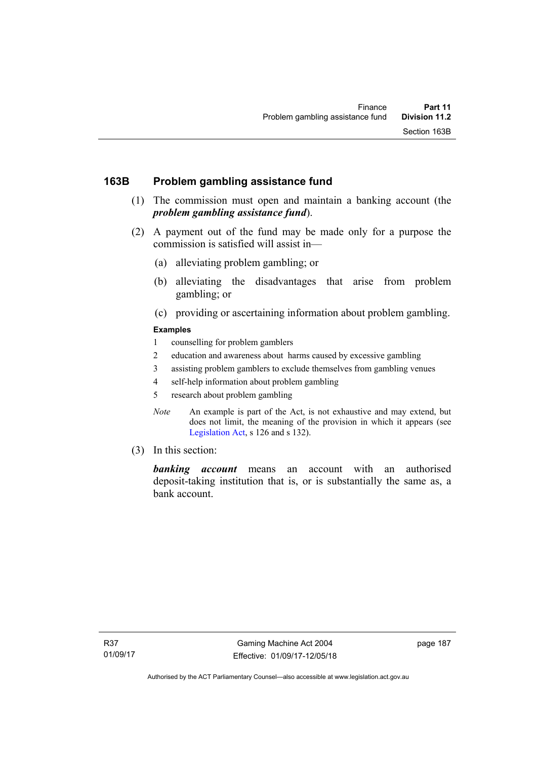## **163B Problem gambling assistance fund**

- (1) The commission must open and maintain a banking account (the *problem gambling assistance fund*).
- (2) A payment out of the fund may be made only for a purpose the commission is satisfied will assist in—
	- (a) alleviating problem gambling; or
	- (b) alleviating the disadvantages that arise from problem gambling; or
	- (c) providing or ascertaining information about problem gambling.

#### **Examples**

- 1 counselling for problem gamblers
- 2 education and awareness about harms caused by excessive gambling
- 3 assisting problem gamblers to exclude themselves from gambling venues
- 4 self-help information about problem gambling
- 5 research about problem gambling
- *Note* An example is part of the Act, is not exhaustive and may extend, but does not limit, the meaning of the provision in which it appears (see [Legislation Act,](http://www.legislation.act.gov.au/a/2001-14) s 126 and s 132).
- (3) In this section:

*banking account* means an account with an authorised deposit-taking institution that is, or is substantially the same as, a bank account.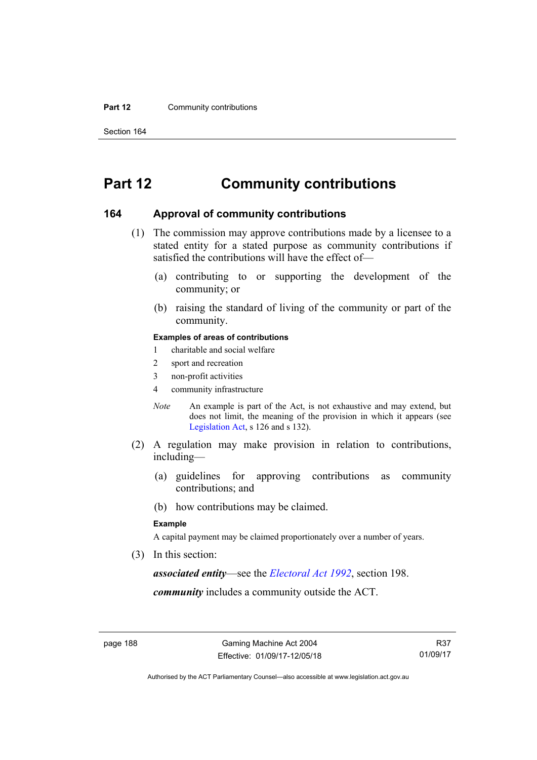#### **Part 12 Community contributions**

Section 164

# **Part 12 Community contributions**

#### **164 Approval of community contributions**

- (1) The commission may approve contributions made by a licensee to a stated entity for a stated purpose as community contributions if satisfied the contributions will have the effect of—
	- (a) contributing to or supporting the development of the community; or
	- (b) raising the standard of living of the community or part of the community.

#### **Examples of areas of contributions**

- 1 charitable and social welfare
- 2 sport and recreation
- 3 non-profit activities
- 4 community infrastructure
- *Note* An example is part of the Act, is not exhaustive and may extend, but does not limit, the meaning of the provision in which it appears (see [Legislation Act,](http://www.legislation.act.gov.au/a/2001-14) s 126 and s 132).
- (2) A regulation may make provision in relation to contributions, including—
	- (a) guidelines for approving contributions as community contributions; and
	- (b) how contributions may be claimed.

#### **Example**

A capital payment may be claimed proportionately over a number of years.

(3) In this section:

*associated entity*—see the *[Electoral Act 1992](http://www.legislation.act.gov.au/a/1992-71)*, section 198.

*community* includes a community outside the ACT.

Authorised by the ACT Parliamentary Counsel—also accessible at www.legislation.act.gov.au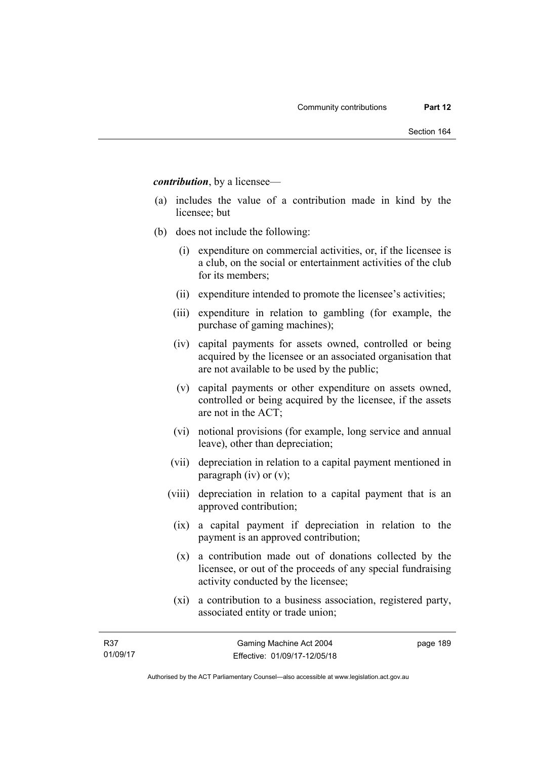*contribution*, by a licensee—

- (a) includes the value of a contribution made in kind by the licensee; but
- (b) does not include the following:
	- (i) expenditure on commercial activities, or, if the licensee is a club, on the social or entertainment activities of the club for its members;
	- (ii) expenditure intended to promote the licensee's activities;
	- (iii) expenditure in relation to gambling (for example, the purchase of gaming machines);
	- (iv) capital payments for assets owned, controlled or being acquired by the licensee or an associated organisation that are not available to be used by the public;
	- (v) capital payments or other expenditure on assets owned, controlled or being acquired by the licensee, if the assets are not in the ACT;
	- (vi) notional provisions (for example, long service and annual leave), other than depreciation;
	- (vii) depreciation in relation to a capital payment mentioned in paragraph (iv) or (v);
	- (viii) depreciation in relation to a capital payment that is an approved contribution;
		- (ix) a capital payment if depreciation in relation to the payment is an approved contribution;
		- (x) a contribution made out of donations collected by the licensee, or out of the proceeds of any special fundraising activity conducted by the licensee;
		- (xi) a contribution to a business association, registered party, associated entity or trade union;

page 189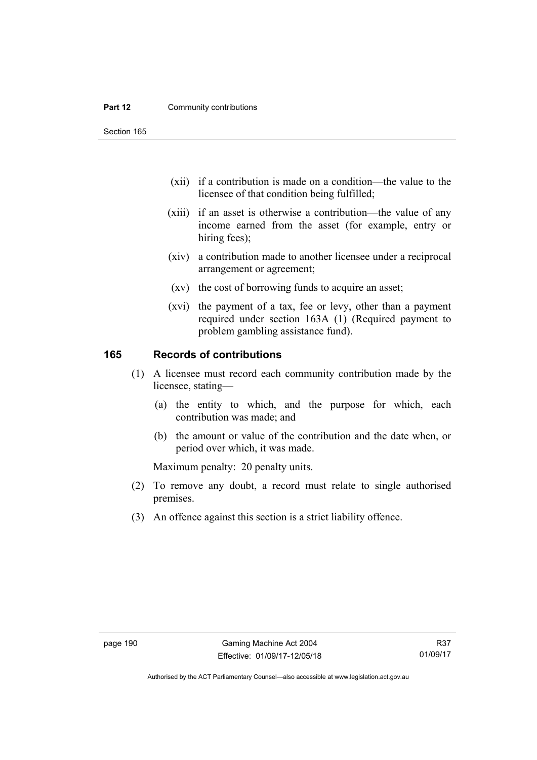#### **Part 12 Community contributions**

Section 165

- (xii) if a contribution is made on a condition—the value to the licensee of that condition being fulfilled;
- (xiii) if an asset is otherwise a contribution—the value of any income earned from the asset (for example, entry or hiring fees);
- (xiv) a contribution made to another licensee under a reciprocal arrangement or agreement;
- (xv) the cost of borrowing funds to acquire an asset;
- (xvi) the payment of a tax, fee or levy, other than a payment required under section 163A (1) (Required payment to problem gambling assistance fund).

### **165 Records of contributions**

- (1) A licensee must record each community contribution made by the licensee, stating—
	- (a) the entity to which, and the purpose for which, each contribution was made; and
	- (b) the amount or value of the contribution and the date when, or period over which, it was made.

Maximum penalty: 20 penalty units.

- (2) To remove any doubt, a record must relate to single authorised premises.
- (3) An offence against this section is a strict liability offence.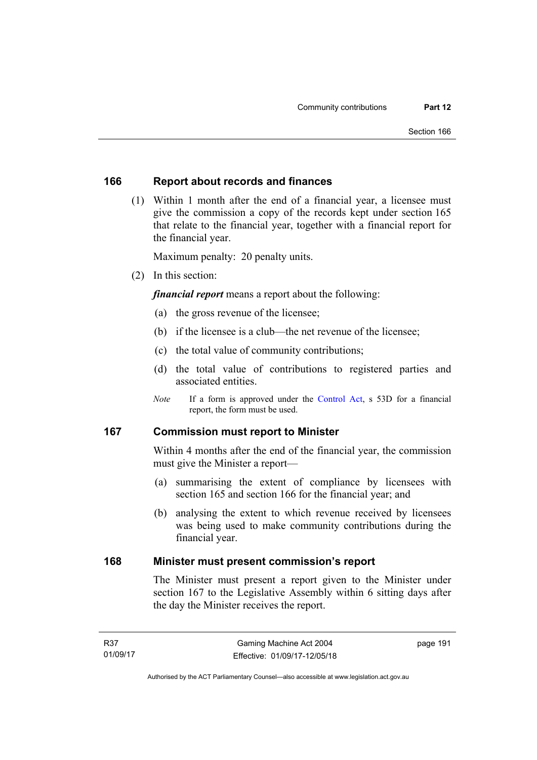## **166 Report about records and finances**

 (1) Within 1 month after the end of a financial year, a licensee must give the commission a copy of the records kept under section 165 that relate to the financial year, together with a financial report for the financial year.

Maximum penalty: 20 penalty units.

(2) In this section:

*financial report* means a report about the following:

- (a) the gross revenue of the licensee;
- (b) if the licensee is a club—the net revenue of the licensee;
- (c) the total value of community contributions;
- (d) the total value of contributions to registered parties and associated entities.
- *Note* If a form is approved under the [Control Act](http://www.legislation.act.gov.au/a/1999-46), s 53D for a financial report, the form must be used.

## **167 Commission must report to Minister**

Within 4 months after the end of the financial year, the commission must give the Minister a report—

- (a) summarising the extent of compliance by licensees with section 165 and section 166 for the financial year; and
- (b) analysing the extent to which revenue received by licensees was being used to make community contributions during the financial year.

### **168 Minister must present commission's report**

The Minister must present a report given to the Minister under section 167 to the Legislative Assembly within 6 sitting days after the day the Minister receives the report.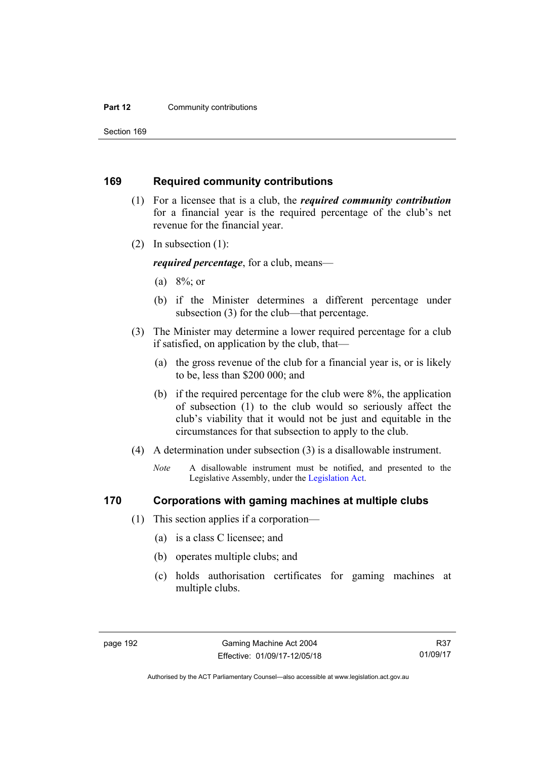#### **Part 12 Community contributions**

Section 169

#### **169 Required community contributions**

- (1) For a licensee that is a club, the *required community contribution* for a financial year is the required percentage of the club's net revenue for the financial year.
- (2) In subsection (1):

*required percentage*, for a club, means—

- (a)  $8\%$ ; or
- (b) if the Minister determines a different percentage under subsection (3) for the club—that percentage.
- (3) The Minister may determine a lower required percentage for a club if satisfied, on application by the club, that—
	- (a) the gross revenue of the club for a financial year is, or is likely to be, less than \$200 000; and
	- (b) if the required percentage for the club were 8%, the application of subsection (1) to the club would so seriously affect the club's viability that it would not be just and equitable in the circumstances for that subsection to apply to the club.
- (4) A determination under subsection (3) is a disallowable instrument.
	- *Note* A disallowable instrument must be notified, and presented to the Legislative Assembly, under the [Legislation Act.](http://www.legislation.act.gov.au/a/2001-14)

## **170 Corporations with gaming machines at multiple clubs**

- (1) This section applies if a corporation—
	- (a) is a class C licensee; and
	- (b) operates multiple clubs; and
	- (c) holds authorisation certificates for gaming machines at multiple clubs.

R37 01/09/17

Authorised by the ACT Parliamentary Counsel—also accessible at www.legislation.act.gov.au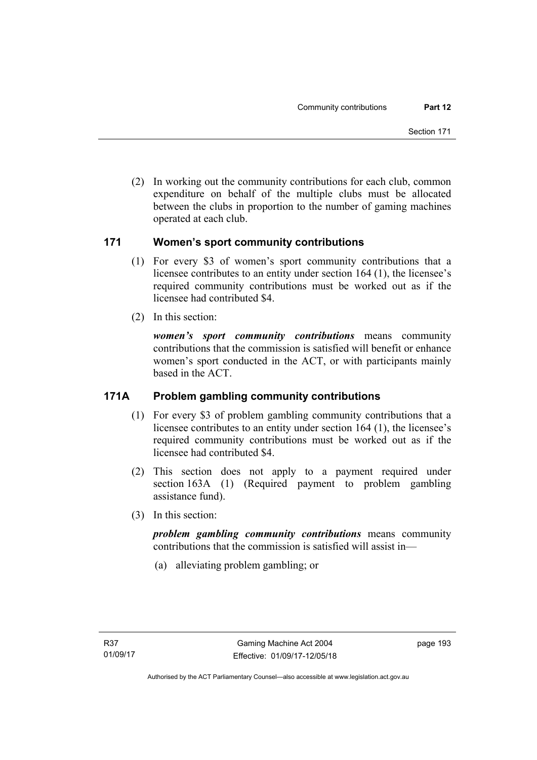(2) In working out the community contributions for each club, common expenditure on behalf of the multiple clubs must be allocated between the clubs in proportion to the number of gaming machines operated at each club.

## **171 Women's sport community contributions**

- (1) For every \$3 of women's sport community contributions that a licensee contributes to an entity under section 164 (1), the licensee's required community contributions must be worked out as if the licensee had contributed \$4.
- (2) In this section:

*women's sport community contributions* means community contributions that the commission is satisfied will benefit or enhance women's sport conducted in the ACT, or with participants mainly based in the ACT.

## **171A Problem gambling community contributions**

- (1) For every \$3 of problem gambling community contributions that a licensee contributes to an entity under section 164 (1), the licensee's required community contributions must be worked out as if the licensee had contributed \$4.
- (2) This section does not apply to a payment required under section 163A (1) (Required payment to problem gambling assistance fund).
- (3) In this section:

*problem gambling community contributions* means community contributions that the commission is satisfied will assist in—

(a) alleviating problem gambling; or

page 193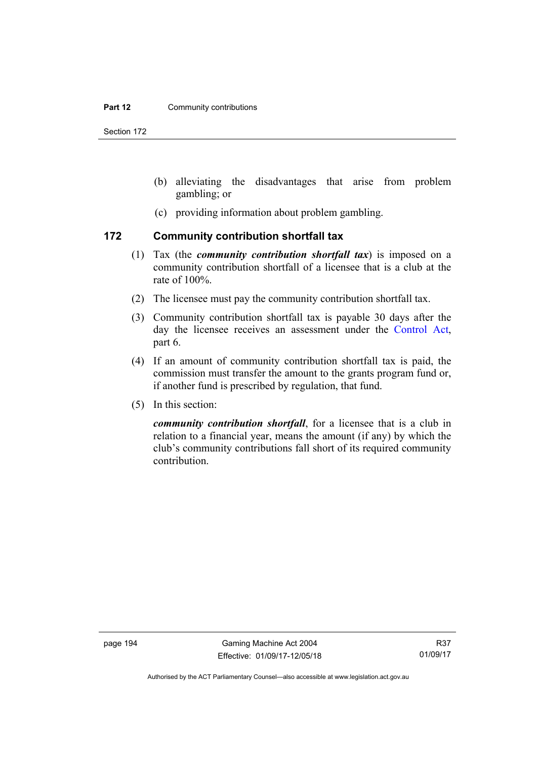#### **Part 12 Community contributions**

Section 172

- (b) alleviating the disadvantages that arise from problem gambling; or
- (c) providing information about problem gambling.

#### **172 Community contribution shortfall tax**

- (1) Tax (the *community contribution shortfall tax*) is imposed on a community contribution shortfall of a licensee that is a club at the rate of 100%.
- (2) The licensee must pay the community contribution shortfall tax.
- (3) Community contribution shortfall tax is payable 30 days after the day the licensee receives an assessment under the [Control Act](http://www.legislation.act.gov.au/a/1999-46), part 6.
- (4) If an amount of community contribution shortfall tax is paid, the commission must transfer the amount to the grants program fund or, if another fund is prescribed by regulation, that fund.
- (5) In this section:

*community contribution shortfall*, for a licensee that is a club in relation to a financial year, means the amount (if any) by which the club's community contributions fall short of its required community contribution.

Authorised by the ACT Parliamentary Counsel—also accessible at www.legislation.act.gov.au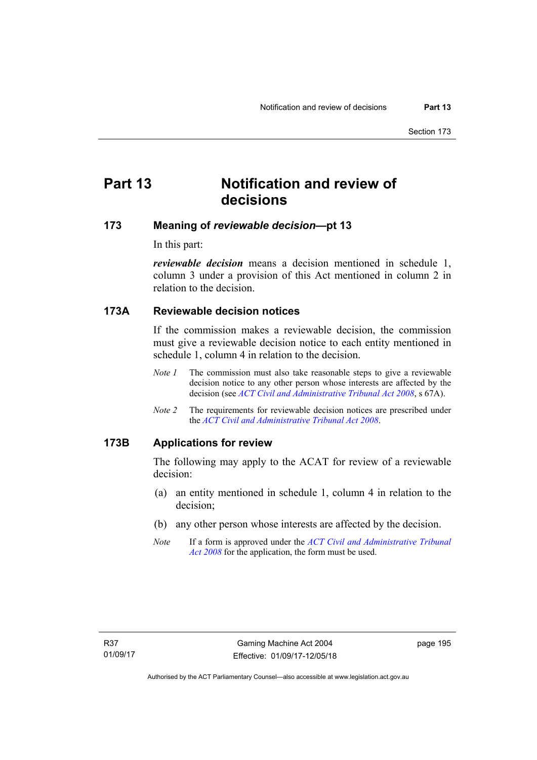# **Part 13 Notification and review of decisions**

### **173 Meaning of** *reviewable decision***—pt 13**

In this part:

*reviewable decision* means a decision mentioned in schedule 1, column 3 under a provision of this Act mentioned in column 2 in relation to the decision.

### **173A Reviewable decision notices**

If the commission makes a reviewable decision, the commission must give a reviewable decision notice to each entity mentioned in schedule 1, column 4 in relation to the decision.

- *Note 1* The commission must also take reasonable steps to give a reviewable decision notice to any other person whose interests are affected by the decision (see *[ACT Civil and Administrative Tribunal Act 2008](http://www.legislation.act.gov.au/a/2008-35)*, s 67A).
- *Note 2* The requirements for reviewable decision notices are prescribed under the *[ACT Civil and Administrative Tribunal Act 2008](http://www.legislation.act.gov.au/a/2008-35)*.

#### **173B Applications for review**

The following may apply to the ACAT for review of a reviewable decision:

- (a) an entity mentioned in schedule 1, column 4 in relation to the decision;
- (b) any other person whose interests are affected by the decision.
- *Note* If a form is approved under the *[ACT Civil and Administrative Tribunal](http://www.legislation.act.gov.au/a/2008-35)  [Act 2008](http://www.legislation.act.gov.au/a/2008-35)* for the application, the form must be used.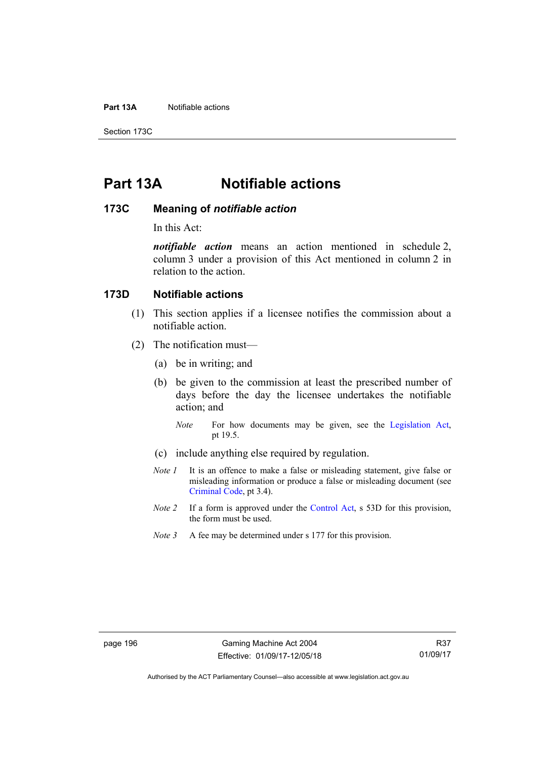#### **Part 13A** Notifiable actions

Section 173C

# **Part 13A Notifiable actions**

#### **173C Meaning of** *notifiable action*

In this Act:

*notifiable action* means an action mentioned in schedule 2, column 3 under a provision of this Act mentioned in column 2 in relation to the action.

### **173D Notifiable actions**

- (1) This section applies if a licensee notifies the commission about a notifiable action.
- (2) The notification must—
	- (a) be in writing; and
	- (b) be given to the commission at least the prescribed number of days before the day the licensee undertakes the notifiable action; and
		- *Note* For how documents may be given, see the [Legislation Act,](http://www.legislation.act.gov.au/a/2001-14) pt 19.5.
	- (c) include anything else required by regulation.
	- *Note 1* It is an offence to make a false or misleading statement, give false or misleading information or produce a false or misleading document (see [Criminal Code](http://www.legislation.act.gov.au/a/2002-51), pt 3.4).
	- *Note 2* If a form is approved under the [Control Act,](http://www.legislation.act.gov.au/a/1999-46/default.asp) s 53D for this provision, the form must be used.
	- *Note* 3 A fee may be determined under s 177 for this provision.

Authorised by the ACT Parliamentary Counsel—also accessible at www.legislation.act.gov.au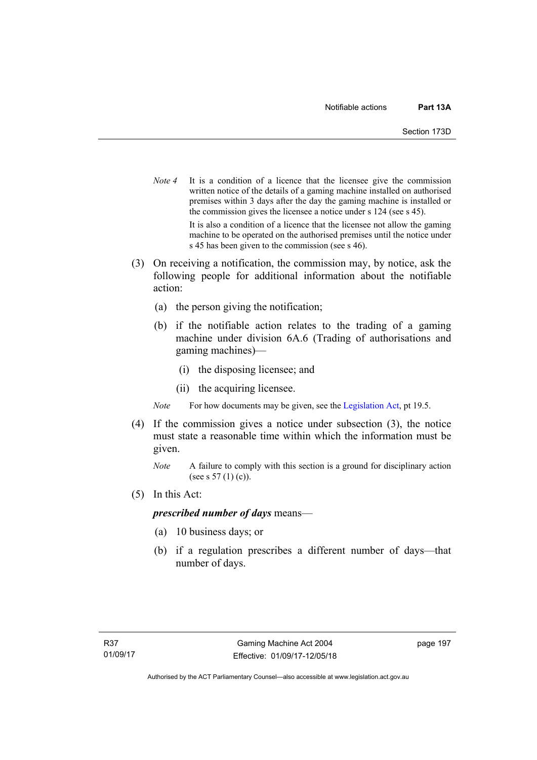- *Note 4* It is a condition of a licence that the licensee give the commission written notice of the details of a gaming machine installed on authorised premises within 3 days after the day the gaming machine is installed or the commission gives the licensee a notice under s 124 (see s 45). It is also a condition of a licence that the licensee not allow the gaming machine to be operated on the authorised premises until the notice under s 45 has been given to the commission (see s 46).
- (3) On receiving a notification, the commission may, by notice, ask the following people for additional information about the notifiable action:
	- (a) the person giving the notification;
	- (b) if the notifiable action relates to the trading of a gaming machine under division 6A.6 (Trading of authorisations and gaming machines)—
		- (i) the disposing licensee; and
		- (ii) the acquiring licensee.
	- *Note* For how documents may be given, see the [Legislation Act,](http://www.legislation.act.gov.au/a/2001-14) pt 19.5.
- (4) If the commission gives a notice under subsection (3), the notice must state a reasonable time within which the information must be given.
	- *Note* A failure to comply with this section is a ground for disciplinary action (see s  $57(1)(c)$ ).
- (5) In this Act:

#### *prescribed number of days* means—

- (a) 10 business days; or
- (b) if a regulation prescribes a different number of days—that number of days.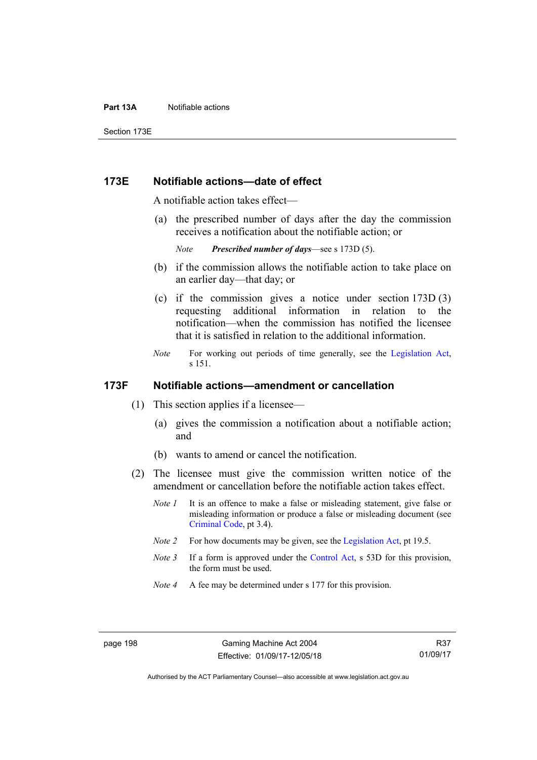#### **Part 13A** Notifiable actions

Section 173E

### **173E Notifiable actions—date of effect**

A notifiable action takes effect—

 (a) the prescribed number of days after the day the commission receives a notification about the notifiable action; or

*Note Prescribed number of days*—see s 173D (5).

- (b) if the commission allows the notifiable action to take place on an earlier day—that day; or
- (c) if the commission gives a notice under section 173D (3) requesting additional information in relation to the notification—when the commission has notified the licensee that it is satisfied in relation to the additional information.
- *Note* For working out periods of time generally, see the [Legislation Act,](http://www.legislation.act.gov.au/a/2001-14) s 151.

### **173F Notifiable actions—amendment or cancellation**

- (1) This section applies if a licensee—
	- (a) gives the commission a notification about a notifiable action; and
	- (b) wants to amend or cancel the notification.
- (2) The licensee must give the commission written notice of the amendment or cancellation before the notifiable action takes effect.
	- *Note 1* It is an offence to make a false or misleading statement, give false or misleading information or produce a false or misleading document (see [Criminal Code](http://www.legislation.act.gov.au/a/2002-51), pt 3.4).
	- *Note 2* For how documents may be given, see the [Legislation Act,](http://www.legislation.act.gov.au/a/2001-14) pt 19.5.
	- *Note 3* If a form is approved under the [Control Act,](http://www.legislation.act.gov.au/a/1999-46/default.asp) s 53D for this provision, the form must be used.
	- *Note 4* A fee may be determined under s 177 for this provision.

R37 01/09/17

Authorised by the ACT Parliamentary Counsel—also accessible at www.legislation.act.gov.au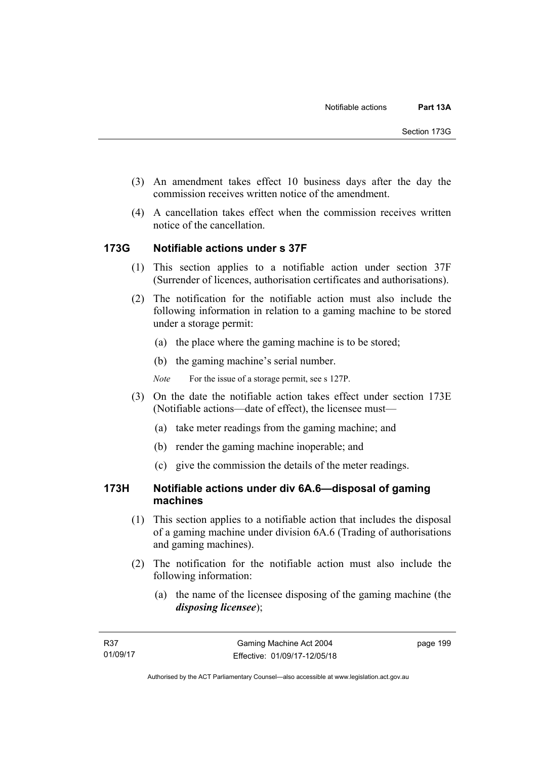- (3) An amendment takes effect 10 business days after the day the commission receives written notice of the amendment.
- (4) A cancellation takes effect when the commission receives written notice of the cancellation.

## **173G Notifiable actions under s 37F**

- (1) This section applies to a notifiable action under section 37F (Surrender of licences, authorisation certificates and authorisations).
- (2) The notification for the notifiable action must also include the following information in relation to a gaming machine to be stored under a storage permit:
	- (a) the place where the gaming machine is to be stored;
	- (b) the gaming machine's serial number.
	- *Note* For the issue of a storage permit, see s 127P.
- (3) On the date the notifiable action takes effect under section 173E (Notifiable actions—date of effect), the licensee must—
	- (a) take meter readings from the gaming machine; and
	- (b) render the gaming machine inoperable; and
	- (c) give the commission the details of the meter readings.

### **173H Notifiable actions under div 6A.6—disposal of gaming machines**

- (1) This section applies to a notifiable action that includes the disposal of a gaming machine under division 6A.6 (Trading of authorisations and gaming machines).
- (2) The notification for the notifiable action must also include the following information:
	- (a) the name of the licensee disposing of the gaming machine (the *disposing licensee*);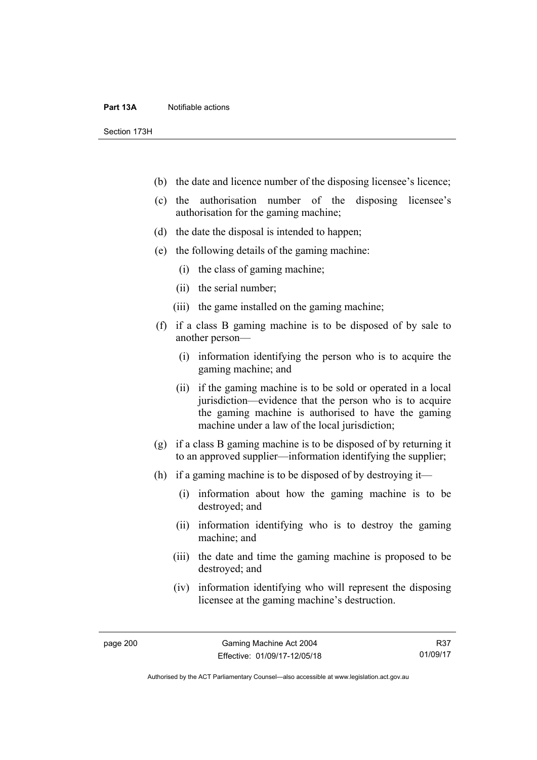#### **Part 13A** Notifiable actions

Section 173H

- (b) the date and licence number of the disposing licensee's licence;
- (c) the authorisation number of the disposing licensee's authorisation for the gaming machine;
- (d) the date the disposal is intended to happen;
- (e) the following details of the gaming machine:
	- (i) the class of gaming machine;
	- (ii) the serial number;
	- (iii) the game installed on the gaming machine;
- (f) if a class B gaming machine is to be disposed of by sale to another person—
	- (i) information identifying the person who is to acquire the gaming machine; and
	- (ii) if the gaming machine is to be sold or operated in a local jurisdiction—evidence that the person who is to acquire the gaming machine is authorised to have the gaming machine under a law of the local jurisdiction;
- (g) if a class B gaming machine is to be disposed of by returning it to an approved supplier—information identifying the supplier;
- (h) if a gaming machine is to be disposed of by destroying it—
	- (i) information about how the gaming machine is to be destroyed; and
	- (ii) information identifying who is to destroy the gaming machine; and
	- (iii) the date and time the gaming machine is proposed to be destroyed; and
	- (iv) information identifying who will represent the disposing licensee at the gaming machine's destruction.

Authorised by the ACT Parliamentary Counsel—also accessible at www.legislation.act.gov.au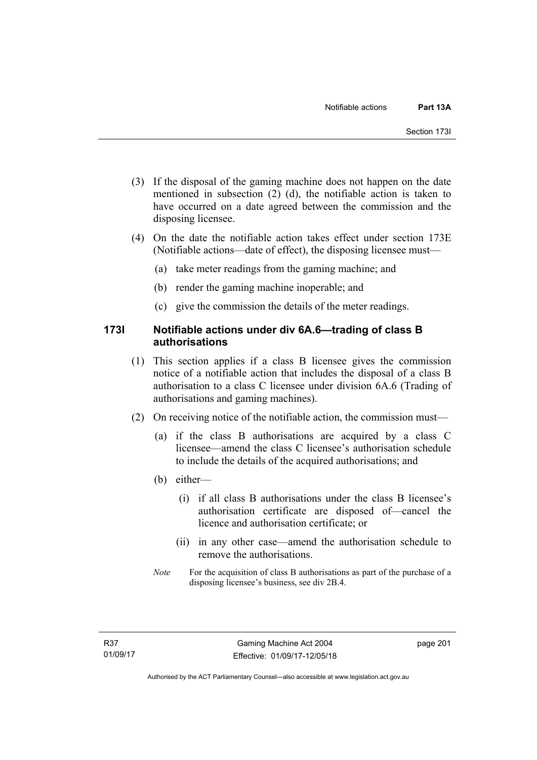- (3) If the disposal of the gaming machine does not happen on the date mentioned in subsection (2) (d), the notifiable action is taken to have occurred on a date agreed between the commission and the disposing licensee.
- (4) On the date the notifiable action takes effect under section 173E (Notifiable actions—date of effect), the disposing licensee must—
	- (a) take meter readings from the gaming machine; and
	- (b) render the gaming machine inoperable; and
	- (c) give the commission the details of the meter readings.

## **173I Notifiable actions under div 6A.6—trading of class B authorisations**

- (1) This section applies if a class B licensee gives the commission notice of a notifiable action that includes the disposal of a class B authorisation to a class C licensee under division 6A.6 (Trading of authorisations and gaming machines).
- (2) On receiving notice of the notifiable action, the commission must—
	- (a) if the class B authorisations are acquired by a class C licensee—amend the class C licensee's authorisation schedule to include the details of the acquired authorisations; and
	- (b) either—
		- (i) if all class B authorisations under the class B licensee's authorisation certificate are disposed of—cancel the licence and authorisation certificate; or
		- (ii) in any other case—amend the authorisation schedule to remove the authorisations.
	- *Note* For the acquisition of class B authorisations as part of the purchase of a disposing licensee's business, see div 2B.4.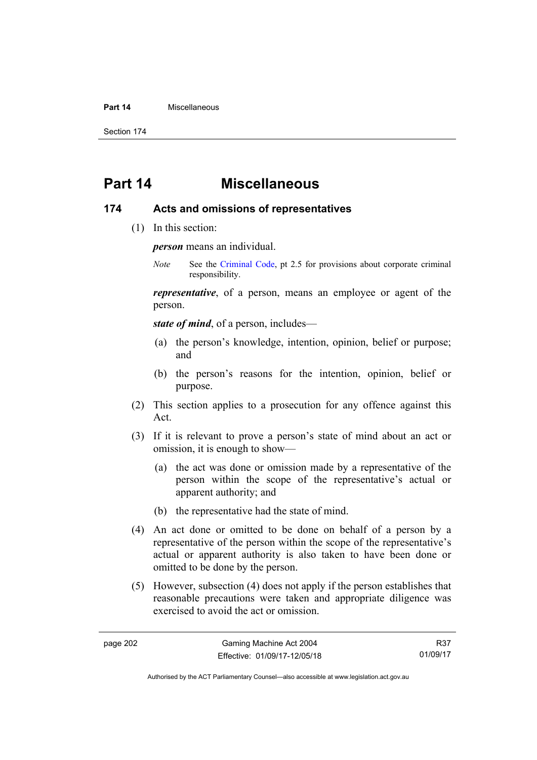#### **Part 14** Miscellaneous

Section 174

# **Part 14 Miscellaneous**

## **174 Acts and omissions of representatives**

(1) In this section:

*person* means an individual.

*Note* See the [Criminal Code,](http://www.legislation.act.gov.au/a/2002-51) pt 2.5 for provisions about corporate criminal responsibility.

*representative*, of a person, means an employee or agent of the person.

*state of mind*, of a person, includes—

- (a) the person's knowledge, intention, opinion, belief or purpose; and
- (b) the person's reasons for the intention, opinion, belief or purpose.
- (2) This section applies to a prosecution for any offence against this Act.
- (3) If it is relevant to prove a person's state of mind about an act or omission, it is enough to show—
	- (a) the act was done or omission made by a representative of the person within the scope of the representative's actual or apparent authority; and
	- (b) the representative had the state of mind.
- (4) An act done or omitted to be done on behalf of a person by a representative of the person within the scope of the representative's actual or apparent authority is also taken to have been done or omitted to be done by the person.
- (5) However, subsection (4) does not apply if the person establishes that reasonable precautions were taken and appropriate diligence was exercised to avoid the act or omission.

R37 01/09/17

Authorised by the ACT Parliamentary Counsel—also accessible at www.legislation.act.gov.au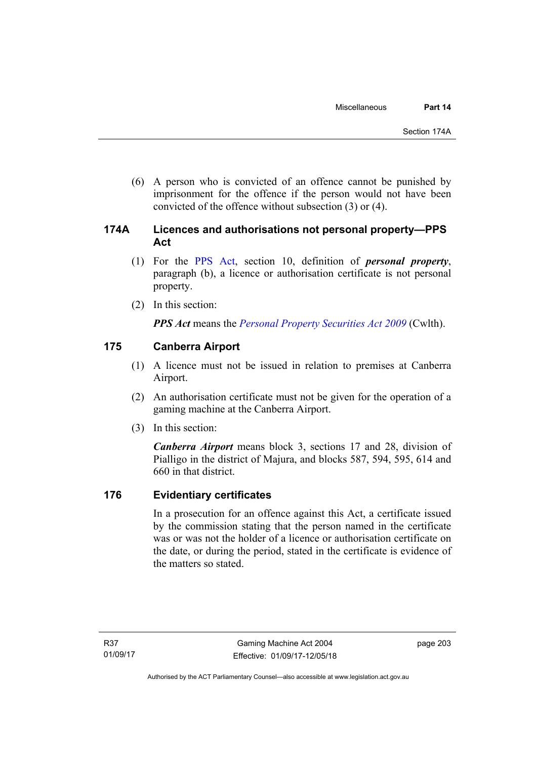(6) A person who is convicted of an offence cannot be punished by imprisonment for the offence if the person would not have been convicted of the offence without subsection (3) or (4).

# **174A Licences and authorisations not personal property—PPS Act**

- (1) For the [PPS Act,](http://www.comlaw.gov.au/Series/C2009A00130) section 10, definition of *personal property*, paragraph (b), a licence or authorisation certificate is not personal property.
- (2) In this section:

*PPS Act* means the *[Personal Property Securities Act 2009](http://www.comlaw.gov.au/Series/C2009A00130)* (Cwlth).

# **175 Canberra Airport**

- (1) A licence must not be issued in relation to premises at Canberra Airport.
- (2) An authorisation certificate must not be given for the operation of a gaming machine at the Canberra Airport.
- (3) In this section:

*Canberra Airport* means block 3, sections 17 and 28, division of Pialligo in the district of Majura, and blocks 587, 594, 595, 614 and 660 in that district.

# **176 Evidentiary certificates**

In a prosecution for an offence against this Act, a certificate issued by the commission stating that the person named in the certificate was or was not the holder of a licence or authorisation certificate on the date, or during the period, stated in the certificate is evidence of the matters so stated.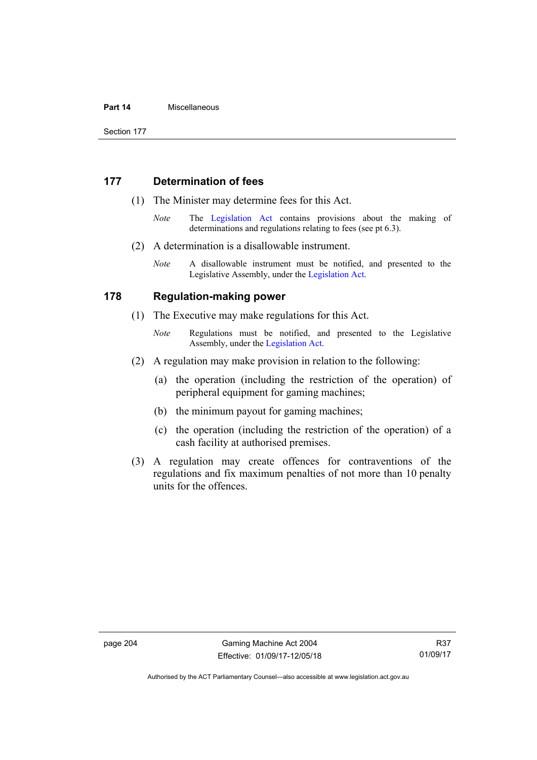#### **Part 14** Miscellaneous

Section 177

## **177 Determination of fees**

- (1) The Minister may determine fees for this Act.
	- *Note* The [Legislation Act](http://www.legislation.act.gov.au/a/2001-14) contains provisions about the making of determinations and regulations relating to fees (see pt 6.3).
- (2) A determination is a disallowable instrument.
	- *Note* A disallowable instrument must be notified, and presented to the Legislative Assembly, under the [Legislation Act.](http://www.legislation.act.gov.au/a/2001-14)

## **178 Regulation-making power**

- (1) The Executive may make regulations for this Act.
	- *Note* **Regulations** must be notified, and presented to the Legislative Assembly, under the [Legislation Act](http://www.legislation.act.gov.au/a/2001-14).
- (2) A regulation may make provision in relation to the following:
	- (a) the operation (including the restriction of the operation) of peripheral equipment for gaming machines;
	- (b) the minimum payout for gaming machines;
	- (c) the operation (including the restriction of the operation) of a cash facility at authorised premises.
- (3) A regulation may create offences for contraventions of the regulations and fix maximum penalties of not more than 10 penalty units for the offences.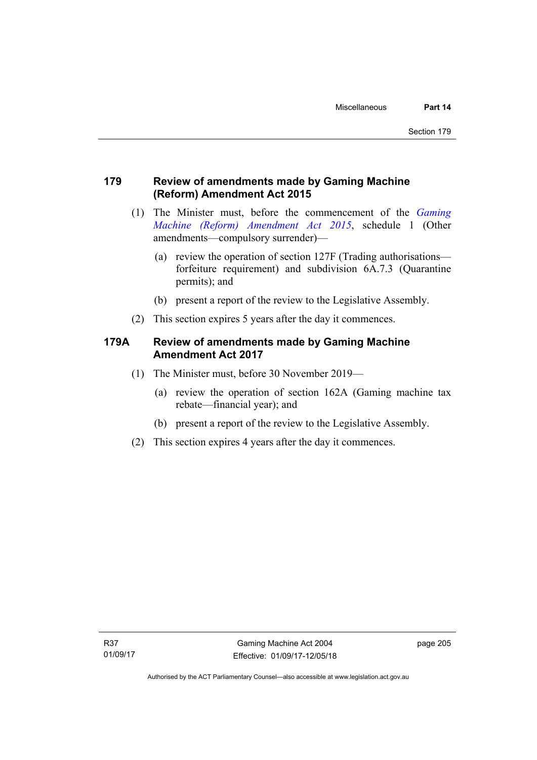# **179 Review of amendments made by Gaming Machine (Reform) Amendment Act 2015**

- (1) The Minister must, before the commencement of the *[Gaming](http://www.legislation.act.gov.au/a/2015-21/default.asp)  [Machine \(Reform\) Amendment Act 2015](http://www.legislation.act.gov.au/a/2015-21/default.asp)*, schedule 1 (Other amendments—compulsory surrender)—
	- (a) review the operation of section 127F (Trading authorisations forfeiture requirement) and subdivision 6A.7.3 (Quarantine permits); and
	- (b) present a report of the review to the Legislative Assembly.
- (2) This section expires 5 years after the day it commences.

# **179A Review of amendments made by Gaming Machine Amendment Act 2017**

- (1) The Minister must, before 30 November 2019—
	- (a) review the operation of section 162A (Gaming machine tax rebate—financial year); and
	- (b) present a report of the review to the Legislative Assembly.
- (2) This section expires 4 years after the day it commences.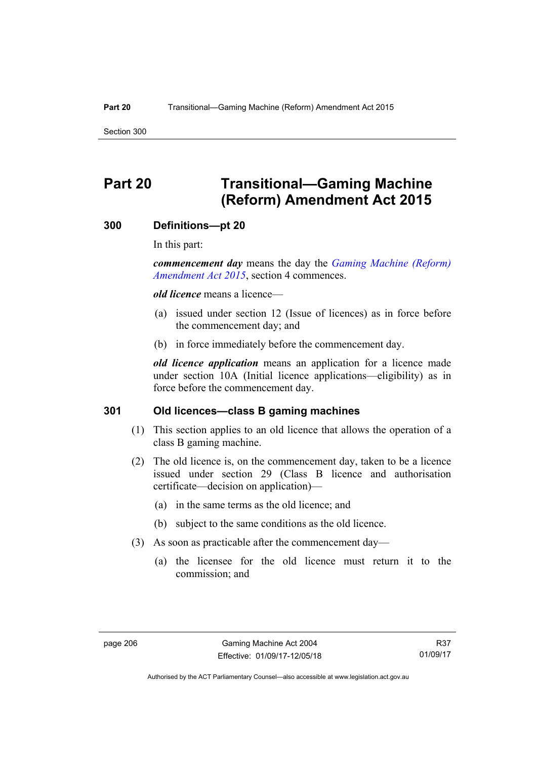Section 300

# **Part 20 Transitional—Gaming Machine (Reform) Amendment Act 2015**

## **300 Definitions—pt 20**

In this part:

*commencement day* means the day the *[Gaming Machine \(Reform\)](http://www.legislation.act.gov.au/a/2015-21/default.asp)  [Amendment Act 2015](http://www.legislation.act.gov.au/a/2015-21/default.asp)*, section 4 commences.

*old licence* means a licence—

- (a) issued under section 12 (Issue of licences) as in force before the commencement day; and
- (b) in force immediately before the commencement day.

*old licence application* means an application for a licence made under section 10A (Initial licence applications—eligibility) as in force before the commencement day.

## **301 Old licences—class B gaming machines**

- (1) This section applies to an old licence that allows the operation of a class B gaming machine.
- (2) The old licence is, on the commencement day, taken to be a licence issued under section 29 (Class B licence and authorisation certificate—decision on application)—
	- (a) in the same terms as the old licence; and
	- (b) subject to the same conditions as the old licence.
- (3) As soon as practicable after the commencement day—
	- (a) the licensee for the old licence must return it to the commission; and

Authorised by the ACT Parliamentary Counsel—also accessible at www.legislation.act.gov.au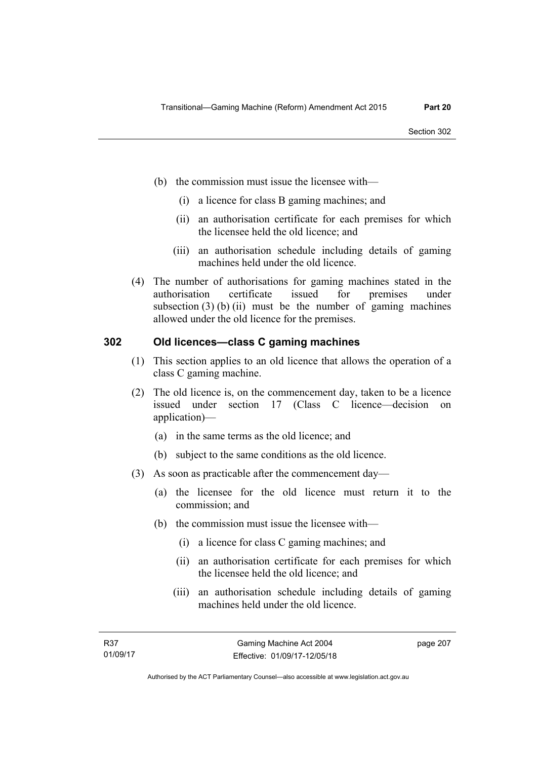- (b) the commission must issue the licensee with—
	- (i) a licence for class B gaming machines; and
	- (ii) an authorisation certificate for each premises for which the licensee held the old licence; and
	- (iii) an authorisation schedule including details of gaming machines held under the old licence.
- (4) The number of authorisations for gaming machines stated in the authorisation certificate issued for premises under subsection  $(3)$  (b) (ii) must be the number of gaming machines allowed under the old licence for the premises.

## **302 Old licences—class C gaming machines**

- (1) This section applies to an old licence that allows the operation of a class C gaming machine.
- (2) The old licence is, on the commencement day, taken to be a licence issued under section 17 (Class C licence—decision on application)—
	- (a) in the same terms as the old licence; and
	- (b) subject to the same conditions as the old licence.
- (3) As soon as practicable after the commencement day—
	- (a) the licensee for the old licence must return it to the commission; and
	- (b) the commission must issue the licensee with—
		- (i) a licence for class C gaming machines; and
		- (ii) an authorisation certificate for each premises for which the licensee held the old licence; and
		- (iii) an authorisation schedule including details of gaming machines held under the old licence.

page 207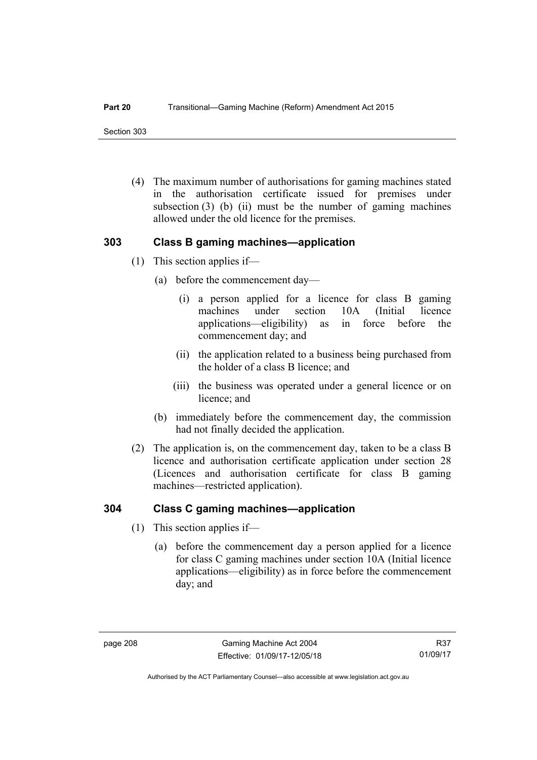Section 303

 (4) The maximum number of authorisations for gaming machines stated in the authorisation certificate issued for premises under subsection  $(3)$  (b) (ii) must be the number of gaming machines allowed under the old licence for the premises.

## **303 Class B gaming machines—application**

- (1) This section applies if—
	- (a) before the commencement day—
		- (i) a person applied for a licence for class B gaming machines under section 10A (Initial licence applications—eligibility) as in force before the commencement day; and
		- (ii) the application related to a business being purchased from the holder of a class B licence; and
		- (iii) the business was operated under a general licence or on licence; and
	- (b) immediately before the commencement day, the commission had not finally decided the application.
- (2) The application is, on the commencement day, taken to be a class B licence and authorisation certificate application under section 28 (Licences and authorisation certificate for class B gaming machines—restricted application).

# **304 Class C gaming machines—application**

- (1) This section applies if—
	- (a) before the commencement day a person applied for a licence for class C gaming machines under section 10A (Initial licence applications—eligibility) as in force before the commencement day; and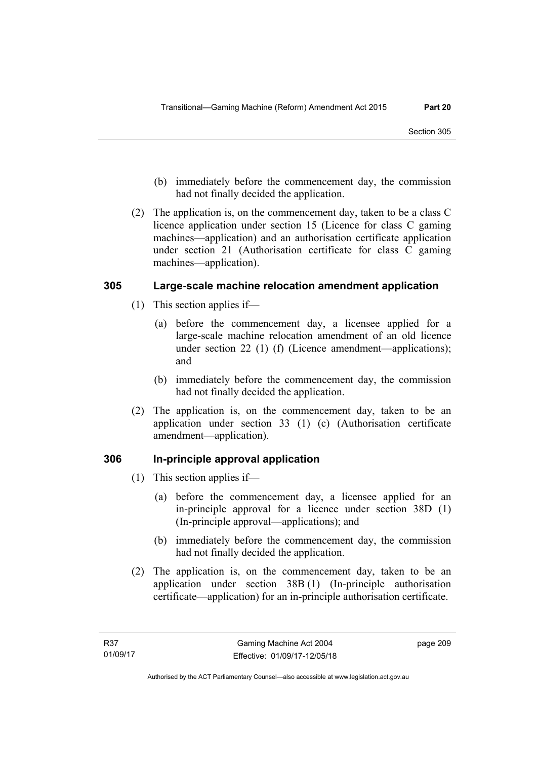- (b) immediately before the commencement day, the commission had not finally decided the application.
- (2) The application is, on the commencement day, taken to be a class C licence application under section 15 (Licence for class C gaming machines—application) and an authorisation certificate application under section 21 (Authorisation certificate for class C gaming machines—application).

## **305 Large-scale machine relocation amendment application**

- (1) This section applies if—
	- (a) before the commencement day, a licensee applied for a large-scale machine relocation amendment of an old licence under section 22 (1) (f) (Licence amendment—applications); and
	- (b) immediately before the commencement day, the commission had not finally decided the application.
- (2) The application is, on the commencement day, taken to be an application under section 33 (1) (c) (Authorisation certificate amendment—application).

# **306 In-principle approval application**

- (1) This section applies if—
	- (a) before the commencement day, a licensee applied for an in-principle approval for a licence under section 38D (1) (In-principle approval—applications); and
	- (b) immediately before the commencement day, the commission had not finally decided the application.
- (2) The application is, on the commencement day, taken to be an application under section 38B (1) (In-principle authorisation certificate—application) for an in-principle authorisation certificate.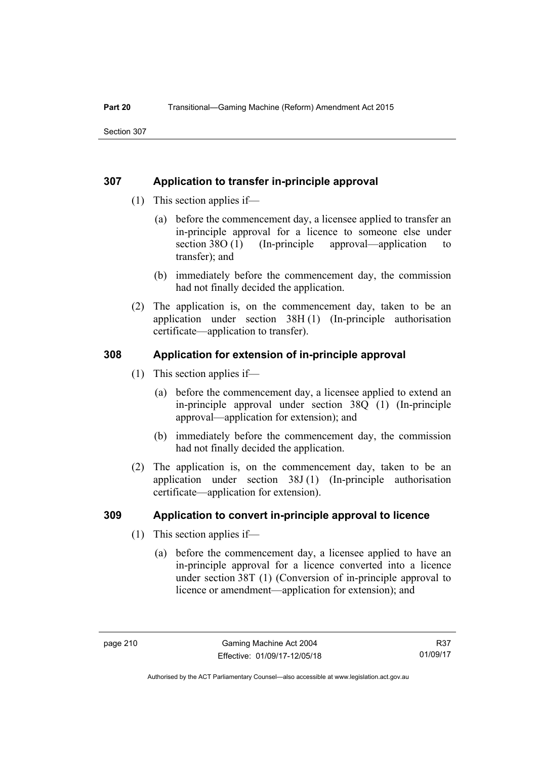## **307 Application to transfer in-principle approval**

- (1) This section applies if—
	- (a) before the commencement day, a licensee applied to transfer an in-principle approval for a licence to someone else under section 38O (1) (In-principle approval—application to transfer); and
	- (b) immediately before the commencement day, the commission had not finally decided the application.
- (2) The application is, on the commencement day, taken to be an application under section 38H (1) (In-principle authorisation certificate—application to transfer).

## **308 Application for extension of in-principle approval**

- (1) This section applies if—
	- (a) before the commencement day, a licensee applied to extend an in-principle approval under section 38Q (1) (In-principle approval—application for extension); and
	- (b) immediately before the commencement day, the commission had not finally decided the application.
- (2) The application is, on the commencement day, taken to be an application under section 38J (1) (In-principle authorisation certificate—application for extension).

## **309 Application to convert in-principle approval to licence**

- (1) This section applies if—
	- (a) before the commencement day, a licensee applied to have an in-principle approval for a licence converted into a licence under section 38T (1) (Conversion of in-principle approval to licence or amendment—application for extension); and

Authorised by the ACT Parliamentary Counsel—also accessible at www.legislation.act.gov.au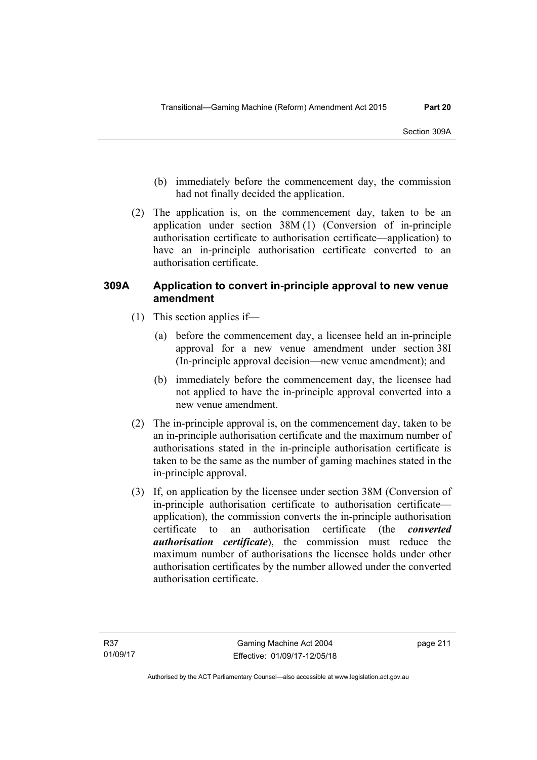- (b) immediately before the commencement day, the commission had not finally decided the application.
- (2) The application is, on the commencement day, taken to be an application under section 38M (1) (Conversion of in-principle authorisation certificate to authorisation certificate—application) to have an in-principle authorisation certificate converted to an authorisation certificate.

## **309A Application to convert in-principle approval to new venue amendment**

- (1) This section applies if—
	- (a) before the commencement day, a licensee held an in-principle approval for a new venue amendment under section 38I (In-principle approval decision—new venue amendment); and
	- (b) immediately before the commencement day, the licensee had not applied to have the in-principle approval converted into a new venue amendment.
- (2) The in-principle approval is, on the commencement day, taken to be an in-principle authorisation certificate and the maximum number of authorisations stated in the in-principle authorisation certificate is taken to be the same as the number of gaming machines stated in the in-principle approval.
- (3) If, on application by the licensee under section 38M (Conversion of in-principle authorisation certificate to authorisation certificate application), the commission converts the in-principle authorisation certificate to an authorisation certificate (the *converted authorisation certificate*), the commission must reduce the maximum number of authorisations the licensee holds under other authorisation certificates by the number allowed under the converted authorisation certificate.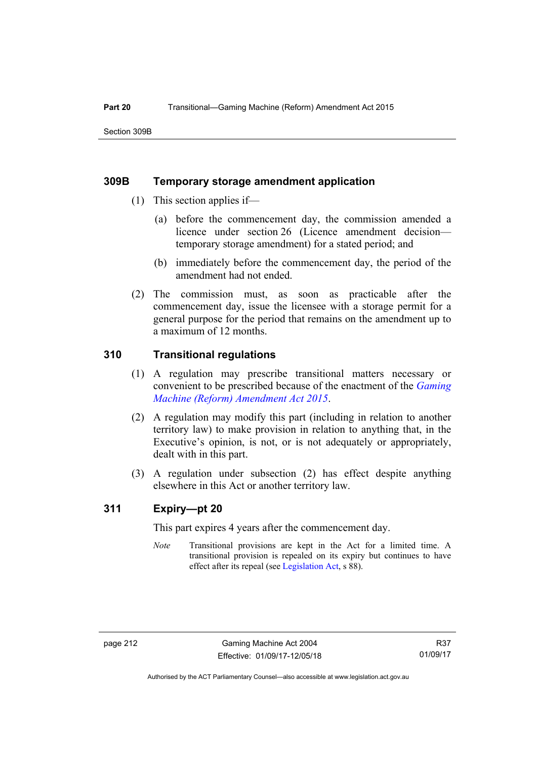## **309B Temporary storage amendment application**

- (1) This section applies if—
	- (a) before the commencement day, the commission amended a licence under section 26 (Licence amendment decision temporary storage amendment) for a stated period; and
	- (b) immediately before the commencement day, the period of the amendment had not ended.
- (2) The commission must, as soon as practicable after the commencement day, issue the licensee with a storage permit for a general purpose for the period that remains on the amendment up to a maximum of 12 months.

## **310 Transitional regulations**

- (1) A regulation may prescribe transitional matters necessary or convenient to be prescribed because of the enactment of the *[Gaming](http://www.legislation.act.gov.au/a/2015-21/default.asp)  [Machine \(Reform\) Amendment Act 2015](http://www.legislation.act.gov.au/a/2015-21/default.asp)*.
- (2) A regulation may modify this part (including in relation to another territory law) to make provision in relation to anything that, in the Executive's opinion, is not, or is not adequately or appropriately, dealt with in this part.
- (3) A regulation under subsection (2) has effect despite anything elsewhere in this Act or another territory law.

## **311 Expiry—pt 20**

This part expires 4 years after the commencement day.

*Note* Transitional provisions are kept in the Act for a limited time. A transitional provision is repealed on its expiry but continues to have effect after its repeal (see [Legislation Act,](http://www.legislation.act.gov.au/a/2001-14) s 88).

R37 01/09/17

Authorised by the ACT Parliamentary Counsel—also accessible at www.legislation.act.gov.au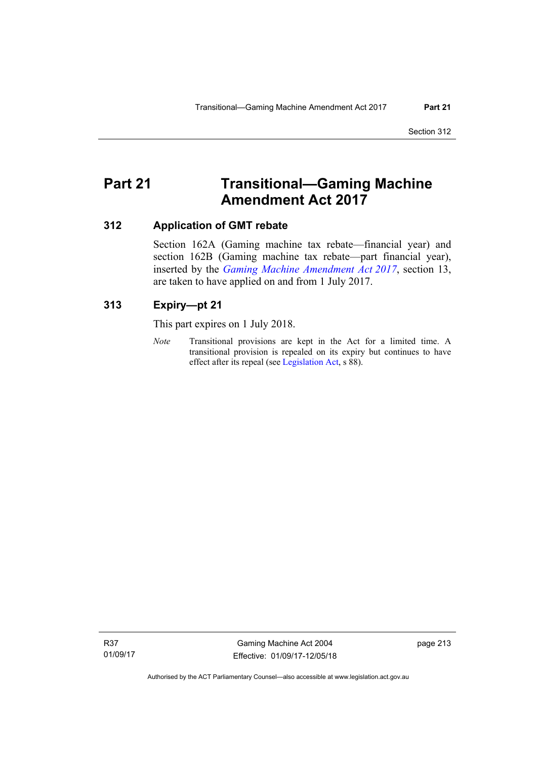# **Part 21 Transitional—Gaming Machine Amendment Act 2017**

## **312 Application of GMT rebate**

Section 162A (Gaming machine tax rebate—financial year) and section 162B (Gaming machine tax rebate—part financial year), inserted by the *[Gaming Machine Amendment Act 2017](http://www.legislation.act.gov.au/a/2017-24/default.asp)*, section 13, are taken to have applied on and from 1 July 2017.

## **313 Expiry—pt 21**

This part expires on 1 July 2018.

*Note* Transitional provisions are kept in the Act for a limited time. A transitional provision is repealed on its expiry but continues to have effect after its repeal (see [Legislation Act,](http://www.legislation.act.gov.au/a/2001-14) s 88).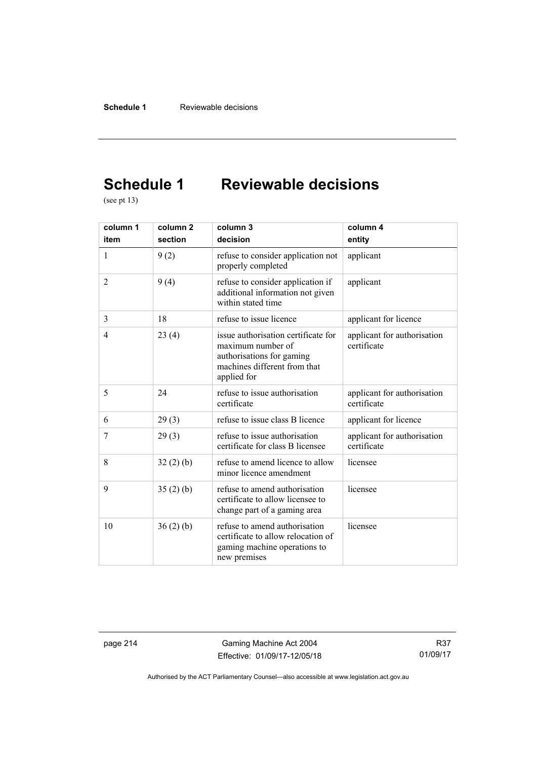# **Schedule 1 Reviewable decisions**

(see pt 13)

| column 1       | column <sub>2</sub> | column <sub>3</sub>                                                                                                                  | column 4                                   |
|----------------|---------------------|--------------------------------------------------------------------------------------------------------------------------------------|--------------------------------------------|
| item           | section             | decision                                                                                                                             | entity                                     |
| 1              | 9(2)                | refuse to consider application not<br>properly completed                                                                             | applicant                                  |
| $\overline{2}$ | 9(4)                | refuse to consider application if<br>additional information not given<br>within stated time                                          | applicant                                  |
| 3              | 18                  | refuse to issue licence                                                                                                              | applicant for licence                      |
| 4              | 23(4)               | issue authorisation certificate for<br>maximum number of<br>authorisations for gaming<br>machines different from that<br>applied for | applicant for authorisation<br>certificate |
| 5              | 24                  | refuse to issue authorisation<br>certificate                                                                                         | applicant for authorisation<br>certificate |
| 6              | 29(3)               | refuse to issue class B licence                                                                                                      | applicant for licence                      |
| 7              | 29(3)               | refuse to issue authorisation<br>certificate for class B licensee                                                                    | applicant for authorisation<br>certificate |
| 8              | 32(2)(b)            | refuse to amend licence to allow<br>minor licence amendment                                                                          | licensee                                   |
| 9              | 35(2)(b)            | refuse to amend authorisation<br>certificate to allow licensee to<br>change part of a gaming area                                    | licensee                                   |
| 10             | 36(2)(b)            | refuse to amend authorisation<br>certificate to allow relocation of<br>gaming machine operations to<br>new premises                  | licensee                                   |

page 214 Gaming Machine Act 2004 Effective: 01/09/17-12/05/18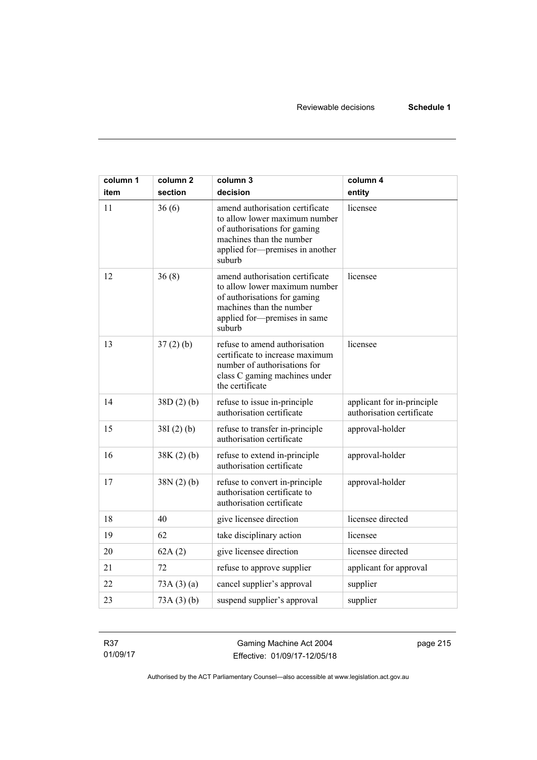| column 1 | column <sub>2</sub> | column 3                                                                                                                                                                  | column 4                                                |
|----------|---------------------|---------------------------------------------------------------------------------------------------------------------------------------------------------------------------|---------------------------------------------------------|
| item     | section             | decision                                                                                                                                                                  | entity                                                  |
| 11       | 36(6)               | amend authorisation certificate<br>to allow lower maximum number<br>of authorisations for gaming<br>machines than the number<br>applied for-premises in another<br>suburb | licensee                                                |
| 12       | 36(8)               | amend authorisation certificate<br>to allow lower maximum number<br>of authorisations for gaming<br>machines than the number<br>applied for-premises in same<br>suburb    | licensee                                                |
| 13       | 37(2)(b)            | refuse to amend authorisation<br>certificate to increase maximum<br>number of authorisations for<br>class C gaming machines under<br>the certificate                      | licensee                                                |
| 14       | 38D(2)(b)           | refuse to issue in-principle<br>authorisation certificate                                                                                                                 | applicant for in-principle<br>authorisation certificate |
| 15       | 38I(2)(b)           | refuse to transfer in-principle<br>authorisation certificate                                                                                                              | approval-holder                                         |
| 16       | 38K(2)(b)           | refuse to extend in-principle<br>authorisation certificate                                                                                                                | approval-holder                                         |
| 17       | 38N(2)(b)           | refuse to convert in-principle<br>authorisation certificate to<br>authorisation certificate                                                                               | approval-holder                                         |
| 18       | 40                  | give licensee direction                                                                                                                                                   | licensee directed                                       |
| 19       | 62                  | take disciplinary action                                                                                                                                                  | licensee                                                |
| 20       | 62A(2)              | give licensee direction                                                                                                                                                   | licensee directed                                       |
| 21       | 72                  | refuse to approve supplier                                                                                                                                                | applicant for approval                                  |
| 22       | 73A(3)(a)           | cancel supplier's approval                                                                                                                                                | supplier                                                |
| 23       | 73A(3)(b)           | suspend supplier's approval                                                                                                                                               | supplier                                                |

R37 01/09/17

Gaming Machine Act 2004 Effective: 01/09/17-12/05/18 page 215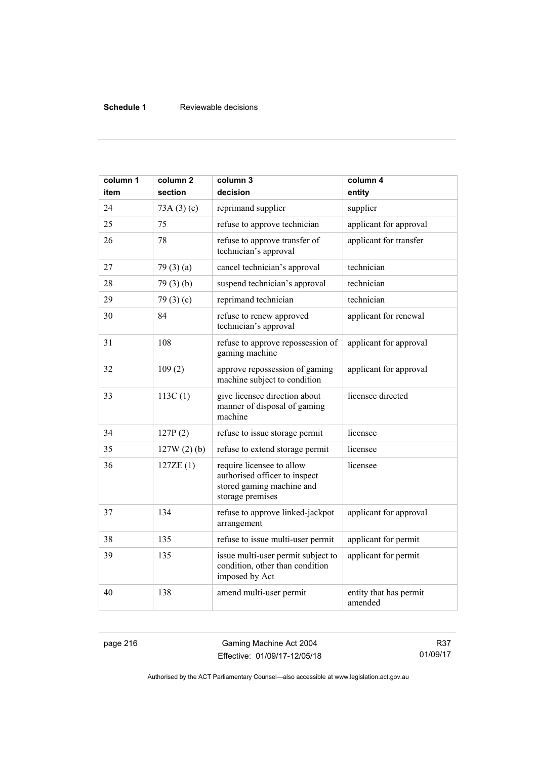## **Schedule 1** Reviewable decisions

| column 1<br>item | column <sub>2</sub><br>section | column 3<br>decision                                                                                        | column 4<br>entity                |
|------------------|--------------------------------|-------------------------------------------------------------------------------------------------------------|-----------------------------------|
| 24               | 73A(3)(c)                      | reprimand supplier                                                                                          | supplier                          |
| 25               | 75                             | refuse to approve technician                                                                                | applicant for approval            |
| 26               | 78                             | refuse to approve transfer of<br>technician's approval                                                      | applicant for transfer            |
| 27               | 79(3)(a)                       | cancel technician's approval                                                                                | technician                        |
| 28               | 79(3)(b)                       | suspend technician's approval                                                                               | technician                        |
| 29               | 79 $(3)(c)$                    | reprimand technician                                                                                        | technician                        |
| 30               | 84                             | refuse to renew approved<br>technician's approval                                                           | applicant for renewal             |
| 31               | 108                            | refuse to approve repossession of<br>gaming machine                                                         | applicant for approval            |
| 32               | 109(2)                         | approve repossession of gaming<br>machine subject to condition                                              | applicant for approval            |
| 33               | 113C(1)                        | give licensee direction about<br>manner of disposal of gaming<br>machine                                    | licensee directed                 |
| 34               | 127P(2)                        | refuse to issue storage permit                                                                              | licensee                          |
| 35               | $127W(2)$ (b)                  | refuse to extend storage permit                                                                             | licensee                          |
| 36               | 127ZE(1)                       | require licensee to allow<br>authorised officer to inspect<br>stored gaming machine and<br>storage premises | licensee                          |
| 37               | 134                            | refuse to approve linked-jackpot<br>arrangement                                                             | applicant for approval            |
| 38               | 135                            | refuse to issue multi-user permit                                                                           | applicant for permit              |
| 39               | 135                            | issue multi-user permit subject to<br>condition, other than condition<br>imposed by Act                     | applicant for permit              |
| 40               | 138                            | amend multi-user permit                                                                                     | entity that has permit<br>amended |

page 216 Gaming Machine Act 2004 Effective: 01/09/17-12/05/18

R37 01/09/17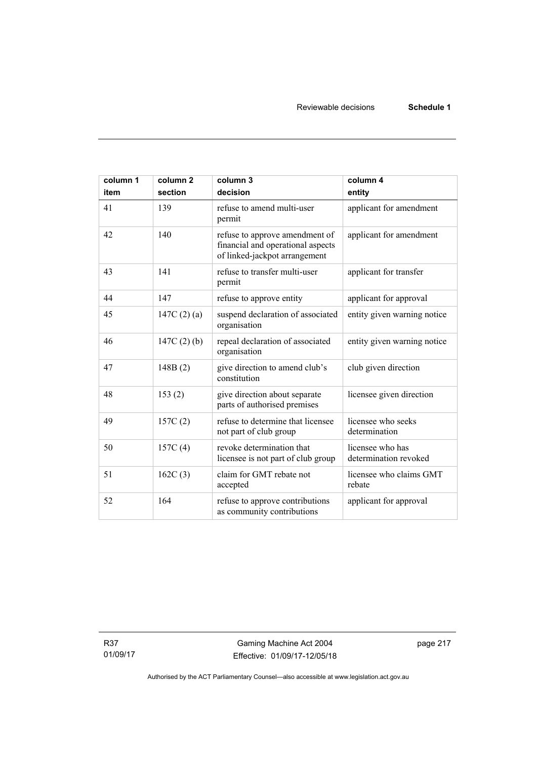| column 1<br>item | column <sub>2</sub><br>section | column 3<br>decision                                                                                 | column 4<br>entity                        |
|------------------|--------------------------------|------------------------------------------------------------------------------------------------------|-------------------------------------------|
| 41               | 139                            | refuse to amend multi-user<br>permit                                                                 | applicant for amendment                   |
| 42               | 140                            | refuse to approve amendment of<br>financial and operational aspects<br>of linked-jackpot arrangement | applicant for amendment                   |
| 43               | 141                            | refuse to transfer multi-user<br>permit                                                              | applicant for transfer                    |
| 44               | 147                            | refuse to approve entity                                                                             | applicant for approval                    |
| 45               | 147C $(2)(a)$                  | suspend declaration of associated<br>organisation                                                    | entity given warning notice               |
| 46               | 147C $(2)$ $(b)$               | repeal declaration of associated<br>organisation                                                     | entity given warning notice               |
| 47               | 148B(2)                        | give direction to amend club's<br>constitution                                                       | club given direction                      |
| 48               | 153(2)                         | give direction about separate<br>parts of authorised premises                                        | licensee given direction                  |
| 49               | 157C(2)                        | refuse to determine that licensee<br>not part of club group                                          | licensee who seeks<br>determination       |
| 50               | 157C(4)                        | revoke determination that<br>licensee is not part of club group                                      | licensee who has<br>determination revoked |
| 51               | 162C(3)                        | claim for GMT rebate not<br>accepted                                                                 | licensee who claims GMT<br>rebate         |
| 52               | 164                            | refuse to approve contributions<br>as community contributions                                        | applicant for approval                    |

R37 01/09/17 page 217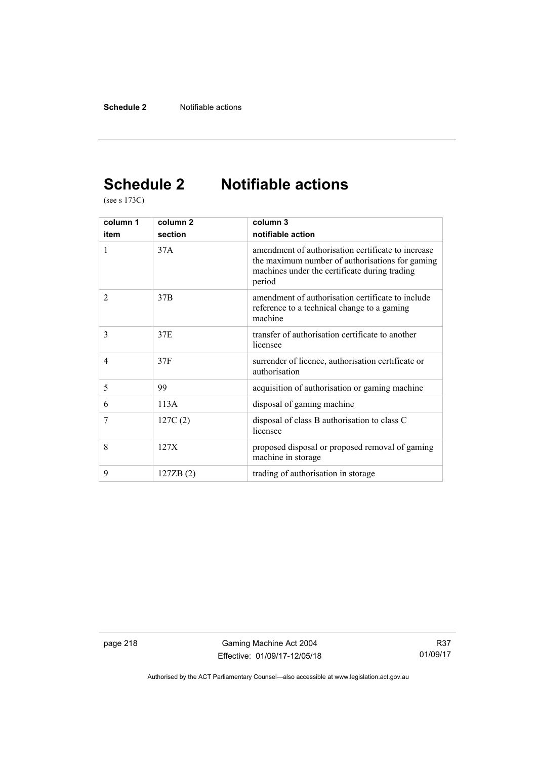# **Schedule 2 Notifiable actions**

(see s 173C)

| column 1       | column <sub>2</sub> | column 3                                                                                                                                                         |  |  |
|----------------|---------------------|------------------------------------------------------------------------------------------------------------------------------------------------------------------|--|--|
| item           | section             | notifiable action                                                                                                                                                |  |  |
| 1              | 37A                 | amendment of authorisation certificate to increase<br>the maximum number of authorisations for gaming<br>machines under the certificate during trading<br>period |  |  |
| $\overline{2}$ | 37B                 | amendment of authorisation certificate to include<br>reference to a technical change to a gaming<br>machine                                                      |  |  |
| 3              | 37E                 | transfer of authorisation certificate to another<br>licensee                                                                                                     |  |  |
| $\overline{4}$ | 37F                 | surrender of licence, authorisation certificate or<br>authorisation                                                                                              |  |  |
| 5              | 99                  | acquisition of authorisation or gaming machine                                                                                                                   |  |  |
| 6              | 113A                | disposal of gaming machine                                                                                                                                       |  |  |
| 7              | 127C(2)             | disposal of class B authorisation to class C<br>licensee                                                                                                         |  |  |
| 8              | 127X                | proposed disposal or proposed removal of gaming<br>machine in storage                                                                                            |  |  |
| 9              | 127ZB(2)            | trading of authorisation in storage                                                                                                                              |  |  |

page 218 Gaming Machine Act 2004 Effective: 01/09/17-12/05/18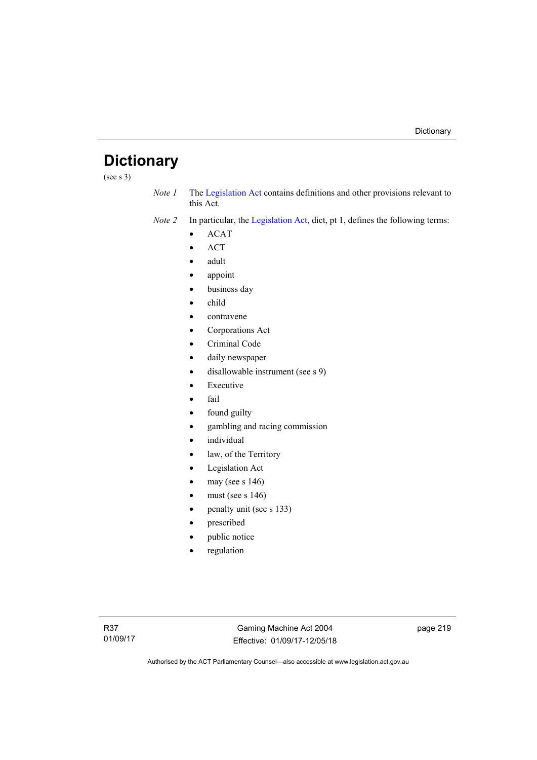# **Dictionary**

(see s 3)

*Note 1* The [Legislation Act](http://www.legislation.act.gov.au/a/2001-14) contains definitions and other provisions relevant to this Act.

*Note 2* In particular, the [Legislation Act,](http://www.legislation.act.gov.au/a/2001-14) dict, pt 1, defines the following terms:

- ACAT
- ACT
- adult
- appoint
- business day
- child
- contravene
- Corporations Act
- Criminal Code
- daily newspaper
- disallowable instrument (see s 9)
- Executive
- fail
- found guilty
- gambling and racing commission
- individual
- law, of the Territory
- Legislation Act
- may (see s 146)
- must (see s 146)
- penalty unit (see s 133)
- prescribed
- public notice
- regulation

page 219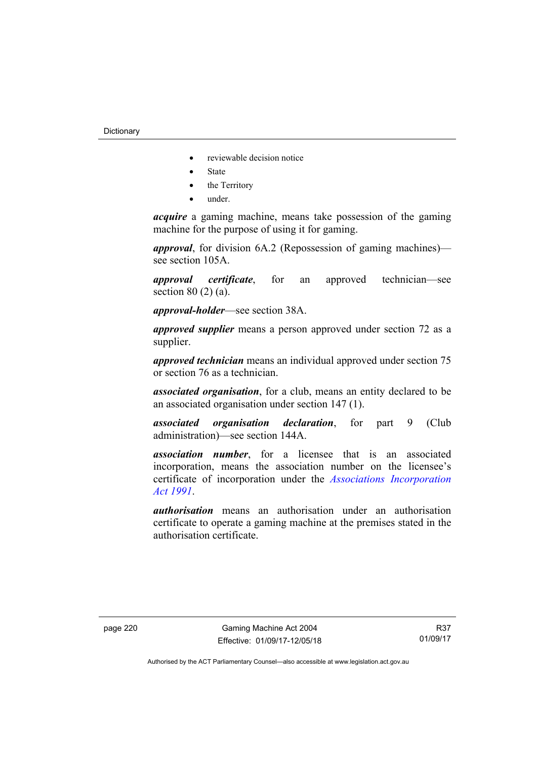- reviewable decision notice
- State
- the Territory
- under.

*acquire* a gaming machine, means take possession of the gaming machine for the purpose of using it for gaming.

*approval*, for division 6A.2 (Repossession of gaming machines) see section 105A.

*approval certificate*, for an approved technician—see section 80 (2) (a).

*approval-holder*—see section 38A.

*approved supplier* means a person approved under section 72 as a supplier.

*approved technician* means an individual approved under section 75 or section 76 as a technician.

*associated organisation*, for a club, means an entity declared to be an associated organisation under section 147 (1).

*associated organisation declaration*, for part 9 (Club administration)—see section 144A.

*association number*, for a licensee that is an associated incorporation, means the association number on the licensee's certificate of incorporation under the *[Associations Incorporation](http://www.legislation.act.gov.au/a/1991-46)  [Act 1991](http://www.legislation.act.gov.au/a/1991-46)*.

*authorisation* means an authorisation under an authorisation certificate to operate a gaming machine at the premises stated in the authorisation certificate.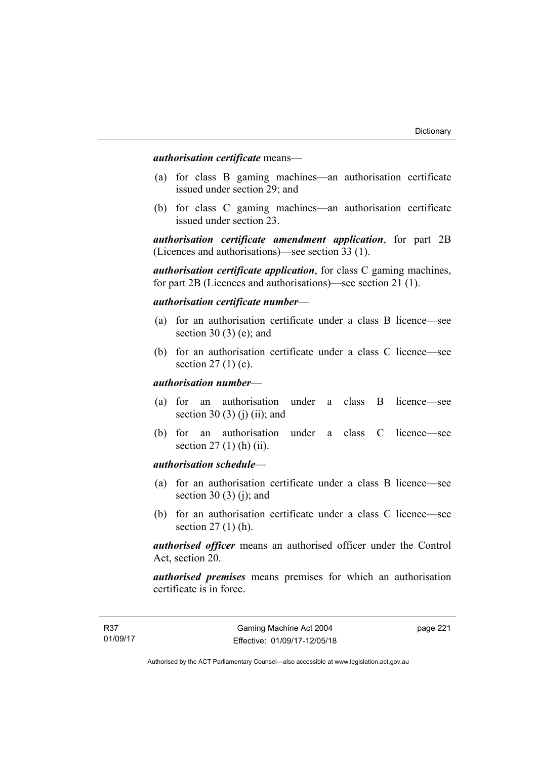*authorisation certificate* means—

- (a) for class B gaming machines—an authorisation certificate issued under section 29; and
- (b) for class C gaming machines—an authorisation certificate issued under section 23.

*authorisation certificate amendment application*, for part 2B (Licences and authorisations)—see section 33 (1).

*authorisation certificate application*, for class C gaming machines, for part 2B (Licences and authorisations)—see section 21 (1).

*authorisation certificate number*—

- (a) for an authorisation certificate under a class B licence—see section 30 (3) (e); and
- (b) for an authorisation certificate under a class C licence—see section  $27(1)(c)$ .

#### *authorisation number*—

- (a) for an authorisation under a class B licence—see section 30 (3) (j) (ii); and
- (b) for an authorisation under a class C licence—see section 27 (1) (h) (ii).

## *authorisation schedule*—

- (a) for an authorisation certificate under a class B licence—see section 30 $(3)$  $(i)$ ; and
- (b) for an authorisation certificate under a class C licence—see section 27 (1) (h).

*authorised officer* means an authorised officer under the Control Act, section 20.

*authorised premises* means premises for which an authorisation certificate is in force.

page 221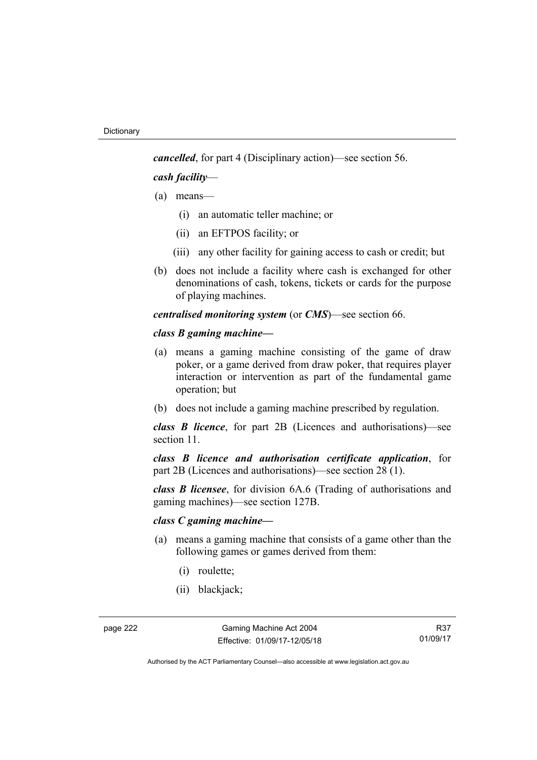*cancelled*, for part 4 (Disciplinary action)—see section 56.

*cash facility*—

- (a) means—
	- (i) an automatic teller machine; or
	- (ii) an EFTPOS facility; or
	- (iii) any other facility for gaining access to cash or credit; but
- (b) does not include a facility where cash is exchanged for other denominations of cash, tokens, tickets or cards for the purpose of playing machines.

*centralised monitoring system* (or *CMS*)—see section 66.

#### *class B gaming machine—*

- (a) means a gaming machine consisting of the game of draw poker, or a game derived from draw poker, that requires player interaction or intervention as part of the fundamental game operation; but
- (b) does not include a gaming machine prescribed by regulation.

*class B licence*, for part 2B (Licences and authorisations)—see section 11

*class B licence and authorisation certificate application*, for part 2B (Licences and authorisations)—see section 28 (1).

*class B licensee*, for division 6A.6 (Trading of authorisations and gaming machines)—see section 127B.

### *class C gaming machine—*

- (a) means a gaming machine that consists of a game other than the following games or games derived from them:
	- (i) roulette;
	- (ii) blackjack;

R37 01/09/17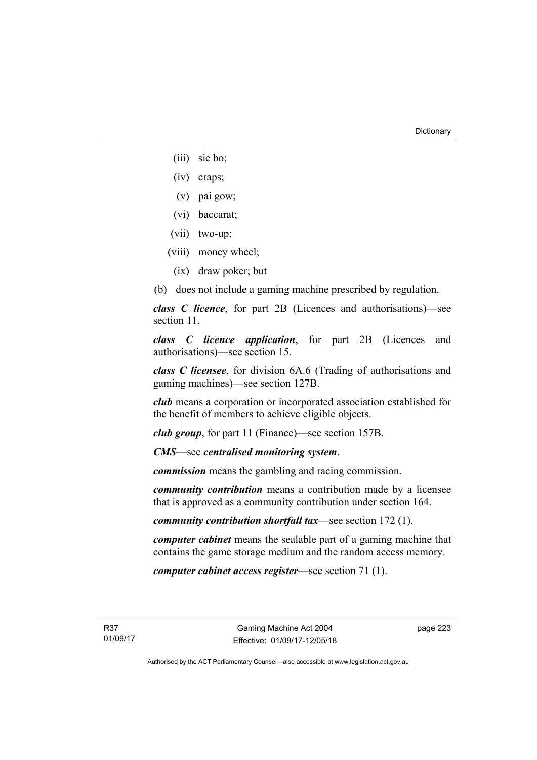- (iii) sic bo;
- (iv) craps;
- (v) pai gow;
- (vi) baccarat;
- (vii) two-up;
- (viii) money wheel;
	- (ix) draw poker; but
- (b) does not include a gaming machine prescribed by regulation.

*class C licence*, for part 2B (Licences and authorisations)—see section 11.

*class C licence application*, for part 2B (Licences and authorisations)—see section 15.

*class C licensee*, for division 6A.6 (Trading of authorisations and gaming machines)—see section 127B.

*club* means a corporation or incorporated association established for the benefit of members to achieve eligible objects.

*club group*, for part 11 (Finance)—see section 157B.

*CMS*—see *centralised monitoring system*.

*commission* means the gambling and racing commission.

*community contribution* means a contribution made by a licensee that is approved as a community contribution under section 164.

*community contribution shortfall tax*—see section 172 (1).

*computer cabinet* means the sealable part of a gaming machine that contains the game storage medium and the random access memory.

*computer cabinet access register*—see section 71 (1).

R37 01/09/17 page 223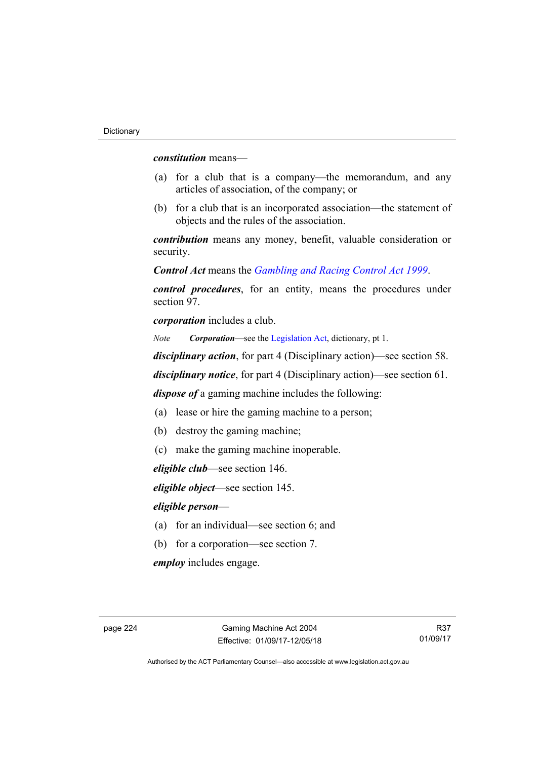*constitution* means—

- (a) for a club that is a company—the memorandum, and any articles of association, of the company; or
- (b) for a club that is an incorporated association—the statement of objects and the rules of the association.

*contribution* means any money, benefit, valuable consideration or security.

*Control Act* means the *[Gambling and Racing Control Act 1999](http://www.legislation.act.gov.au/a/1999-46)*.

*control procedures*, for an entity, means the procedures under section 97.

*corporation* includes a club.

*Note Corporation*—see the [Legislation Act,](http://www.legislation.act.gov.au/a/2001-14) dictionary, pt 1.

*disciplinary action*, for part 4 (Disciplinary action)—see section 58.

*disciplinary notice*, for part 4 (Disciplinary action)—see section 61.

*dispose of* a gaming machine includes the following:

- (a) lease or hire the gaming machine to a person;
- (b) destroy the gaming machine;
- (c) make the gaming machine inoperable.

*eligible club*—see section 146.

*eligible object*—see section 145.

#### *eligible person*—

- (a) for an individual—see section 6; and
- (b) for a corporation—see section 7.

*employ* includes engage.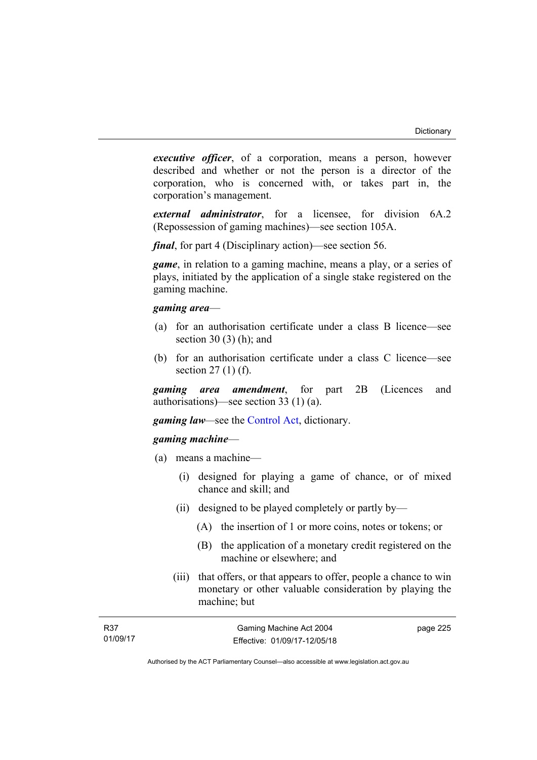*executive officer*, of a corporation, means a person, however described and whether or not the person is a director of the corporation, who is concerned with, or takes part in, the corporation's management.

*external administrator*, for a licensee, for division 6A.2 (Repossession of gaming machines)—see section 105A.

*final*, for part 4 (Disciplinary action)—see section 56.

*game*, in relation to a gaming machine, means a play, or a series of plays, initiated by the application of a single stake registered on the gaming machine.

#### *gaming area*—

- (a) for an authorisation certificate under a class B licence—see section 30 $(3)$  $(h)$ ; and
- (b) for an authorisation certificate under a class C licence—see section 27 (1) (f).

*gaming area amendment*, for part 2B (Licences and authorisations)—see section 33 (1) (a).

*gaming law—*see the [Control Act](http://www.legislation.act.gov.au/a/1999-46/default.asp), dictionary.

## *gaming machine*—

- (a) means a machine—
	- (i) designed for playing a game of chance, or of mixed chance and skill; and
	- (ii) designed to be played completely or partly by—
		- (A) the insertion of 1 or more coins, notes or tokens; or
		- (B) the application of a monetary credit registered on the machine or elsewhere; and
	- (iii) that offers, or that appears to offer, people a chance to win monetary or other valuable consideration by playing the machine; but

| R37      | Gaming Machine Act 2004      | page 225 |
|----------|------------------------------|----------|
| 01/09/17 | Effective: 01/09/17-12/05/18 |          |

Authorised by the ACT Parliamentary Counsel—also accessible at www.legislation.act.gov.au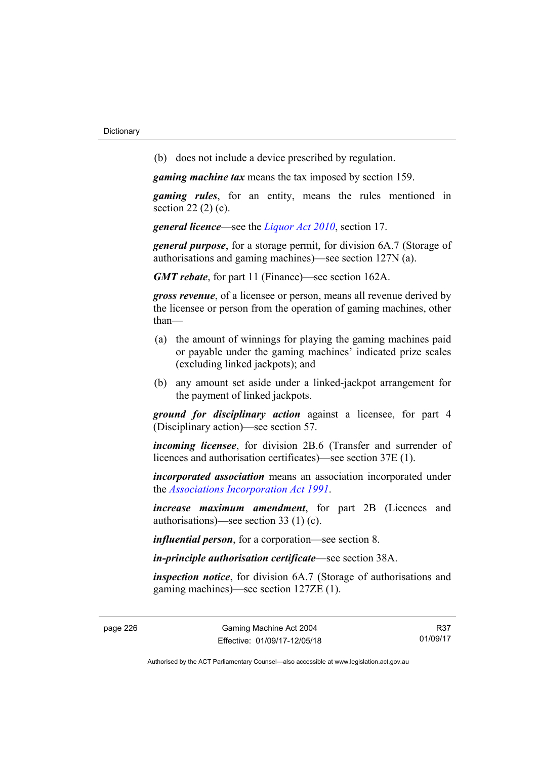(b) does not include a device prescribed by regulation.

*gaming machine tax* means the tax imposed by section 159.

*gaming rules*, for an entity, means the rules mentioned in section 22 (2) (c).

*general licence*—see the *[Liquor Act 2010](http://www.legislation.act.gov.au/a/2010-35)*, section 17.

*general purpose*, for a storage permit, for division 6A.7 (Storage of authorisations and gaming machines)—see section 127N (a).

*GMT rebate*, for part 11 (Finance)—see section 162A.

*gross revenue*, of a licensee or person, means all revenue derived by the licensee or person from the operation of gaming machines, other than—

- (a) the amount of winnings for playing the gaming machines paid or payable under the gaming machines' indicated prize scales (excluding linked jackpots); and
- (b) any amount set aside under a linked-jackpot arrangement for the payment of linked jackpots.

*ground for disciplinary action* against a licensee, for part 4 (Disciplinary action)—see section 57.

*incoming licensee*, for division 2B.6 (Transfer and surrender of licences and authorisation certificates)—see section 37E (1).

*incorporated association* means an association incorporated under the *[Associations Incorporation Act 1991](http://www.legislation.act.gov.au/a/1991-46)*.

*increase maximum amendment*, for part 2B (Licences and authorisations)**—**see section 33 (1) (c).

*influential person*, for a corporation—see section 8.

*in-principle authorisation certificate*—see section 38A.

*inspection notice*, for division 6A.7 (Storage of authorisations and gaming machines)—see section 127ZE (1).

R37 01/09/17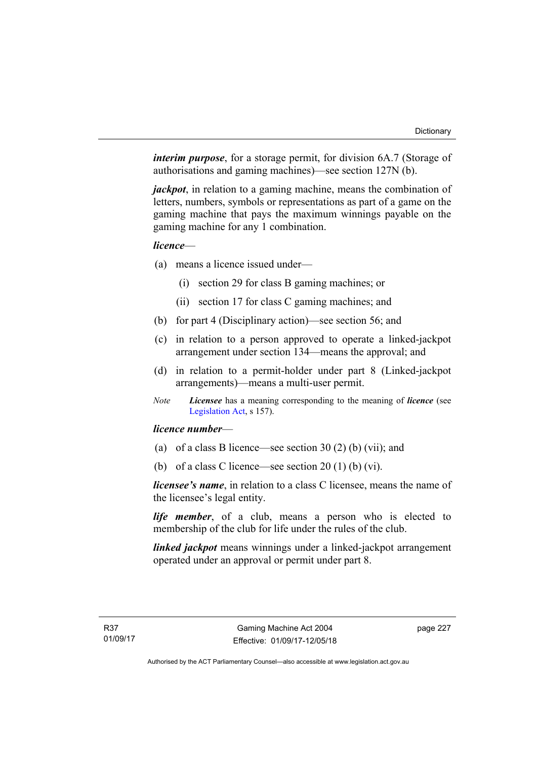*interim purpose*, for a storage permit, for division 6A.7 (Storage of authorisations and gaming machines)—see section 127N (b).

*jackpot*, in relation to a gaming machine, means the combination of letters, numbers, symbols or representations as part of a game on the gaming machine that pays the maximum winnings payable on the gaming machine for any 1 combination.

### *licence*—

- (a) means a licence issued under—
	- (i) section 29 for class B gaming machines; or
	- (ii) section 17 for class C gaming machines; and
- (b) for part 4 (Disciplinary action)—see section 56; and
- (c) in relation to a person approved to operate a linked-jackpot arrangement under section 134—means the approval; and
- (d) in relation to a permit-holder under part 8 (Linked-jackpot arrangements)—means a multi-user permit.
- *Note Licensee* has a meaning corresponding to the meaning of *licence* (see [Legislation Act,](http://www.legislation.act.gov.au/a/2001-14) s 157).

### *licence number*—

- (a) of a class B licence—see section 30 (2) (b) (vii); and
- (b) of a class C licence—see section  $20(1)$  (b) (vi).

*licensee's name*, in relation to a class C licensee, means the name of the licensee's legal entity.

*life member*, of a club, means a person who is elected to membership of the club for life under the rules of the club.

*linked jackpot* means winnings under a linked-jackpot arrangement operated under an approval or permit under part 8.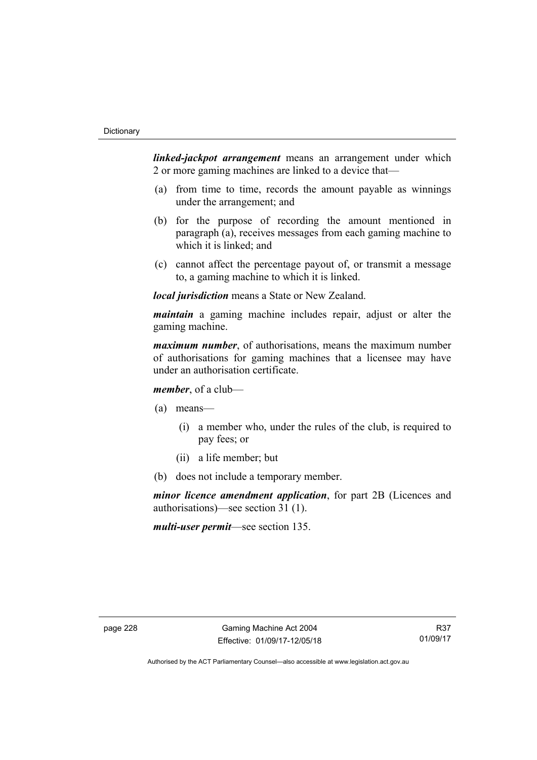*linked-jackpot arrangement* means an arrangement under which 2 or more gaming machines are linked to a device that—

- (a) from time to time, records the amount payable as winnings under the arrangement; and
- (b) for the purpose of recording the amount mentioned in paragraph (a), receives messages from each gaming machine to which it is linked; and
- (c) cannot affect the percentage payout of, or transmit a message to, a gaming machine to which it is linked.

*local jurisdiction* means a State or New Zealand.

*maintain* a gaming machine includes repair, adjust or alter the gaming machine.

*maximum number*, of authorisations, means the maximum number of authorisations for gaming machines that a licensee may have under an authorisation certificate.

*member*, of a club—

(a) means—

- (i) a member who, under the rules of the club, is required to pay fees; or
- (ii) a life member; but
- (b) does not include a temporary member.

*minor licence amendment application*, for part 2B (Licences and authorisations)—see section 31 (1).

*multi-user permit*—see section 135.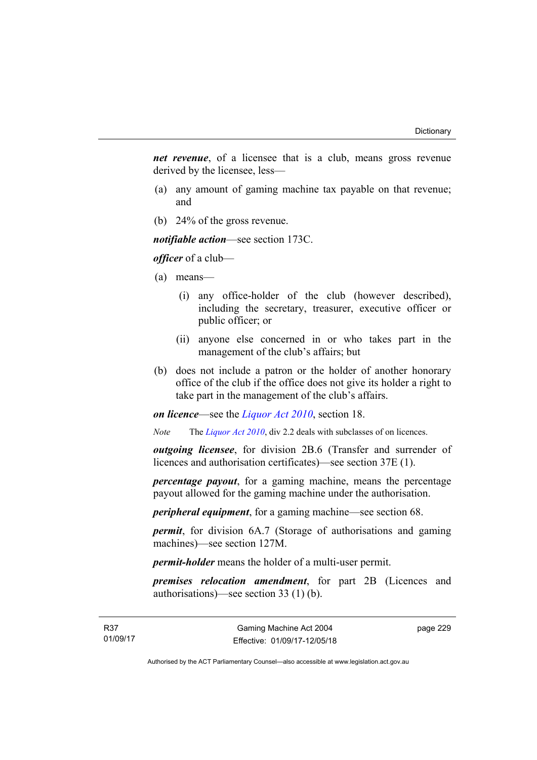*net revenue*, of a licensee that is a club, means gross revenue derived by the licensee, less—

- (a) any amount of gaming machine tax payable on that revenue; and
- (b) 24% of the gross revenue.

*notifiable action*—see section 173C.

*officer* of a club—

- (a) means—
	- (i) any office-holder of the club (however described), including the secretary, treasurer, executive officer or public officer; or
	- (ii) anyone else concerned in or who takes part in the management of the club's affairs; but
- (b) does not include a patron or the holder of another honorary office of the club if the office does not give its holder a right to take part in the management of the club's affairs.

*on licence*—see the *[Liquor Act 2010](http://www.legislation.act.gov.au/a/2010-35)*, section 18.

*Note* The *[Liquor Act 2010](http://www.legislation.act.gov.au/a/2010-35)*, div 2.2 deals with subclasses of on licences.

*outgoing licensee*, for division 2B.6 (Transfer and surrender of licences and authorisation certificates)—see section 37E (1).

*percentage payout*, for a gaming machine, means the percentage payout allowed for the gaming machine under the authorisation.

*peripheral equipment*, for a gaming machine—see section 68.

*permit*, for division 6A.7 (Storage of authorisations and gaming machines)—see section 127M.

*permit-holder* means the holder of a multi-user permit.

*premises relocation amendment*, for part 2B (Licences and authorisations)—see section 33 (1) (b).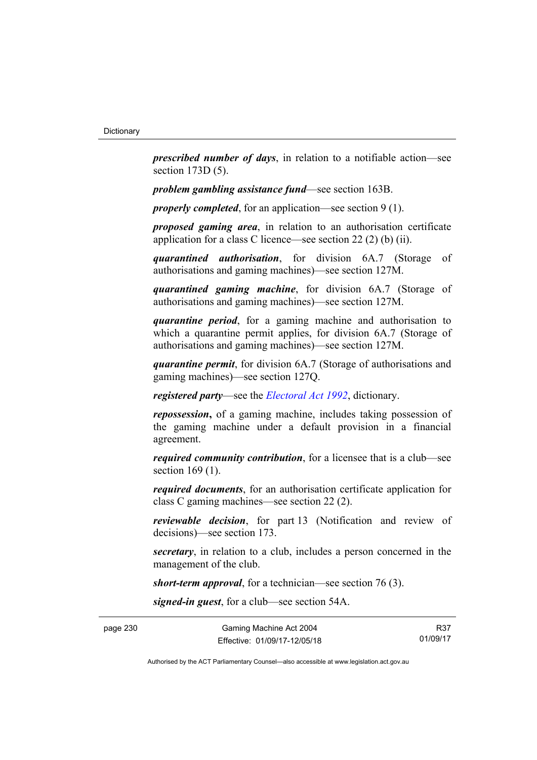*prescribed number of days*, in relation to a notifiable action—see section 173D (5).

*problem gambling assistance fund*—see section 163B.

*properly completed*, for an application—see section 9 (1).

*proposed gaming area*, in relation to an authorisation certificate application for a class C licence—see section 22 (2) (b) (ii).

*quarantined authorisation*, for division 6A.7 (Storage of authorisations and gaming machines)—see section 127M.

*quarantined gaming machine*, for division 6A.7 (Storage of authorisations and gaming machines)—see section 127M.

*quarantine period*, for a gaming machine and authorisation to which a quarantine permit applies, for division 6A.7 (Storage of authorisations and gaming machines)—see section 127M.

*quarantine permit*, for division 6A.7 (Storage of authorisations and gaming machines)—see section 127Q.

*registered party*—see the *[Electoral Act 1992](http://www.legislation.act.gov.au/a/1992-71)*, dictionary.

*repossession***,** of a gaming machine, includes taking possession of the gaming machine under a default provision in a financial agreement.

*required community contribution*, for a licensee that is a club—see section 169 (1).

*required documents*, for an authorisation certificate application for class C gaming machines—see section 22 (2).

*reviewable decision*, for part 13 (Notification and review of decisions)—see section 173.

*secretary*, in relation to a club, includes a person concerned in the management of the club.

*short-term approval*, for a technician—see section 76 (3).

*signed-in guest*, for a club—see section 54A.

R37 01/09/17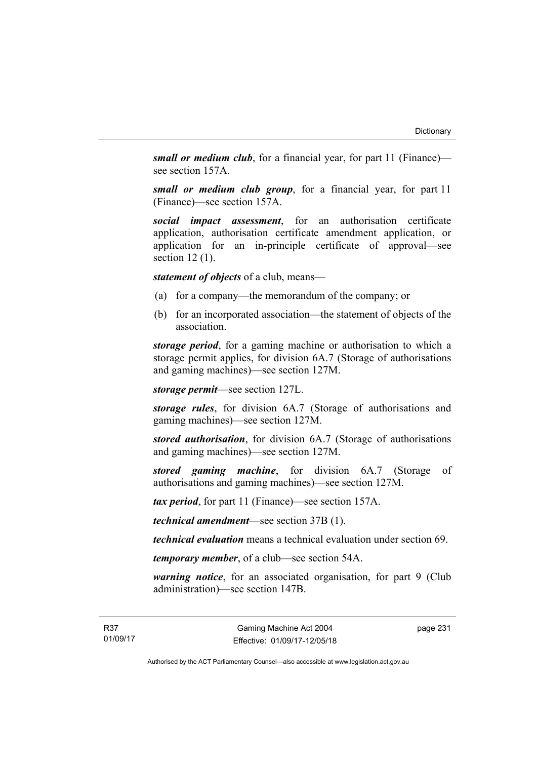*small or medium club*, for a financial year, for part 11 (Finance) see section 157A.

*small or medium club group*, for a financial year, for part 11 (Finance)—see section 157A.

*social impact assessment*, for an authorisation certificate application, authorisation certificate amendment application, or application for an in-principle certificate of approval—see section 12 (1).

*statement of objects* of a club, means—

- (a) for a company—the memorandum of the company; or
- (b) for an incorporated association—the statement of objects of the association.

*storage period*, for a gaming machine or authorisation to which a storage permit applies, for division 6A.7 (Storage of authorisations and gaming machines)—see section 127M.

*storage permit*—see section 127L.

*storage rules*, for division 6A.7 (Storage of authorisations and gaming machines)—see section 127M.

*stored authorisation*, for division 6A.7 (Storage of authorisations and gaming machines)—see section 127M.

*stored gaming machine*, for division 6A.7 (Storage of authorisations and gaming machines)—see section 127M.

*tax period*, for part 11 (Finance)—see section 157A.

*technical amendment*—see section 37B (1).

*technical evaluation* means a technical evaluation under section 69.

*temporary member*, of a club—see section 54A.

*warning notice*, for an associated organisation, for part 9 (Club administration)—see section 147B.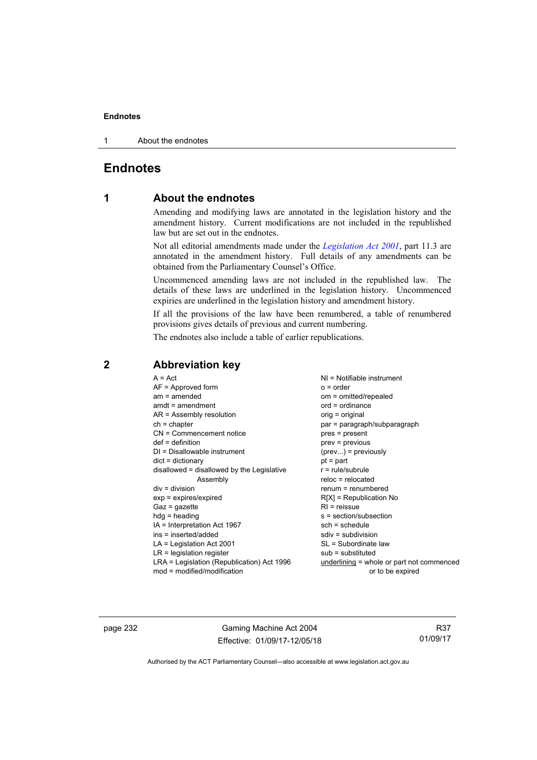1 About the endnotes

# **Endnotes**

## **1 About the endnotes**

Amending and modifying laws are annotated in the legislation history and the amendment history. Current modifications are not included in the republished law but are set out in the endnotes.

Not all editorial amendments made under the *[Legislation Act 2001](http://www.legislation.act.gov.au/a/2001-14)*, part 11.3 are annotated in the amendment history. Full details of any amendments can be obtained from the Parliamentary Counsel's Office.

Uncommenced amending laws are not included in the republished law. The details of these laws are underlined in the legislation history. Uncommenced expiries are underlined in the legislation history and amendment history.

If all the provisions of the law have been renumbered, a table of renumbered provisions gives details of previous and current numbering.

The endnotes also include a table of earlier republications.

| $A = Act$                                  | $NI = Notifiable$ instrument              |
|--------------------------------------------|-------------------------------------------|
| $AF =$ Approved form                       | $o = order$                               |
| $am = amended$                             | om = omitted/repealed                     |
| $amdt = amendment$                         | $ord = ordinance$                         |
| AR = Assembly resolution                   | orig = original                           |
| $ch = chapter$                             | par = paragraph/subparagraph              |
| $CN =$ Commencement notice                 | pres = present                            |
| $def = definition$                         | prev = previous                           |
| $DI = Disallowable instrument$             | $(\text{prev}) = \text{previously}$       |
| $dict = dictionary$                        | $pt = part$                               |
| disallowed = disallowed by the Legislative | $r = rule/subrule$                        |
| Assembly                                   | $reloc = relocated$                       |
| $div = division$                           | $renum = renumbered$                      |
| $exp = expires/expired$                    | $R[X]$ = Republication No                 |
| $Gaz = qazette$                            | $R1$ = reissue                            |
| $hdg = heading$                            | s = section/subsection                    |
| IA = Interpretation Act 1967               | $sch = schedule$                          |
| ins = inserted/added                       | $sdiv = subdivision$                      |
| $LA =$ Legislation Act 2001                | SL = Subordinate law                      |
| $LR =$ legislation register                | $sub =$ substituted                       |
| LRA = Legislation (Republication) Act 1996 | underlining = whole or part not commenced |
| $mod = modified/modification$              | or to be expired                          |

## **2 Abbreviation key**

page 232 Gaming Machine Act 2004 Effective: 01/09/17-12/05/18

R37 01/09/17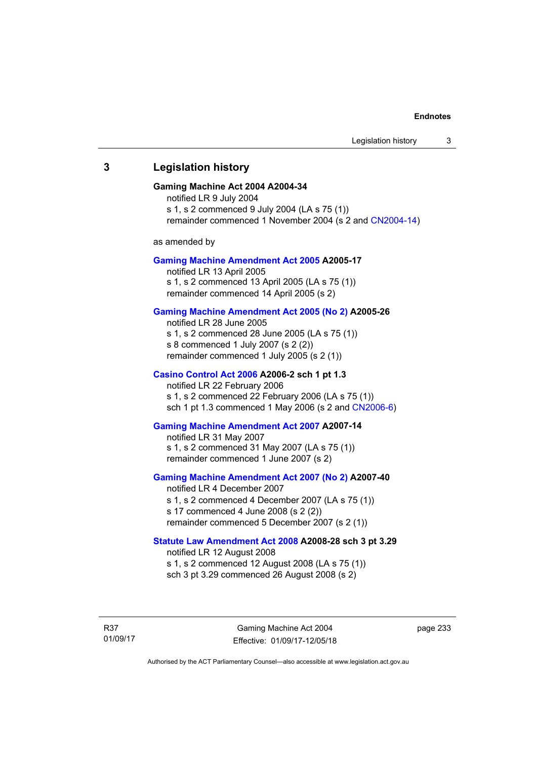## **3 Legislation history**

#### **Gaming Machine Act 2004 A2004-34**

notified LR 9 July 2004 s 1, s 2 commenced 9 July 2004 (LA s 75 (1)) remainder commenced 1 November 2004 (s 2 and [CN2004-14](http://www.legislation.act.gov.au/cn/2004-14/default.asp))

as amended by

#### **[Gaming Machine Amendment Act 2005](http://www.legislation.act.gov.au/a/2005-17) A2005-17**

notified LR 13 April 2005 s 1, s 2 commenced 13 April 2005 (LA s 75 (1)) remainder commenced 14 April 2005 (s 2)

#### **[Gaming Machine Amendment Act 2005 \(No 2\)](http://www.legislation.act.gov.au/a/2005-26) A2005-26**

notified LR 28 June 2005 s 1, s 2 commenced 28 June 2005 (LA s 75 (1)) s 8 commenced 1 July 2007 (s 2 (2)) remainder commenced 1 July 2005 (s 2 (1))

#### **[Casino Control Act 2006](http://www.legislation.act.gov.au/a/2006-2) A2006-2 sch 1 pt 1.3**

notified LR 22 February 2006 s 1, s 2 commenced 22 February 2006 (LA s 75 (1)) sch 1 pt 1.3 commenced 1 May 2006 (s 2 and [CN2006-6](http://www.legislation.act.gov.au/cn/2006-6/default.asp))

#### **[Gaming Machine Amendment Act 2007](http://www.legislation.act.gov.au/a/2007-14) A2007-14**

notified LR 31 May 2007 s 1, s 2 commenced 31 May 2007 (LA s 75 (1)) remainder commenced 1 June 2007 (s 2)

#### **[Gaming Machine Amendment Act 2007 \(No 2\)](http://www.legislation.act.gov.au/a/2007-40) A2007-40**

notified LR 4 December 2007 s 1, s 2 commenced 4 December 2007 (LA s 75 (1)) s 17 commenced 4 June 2008 (s 2 (2)) remainder commenced 5 December 2007 (s 2 (1))

#### **[Statute Law Amendment Act 2008](http://www.legislation.act.gov.au/a/2008-28) A2008-28 sch 3 pt 3.29**

notified LR 12 August 2008 s 1, s 2 commenced 12 August 2008 (LA s 75 (1)) sch 3 pt 3.29 commenced 26 August 2008 (s 2)

R37 01/09/17 page 233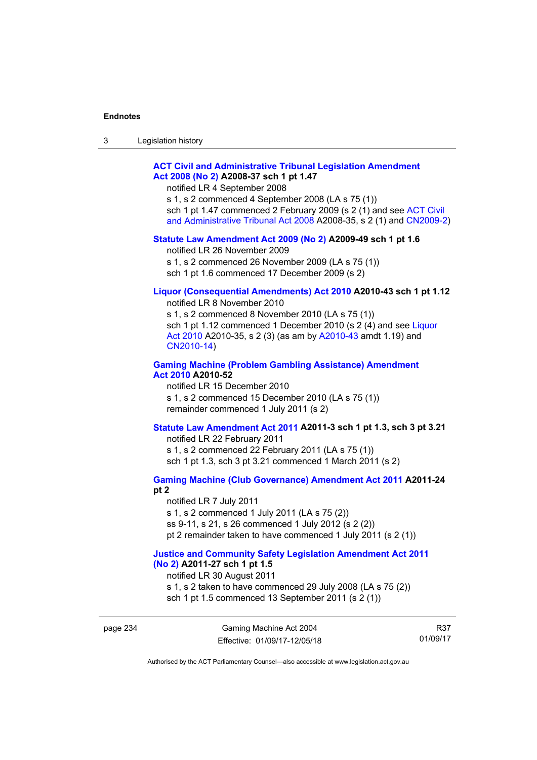| ۰J | Legislation history |  |
|----|---------------------|--|
|----|---------------------|--|

### **[ACT Civil and Administrative Tribunal Legislation Amendment](http://www.legislation.act.gov.au/a/2008-37)  [Act 2008 \(No 2\)](http://www.legislation.act.gov.au/a/2008-37) A2008-37 sch 1 pt 1.47**

notified LR 4 September 2008

s 1, s 2 commenced 4 September 2008 (LA s 75 (1)) sch 1 pt 1.47 commenced 2 February 2009 (s 2 (1) and see [ACT Civil](http://www.legislation.act.gov.au/a/2008-35)  [and Administrative Tribunal Act 2008](http://www.legislation.act.gov.au/a/2008-35) A2008-35, s 2 (1) and [CN2009-2](http://www.legislation.act.gov.au/cn/2009-2/default.asp))

#### **[Statute Law Amendment Act 2009 \(No 2\)](http://www.legislation.act.gov.au/a/2009-49) A2009-49 sch 1 pt 1.6**

notified LR 26 November 2009

s 1, s 2 commenced 26 November 2009 (LA s 75 (1))

sch 1 pt 1.6 commenced 17 December 2009 (s 2)

# **[Liquor \(Consequential Amendments\) Act 2010](http://www.legislation.act.gov.au/a/2010-43) A2010-43 sch 1 pt 1.12**

notified LR 8 November 2010

s 1, s 2 commenced 8 November 2010 (LA s 75 (1)) sch 1 pt 1.12 commenced 1 December 2010 (s 2 (4) and see Liquor [Act 2010](http://www.legislation.act.gov.au/a/2010-35) A2010-35, s 2 (3) (as am by [A2010-43](http://www.legislation.act.gov.au/a/2010-43) amdt 1.19) and [CN2010-14](http://www.legislation.act.gov.au/cn/2010-14/default.asp))

#### **[Gaming Machine \(Problem Gambling Assistance\) Amendment](http://www.legislation.act.gov.au/a/2010-52)  [Act 2010](http://www.legislation.act.gov.au/a/2010-52) A2010-52**

notified LR 15 December 2010 s 1, s 2 commenced 15 December 2010 (LA s 75 (1)) remainder commenced 1 July 2011 (s 2)

#### **[Statute Law Amendment Act 2011](http://www.legislation.act.gov.au/a/2011-3) A2011-3 sch 1 pt 1.3, sch 3 pt 3.21**

notified LR 22 February 2011 s 1, s 2 commenced 22 February 2011 (LA s 75 (1)) sch 1 pt 1.3, sch 3 pt 3.21 commenced 1 March 2011 (s 2)

#### **[Gaming Machine \(Club Governance\) Amendment Act 2011](http://www.legislation.act.gov.au/a/2011-24) A2011-24 pt 2**

notified LR 7 July 2011 s 1, s 2 commenced 1 July 2011 (LA s 75 (2)) ss 9-11, s 21, s 26 commenced 1 July 2012 (s 2 (2)) pt 2 remainder taken to have commenced 1 July 2011 (s 2 (1))

#### **[Justice and Community Safety Legislation Amendment Act 2011](http://www.legislation.act.gov.au/a/2011-27)  [\(No 2\)](http://www.legislation.act.gov.au/a/2011-27) A2011-27 sch 1 pt 1.5**

notified LR 30 August 2011

s 1, s 2 taken to have commenced 29 July 2008 (LA s 75 (2))

sch 1 pt 1.5 commenced 13 September 2011 (s 2 (1))

R37 01/09/17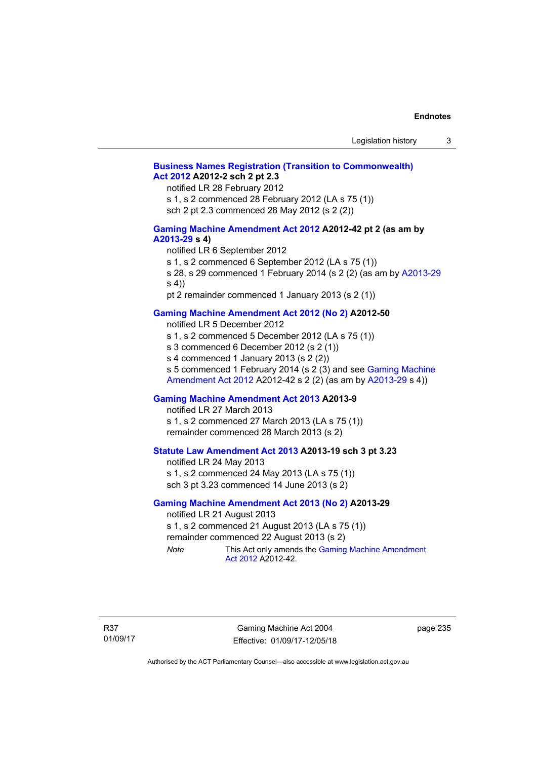### **[Business Names Registration \(Transition to Commonwealth\)](http://www.legislation.act.gov.au/a/2012-2)  [Act 2012](http://www.legislation.act.gov.au/a/2012-2) A2012-2 sch 2 pt 2.3**

notified LR 28 February 2012

s 1, s 2 commenced 28 February 2012 (LA s 75 (1))

sch 2 pt 2.3 commenced 28 May 2012 (s 2 (2))

#### **[Gaming Machine Amendment Act 2012](http://www.legislation.act.gov.au/a/2012-42) A2012-42 pt 2 (as am by [A2013-29](http://www.legislation.act.gov.au/a/2013-29) s 4)**

notified LR 6 September 2012

s 1, s 2 commenced 6 September 2012 (LA s 75 (1))

s 28, s 29 commenced 1 February 2014 (s 2 (2) (as am by [A2013-29](http://www.legislation.act.gov.au/a/2013-29) s 4))

pt 2 remainder commenced 1 January 2013 (s 2 (1))

### **[Gaming Machine Amendment Act 2012 \(No 2\)](http://www.legislation.act.gov.au/a/2012-50/default.asp) A2012-50**

notified LR 5 December 2012

s 1, s 2 commenced 5 December 2012 (LA s 75 (1))

s 3 commenced 6 December 2012 (s 2 (1))

s 4 commenced 1 January 2013 (s 2 (2))

s 5 commenced 1 February 2014 (s 2 (3) and see [Gaming Machine](http://www.legislation.act.gov.au/a/2012-42)  [Amendment Act 2012](http://www.legislation.act.gov.au/a/2012-42) A2012-42 s 2 (2) (as am by [A2013-29](http://www.legislation.act.gov.au/a/2013-29) s 4))

#### **[Gaming Machine Amendment Act 2013](http://www.legislation.act.gov.au/a/2013-9) A2013-9**

notified LR 27 March 2013

s 1, s 2 commenced 27 March 2013 (LA s 75 (1)) remainder commenced 28 March 2013 (s 2)

### **[Statute Law Amendment Act 2013](http://www.legislation.act.gov.au/a/2013-19) A2013-19 sch 3 pt 3.23**

notified LR 24 May 2013 s 1, s 2 commenced 24 May 2013 (LA s 75 (1)) sch 3 pt 3.23 commenced 14 June 2013 (s 2)

#### **[Gaming Machine Amendment Act 2013 \(No 2\)](http://www.legislation.act.gov.au/a/2013-29) A2013-29**

notified LR 21 August 2013 s 1, s 2 commenced 21 August 2013 (LA s 75 (1)) remainder commenced 22 August 2013 (s 2) *Note* This Act only amends the [Gaming Machine Amendment](http://www.legislation.act.gov.au/a/2012-42) 

[Act 2012](http://www.legislation.act.gov.au/a/2012-42) A2012-42.

Gaming Machine Act 2004 Effective: 01/09/17-12/05/18 page 235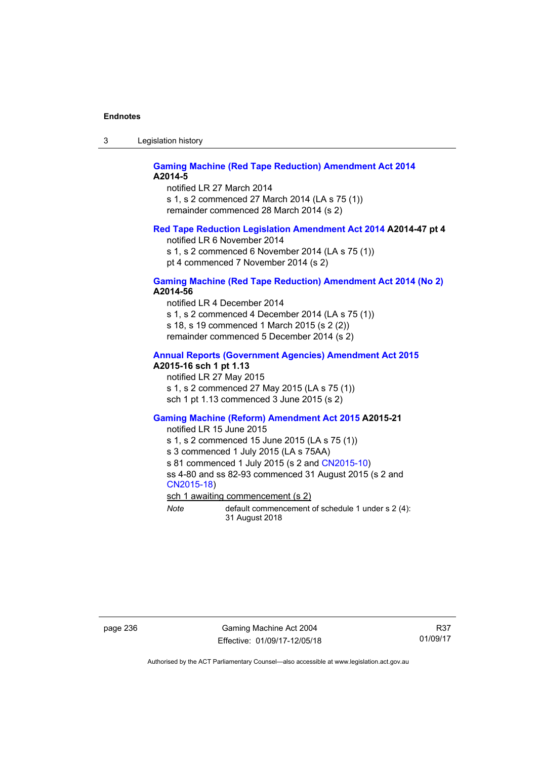3 Legislation history

#### **[Gaming Machine \(Red Tape Reduction\) Amendment Act 2014](http://www.legislation.act.gov.au/a/2014-5) A2014-5**

notified LR 27 March 2014 s 1, s 2 commenced 27 March 2014 (LA s 75 (1)) remainder commenced 28 March 2014 (s 2)

#### **[Red Tape Reduction Legislation Amendment Act 2014](http://www.legislation.act.gov.au/a/2014-47) A2014-47 pt 4**

notified LR 6 November 2014

s 1, s 2 commenced 6 November 2014 (LA s 75 (1)) pt 4 commenced 7 November 2014 (s 2)

#### **[Gaming Machine \(Red Tape Reduction\) Amendment Act 2014 \(No 2\)](http://www.legislation.act.gov.au/a/2014-56) A2014-56**

notified LR 4 December 2014

s 1, s 2 commenced 4 December 2014 (LA s 75 (1))

s 18, s 19 commenced 1 March 2015 (s 2 (2))

remainder commenced 5 December 2014 (s 2)

# **[Annual Reports \(Government Agencies\) Amendment Act 2015](http://www.legislation.act.gov.au/a/2015-16)**

# **A2015-16 sch 1 pt 1.13**

notified LR 27 May 2015 s 1, s 2 commenced 27 May 2015 (LA s 75 (1)) sch 1 pt 1.13 commenced 3 June 2015 (s 2)

#### **[Gaming Machine \(Reform\) Amendment Act 2015](http://www.legislation.act.gov.au/a/2015-21/default.asp) A2015-21**

notified LR 15 June 2015

s 1, s 2 commenced 15 June 2015 (LA s 75 (1))

s 3 commenced 1 July 2015 (LA s 75AA)

s 81 commenced 1 July 2015 (s 2 and [CN2015-10\)](http://www.legislation.act.gov.au/cn/2015-10/default.asp)

ss 4-80 and ss 82-93 commenced 31 August 2015 (s 2 and [CN2015-18](http://www.legislation.act.gov.au/cn/2015-18/default.asp))

sch 1 awaiting commencement (s 2)

*Note* default commencement of schedule 1 under s 2 (4): 31 August 2018

page 236 Gaming Machine Act 2004 Effective: 01/09/17-12/05/18

R37 01/09/17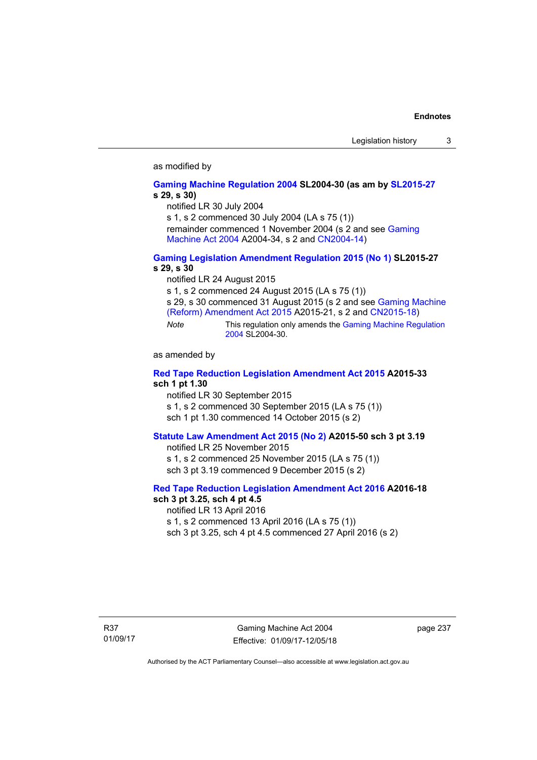### as modified by

#### **[Gaming Machine Regulation 2004](http://www.legislation.act.gov.au/sl/2004-30/default.asp) SL2004-30 (as am by [SL2015-27](http://www.legislation.act.gov.au/sl/2015-27/default.asp) s 29, s 30)**

notified LR 30 July 2004

s 1, s 2 commenced 30 July 2004 (LA s 75 (1))

remainder commenced 1 November 2004 (s 2 and see [Gaming](http://www.legislation.act.gov.au/a/2004-34)  [Machine Act 2004](http://www.legislation.act.gov.au/a/2004-34) A2004-34, s 2 and [CN2004-14](http://www.legislation.act.gov.au/cn/2004-14/default.asp))

### **[Gaming Legislation Amendment Regulation 2015 \(No 1\)](http://www.legislation.act.gov.au/sl/2015-27/default.asp) SL2015-27 s 29, s 30**

notified LR 24 August 2015

s 1, s 2 commenced 24 August 2015 (LA s 75 (1))

s 29, s 30 commenced 31 August 2015 (s 2 and see [Gaming Machine](http://www.legislation.act.gov.au/a/2015-21/default.asp)  [\(Reform\) Amendment Act 2015](http://www.legislation.act.gov.au/a/2015-21/default.asp) A2015-21, s 2 and [CN2015-18\)](http://www.legislation.act.gov.au/cn/2015-18/default.asp)

*Note* This regulation only amends the [Gaming Machine Regulation](http://www.legislation.act.gov.au/sl/2004-30/default.asp)  [2004](http://www.legislation.act.gov.au/sl/2004-30/default.asp) SL2004-30.

as amended by

### **[Red Tape Reduction Legislation Amendment Act 2015](http://www.legislation.act.gov.au/a/2015-33/default.asp) A2015-33 sch 1 pt 1.30**

notified LR 30 September 2015

s 1, s 2 commenced 30 September 2015 (LA s 75 (1))

sch 1 pt 1.30 commenced 14 October 2015 (s 2)

### **[Statute Law Amendment Act 2015 \(No 2\)](http://www.legislation.act.gov.au/a/2015-50) A2015-50 sch 3 pt 3.19**

notified LR 25 November 2015 s 1, s 2 commenced 25 November 2015 (LA s 75 (1)) sch 3 pt 3.19 commenced 9 December 2015 (s 2)

#### **[Red Tape Reduction Legislation Amendment Act 2016](http://www.legislation.act.gov.au/a/2016-18) A2016-18 sch 3 pt 3.25, sch 4 pt 4.5**

notified LR 13 April 2016 s 1, s 2 commenced 13 April 2016 (LA s 75 (1)) sch 3 pt 3.25, sch 4 pt 4.5 commenced 27 April 2016 (s 2)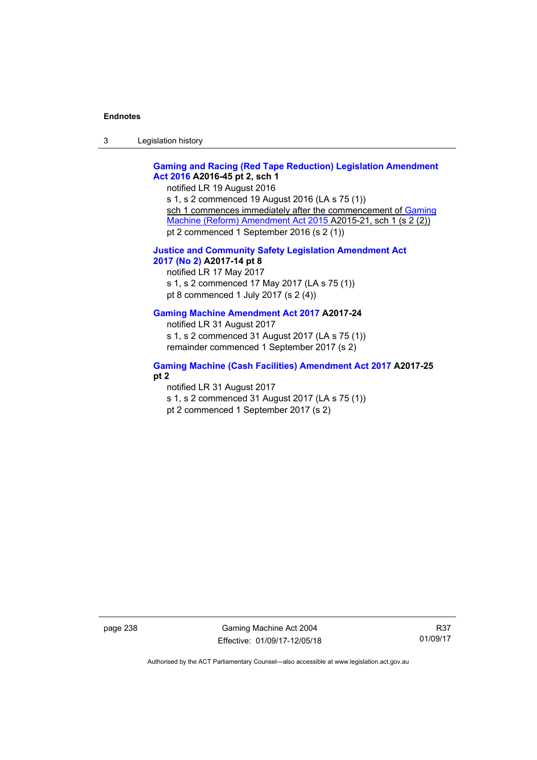3 Legislation history

## **[Gaming and Racing \(Red Tape Reduction\) Legislation Amendment](http://www.legislation.act.gov.au/a/2016-45/default.asp)  [Act 2016](http://www.legislation.act.gov.au/a/2016-45/default.asp) A2016-45 pt 2, sch 1**

notified LR 19 August 2016 s 1, s 2 commenced 19 August 2016 (LA s 75 (1)) sch 1 commences immediately after the commencement of Gaming [Machine \(Reform\) Amendment Act 2015](http://www.legislation.act.gov.au/a/2015-21/default.asp) A2015-21, sch 1 (s 2 (2)) pt 2 commenced 1 September 2016 (s 2 (1))

### **[Justice and Community Safety Legislation Amendment Act](http://www.legislation.act.gov.au/a/2017-14/default.asp)  [2017 \(No 2\)](http://www.legislation.act.gov.au/a/2017-14/default.asp) A2017-14 pt 8**

notified LR 17 May 2017 s 1, s 2 commenced 17 May 2017 (LA s 75 (1)) pt 8 commenced 1 July 2017 (s 2 (4))

### **[Gaming Machine Amendment Act 2017](http://www.legislation.act.gov.au/a/2017-24/default.asp) A2017-24**

notified LR 31 August 2017 s 1, s 2 commenced 31 August 2017 (LA s 75 (1)) remainder commenced 1 September 2017 (s 2)

### **[Gaming Machine \(Cash Facilities\) Amendment Act 2017](http://www.legislation.act.gov.au/a/2017-25/default.asp) A2017-25 pt 2**

notified LR 31 August 2017

s 1, s 2 commenced 31 August 2017 (LA s 75 (1)) pt 2 commenced 1 September 2017 (s 2)

page 238 Gaming Machine Act 2004 Effective: 01/09/17-12/05/18

R37 01/09/17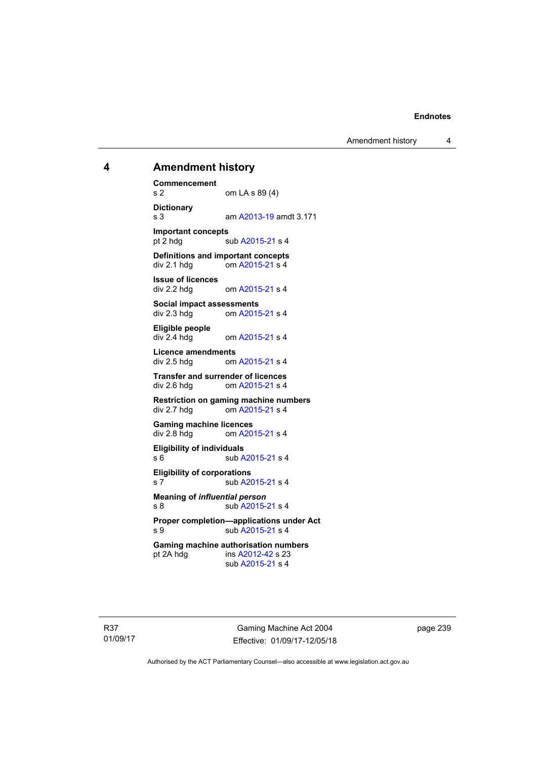Amendment history 4

## **4 Amendment history**

**Commencement**  s 2 om LA s 89 (4) **Dictionary**  s 3 am [A2013-19](http://www.legislation.act.gov.au/a/2013-19) amdt 3.171 **Important concepts**  pt 2 hdg sub [A2015-21](http://www.legislation.act.gov.au/a/2015-21) s 4 **Definitions and important concepts**  div 2.1 hdg om [A2015-21](http://www.legislation.act.gov.au/a/2015-21) s 4 **Issue of licences**  div 2.2 hdg om [A2015-21](http://www.legislation.act.gov.au/a/2015-21) s 4 **Social impact assessments**   $div 2.3$  hdg om  $A2015-21$  s 4 **Eligible people**  om [A2015-21](http://www.legislation.act.gov.au/a/2015-21) s 4 **Licence amendments**  div 2.5 hdg om [A2015-21](http://www.legislation.act.gov.au/a/2015-21) s 4 **Transfer and surrender of licences**  div 2.6 hdg om [A2015-21](http://www.legislation.act.gov.au/a/2015-21) s 4 **Restriction on gaming machine numbers**  div 2.7 hdg om [A2015-21](http://www.legislation.act.gov.au/a/2015-21) s 4 **Gaming machine licences**<br>div 2.8 hdg om A20 om [A2015-21](http://www.legislation.act.gov.au/a/2015-21) s 4 **Eligibility of individuals**  s 6 sub [A2015-21](http://www.legislation.act.gov.au/a/2015-21) s 4 **Eligibility of corporations**  s 7 sub [A2015-21](http://www.legislation.act.gov.au/a/2015-21) s 4 **Meaning of** *influential person* s 8 sub [A2015-21](http://www.legislation.act.gov.au/a/2015-21) s 4 **Proper completion—applications under Act**  s 9 sub [A2015-21](http://www.legislation.act.gov.au/a/2015-21) s 4 **Gaming machine authorisation numbers**  pt 2A hdg ins [A2012-42](http://www.legislation.act.gov.au/a/2012-42) s 23 sub [A2015-21](http://www.legislation.act.gov.au/a/2015-21) s 4

R37 01/09/17

Gaming Machine Act 2004 Effective: 01/09/17-12/05/18 page 239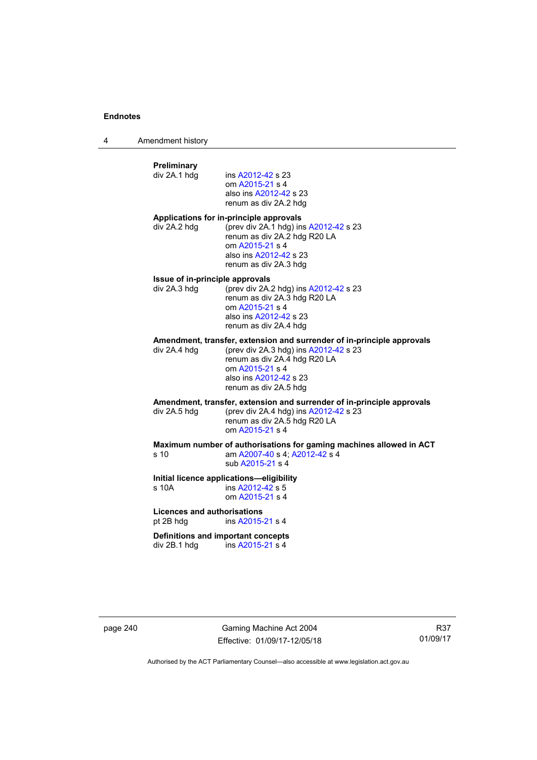4 Amendment history

## **Preliminary**  ins [A2012-42](http://www.legislation.act.gov.au/a/2012-42) s 23 om [A2015-21](http://www.legislation.act.gov.au/a/2015-21) s 4 also ins [A2012-42](http://www.legislation.act.gov.au/a/2012-42) s 23 renum as div 2A.2 hdg **Applications for in-principle approvals**  div 2A.2 hdg (prev div 2A.1 hdg) ins [A2012-42](http://www.legislation.act.gov.au/a/2012-42) s 23 renum as div 2A.2 hdg R20 LA om [A2015-21](http://www.legislation.act.gov.au/a/2015-21) s 4 also ins [A2012-42](http://www.legislation.act.gov.au/a/2012-42) s 23 renum as div 2A.3 hdg **Issue of in-principle approvals**  div 2A.3 hdg (prev div 2A.2 hdg) ins [A2012-42](http://www.legislation.act.gov.au/a/2012-42) s 23 renum as div 2A.3 hdg R20 LA om [A2015-21](http://www.legislation.act.gov.au/a/2015-21) s 4 also ins [A2012-42](http://www.legislation.act.gov.au/a/2012-42) s 23 renum as div 2A.4 hdg **Amendment, transfer, extension and surrender of in-principle approvals div 2A.4 hdg (prev div 2A.3 hdg) ins A2012-42 s 23** (prev div 2A.3 hdg) ins  $A2012-42$  s 23 renum as div 2A.4 hdg R20 LA om [A2015-21](http://www.legislation.act.gov.au/a/2015-21) s 4 also ins [A2012-42](http://www.legislation.act.gov.au/a/2012-42) s 23 renum as div 2A.5 hdg **Amendment, transfer, extension and surrender of in-principle approvals div 2A.5 hdg (prev div 2A.4 hdg) ins A2012-42 s 23** (prev div 2A.4 hdg) ins  $A2012-42$  s 23 renum as div 2A.5 hdg R20 LA om [A2015-21](http://www.legislation.act.gov.au/a/2015-21) s 4 **Maximum number of authorisations for gaming machines allowed in ACT**  s 10 am [A2007-40](http://www.legislation.act.gov.au/a/2007-40) s 4; [A2012-42](http://www.legislation.act.gov.au/a/2012-42) s 4 sub [A2015-21](http://www.legislation.act.gov.au/a/2015-21) s 4 **Initial licence applications—eligibility**  ins [A2012-42](http://www.legislation.act.gov.au/a/2012-42) s 5 om [A2015-21](http://www.legislation.act.gov.au/a/2015-21) s 4 **Licences and authorisations**  pt 2B hdg ins [A2015-21](http://www.legislation.act.gov.au/a/2015-21) s 4 **Definitions and important concepts**  div 2B.1 hdg ins [A2015-21](http://www.legislation.act.gov.au/a/2015-21) s 4

page 240 Gaming Machine Act 2004 Effective: 01/09/17-12/05/18

R37 01/09/17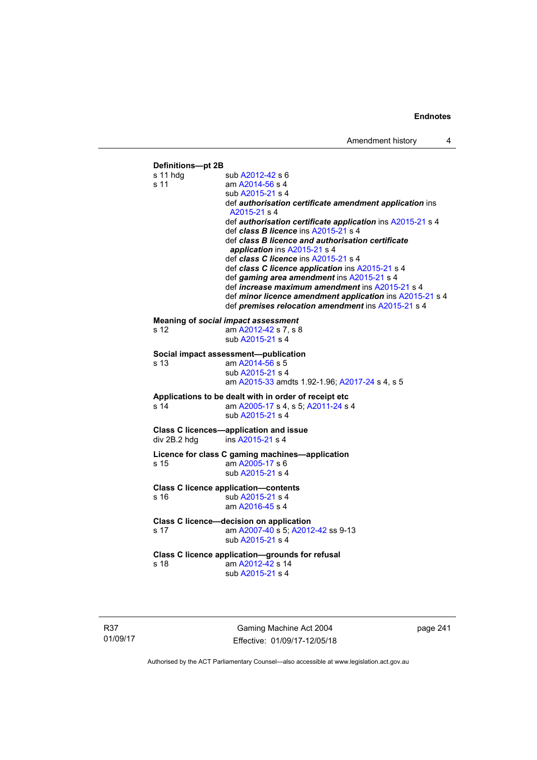| Definitions-pt 2B<br>$s$ 11 hdg | sub A2012-42 s 6                                                                                   |
|---------------------------------|----------------------------------------------------------------------------------------------------|
| s 11                            | am A2014-56 s 4                                                                                    |
|                                 | sub A2015-21 s 4                                                                                   |
|                                 | def authorisation certificate amendment application ins                                            |
|                                 | A2015-21 s 4                                                                                       |
|                                 | def authorisation certificate application ins A2015-21 s 4<br>def class B licence ins A2015-21 s 4 |
|                                 | def class B licence and authorisation certificate                                                  |
|                                 | application ins A2015-21 s 4                                                                       |
|                                 | def class C licence ins A2015-21 s 4                                                               |
|                                 | def class C licence application ins A2015-21 s 4<br>def gaming area amendment ins A2015-21 s 4     |
|                                 | def increase maximum amendment ins A2015-21 s 4                                                    |
|                                 | def minor licence amendment application ins A2015-21 s 4                                           |
|                                 | def premises relocation amendment ins A2015-21 s 4                                                 |
|                                 | <b>Meaning of social impact assessment</b>                                                         |
| s 12                            | am A2012-42 s 7, s 8                                                                               |
|                                 | sub A2015-21 s 4                                                                                   |
|                                 | Social impact assessment-publication                                                               |
| s 13                            | am A2014-56 s 5                                                                                    |
|                                 | sub A2015-21 s 4<br>am A2015-33 amdts 1.92-1.96; A2017-24 s 4, s 5                                 |
|                                 | Applications to be dealt with in order of receipt etc                                              |
| s 14                            | am A2005-17 s 4, s 5; A2011-24 s 4                                                                 |
|                                 | sub A2015-21 s 4                                                                                   |
|                                 | <b>Class C licences-application and issue</b>                                                      |
| div 2B.2 hdg                    | ins A2015-21 s 4                                                                                   |
|                                 | Licence for class C gaming machines-application                                                    |
| s 15                            | am A2005-17 s 6                                                                                    |
|                                 | sub A2015-21 s 4                                                                                   |
|                                 | <b>Class C licence application-contents</b>                                                        |
| s 16                            | sub A2015-21 s 4                                                                                   |
|                                 | am A2016-45 s 4                                                                                    |
|                                 | Class C licence-decision on application                                                            |
| s 17                            | am A2007-40 s 5; A2012-42 ss 9-13<br>sub A2015-21 s 4                                              |
|                                 |                                                                                                    |
|                                 | Class C licence application-grounds for refusal                                                    |
| s 18                            | am A2012-42 s 14                                                                                   |

R37 01/09/17

Gaming Machine Act 2004 Effective: 01/09/17-12/05/18 page 241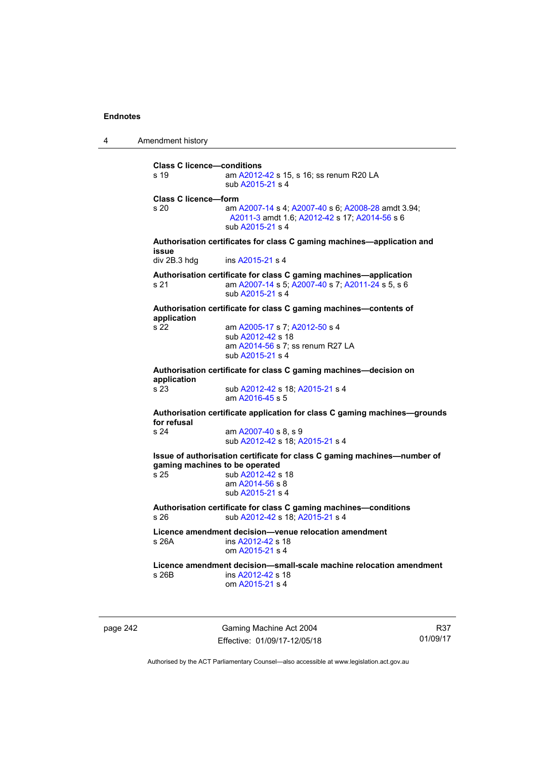4 Amendment history

**Class C licence—conditions**  s 19 am [A2012-42](http://www.legislation.act.gov.au/a/2012-42) s 15, s 16; ss renum R20 LA sub [A2015-21](http://www.legislation.act.gov.au/a/2015-21) s 4 **Class C licence—form**  s 20 am [A2007-14](http://www.legislation.act.gov.au/a/2007-14) s 4; [A2007-40](http://www.legislation.act.gov.au/a/2007-40) s 6; [A2008-28](http://www.legislation.act.gov.au/a/2008-28) amdt 3.94; [A2011-3](http://www.legislation.act.gov.au/a/2011-3) amdt 1.6; [A2012-42](http://www.legislation.act.gov.au/a/2012-42) s 17; [A2014-56](http://www.legislation.act.gov.au/a/2014-56) s 6 sub [A2015-21](http://www.legislation.act.gov.au/a/2015-21) s 4 **Authorisation certificates for class C gaming machines—application and issue**  div 2B.3 hdg ins [A2015-21](http://www.legislation.act.gov.au/a/2015-21) s 4 **Authorisation certificate for class C gaming machines—application**  s 21 am [A2007-14](http://www.legislation.act.gov.au/a/2007-14) s 5; [A2007-40](http://www.legislation.act.gov.au/a/2007-40) s 7; [A2011-24](http://www.legislation.act.gov.au/a/2011-24) s 5, s 6 sub [A2015-21](http://www.legislation.act.gov.au/a/2015-21) s 4 **Authorisation certificate for class C gaming machines—contents of application**  s 22 am [A2005-17](http://www.legislation.act.gov.au/a/2005-17) s 7; [A2012-50](http://www.legislation.act.gov.au/a/2012-50/default.asp) s 4 sub [A2012-42](http://www.legislation.act.gov.au/a/2012-42) s 18 am [A2014-56](http://www.legislation.act.gov.au/a/2014-56) s 7; ss renum R27 LA sub [A2015-21](http://www.legislation.act.gov.au/a/2015-21) s 4 **Authorisation certificate for class C gaming machines—decision on application**  sub [A2012-42](http://www.legislation.act.gov.au/a/2012-42) s 18; [A2015-21](http://www.legislation.act.gov.au/a/2015-21) s 4 am [A2016-45](http://www.legislation.act.gov.au/a/2016-45) s 5 **Authorisation certificate application for class C gaming machines—grounds for refusal**  am [A2007-40](http://www.legislation.act.gov.au/a/2007-40) s 8, s 9 sub [A2012-42](http://www.legislation.act.gov.au/a/2012-42) s 18; [A2015-21](http://www.legislation.act.gov.au/a/2015-21) s 4 **Issue of authorisation certificate for class C gaming machines—number of gaming machines to be operated**  s 25 sub [A2012-42](http://www.legislation.act.gov.au/a/2012-42) s 18 am [A2014-56](http://www.legislation.act.gov.au/a/2014-56) s 8 sub [A2015-21](http://www.legislation.act.gov.au/a/2015-21) s 4 **Authorisation certificate for class C gaming machines—conditions**  s 26 sub [A2012-42](http://www.legislation.act.gov.au/a/2012-42) s 18; [A2015-21](http://www.legislation.act.gov.au/a/2015-21) s 4 **Licence amendment decision—venue relocation amendment**  s 26A ins [A2012-42](http://www.legislation.act.gov.au/a/2012-42) s 18 om [A2015-21](http://www.legislation.act.gov.au/a/2015-21) s 4 **Licence amendment decision—small-scale machine relocation amendment**  s 26B ins [A2012-42](http://www.legislation.act.gov.au/a/2012-42) s 18 om [A2015-21](http://www.legislation.act.gov.au/a/2015-21) s 4

page 242 Gaming Machine Act 2004 Effective: 01/09/17-12/05/18

R37 01/09/17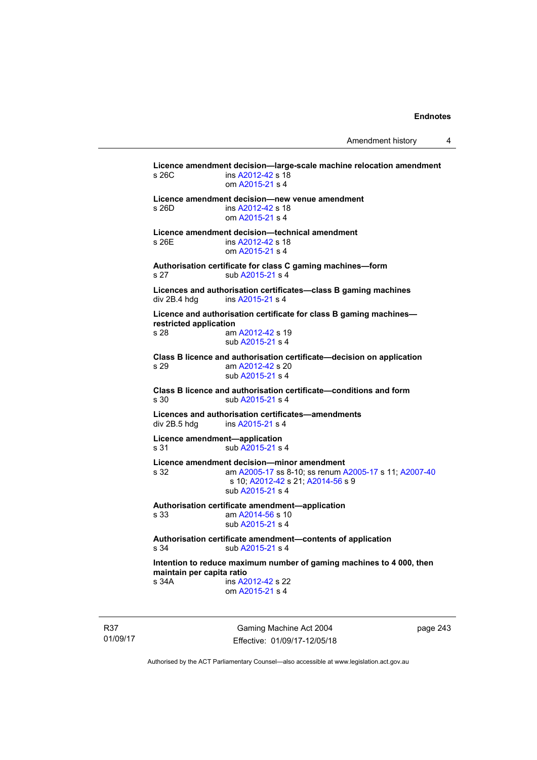**Licence amendment decision—large-scale machine relocation amendment**  s 26C ins [A2012-42](http://www.legislation.act.gov.au/a/2012-42) s 18 om [A2015-21](http://www.legislation.act.gov.au/a/2015-21) s 4 **Licence amendment decision—new venue amendment**  s 26D ins [A2012-42](http://www.legislation.act.gov.au/a/2012-42) s 18 om [A2015-21](http://www.legislation.act.gov.au/a/2015-21) s 4 **Licence amendment decision—technical amendment**  s 26E ins [A2012-42](http://www.legislation.act.gov.au/a/2012-42) s 18 om [A2015-21](http://www.legislation.act.gov.au/a/2015-21) s 4 **Authorisation certificate for class C gaming machines—form**  s 27 sub [A2015-21](http://www.legislation.act.gov.au/a/2015-21) s 4 **Licences and authorisation certificates—class B gaming machines**  div 2B.4 hdg ins [A2015-21](http://www.legislation.act.gov.au/a/2015-21) s 4 **Licence and authorisation certificate for class B gaming machines restricted application**<br>s 28 am am [A2012-42](http://www.legislation.act.gov.au/a/2012-42) s 19 sub [A2015-21](http://www.legislation.act.gov.au/a/2015-21) s 4 **Class B licence and authorisation certificate—decision on application**  s 29 am [A2012-42](http://www.legislation.act.gov.au/a/2012-42) s 20 sub [A2015-21](http://www.legislation.act.gov.au/a/2015-21) s 4 **Class B licence and authorisation certificate—conditions and form**  s 30 sub [A2015-21](http://www.legislation.act.gov.au/a/2015-21) s 4 **Licences and authorisation certificates—amendments**  div 2B.5 hdg ins [A2015-21](http://www.legislation.act.gov.au/a/2015-21) s 4 **Licence amendment—application**  s 31 sub [A2015-21](http://www.legislation.act.gov.au/a/2015-21) s 4 **Licence amendment decision—minor amendment**  s 32 am [A2005-17](http://www.legislation.act.gov.au/a/2005-17) ss 8-10; ss renum [A2005-17](http://www.legislation.act.gov.au/a/2005-17) s 11; [A2007-40](http://www.legislation.act.gov.au/a/2007-40) s 10; [A2012-42](http://www.legislation.act.gov.au/a/2012-42) s 21; [A2014-56](http://www.legislation.act.gov.au/a/2014-56) s 9 sub [A2015-21](http://www.legislation.act.gov.au/a/2015-21) s 4 **Authorisation certificate amendment—application**  s 33 am [A2014-56](http://www.legislation.act.gov.au/a/2014-56) s 10 sub [A2015-21](http://www.legislation.act.gov.au/a/2015-21) s 4 **Authorisation certificate amendment—contents of application**  s 34 sub [A2015-21](http://www.legislation.act.gov.au/a/2015-21) s 4 **Intention to reduce maximum number of gaming machines to 4 000, then maintain per capita ratio**  s 34A ins [A2012-42](http://www.legislation.act.gov.au/a/2012-42) s 22 om [A2015-21](http://www.legislation.act.gov.au/a/2015-21) s 4

R37 01/09/17

Gaming Machine Act 2004 Effective: 01/09/17-12/05/18 page 243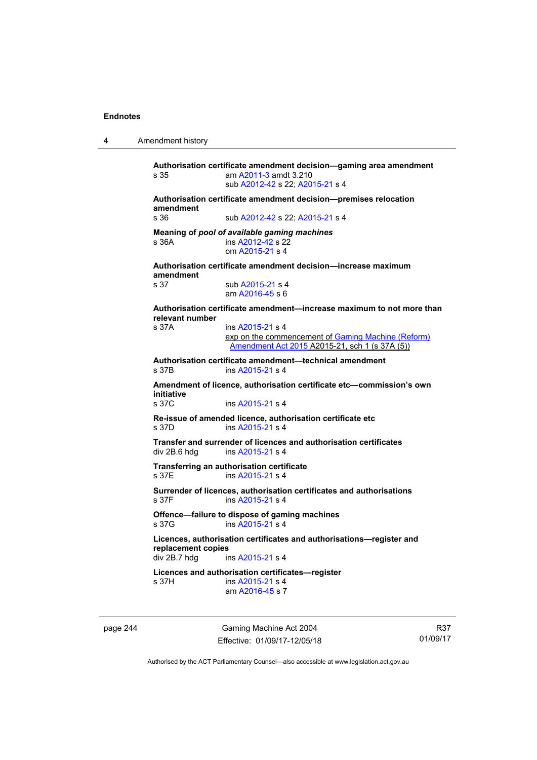4 Amendment history page 244 Gaming Machine Act 2004 Effective: 01/09/17-12/05/18 **Authorisation certificate amendment decision—gaming area amendment**  s 35 am [A2011-3](http://www.legislation.act.gov.au/a/2011-3) amdt 3.210 sub [A2012-42](http://www.legislation.act.gov.au/a/2012-42) s 22; [A2015-21](http://www.legislation.act.gov.au/a/2015-21) s 4 **Authorisation certificate amendment decision—premises relocation amendment**  s 36 sub [A2012-42](http://www.legislation.act.gov.au/a/2012-42) s 22; [A2015-21](http://www.legislation.act.gov.au/a/2015-21) s 4 **Meaning of** *pool of available gaming machines* s 36A **ins [A2012-42](http://www.legislation.act.gov.au/a/2012-42) s 22**  om [A2015-21](http://www.legislation.act.gov.au/a/2015-21) s 4 **Authorisation certificate amendment decision—increase maximum amendment**  sub [A2015-21](http://www.legislation.act.gov.au/a/2015-21) s 4 am [A2016-45](http://www.legislation.act.gov.au/a/2016-45) s 6 **Authorisation certificate amendment—increase maximum to not more than relevant number**  s 37A ins [A2015-21](http://www.legislation.act.gov.au/a/2015-21) s 4 exp on the commencement of [Gaming Machine \(Reform\)](http://www.legislation.act.gov.au/a/2015-21/default.asp)  [Amendment Act 2015](http://www.legislation.act.gov.au/a/2015-21/default.asp) A2015-21, sch 1 (s 37A (5)) **Authorisation certificate amendment—technical amendment**  ins [A2015-21](http://www.legislation.act.gov.au/a/2015-21) s 4 **Amendment of licence, authorisation certificate etc—commission's own initiative**  ins [A2015-21](http://www.legislation.act.gov.au/a/2015-21) s 4 **Re-issue of amended licence, authorisation certificate etc**  s 37D ins [A2015-21](http://www.legislation.act.gov.au/a/2015-21) s 4 **Transfer and surrender of licences and authorisation certificates**  ins [A2015-21](http://www.legislation.act.gov.au/a/2015-21) s 4 **Transferring an authorisation certificate**  s 37E ins [A2015-21](http://www.legislation.act.gov.au/a/2015-21) s 4 **Surrender of licences, authorisation certificates and authorisations**   $ins$  [A2015-21](http://www.legislation.act.gov.au/a/2015-21) s 4 **Offence—failure to dispose of gaming machines**  s 37G ins [A2015-21](http://www.legislation.act.gov.au/a/2015-21) s 4 **Licences, authorisation certificates and authorisations—register and replacement copies**  ins [A2015-21](http://www.legislation.act.gov.au/a/2015-21) s 4 **Licences and authorisation certificates—register**  s 37H ins [A2015-21](http://www.legislation.act.gov.au/a/2015-21) s 4 am [A2016-45](http://www.legislation.act.gov.au/a/2016-45) s 7

R37 01/09/17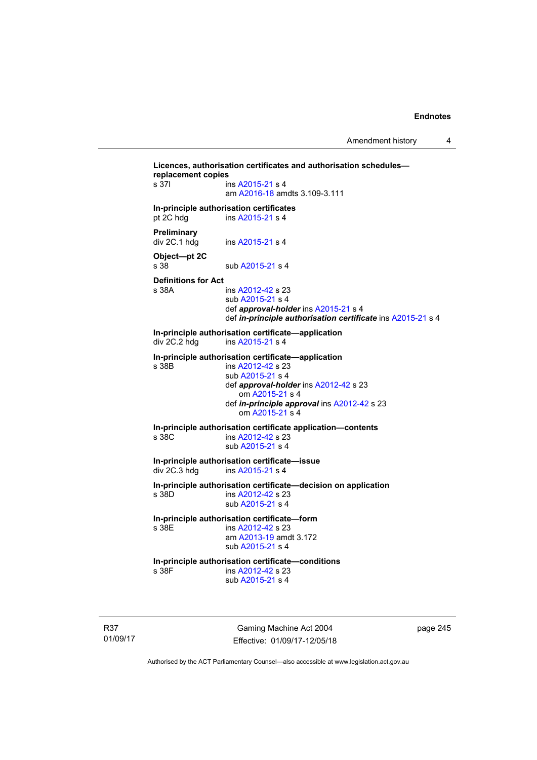```
Licences, authorisation certificates and authorisation schedules—
replacement copies 
 A2015-21 s 4
                  am A2016-18 amdts 3.109-3.111 
In-principle authorisation certificates 
pt 2C hdg ins A2015-21 s 4
Preliminary 
 A2015-21 s 4
Object—pt 2C 
A2015-21 s 4
Definitions for Act 
                 A2012-42 s 23
                  sub A2015-21 s 4 
                  def approval-holder ins A2015-21 s 4 
                  def in-principle authorisation certificate ins A2015-21 s 4 
In-principle authorisation certificate—application 
                 ins A2015-21 s 4
In-principle authorisation certificate—application 
                 A2012-42 s 23
                  sub A2015-21 s 4 
                  def approval-holder ins A2012-42 s 23 
                      om A2015-21 s 4 
                  def in-principle approval ins A2012-42 s 23 
                      om A2015-21 s 4 
In-principle authorisation certificate application—contents 
s 38C ins A2012-42 s 23 
                  sub A2015-21 s 4 
In-principle authorisation certificate—issue 
                  A2015-21 s 4
In-principle authorisation certificate—decision on application 
s 38D ins A2012-42 s 23 
                  sub A2015-21 s 4 
In-principle authorisation certificate—form 
                 A2012-42 s 23
                  am A2013-19 amdt 3.172
                  sub A2015-21 s 4 
In-principle authorisation certificate—conditions 
                 A2012-42 s 23
                  sub A2015-21 s 4
```
R37 01/09/17

Gaming Machine Act 2004 Effective: 01/09/17-12/05/18 page 245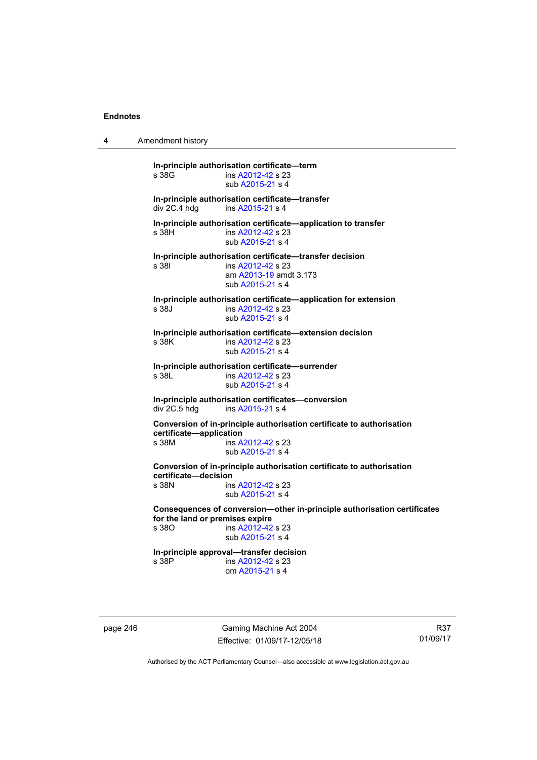4 Amendment history

**In-principle authorisation certificate—term**  ins [A2012-42](http://www.legislation.act.gov.au/a/2012-42) s 23 sub [A2015-21](http://www.legislation.act.gov.au/a/2015-21) s 4 **In-principle authorisation certificate—transfer**  ins [A2015-21](http://www.legislation.act.gov.au/a/2015-21) s 4 **In-principle authorisation certificate—application to transfer**  s 38H ins [A2012-42](http://www.legislation.act.gov.au/a/2012-42) s 23 sub [A2015-21](http://www.legislation.act.gov.au/a/2015-21) s 4 **In-principle authorisation certificate—transfer decision**  s 38I ins [A2012-42](http://www.legislation.act.gov.au/a/2012-42) s 23 am [A2013-19](http://www.legislation.act.gov.au/a/2013-19) amdt 3.173 sub [A2015-21](http://www.legislation.act.gov.au/a/2015-21) s 4 **In-principle authorisation certificate—application for extension**  s 38J ins [A2012-42](http://www.legislation.act.gov.au/a/2012-42) s 23 sub [A2015-21](http://www.legislation.act.gov.au/a/2015-21) s 4 **In-principle authorisation certificate—extension decision**  ins [A2012-42](http://www.legislation.act.gov.au/a/2012-42) s 23 sub [A2015-21](http://www.legislation.act.gov.au/a/2015-21) s 4 **In-principle authorisation certificate—surrender**  s 38L ins [A2012-42](http://www.legislation.act.gov.au/a/2012-42) s 23 sub [A2015-21](http://www.legislation.act.gov.au/a/2015-21) s 4 **In-principle authorisation certificates—conversion**  ins [A2015-21](http://www.legislation.act.gov.au/a/2015-21) s 4 **Conversion of in-principle authorisation certificate to authorisation certificate—application**  s 38M ins [A2012-42](http://www.legislation.act.gov.au/a/2012-42) s 23 sub [A2015-21](http://www.legislation.act.gov.au/a/2015-21) s 4 **Conversion of in-principle authorisation certificate to authorisation certificate—decision**  ins [A2012-42](http://www.legislation.act.gov.au/a/2012-42) s 23 sub [A2015-21](http://www.legislation.act.gov.au/a/2015-21) s 4 **Consequences of conversion—other in-principle authorisation certificates for the land or premises expire**  ins [A2012-42](http://www.legislation.act.gov.au/a/2012-42) s 23 sub [A2015-21](http://www.legislation.act.gov.au/a/2015-21) s 4 **In-principle approval—transfer decision**  s 38P ins [A2012-42](http://www.legislation.act.gov.au/a/2012-42) s 23 om [A2015-21](http://www.legislation.act.gov.au/a/2015-21) s 4

page 246 Gaming Machine Act 2004 Effective: 01/09/17-12/05/18

R37 01/09/17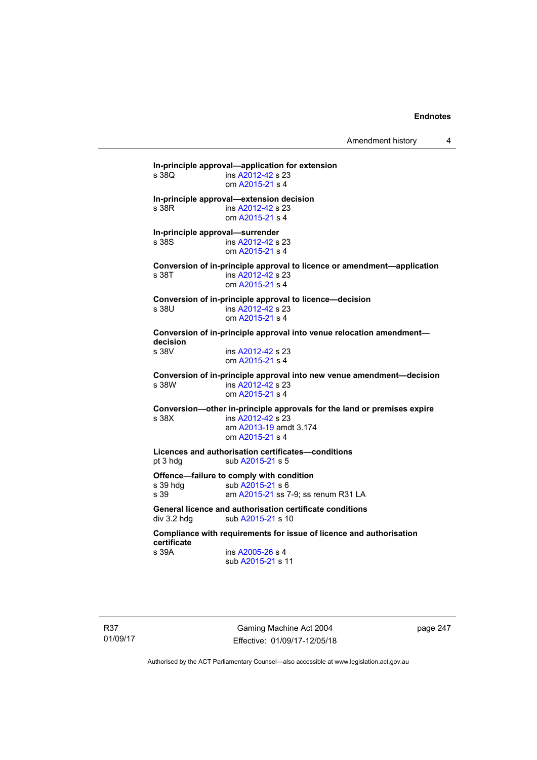Amendment history 4

**In-principle approval—application for extension**  ins [A2012-42](http://www.legislation.act.gov.au/a/2012-42) s 23 om [A2015-21](http://www.legislation.act.gov.au/a/2015-21) s 4 **In-principle approval—extension decision**  s 38R ins [A2012-42](http://www.legislation.act.gov.au/a/2012-42) s 23 om [A2015-21](http://www.legislation.act.gov.au/a/2015-21) s 4 **In-principle approval—surrender**  s 38S ins [A2012-42](http://www.legislation.act.gov.au/a/2012-42) s 23 om [A2015-21](http://www.legislation.act.gov.au/a/2015-21) s 4 **Conversion of in-principle approval to licence or amendment—application**  s 38T ins [A2012-42](http://www.legislation.act.gov.au/a/2012-42) s 23 om [A2015-21](http://www.legislation.act.gov.au/a/2015-21) s 4 **Conversion of in-principle approval to licence—decision**  s 38U ins [A2012-42](http://www.legislation.act.gov.au/a/2012-42) s 23 om [A2015-21](http://www.legislation.act.gov.au/a/2015-21) s 4 **Conversion of in-principle approval into venue relocation amendment decision**  ins [A2012-42](http://www.legislation.act.gov.au/a/2012-42) s 23 om [A2015-21](http://www.legislation.act.gov.au/a/2015-21) s 4 **Conversion of in-principle approval into new venue amendment—decision**  s 38W ins [A2012-42](http://www.legislation.act.gov.au/a/2012-42) s 23 om [A2015-21](http://www.legislation.act.gov.au/a/2015-21) s 4 **Conversion—other in-principle approvals for the land or premises expire**  s 38X ins [A2012-42](http://www.legislation.act.gov.au/a/2012-42) s 23 am [A2013-19](http://www.legislation.act.gov.au/a/2013-19) amdt 3.174 om [A2015-21](http://www.legislation.act.gov.au/a/2015-21) s 4 **Licences and authorisation certificates—conditions**  pt 3 hdg sub [A2015-21](http://www.legislation.act.gov.au/a/2015-21) s 5 **Offence—failure to comply with condition**<br>s 39 hdg sub A2015-21 s 6 s 39 hdg sub [A2015-21](http://www.legislation.act.gov.au/a/2015-21) s 6<br>s 39 am A2015-21 s s 7 am [A2015-21](http://www.legislation.act.gov.au/a/2015-21) ss 7-9; ss renum R31 LA **General licence and authorisation certificate conditions**  div 3.2 hdg sub [A2015-21](http://www.legislation.act.gov.au/a/2015-21) s 10 **Compliance with requirements for issue of licence and authorisation certificate**  s 39A ins [A2005-26](http://www.legislation.act.gov.au/a/2005-26) s 4 sub [A2015-21](http://www.legislation.act.gov.au/a/2015-21) s 11

Gaming Machine Act 2004 Effective: 01/09/17-12/05/18 page 247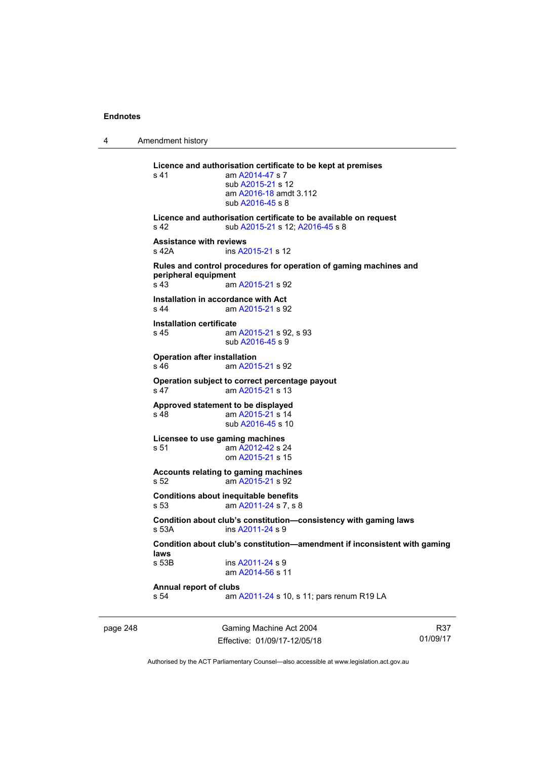4 Amendment history

**Licence and authorisation certificate to be kept at premises**  s 41 am [A2014-47](http://www.legislation.act.gov.au/a/2014-47) s 7 sub [A2015-21](http://www.legislation.act.gov.au/a/2015-21) s 12 am [A2016-18](http://www.legislation.act.gov.au/a/2016-18/default.asp) amdt 3.112 sub [A2016-45](http://www.legislation.act.gov.au/a/2016-45) s 8 **Licence and authorisation certificate to be available on request**  s 42 sub [A2015-21](http://www.legislation.act.gov.au/a/2015-21) s 12; [A2016-45](http://www.legislation.act.gov.au/a/2016-45) s 8 **Assistance with reviews**  s 42A ins [A2015-21](http://www.legislation.act.gov.au/a/2015-21) s 12 **Rules and control procedures for operation of gaming machines and peripheral equipment**  s 43 am [A2015-21](http://www.legislation.act.gov.au/a/2015-21) s 92 **Installation in accordance with Act**  s 44 am [A2015-21](http://www.legislation.act.gov.au/a/2015-21) s 92 **Installation certificate**  s 45 am [A2015-21](http://www.legislation.act.gov.au/a/2015-21) s 92, s 93 sub [A2016-45](http://www.legislation.act.gov.au/a/2016-45) s 9 **Operation after installation**  s 46 am [A2015-21](http://www.legislation.act.gov.au/a/2015-21) s 92 **Operation subject to correct percentage payout**  s 47 am [A2015-21](http://www.legislation.act.gov.au/a/2015-21) s 13 **Approved statement to be displayed**  s 48 am [A2015-21](http://www.legislation.act.gov.au/a/2015-21) s 14 sub [A2016-45](http://www.legislation.act.gov.au/a/2016-45) s 10 **Licensee to use gaming machines**  s 51 am [A2012-42](http://www.legislation.act.gov.au/a/2012-42) s 24 om [A2015-21](http://www.legislation.act.gov.au/a/2015-21) s 15 **Accounts relating to gaming machines**  s 52 am [A2015-21](http://www.legislation.act.gov.au/a/2015-21) s 92 **Conditions about inequitable benefits**  s 53 am [A2011-24](http://www.legislation.act.gov.au/a/2011-24) s 7, s 8 **Condition about club's constitution—consistency with gaming laws**  ins [A2011-24](http://www.legislation.act.gov.au/a/2011-24) s 9 **Condition about club's constitution—amendment if inconsistent with gaming laws**  ins [A2011-24](http://www.legislation.act.gov.au/a/2011-24) s 9 am [A2014-56](http://www.legislation.act.gov.au/a/2014-56) s 11 **Annual report of clubs**  s 54 am [A2011-24](http://www.legislation.act.gov.au/a/2011-24) s 10, s 11; pars renum R19 LA

page 248 Gaming Machine Act 2004 Effective: 01/09/17-12/05/18

R37 01/09/17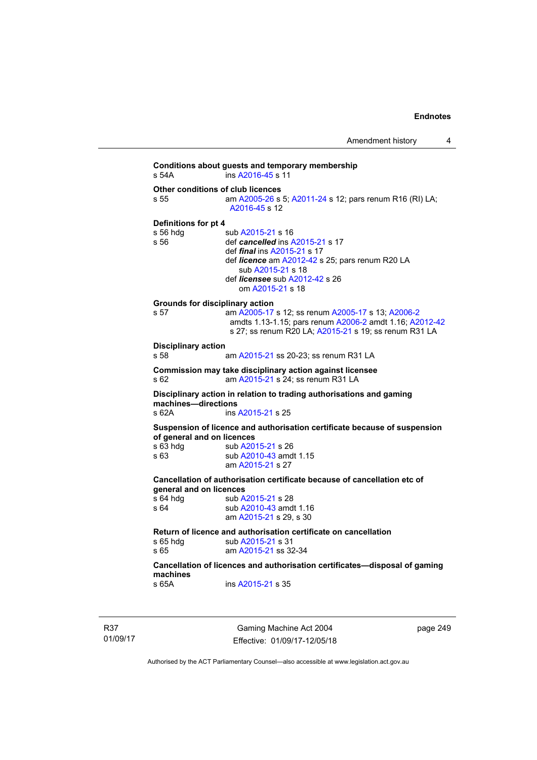**Conditions about guests and temporary membership**  s 54A ins [A2016-45](http://www.legislation.act.gov.au/a/2016-45) s 11 **Other conditions of club licences**  s 55 **am [A2005-26](http://www.legislation.act.gov.au/a/2005-26) s 5; [A2011-24](http://www.legislation.act.gov.au/a/2011-24) s 12; pars renum R16 (RI) LA;** [A2016-45](http://www.legislation.act.gov.au/a/2016-45) s 12 **Definitions for pt 4**  s 56 hdg sub [A2015-21](http://www.legislation.act.gov.au/a/2015-21) s 16<br>s 56 def cancelled ins A def *cancelled* ins [A2015-21](http://www.legislation.act.gov.au/a/2015-21) s 17 def *final* ins [A2015-21](http://www.legislation.act.gov.au/a/2015-21) s 17 def *licence* am [A2012-42](http://www.legislation.act.gov.au/a/2012-42) s 25; pars renum R20 LA sub [A2015-21](http://www.legislation.act.gov.au/a/2015-21) s 18 def *licensee* sub [A2012-42](http://www.legislation.act.gov.au/a/2012-42) s 26 om [A2015-21](http://www.legislation.act.gov.au/a/2015-21) s 18 **Grounds for disciplinary action**  s 57 am [A2005-17](http://www.legislation.act.gov.au/a/2005-17) s 12; ss renum [A2005-17](http://www.legislation.act.gov.au/a/2005-17) s 13; [A2006-2](http://www.legislation.act.gov.au/a/2006-2) amdts 1.13-1.15; pars renum [A2006-2](http://www.legislation.act.gov.au/a/2006-2) amdt 1.16; [A2012-42](http://www.legislation.act.gov.au/a/2012-42) s 27; ss renum R20 LA; [A2015-21](http://www.legislation.act.gov.au/a/2015-21) s 19; ss renum R31 LA **Disciplinary action**  s 58 am [A2015-21](http://www.legislation.act.gov.au/a/2015-21) ss 20-23; ss renum R31 LA **Commission may take disciplinary action against licensee**  s 62 am [A2015-21](http://www.legislation.act.gov.au/a/2015-21) s 24; ss renum R31 LA **Disciplinary action in relation to trading authorisations and gaming machines—directions**  s 62A ins [A2015-21](http://www.legislation.act.gov.au/a/2015-21) s 25 **Suspension of licence and authorisation certificate because of suspension of general and on licences**  s 63 hdg sub [A2015-21](http://www.legislation.act.gov.au/a/2015-21) s 26 s 63 sub [A2010-43](http://www.legislation.act.gov.au/a/2010-43) amdt 1.15 am [A2015-21](http://www.legislation.act.gov.au/a/2015-21) s 27 **Cancellation of authorisation certificate because of cancellation etc of general and on licences**  s 64 hdg sub [A2015-21](http://www.legislation.act.gov.au/a/2015-21) s 28<br>s 64 sub A2010-43 amd sub [A2010-43](http://www.legislation.act.gov.au/a/2010-43) amdt 1.16 am [A2015-21](http://www.legislation.act.gov.au/a/2015-21) s 29, s 30 **Return of licence and authorisation certificate on cancellation**  s 65 hdg sub [A2015-21](http://www.legislation.act.gov.au/a/2015-21) s 31<br>s 65 am A2015-21 s 32 am [A2015-21](http://www.legislation.act.gov.au/a/2015-21) ss 32-34 **Cancellation of licences and authorisation certificates—disposal of gaming machines**  s 65A ins [A2015-21](http://www.legislation.act.gov.au/a/2015-21) s 35

R37 01/09/17

Gaming Machine Act 2004 Effective: 01/09/17-12/05/18 page 249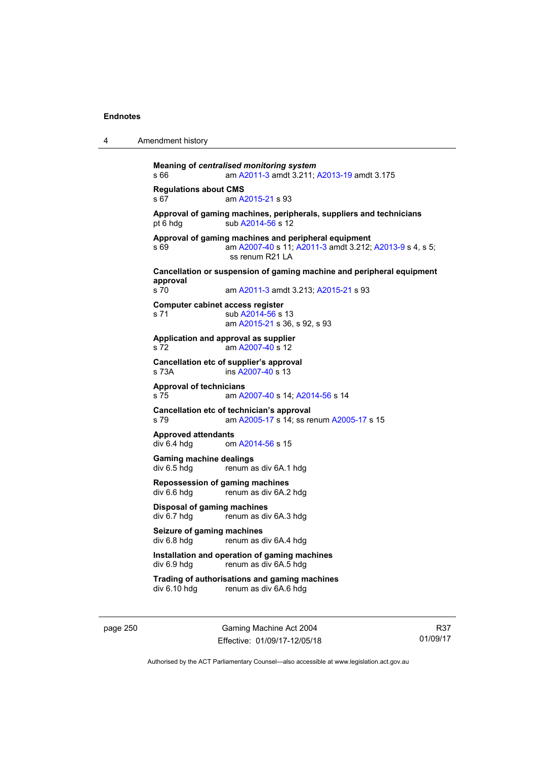| Amendment history<br>4 |  |
|------------------------|--|
|------------------------|--|

```
Meaning of centralised monitoring system
s 66 am A2011-3 amdt 3.211; A2013-19 amdt 3.175 
Regulations about CMS 
                A2015-21 s 93
Approval of gaming machines, peripherals, suppliers and technicians 
A2014-56 s 12
Approval of gaming machines and peripheral equipment 
s 69 am A2007-40 s 11; A2011-3 amdt 3.212; A2013-9 s 4, s 5; 
                 ss renum R21 LA
Cancellation or suspension of gaming machine and peripheral equipment 
approval 
                A2011-3 A2015-21 s 93
Computer cabinet access register 
A2014-56 s 13
                 am A2015-21 s 36, s 92, s 93 
Application and approval as supplier 
s 72 am A2007-40 s 12 
Cancellation etc of supplier's approval 
s 73A ins A2007-40 s 13 
Approval of technicians 
s 75 am A2007-40 s 14; A2014-56 s 14 
Cancellation etc of technician's approval 
s 79 am A2005-17 s 14; ss renum A2005-17 s 15 
Approved attendants 
                A2014-56 s 15
Gaming machine dealings 
div 6.5 hdg renum as div 6A.1 hdg 
Repossession of gaming machines 
                renum as div 6A.2 hdg
Disposal of gaming machines 
div 6.7 hdg renum as div 6A.3 hdg 
Seizure of gaming machines<br>div 6.8 hdg<br>renum as c
                renum as div 6A.4 hdg
Installation and operation of gaming machines 
div 6.9 hdg renum as div 6A.5 hdg 
Trading of authorisations and gaming machines 
                renum as div 6A.6 hdg
```
page 250 Gaming Machine Act 2004 Effective: 01/09/17-12/05/18

R37 01/09/17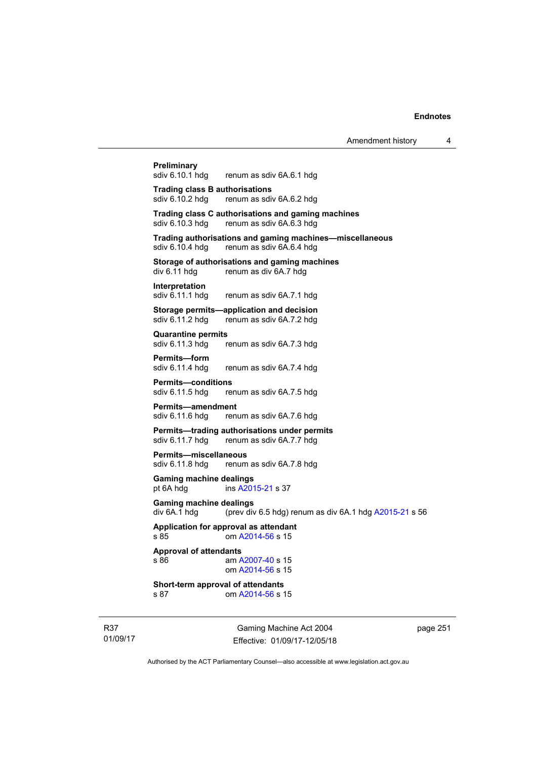**Preliminary**<br>sdiv 6.10.1 hdg renum as sdiv 6A.6.1 hdg **Trading class B authorisations**  sdiv 6.10.2 hdg renum as sdiv 6A.6.2 hdg **Trading class C authorisations and gaming machines**  renum as sdiv 6A.6.3 hdg **Trading authorisations and gaming machines—miscellaneous**  sdiv 6.10.4 hdg renum as sdiv 6A.6.4 hdg **Storage of authorisations and gaming machines**<br>div 6.11 hdg renum as div 6A.7 hdg renum as div 6A.7 hdg **Interpretation**  sdiv 6.11.1 hdg renum as sdiv 6A.7.1 hdg **Storage permits—application and decision**  sdiv 6.11.2 hdg renum as sdiv 6A.7.2 hdg **Quarantine permits**  sdiv 6.11.3 hdg renum as sdiv 6A.7.3 hdg **Permits—form**  sdiv 6.11.4 hdg renum as sdiv 6A.7.4 hdg **Permits—conditions**  sdiv 6.11.5 hdg renum as sdiv 6A.7.5 hdg **Permits—amendment**  sdiv 6.11.6 hdg renum as sdiv 6A.7.6 hdg **Permits—trading authorisations under permits**  sdiv 6.11.7 hdg renum as sdiv 6A.7.7 hdg **Permits—miscellaneous**  sdiv 6.11.8 hdg renum as sdiv 6A.7.8 hdg **Gaming machine dealings**  pt 6A hdg ins [A2015-21](http://www.legislation.act.gov.au/a/2015-21) s 37 **Gaming machine dealings**  div 6A.1 hdg (prev div 6.5 hdg) renum as div 6A.1 hdg  $A2015-21$  s 56 **Application for approval as attendant**  s 85 om [A2014-56](http://www.legislation.act.gov.au/a/2014-56) s 15 **Approval of attendants**  s 86 am [A2007-40](http://www.legislation.act.gov.au/a/2007-40) s 15 om [A2014-56](http://www.legislation.act.gov.au/a/2014-56) s 15 **Short-term approval of attendants**  s 87 om [A2014-56](http://www.legislation.act.gov.au/a/2014-56) s 15

R37 01/09/17

Gaming Machine Act 2004 Effective: 01/09/17-12/05/18 page 251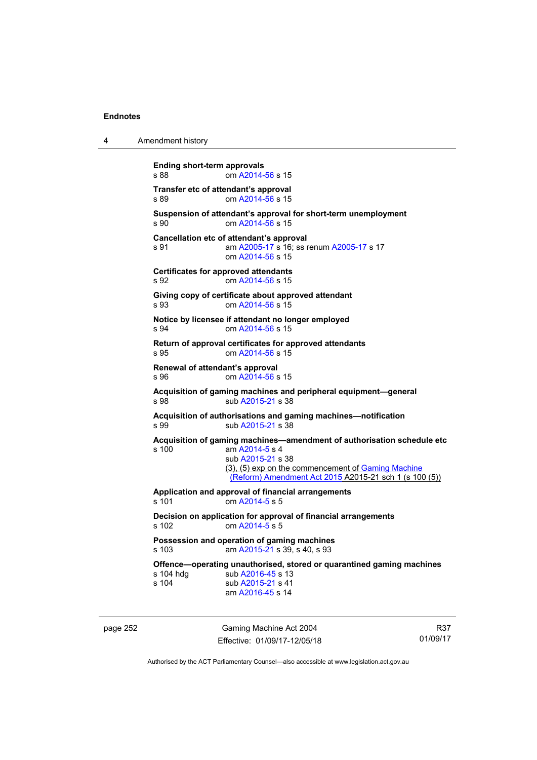4 Amendment history

| <b>Ending short-term approvals</b><br>s 88                       | om A2014-56 s 15                                                                                                                                                                                                              |  |  |  |  |
|------------------------------------------------------------------|-------------------------------------------------------------------------------------------------------------------------------------------------------------------------------------------------------------------------------|--|--|--|--|
| Transfer etc of attendant's approval<br>om A2014-56 s 15<br>s 89 |                                                                                                                                                                                                                               |  |  |  |  |
| s.90                                                             | Suspension of attendant's approval for short-term unemployment<br>om A2014-56 s 15                                                                                                                                            |  |  |  |  |
| s 91                                                             | Cancellation etc of attendant's approval<br>am A2005-17 s 16; ss renum A2005-17 s 17<br>om A2014-56 s 15                                                                                                                      |  |  |  |  |
| s 92                                                             | <b>Certificates for approved attendants</b><br>om A2014-56 s 15                                                                                                                                                               |  |  |  |  |
| s 93                                                             | Giving copy of certificate about approved attendant<br>om A2014-56 s 15                                                                                                                                                       |  |  |  |  |
| s 94                                                             | Notice by licensee if attendant no longer employed<br>om A2014-56 s 15                                                                                                                                                        |  |  |  |  |
| s 95                                                             | Return of approval certificates for approved attendants<br>om A2014-56 s 15                                                                                                                                                   |  |  |  |  |
| Renewal of attendant's approval<br>s 96                          | om A2014-56 s 15                                                                                                                                                                                                              |  |  |  |  |
| s 98                                                             | Acquisition of gaming machines and peripheral equipment-general<br>sub A2015-21 s 38                                                                                                                                          |  |  |  |  |
| s 99                                                             | Acquisition of authorisations and gaming machines-notification<br>sub A2015-21 s 38                                                                                                                                           |  |  |  |  |
| s 100                                                            | Acquisition of gaming machines-amendment of authorisation schedule etc<br>am A2014-5 s 4<br>sub A2015-21 s 38<br>(3), (5) exp on the commencement of Gaming Machine<br>(Reform) Amendment Act 2015 A2015-21 sch 1 (s 100 (5)) |  |  |  |  |
| s 101                                                            | Application and approval of financial arrangements<br>om A2014-5 s 5                                                                                                                                                          |  |  |  |  |
| s 102                                                            | Decision on application for approval of financial arrangements<br>om A2014-5 s 5                                                                                                                                              |  |  |  |  |
| s 103                                                            | Possession and operation of gaming machines<br>am A2015-21 s 39, s 40, s 93                                                                                                                                                   |  |  |  |  |
| s 104 hdg<br>s 104                                               | Offence-operating unauthorised, stored or quarantined gaming machines<br>sub A2016-45 s 13<br>sub A2015-21 s 41<br>am A2016-45 s 14                                                                                           |  |  |  |  |

page 252 Gaming Machine Act 2004 Effective: 01/09/17-12/05/18

R37 01/09/17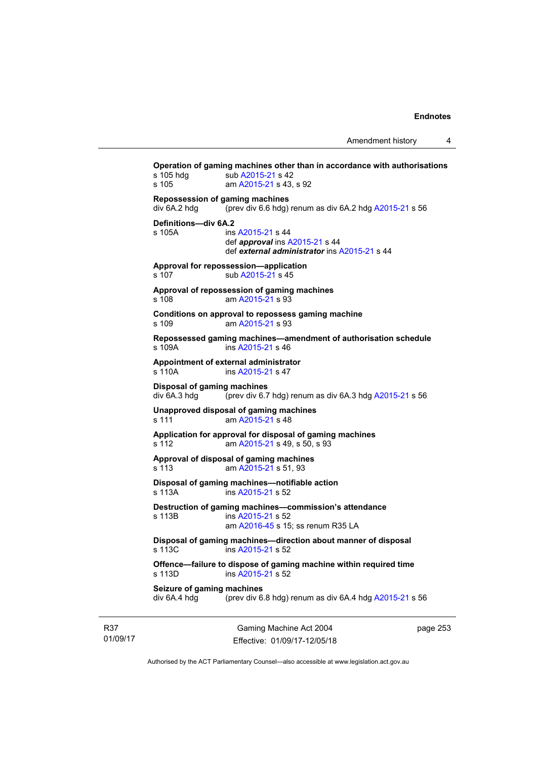**Operation of gaming machines other than in accordance with authorisations**  s 105 hdg sub [A2015-21](http://www.legislation.act.gov.au/a/2015-21) s 42 s 105 am [A2015-21](http://www.legislation.act.gov.au/a/2015-21) s 43, s 92 **Repossession of gaming machines**  div 6A.2 hdg (prev div 6.6 hdg) renum as div 6A.2 hdg [A2015-21](http://www.legislation.act.gov.au/a/2015-21) s 56 **Definitions—div 6A.2**  s 105A ins [A2015-21](http://www.legislation.act.gov.au/a/2015-21) s 44 def *approval* ins [A2015-21](http://www.legislation.act.gov.au/a/2015-21) s 44 def *external administrator* ins [A2015-21](http://www.legislation.act.gov.au/a/2015-21) s 44 **Approval for repossession—application**  s 107 sub [A2015-21](http://www.legislation.act.gov.au/a/2015-21) s 45 **Approval of repossession of gaming machines**  s 108 am [A2015-21](http://www.legislation.act.gov.au/a/2015-21) s 93 **Conditions on approval to repossess gaming machine**  s 109 am [A2015-21](http://www.legislation.act.gov.au/a/2015-21) s 93 **Repossessed gaming machines—amendment of authorisation schedule**  s 109A ins [A2015-21](http://www.legislation.act.gov.au/a/2015-21) s 46 **Appointment of external administrator**  s 110A ins [A2015-21](http://www.legislation.act.gov.au/a/2015-21) s 47 **Disposal of gaming machines**  div 6A.3 hdg (prev div 6.7 hdg) renum as div 6A.3 hdg [A2015-21](http://www.legislation.act.gov.au/a/2015-21) s 56 **Unapproved disposal of gaming machines**  s 111 am [A2015-21](http://www.legislation.act.gov.au/a/2015-21) s 48 **Application for approval for disposal of gaming machines**  s 112 am [A2015-21](http://www.legislation.act.gov.au/a/2015-21) s 49, s 50, s 93 **Approval of disposal of gaming machines**  s 113 am [A2015-21](http://www.legislation.act.gov.au/a/2015-21) s 51, 93 **Disposal of gaming machines—notifiable action**  s 113A ins [A2015-21](http://www.legislation.act.gov.au/a/2015-21) s 52 **Destruction of gaming machines—commission's attendance**  s 113B ins [A2015-21](http://www.legislation.act.gov.au/a/2015-21) s 52 am [A2016-45](http://www.legislation.act.gov.au/a/2016-45) s 15; ss renum R35 LA **Disposal of gaming machines—direction about manner of disposal**  s 113C ins [A2015-21](http://www.legislation.act.gov.au/a/2015-21) s 52 **Offence—failure to dispose of gaming machine within required time**  s 113D ins [A2015-21](http://www.legislation.act.gov.au/a/2015-21) s 52 **Seizure of gaming machines**   $div 6A.4 hdeg$  (prev div 6.8 hdg) renum as div 6A.4 hdg [A2015-21](http://www.legislation.act.gov.au/a/2015-21) s 56

R37 01/09/17

Gaming Machine Act 2004 Effective: 01/09/17-12/05/18 page 253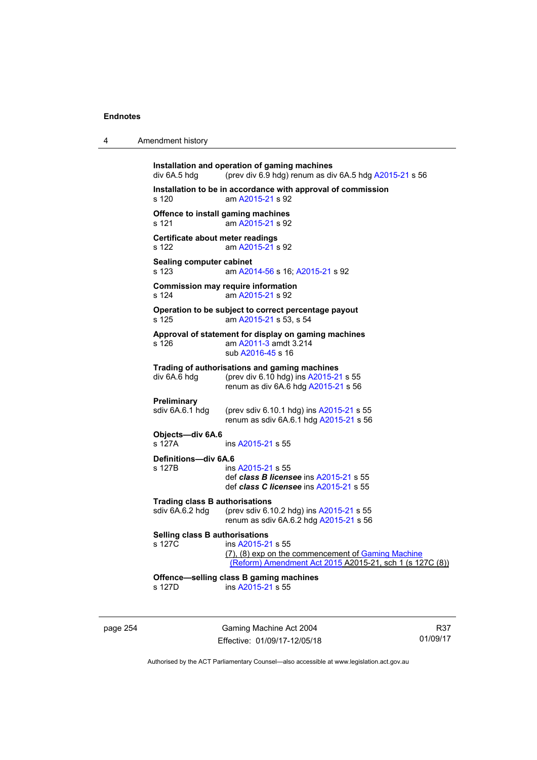```
Installation and operation of gaming machines 
div 6A.5 hdg \qquad A2015-21 s 56
Installation to be in accordance with approval of commission 
s 120 am A2015-21 s 92 
Offence to install gaming machines 
s 121  A2015-21 s 92
Certificate about meter readings 
s 122 am A2015-21 s 92 
Sealing computer cabinet 
s 123  A2014-56A2015-21 s 92
Commission may require information 
s 124 am A2015-21 s 92 
Operation to be subject to correct percentage payout 
s 125 am A2015-21 s 53, s 54 
Approval of statement for display on gaming machines 
s 126 am A2011-3 amdt 3.214 
                 sub A2016-45 s 16 
Trading of authorisations and gaming machines 
div 6A.6 hdg (prev div 6.10 hdg) ins A2015-21 s 55 
                renum as div 6A.6 hdg A2015-21 s 56 
Preliminary<br>sdiv 6A.6.1 hdg
                (prev sdiv 6.10.1 hdg) ins A2015-21 s 55
                renum as sdiv 6A.6.1 hdg A2015-21 s 56 
Objects—div 6A.6 
s 127A ins A2015-21 s 55 
Definitions—div 6A.6 
s 127B ins A2015-21 s 55 
                 def class B licensee ins A2015-21 s 55 
                 def class C licensee ins A2015-21 s 55 
Trading class B authorisations 
sdiv 6A.6.2 hdg (prev sdiv 6.10.2 hdg) ins A2015-21 s 55 
                renum as sdiv 6A.6.2 hdg A2015-21 s 56 
Selling class B authorisations 
s 127C ins A2015-21 s 55 
                (7), (8) exp on the commencement of Gaming Machine 
                 (Reform) Amendment Act 2015 A2015-21, sch 1 (s 127C (8))
Offence—selling class B gaming machines 
s 127D ins A2015-21 s 55
```
page 254 Gaming Machine Act 2004 Effective: 01/09/17-12/05/18

R37 01/09/17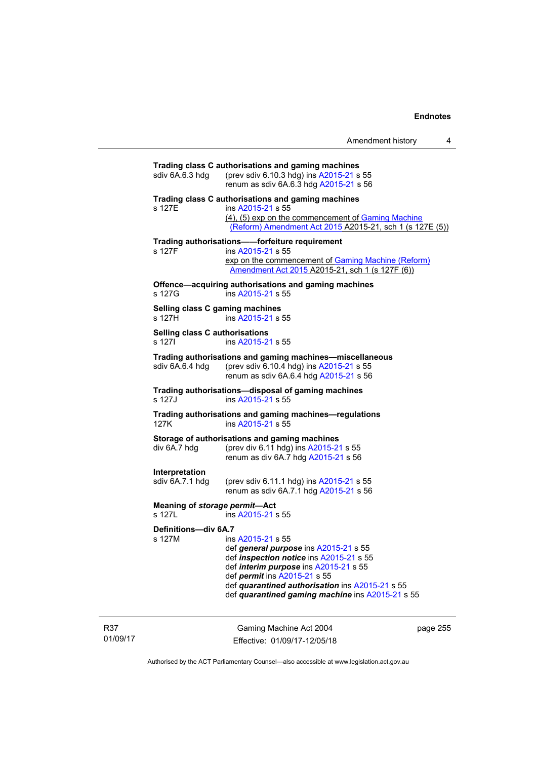| sdiv 6A.6.3 hdg                                                                     | Trading class C authorisations and gaming machines<br>(prev sdiv 6.10.3 hdg) ins A2015-21 s 55<br>renum as sdiv 6A.6.3 hdg A2015-21 s 56                                                                                                                                                     |  |  |
|-------------------------------------------------------------------------------------|----------------------------------------------------------------------------------------------------------------------------------------------------------------------------------------------------------------------------------------------------------------------------------------------|--|--|
| s 127E                                                                              | Trading class C authorisations and gaming machines<br>ins A2015-21 s 55<br>(4), (5) exp on the commencement of Gaming Machine<br>(Reform) Amendment Act 2015 A2015-21, sch 1 (s 127E (5))                                                                                                    |  |  |
| s 127F                                                                              | Trading authorisations--forfeiture requirement<br>ins A2015-21 s 55<br>exp on the commencement of Gaming Machine (Reform)<br>Amendment Act 2015 A2015-21, sch 1 (s 127F (6))                                                                                                                 |  |  |
| s 127G                                                                              | Offence-acquiring authorisations and gaming machines<br>ins A2015-21 s 55                                                                                                                                                                                                                    |  |  |
| Selling class C gaming machines<br>s 127H                                           | ins A2015-21 s 55                                                                                                                                                                                                                                                                            |  |  |
| Selling class C authorisations<br>s 1271                                            | ins A2015-21 s 55                                                                                                                                                                                                                                                                            |  |  |
| sdiv 6A.6.4 hdg                                                                     | Trading authorisations and gaming machines-miscellaneous<br>(prev sdiv 6.10.4 hdg) ins A2015-21 s 55<br>renum as sdiv 6A.6.4 hdg A2015-21 s 56                                                                                                                                               |  |  |
| s 127J                                                                              | Trading authorisations-disposal of gaming machines<br>ins A2015-21 s 55                                                                                                                                                                                                                      |  |  |
| Trading authorisations and gaming machines-regulations<br>ins A2015-21 s 55<br>127K |                                                                                                                                                                                                                                                                                              |  |  |
| div 6A.7 hdg                                                                        | Storage of authorisations and gaming machines<br>(prev div 6.11 hdg) ins A2015-21 s 55<br>renum as div 6A.7 hdg A2015-21 s 56                                                                                                                                                                |  |  |
| Interpretation<br>sdiv 6A.7.1 hdg                                                   | (prev sdiv 6.11.1 hdg) ins A2015-21 s 55<br>renum as sdiv 6A.7.1 hdg A2015-21 s 56                                                                                                                                                                                                           |  |  |
| Meaning of storage permit-Act<br>s 127L                                             | ins A2015-21 s 55                                                                                                                                                                                                                                                                            |  |  |
| Definitions-div 6A.7<br>s 127M                                                      | ins A2015-21 s 55<br>def general purpose ins A2015-21 s 55<br>def inspection notice ins A2015-21 s 55<br>def interim purpose ins A2015-21 s 55<br>def <i>permit</i> ins A2015-21 s 55<br>def quarantined authorisation ins A2015-21 s 55<br>def quarantined gaming machine ins A2015-21 s 55 |  |  |
|                                                                                     |                                                                                                                                                                                                                                                                                              |  |  |

R37 01/09/17

Gaming Machine Act 2004 Effective: 01/09/17-12/05/18

page 255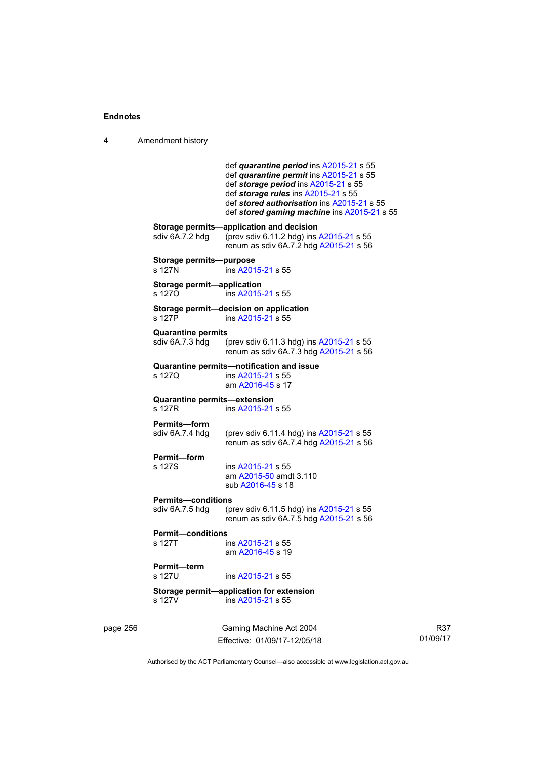4 Amendment history

|          |                                              | def quarantine period ins A2015-21 s 55<br>def quarantine permit ins A2015-21 s 55<br>def storage period ins A2015-21 s 55<br>def storage rules ins A2015-21 s 55<br>def stored authorisation ins A2015-21 s 55<br>def stored gaming machine ins A2015-21 s 55 |
|----------|----------------------------------------------|----------------------------------------------------------------------------------------------------------------------------------------------------------------------------------------------------------------------------------------------------------------|
|          | sdiv 6A.7.2 hdg                              | Storage permits-application and decision<br>(prev sdiv 6.11.2 hdg) ins A2015-21 s 55<br>renum as sdiv 6A.7.2 hdg A2015-21 s 56                                                                                                                                 |
|          | Storage permits-purpose<br>s 127N            | ins A2015-21 s 55                                                                                                                                                                                                                                              |
|          | Storage permit-application<br>s 1270         | ins A2015-21 s 55                                                                                                                                                                                                                                              |
|          | s 127P                                       | Storage permit-decision on application<br>ins A2015-21 s 55                                                                                                                                                                                                    |
|          | <b>Quarantine permits</b><br>sdiv 6A.7.3 hdg | (prev sdiv 6.11.3 hdg) ins A2015-21 s 55<br>renum as sdiv 6A.7.3 hdg A2015-21 s 56                                                                                                                                                                             |
|          | s 1270                                       | Quarantine permits-notification and issue<br>ins A2015-21 s 55<br>am A2016-45 s 17                                                                                                                                                                             |
|          | Quarantine permits-extension<br>s 127R       | ins A2015-21 s 55                                                                                                                                                                                                                                              |
|          | <b>Permits-form</b><br>sdiv 6A.7.4 hdg       | (prev sdiv 6.11.4 hdg) ins A2015-21 s 55<br>renum as sdiv 6A.7.4 hdg A2015-21 s 56                                                                                                                                                                             |
|          | Permit-form<br>s 127S                        | ins A2015-21 s 55<br>am A2015-50 amdt 3.110<br>sub A2016-45 s 18                                                                                                                                                                                               |
|          | <b>Permits-conditions</b>                    |                                                                                                                                                                                                                                                                |
|          | sdiv 6A.7.5 hdg                              | (prev sdiv 6.11.5 hdg) ins A2015-21 s 55<br>renum as sdiv 6A.7.5 hdg A2015-21 s 56                                                                                                                                                                             |
|          | <b>Permit-conditions</b><br>s 127T           | ins A2015-21 s 55<br>am A2016-45 s 19                                                                                                                                                                                                                          |
|          | Permit-term<br>s 127U                        | ins A2015-21 s 55                                                                                                                                                                                                                                              |
|          | s 127V                                       | Storage permit-application for extension<br>ins A2015-21 s 55                                                                                                                                                                                                  |
| page 256 |                                              | Gaming Machine Act 2004<br>Effective: 01/09/17-12/05/18                                                                                                                                                                                                        |

Authorised by the ACT Parliamentary Counsel—also accessible at www.legislation.act.gov.au

R37 01/09/17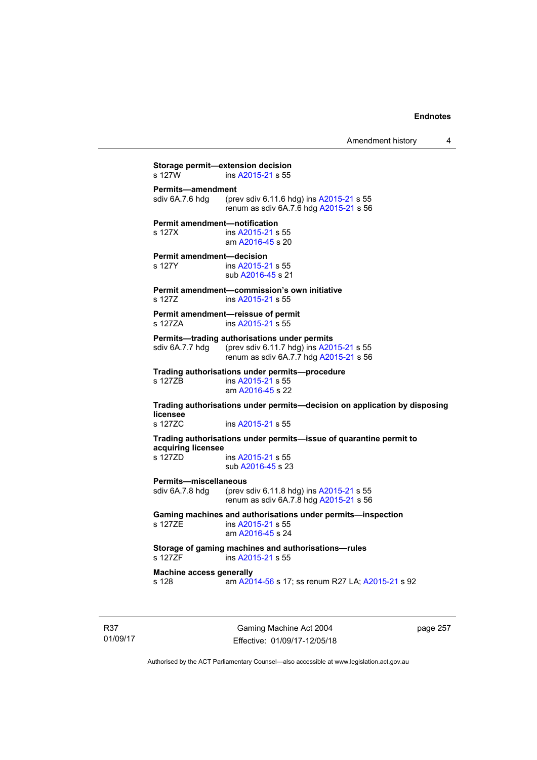Amendment history 4

**Storage permit—extension decision**<br>s 127W ins A2015-21 s 55 ins [A2015-21](http://www.legislation.act.gov.au/a/2015-21) s 55 **Permits—amendment**  sdiv 6A.7.6 hdg (prev sdiv 6.11.6 hdg) ins [A2015-21](http://www.legislation.act.gov.au/a/2015-21) s 55 renum as sdiv 6A.7.6 hdg [A2015-21](http://www.legislation.act.gov.au/a/2015-21) s 56 **Permit amendment—notification**  s 127X ins [A2015-21](http://www.legislation.act.gov.au/a/2015-21) s 55 am [A2016-45](http://www.legislation.act.gov.au/a/2016-45) s 20 **Permit amendment—decision**  s 127Y ins [A2015-21](http://www.legislation.act.gov.au/a/2015-21) s 55 sub [A2016-45](http://www.legislation.act.gov.au/a/2016-45) s 21 **Permit amendment—commission's own initiative**  s 127Z ins [A2015-21](http://www.legislation.act.gov.au/a/2015-21) s 55 **Permit amendment—reissue of permit**  s 127ZA ins [A2015-21](http://www.legislation.act.gov.au/a/2015-21) s 55 **Permits—trading authorisations under permits**  sdiv 6A.7.7 hdg (prev sdiv 6.11.7 hdg) ins [A2015-21](http://www.legislation.act.gov.au/a/2015-21) s 55 renum as sdiv 6A.7.7 hdg [A2015-21](http://www.legislation.act.gov.au/a/2015-21) s 56 **Trading authorisations under permits—procedure**  ins [A2015-21](http://www.legislation.act.gov.au/a/2015-21) s 55 am [A2016-45](http://www.legislation.act.gov.au/a/2016-45) s 22 **Trading authorisations under permits—decision on application by disposing licensee**  s 127ZC ins [A2015-21](http://www.legislation.act.gov.au/a/2015-21) s 55 **Trading authorisations under permits—issue of quarantine permit to acquiring licensee**  ins [A2015-21](http://www.legislation.act.gov.au/a/2015-21) s 55 sub [A2016-45](http://www.legislation.act.gov.au/a/2016-45) s 23 **Permits—miscellaneous**  sdiv 6A.7.8 hdg (prev sdiv 6.11.8 hdg) ins [A2015-21](http://www.legislation.act.gov.au/a/2015-21) s 55 renum as sdiv 6A.7.8 hdg [A2015-21](http://www.legislation.act.gov.au/a/2015-21) s 56 **Gaming machines and authorisations under permits—inspection**  s 127ZE ins [A2015-21](http://www.legislation.act.gov.au/a/2015-21) s 55 am [A2016-45](http://www.legislation.act.gov.au/a/2016-45) s 24 **Storage of gaming machines and authorisations—rules**  ins [A2015-21](http://www.legislation.act.gov.au/a/2015-21) s 55 **Machine access generally**  s 128 am [A2014-56](http://www.legislation.act.gov.au/a/2014-56) s 17; ss renum R27 LA; [A2015-21](http://www.legislation.act.gov.au/a/2015-21) s 92

R37 01/09/17

Gaming Machine Act 2004 Effective: 01/09/17-12/05/18 page 257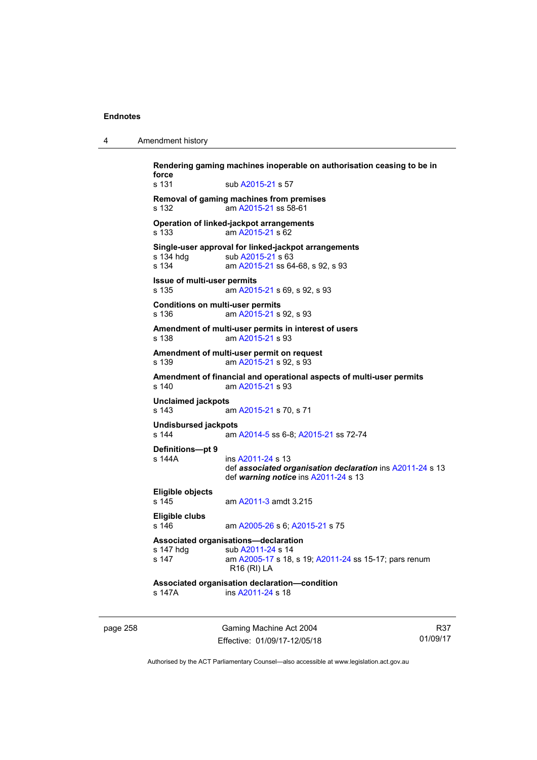| 4 | Amendment history |  |
|---|-------------------|--|
|---|-------------------|--|

**Rendering gaming machines inoperable on authorisation ceasing to be in force**  s 131 sub [A2015-21](http://www.legislation.act.gov.au/a/2015-21) s 57 **Removal of gaming machines from premises**  s 132 am [A2015-21](http://www.legislation.act.gov.au/a/2015-21) ss 58-61 **Operation of linked-jackpot arrangements**  s 133 am [A2015-21](http://www.legislation.act.gov.au/a/2015-21) s 62 **Single-user approval for linked-jackpot arrangements**  sub [A2015-21](http://www.legislation.act.gov.au/a/2015-21) s 63 s 134 am [A2015-21](http://www.legislation.act.gov.au/a/2015-21) ss 64-68, s 92, s 93 **Issue of multi-user permits**  s 135 am [A2015-21](http://www.legislation.act.gov.au/a/2015-21) s 69, s 92, s 93 **Conditions on multi-user permits**  s 136 am [A2015-21](http://www.legislation.act.gov.au/a/2015-21) s 92, s 93 **Amendment of multi-user permits in interest of users**  s 138 am [A2015-21](http://www.legislation.act.gov.au/a/2015-21) s 93 **Amendment of multi-user permit on request**  s 139 am [A2015-21](http://www.legislation.act.gov.au/a/2015-21) s 92, s 93 **Amendment of financial and operational aspects of multi-user permits**  s 140 am [A2015-21](http://www.legislation.act.gov.au/a/2015-21) s 93 **Unclaimed jackpots**  s 143 am [A2015-21](http://www.legislation.act.gov.au/a/2015-21) s 70, s 71 **Undisbursed jackpots**  s 144 am [A2014-5](http://www.legislation.act.gov.au/a/2014-5) ss 6-8; [A2015-21](http://www.legislation.act.gov.au/a/2015-21) ss 72-74 **Definitions—pt 9**  ins [A2011-24](http://www.legislation.act.gov.au/a/2011-24) s 13 def *associated organisation declaration* ins [A2011-24](http://www.legislation.act.gov.au/a/2011-24) s 13 def *warning notice* ins [A2011-24](http://www.legislation.act.gov.au/a/2011-24) s 13 **Eligible objects**  s 145 am [A2011-3](http://www.legislation.act.gov.au/a/2011-3) amdt 3.215 **Eligible clubs**  s 146 am [A2005-26](http://www.legislation.act.gov.au/a/2005-26) s 6; [A2015-21](http://www.legislation.act.gov.au/a/2015-21) s 75 **Associated organisations—declaration**  s 147 hdg sub [A2011-24](http://www.legislation.act.gov.au/a/2011-24) s 14 s 147 am [A2005-17](http://www.legislation.act.gov.au/a/2005-17) s 18, s 19; [A2011-24](http://www.legislation.act.gov.au/a/2011-24) ss 15-17; pars renum R16 (RI) LA **Associated organisation declaration—condition**  s 147A ins [A2011-24](http://www.legislation.act.gov.au/a/2011-24) s 18

page 258 Gaming Machine Act 2004 Effective: 01/09/17-12/05/18

R37 01/09/17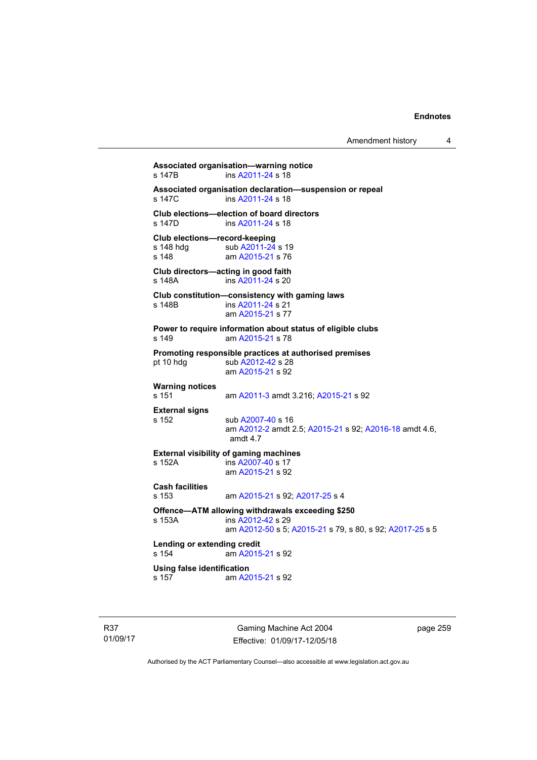**Associated organisation—warning notice**  s 147B ins [A2011-24](http://www.legislation.act.gov.au/a/2011-24) s 18 **Associated organisation declaration—suspension or repeal**  ins [A2011-24](http://www.legislation.act.gov.au/a/2011-24) s 18 **Club elections—election of board directors**  s 147D ins [A2011-24](http://www.legislation.act.gov.au/a/2011-24) s 18 **Club elections—record-keeping**  s 148 hdg sub [A2011-24](http://www.legislation.act.gov.au/a/2011-24) s 19<br>s 148 am A2015-21 s 76 am [A2015-21](http://www.legislation.act.gov.au/a/2015-21) s 76 **Club directors—acting in good faith**  s 148A ins [A2011-24](http://www.legislation.act.gov.au/a/2011-24) s 20 **Club constitution—consistency with gaming laws**  s 148B ins [A2011-24](http://www.legislation.act.gov.au/a/2011-24) s 21 am [A2015-21](http://www.legislation.act.gov.au/a/2015-21) s 77 **Power to require information about status of eligible clubs**  s 149 am [A2015-21](http://www.legislation.act.gov.au/a/2015-21) s 78 **Promoting responsible practices at authorised premises**  pt 10 hdg sub [A2012-42](http://www.legislation.act.gov.au/a/2012-42) s 28 am [A2015-21](http://www.legislation.act.gov.au/a/2015-21) s 92 **Warning notices**  s 151 am [A2011-3](http://www.legislation.act.gov.au/a/2011-3) amdt 3.216; [A2015-21](http://www.legislation.act.gov.au/a/2015-21) s 92 **External signs**  s 152 sub [A2007-40](http://www.legislation.act.gov.au/a/2007-40) s 16 am [A2012-2](http://www.legislation.act.gov.au/a/2012-2) amdt 2.5; [A2015-21](http://www.legislation.act.gov.au/a/2015-21) s 92; [A2016-18](http://www.legislation.act.gov.au/a/2016-18/default.asp) amdt 4.6, amdt 4.7 **External visibility of gaming machines**  s 152A ins [A2007-40](http://www.legislation.act.gov.au/a/2007-40) s 17 am [A2015-21](http://www.legislation.act.gov.au/a/2015-21) s 92 **Cash facilities**  s 153 am [A2015-21](http://www.legislation.act.gov.au/a/2015-21) s 92; [A2017-25](http://www.legislation.act.gov.au/a/2017-25/default.asp) s 4 **Offence—ATM allowing withdrawals exceeding \$250**  ins [A2012-42](http://www.legislation.act.gov.au/a/2012-42) s 29 am [A2012-50](http://www.legislation.act.gov.au/a/2012-50/default.asp) s 5; [A2015-21](http://www.legislation.act.gov.au/a/2015-21) s 79, s 80, s 92; [A2017-25](http://www.legislation.act.gov.au/a/2017-25/default.asp) s 5 **Lending or extending credit**  s 154 am [A2015-21](http://www.legislation.act.gov.au/a/2015-21) s 92 **Using false identification**  am [A2015-21](http://www.legislation.act.gov.au/a/2015-21) s 92

R37 01/09/17

Gaming Machine Act 2004 Effective: 01/09/17-12/05/18 page 259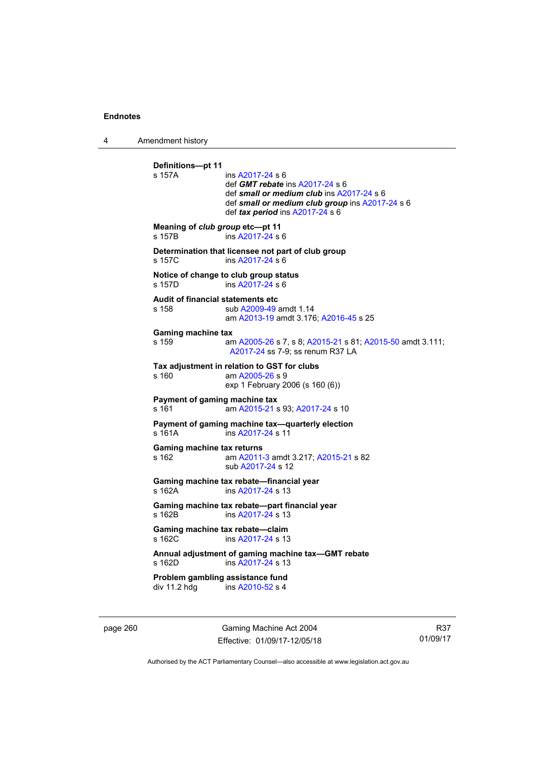4 Amendment history

```
Definitions—pt 11 
s 157A ins A2017-24 s 6
                 def GMT rebate ins A2017-24 s 6 
                 def small or medium club ins A2017-24 s 6 
                 def small or medium club group ins A2017-24 s 6 
                 def tax period ins A2017-24 s 6
Meaning of club group etc—pt 11 
s 157B ins A2017-24 s 6
Determination that licensee not part of club group 
s 157C ins A2017-24 s 6
Notice of change to club group status 
s 157D ins A2017-24 s 6
Audit of financial statements etc 
s 158 sub A2009-49 amdt 1.14 
                am A2013-19 amdt 3.176; A2016-45 s 25 
Gaming machine tax 
s 159 am A2005-26 s 7, s 8; A2015-21 s 81; A2015-50 amdt 3.111; 
                A2017-24 ss 7-9; ss renum R37 LA 
Tax adjustment in relation to GST for clubs 
s 160 am A2005-26 s 9 
                exp 1 February 2006 (s 160 (6)) 
Payment of gaming machine tax 
s 161 am A2015-21 s 93; A2017-24 s 10 
Payment of gaming machine tax—quarterly election 
 A2017-24 s 11
Gaming machine tax returns 
s 162 am A2011-3 amdt 3.217; A2015-21 s 82 
                sub A2017-24 s 12 
Gaming machine tax rebate—financial year 
s 162A  A2017-24 s 13
Gaming machine tax rebate—part financial year 
 A2017-24 s 13
Gaming machine tax rebate—claim 
A2017-24 s 13
Annual adjustment of gaming machine tax—GMT rebate 
s 162D ins A2017-24 s 13 
Problem gambling assistance fund 
A2010-52 s 4
```
page 260 Gaming Machine Act 2004 Effective: 01/09/17-12/05/18

R37 01/09/17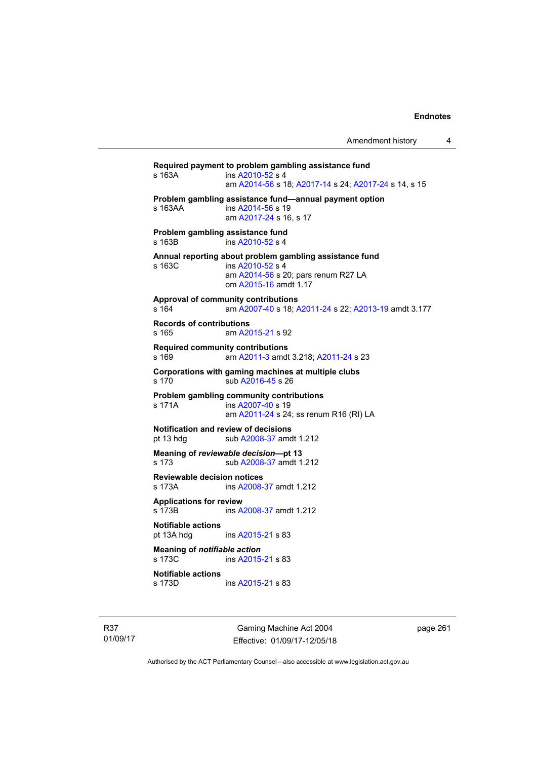**Required payment to problem gambling assistance fund**   $ins A2010-52 s 4$  $ins A2010-52 s 4$  $ins A2010-52 s 4$  am [A2014-56](http://www.legislation.act.gov.au/a/2014-56/default.asp) s 18; [A2017-14](http://www.legislation.act.gov.au/a/2017-14/default.asp) s 24; [A2017-24](http://www.legislation.act.gov.au/a/2017-24/default.asp) s 14, s 15 **Problem gambling assistance fund—annual payment option**  s 163AA ins [A2014-56](http://www.legislation.act.gov.au/a/2014-56/default.asp) s 19 am [A2017-24](http://www.legislation.act.gov.au/a/2017-24/default.asp) s 16, s 17 **Problem gambling assistance fund**  s 163B ins [A2010-52](http://www.legislation.act.gov.au/a/2010-52) s 4 **Annual reporting about problem gambling assistance fund**  s 163C ins [A2010-52](http://www.legislation.act.gov.au/a/2010-52) s 4 am [A2014-56](http://www.legislation.act.gov.au/a/2014-56) s 20; pars renum R27 LA om [A2015-16](http://www.legislation.act.gov.au/a/2015-16) amdt 1.17 **Approval of community contributions**  s 164 am [A2007-40](http://www.legislation.act.gov.au/a/2007-40) s 18; [A2011-24](http://www.legislation.act.gov.au/a/2011-24) s 22; [A2013-19](http://www.legislation.act.gov.au/a/2013-19) amdt 3.177 **Records of contributions**  s 165 am [A2015-21](http://www.legislation.act.gov.au/a/2015-21) s 92 **Required community contributions**  s 169 am [A2011-3](http://www.legislation.act.gov.au/a/2011-3) amdt 3.218; [A2011-24](http://www.legislation.act.gov.au/a/2011-24) s 23 **Corporations with gaming machines at multiple clubs**  s 170 sub [A2016-45](http://www.legislation.act.gov.au/a/2016-45) s 26 **Problem gambling community contributions**  s 171A ins [A2007-40](http://www.legislation.act.gov.au/a/2007-40) s 19 am [A2011-24](http://www.legislation.act.gov.au/a/2011-24) s 24; ss renum R16 (RI) LA **Notification and review of decisions**  pt 13 hdg sub [A2008-37](http://www.legislation.act.gov.au/a/2008-37) amdt 1.212 **Meaning of** *reviewable decision***—pt 13**  s 173 sub [A2008-37](http://www.legislation.act.gov.au/a/2008-37) amdt 1.212 **Reviewable decision notices**  s 173A ins [A2008-37](http://www.legislation.act.gov.au/a/2008-37) amdt 1.212 **Applications for review**  ins [A2008-37](http://www.legislation.act.gov.au/a/2008-37) amdt 1.212 **Notifiable actions**  pt 13A hdg ins [A2015-21](http://www.legislation.act.gov.au/a/2015-21) s 83 **Meaning of** *notifiable action* s 173C ins [A2015-21](http://www.legislation.act.gov.au/a/2015-21) s 83 **Notifiable actions**  s 173D ins [A2015-21](http://www.legislation.act.gov.au/a/2015-21) s 83

R37 01/09/17

Gaming Machine Act 2004 Effective: 01/09/17-12/05/18 page 261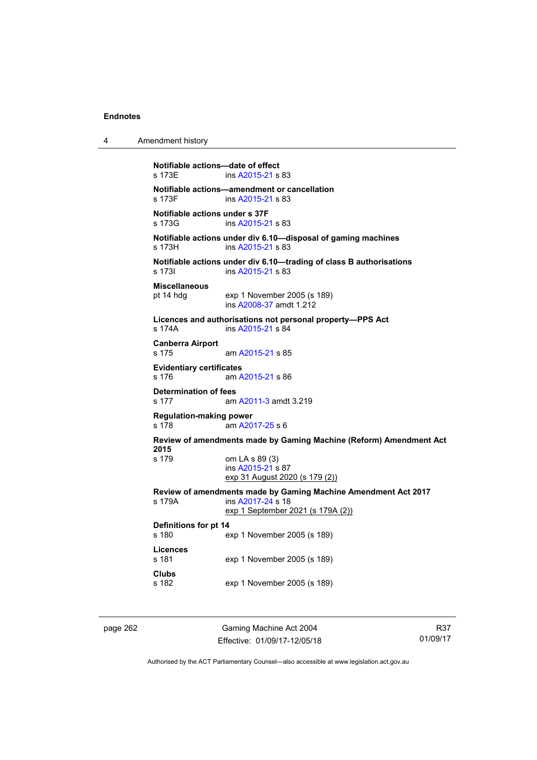4 Amendment history

```
Notifiable actions—date of effect 
s 173E ins A2015-21 s 83 
Notifiable actions—amendment or cancellation 
s 173F ins A2015-21 s 83 
Notifiable actions under s 37F 
s 173G ins A2015-21 s 83 
Notifiable actions under div 6.10—disposal of gaming machines 
A2015-21 s 83
Notifiable actions under div 6.10—trading of class B authorisations 
s 173I ins A2015-21 s 83 
Miscellaneous 
pt 14 hdg exp 1 November 2005 (s 189) 
                 ins A2008-37 amdt 1.212 
Licences and authorisations not personal property—PPS Act 
s 174A ins A2015-21 s 84 
Canberra Airport 
s 175 am A2015-21 s 85 
Evidentiary certificates 
s 176 am A2015-21 s 86 
Determination of fees 
s 177 am A2011-3 amdt 3.219 
Regulation-making power 
s 178 am A2017-25 s 6 
Review of amendments made by Gaming Machine (Reform) Amendment Act 
2015 
                om LA s 89 (3)
                 ins A2015-21 s 87 
                exp 31 August 2020 (s 179 (2))
Review of amendments made by Gaming Machine Amendment Act 2017 
s 179A ins A2017-24 s 18 
                exp 1 September 2021 (s 179A (2))
Definitions for pt 14 
s 180 exp 1 November 2005 (s 189) 
Licences 
s 181 exp 1 November 2005 (s 189) 
Clubs 
s 182 exp 1 November 2005 (s 189)
```
page 262 Gaming Machine Act 2004 Effective: 01/09/17-12/05/18

R37 01/09/17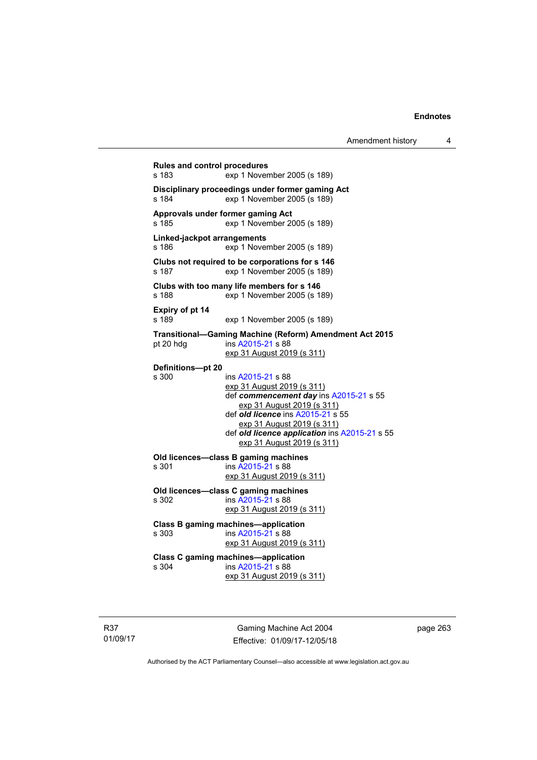**Rules and control procedures**  s 183 exp 1 November 2005 (s 189) **Disciplinary proceedings under former gaming Act**  s 184 exp 1 November 2005 (s 189) **Approvals under former gaming Act**  s 185 exp 1 November 2005 (s 189) **Linked-jackpot arrangements**  s 186 exp 1 November 2005 (s 189) **Clubs not required to be corporations for s 146**  s 187 exp 1 November 2005 (s 189) **Clubs with too many life members for s 146**  s 188 exp 1 November 2005 (s 189) **Expiry of pt 14**  s 189 exp 1 November 2005 (s 189) **Transitional—Gaming Machine (Reform) Amendment Act 2015**  pt 20 hdg ins [A2015-21](http://www.legislation.act.gov.au/a/2015-21) s 88 exp 31 August 2019 (s 311) **Definitions—pt 20**  s 300 ins [A2015-21](http://www.legislation.act.gov.au/a/2015-21) s 88 exp 31 August 2019 (s 311) def *commencement day* ins [A2015-21](http://www.legislation.act.gov.au/a/2015-21) s 55 exp 31 August 2019 (s 311) def *old licence* ins [A2015-21](http://www.legislation.act.gov.au/a/2015-21) s 55 exp 31 August 2019 (s 311) def *old licence application* ins [A2015-21](http://www.legislation.act.gov.au/a/2015-21) s 55 exp 31 August 2019 (s 311) **Old licences—class B gaming machines**  s 301 ins [A2015-21](http://www.legislation.act.gov.au/a/2015-21) s 88 exp 31 August 2019 (s 311) **Old licences—class C gaming machines**  s 302 ins [A2015-21](http://www.legislation.act.gov.au/a/2015-21) s 88 exp 31 August 2019 (s 311) **Class B gaming machines—application**  s 303 ins [A2015-21](http://www.legislation.act.gov.au/a/2015-21) s 88 exp 31 August 2019 (s 311) **Class C gaming machines—application**  s 304 ins [A2015-21](http://www.legislation.act.gov.au/a/2015-21) s 88 exp 31 August 2019 (s 311)

R37 01/09/17

Gaming Machine Act 2004 Effective: 01/09/17-12/05/18 page 263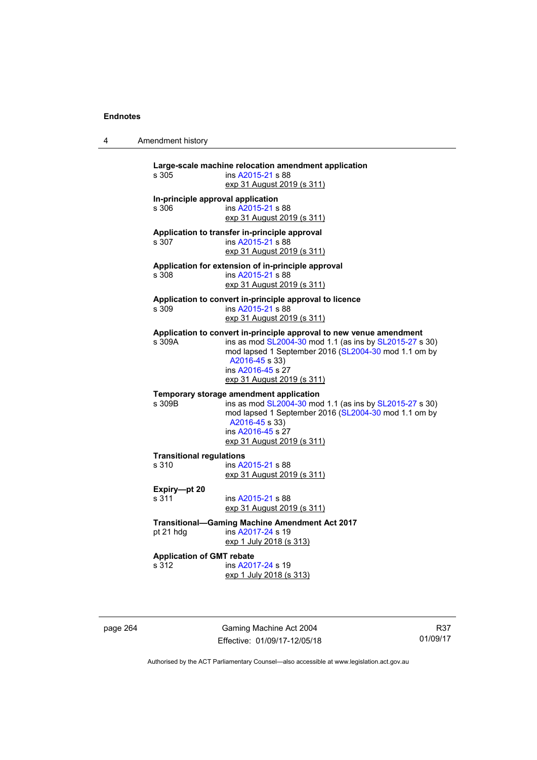4 Amendment history

| s 305                                      | Large-scale machine relocation amendment application<br>ins A2015-21 s 88<br>exp 31 August 2019 (s 311)                                                                                                                                                            |
|--------------------------------------------|--------------------------------------------------------------------------------------------------------------------------------------------------------------------------------------------------------------------------------------------------------------------|
| In-principle approval application<br>s 306 | ins A2015-21 s 88<br>exp 31 August 2019 (s 311)                                                                                                                                                                                                                    |
| s.307                                      | Application to transfer in-principle approval<br>ins A2015-21 s 88<br>exp 31 August 2019 (s 311)                                                                                                                                                                   |
| s 308                                      | Application for extension of in-principle approval<br>ins A2015-21 s 88<br>exp 31 August 2019 (s 311)                                                                                                                                                              |
| s 309                                      | Application to convert in-principle approval to licence<br>ins A2015-21 s 88<br>exp 31 August 2019 (s 311)                                                                                                                                                         |
| s 309A                                     | Application to convert in-principle approval to new venue amendment<br>ins as mod SL2004-30 mod 1.1 (as ins by SL2015-27 s 30)<br>mod lapsed 1 September 2016 (SL2004-30 mod 1.1 om by<br>A2016-45 s 33)<br>ins A2016-45 s 27<br><u>exp 31 August 2019 (s 311)</u> |
| s 309B                                     | Temporary storage amendment application<br>ins as mod SL2004-30 mod 1.1 (as ins by SL2015-27 s 30)<br>mod lapsed 1 September 2016 (SL2004-30 mod 1.1 om by<br>A2016-45 s 33)<br>ins A2016-45 s 27<br>exp 31 August 2019 (s 311)                                    |
| <b>Transitional regulations</b><br>s 310   | ins A2015-21 s 88<br>exp 31 August 2019 (s 311)                                                                                                                                                                                                                    |
| Expiry-pt 20<br>s 311                      | ins A2015-21 s 88<br>exp 31 August 2019 (s 311)                                                                                                                                                                                                                    |
| pt 21 hdg                                  | <b>Transitional-Gaming Machine Amendment Act 2017</b><br>ins A2017-24 s 19<br>exp 1 July 2018 (s 313)                                                                                                                                                              |
| <b>Application of GMT rebate</b><br>s 312  | ins A2017-24 s 19<br>exp 1 July 2018 (s 313)                                                                                                                                                                                                                       |

page 264 Gaming Machine Act 2004 Effective: 01/09/17-12/05/18

R37 01/09/17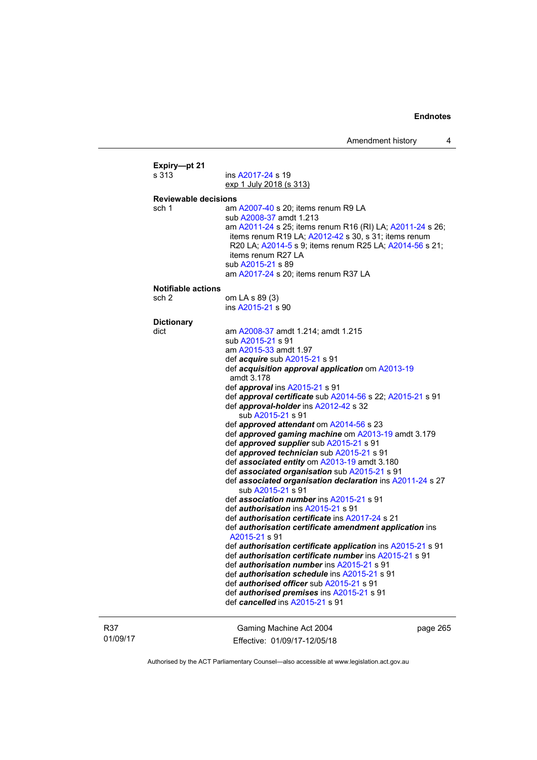| Expiry-pt 21                                                                |                                                                                                                                                                                                                                                                 |  |  |  |
|-----------------------------------------------------------------------------|-----------------------------------------------------------------------------------------------------------------------------------------------------------------------------------------------------------------------------------------------------------------|--|--|--|
| s 313                                                                       | ins A2017-24 s 19                                                                                                                                                                                                                                               |  |  |  |
|                                                                             | exp 1 July 2018 (s 313)                                                                                                                                                                                                                                         |  |  |  |
| <b>Reviewable decisions</b><br>sch 1<br>am A2007-40 s 20; items renum R9 LA |                                                                                                                                                                                                                                                                 |  |  |  |
|                                                                             | sub A2008-37 amdt 1.213                                                                                                                                                                                                                                         |  |  |  |
|                                                                             | am A2011-24 s 25; items renum R16 (RI) LA; A2011-24 s 26;<br>items renum R19 LA; A2012-42 s 30, s 31; items renum<br>R20 LA; A2014-5 s 9; items renum R25 LA; A2014-56 s 21;<br>items renum R27 LA<br>sub A2015-21 s 89<br>am A2017-24 s 20; items renum R37 LA |  |  |  |
| <b>Notifiable actions</b>                                                   |                                                                                                                                                                                                                                                                 |  |  |  |
| sch 2                                                                       | om LA s 89 (3)                                                                                                                                                                                                                                                  |  |  |  |
|                                                                             | ins A2015-21 s 90                                                                                                                                                                                                                                               |  |  |  |
| <b>Dictionary</b>                                                           |                                                                                                                                                                                                                                                                 |  |  |  |
| dict                                                                        | am A2008-37 amdt 1.214; amdt 1.215                                                                                                                                                                                                                              |  |  |  |
|                                                                             | sub A2015-21 s 91<br>am A2015-33 amdt 1.97                                                                                                                                                                                                                      |  |  |  |
|                                                                             | def acquire sub A2015-21 s 91                                                                                                                                                                                                                                   |  |  |  |
|                                                                             | def acquisition approval application om A2013-19<br>amdt 3.178                                                                                                                                                                                                  |  |  |  |
|                                                                             | def approval ins A2015-21 s 91                                                                                                                                                                                                                                  |  |  |  |
|                                                                             | def approval certificate sub A2014-56 s 22; A2015-21 s 91<br>def approval-holder ins A2012-42 s 32<br>sub A2015-21 s 91                                                                                                                                         |  |  |  |
|                                                                             | def approved attendant om A2014-56 s 23                                                                                                                                                                                                                         |  |  |  |
|                                                                             | def approved gaming machine om A2013-19 amdt 3.179                                                                                                                                                                                                              |  |  |  |
|                                                                             | def approved supplier sub A2015-21 s 91                                                                                                                                                                                                                         |  |  |  |
|                                                                             | def approved technician sub A2015-21 s 91                                                                                                                                                                                                                       |  |  |  |
|                                                                             | def associated entity om A2013-19 amdt 3.180                                                                                                                                                                                                                    |  |  |  |
|                                                                             | def associated organisation sub A2015-21 s 91<br>def associated organisation declaration ins A2011-24 s 27<br>sub A2015-21 s 91                                                                                                                                 |  |  |  |
|                                                                             | def association number ins A2015-21 s 91                                                                                                                                                                                                                        |  |  |  |
|                                                                             | def <i>authorisation</i> ins A2015-21 s 91                                                                                                                                                                                                                      |  |  |  |
|                                                                             | def authorisation certificate ins A2017-24 s 21                                                                                                                                                                                                                 |  |  |  |
|                                                                             | def authorisation certificate amendment application ins<br>A2015-21 s 91                                                                                                                                                                                        |  |  |  |
|                                                                             | def authorisation certificate application ins A2015-21 s 91                                                                                                                                                                                                     |  |  |  |
|                                                                             | def authorisation certificate number ins A2015-21 s 91<br>def <i>authorisation number</i> ins A2015-21 s 91                                                                                                                                                     |  |  |  |
|                                                                             | def <i>authorisation schedule</i> ins A2015-21 s 91                                                                                                                                                                                                             |  |  |  |
|                                                                             | def <i>authorised officer</i> sub A2015-21 s 91                                                                                                                                                                                                                 |  |  |  |
|                                                                             | def authorised premises ins A2015-21 s 91                                                                                                                                                                                                                       |  |  |  |
|                                                                             | def cancelled ins A2015-21 s 91                                                                                                                                                                                                                                 |  |  |  |
|                                                                             |                                                                                                                                                                                                                                                                 |  |  |  |

R37 01/09/17

Gaming Machine Act 2004 Effective: 01/09/17-12/05/18 page 265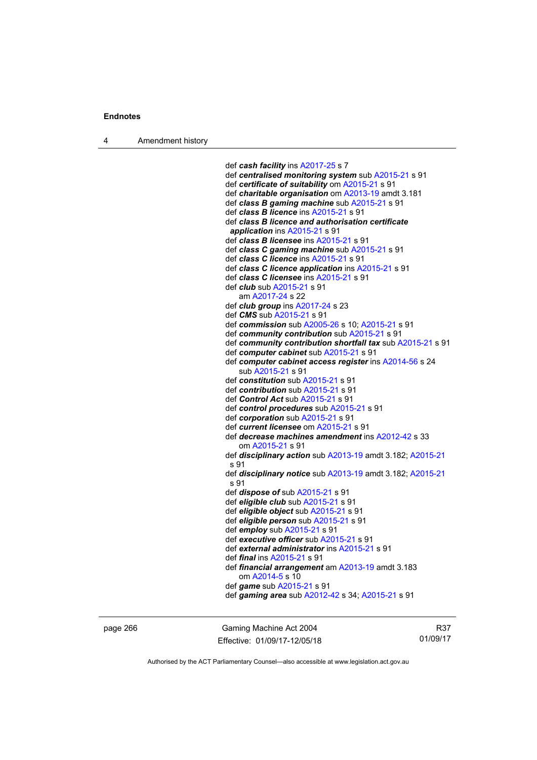4 Amendment history

```
 def cash facility ins A2017-25 s 7 
 def centralised monitoring system sub A2015-21 s 91 
 def certificate of suitability om A2015-21 s 91 
 def charitable organisation om A2013-19 amdt 3.181
 def class B gaming machine sub A2015-21 s 91 
 def class B licence ins A2015-21 s 91 
 def class B licence and authorisation certificate 
 application ins A2015-21 s 91 
 def class B licensee ins A2015-21 s 91 
 def class C gaming machine sub A2015-21 s 91 
 def class C licence ins A2015-21 s 91 
 def class C licence application ins A2015-21 s 91 
 def class C licensee ins A2015-21 s 91 
 def club sub A2015-21 s 91 
    am A2017-24 s 22 
 def club group ins A2017-24 s 23 
 def CMS sub A2015-21 s 91 
 def commission sub A2005-26 s 10; A2015-21 s 91 
 def community contribution sub A2015-21 s 91 
 def community contribution shortfall tax sub A2015-21 s 91 
 def computer cabinet sub A2015-21 s 91 
 def computer cabinet access register ins A2014-56 s 24 
    sub A2015-21 s 91 
 def constitution sub A2015-21 s 91 
 def contribution sub A2015-21 s 91 
 def Control Act sub A2015-21 s 91 
 def control procedures sub A2015-21 s 91 
 def corporation sub A2015-21 s 91 
 def current licensee om A2015-21 s 91 
 def decrease machines amendment ins A2012-42 s 33 
    om A2015-21 s 91 
 def disciplinary action sub A2013-19 amdt 3.182; A2015-21
 s 91 
 def disciplinary notice sub A2013-19 amdt 3.182; A2015-21
 s 91 
 def dispose of sub A2015-21 s 91 
 def eligible club sub A2015-21 s 91 
 def eligible object sub A2015-21 s 91 
 def eligible person sub A2015-21 s 91 
 def employ sub A2015-21 s 91 
 def executive officer sub A2015-21 s 91 
 def external administrator ins A2015-21 s 91 
 def final ins A2015-21 s 91 
 def financial arrangement am A2013-19 amdt 3.183 
    om A2014-5 s 10 
 def game sub A2015-21 s 91 
 def gaming area sub A2012-42 s 34; A2015-21 s 91
```
page 266 Gaming Machine Act 2004 Effective: 01/09/17-12/05/18

R37 01/09/17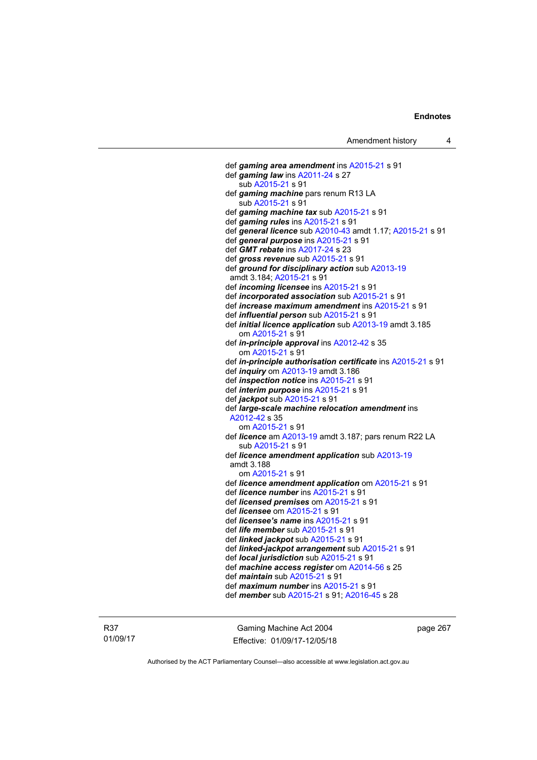def *gaming area amendment* ins [A2015-21](http://www.legislation.act.gov.au/a/2015-21) s 91 def *gaming law* ins [A2011-24](http://www.legislation.act.gov.au/a/2011-24) s 27 sub [A2015-21](http://www.legislation.act.gov.au/a/2015-21) s 91 def *gaming machine* pars renum R13 LA sub [A2015-21](http://www.legislation.act.gov.au/a/2015-21) s 91 def *gaming machine tax* sub [A2015-21](http://www.legislation.act.gov.au/a/2015-21) s 91 def *gaming rules* ins [A2015-21](http://www.legislation.act.gov.au/a/2015-21) s 91 def *general licence* sub [A2010-43](http://www.legislation.act.gov.au/a/2010-43) amdt 1.17; [A2015-21](http://www.legislation.act.gov.au/a/2015-21) s 91 def *general purpose* ins [A2015-21](http://www.legislation.act.gov.au/a/2015-21) s 91 def *GMT rebate* ins [A2017-24](http://www.legislation.act.gov.au/a/2017-24/default.asp) s 23 def *gross revenue* sub [A2015-21](http://www.legislation.act.gov.au/a/2015-21) s 91 def *ground for disciplinary action* sub [A2013-19](http://www.legislation.act.gov.au/a/2013-19) amdt 3.184; [A2015-21](http://www.legislation.act.gov.au/a/2015-21) s 91 def *incoming licensee* ins [A2015-21](http://www.legislation.act.gov.au/a/2015-21) s 91 def *incorporated association* sub [A2015-21](http://www.legislation.act.gov.au/a/2015-21) s 91 def *increase maximum amendment* ins [A2015-21](http://www.legislation.act.gov.au/a/2015-21) s 91 def *influential person* sub [A2015-21](http://www.legislation.act.gov.au/a/2015-21) s 91 def *initial licence application* sub [A2013-19](http://www.legislation.act.gov.au/a/2013-19) amdt 3.185 om [A2015-21](http://www.legislation.act.gov.au/a/2015-21) s 91 def *in-principle approval* ins [A2012-42](http://www.legislation.act.gov.au/a/2012-42) s 35 om [A2015-21](http://www.legislation.act.gov.au/a/2015-21) s 91 def *in-principle authorisation certificate* ins [A2015-21](http://www.legislation.act.gov.au/a/2015-21) s 91 def *inquiry* om [A2013-19](http://www.legislation.act.gov.au/a/2013-19) amdt 3.186 def *inspection notice* ins [A2015-21](http://www.legislation.act.gov.au/a/2015-21) s 91 def *interim purpose* ins [A2015-21](http://www.legislation.act.gov.au/a/2015-21) s 91 def *jackpot* sub [A2015-21](http://www.legislation.act.gov.au/a/2015-21) s 91 def *large-scale machine relocation amendment* ins [A2012-42](http://www.legislation.act.gov.au/a/2012-42) s 35 om [A2015-21](http://www.legislation.act.gov.au/a/2015-21) s 91 def *licence* am [A2013-19](http://www.legislation.act.gov.au/a/2013-19) amdt 3.187; pars renum R22 LA sub [A2015-21](http://www.legislation.act.gov.au/a/2015-21) s 91 def *licence amendment application* sub [A2013-19](http://www.legislation.act.gov.au/a/2013-19) amdt 3.188 om [A2015-21](http://www.legislation.act.gov.au/a/2015-21) s 91 def *licence amendment application* om [A2015-21](http://www.legislation.act.gov.au/a/2015-21) s 91 def *licence number* ins [A2015-21](http://www.legislation.act.gov.au/a/2015-21) s 91 def *licensed premises* om [A2015-21](http://www.legislation.act.gov.au/a/2015-21) s 91 def *licensee* om [A2015-21](http://www.legislation.act.gov.au/a/2015-21) s 91 def *licensee's name* ins [A2015-21](http://www.legislation.act.gov.au/a/2015-21) s 91 def *life member* sub [A2015-21](http://www.legislation.act.gov.au/a/2015-21) s 91 def *linked jackpot* sub [A2015-21](http://www.legislation.act.gov.au/a/2015-21) s 91 def *linked-jackpot arrangement* sub [A2015-21](http://www.legislation.act.gov.au/a/2015-21) s 91 def *local jurisdiction* sub [A2015-21](http://www.legislation.act.gov.au/a/2015-21) s 91 def *machine access register* om [A2014-56](http://www.legislation.act.gov.au/a/2014-56) s 25 def *maintain* sub [A2015-21](http://www.legislation.act.gov.au/a/2015-21) s 91 def *maximum number* ins [A2015-21](http://www.legislation.act.gov.au/a/2015-21) s 91 def *member* sub [A2015-21](http://www.legislation.act.gov.au/a/2015-21) s 91; [A2016-45](http://www.legislation.act.gov.au/a/2016-45) s 28

R37 01/09/17

Gaming Machine Act 2004 Effective: 01/09/17-12/05/18 page 267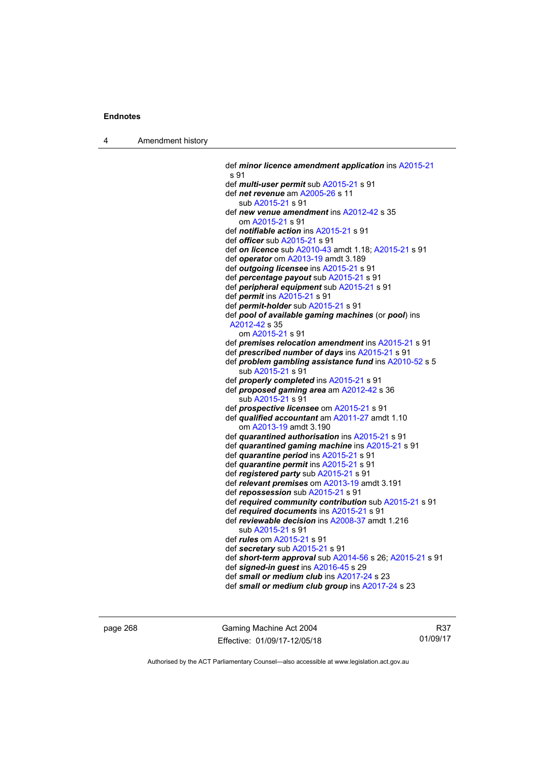4 Amendment history

 def *minor licence amendment application* ins [A2015-21](http://www.legislation.act.gov.au/a/2015-21) s 91 def *multi-user permit* sub [A2015-21](http://www.legislation.act.gov.au/a/2015-21) s 91 def *net revenue* am [A2005-26](http://www.legislation.act.gov.au/a/2005-26) s 11 sub [A2015-21](http://www.legislation.act.gov.au/a/2015-21) s 91 def *new venue amendment* ins [A2012-42](http://www.legislation.act.gov.au/a/2012-42) s 35 om [A2015-21](http://www.legislation.act.gov.au/a/2015-21) s 91 def *notifiable action* ins [A2015-21](http://www.legislation.act.gov.au/a/2015-21) s 91 def *officer* sub [A2015-21](http://www.legislation.act.gov.au/a/2015-21) s 91 def *on licence* sub [A2010-43](http://www.legislation.act.gov.au/a/2010-43) amdt 1.18; [A2015-21](http://www.legislation.act.gov.au/a/2015-21) s 91 def *operator* om [A2013-19](http://www.legislation.act.gov.au/a/2013-19) amdt 3.189 def *outgoing licensee* ins [A2015-21](http://www.legislation.act.gov.au/a/2015-21) s 91 def *percentage payout* sub [A2015-21](http://www.legislation.act.gov.au/a/2015-21) s 91 def *peripheral equipment* sub [A2015-21](http://www.legislation.act.gov.au/a/2015-21) s 91 def *permit* ins [A2015-21](http://www.legislation.act.gov.au/a/2015-21) s 91 def *permit-holder* sub [A2015-21](http://www.legislation.act.gov.au/a/2015-21) s 91 def *pool of available gaming machines* (or *pool*) ins [A2012-42](http://www.legislation.act.gov.au/a/2012-42) s 35 om [A2015-21](http://www.legislation.act.gov.au/a/2015-21) s 91 def *premises relocation amendment* ins [A2015-21](http://www.legislation.act.gov.au/a/2015-21) s 91 def *prescribed number of days* ins [A2015-21](http://www.legislation.act.gov.au/a/2015-21) s 91 def *problem gambling assistance fund* ins [A2010-52](http://www.legislation.act.gov.au/a/2010-52) s 5 sub [A2015-21](http://www.legislation.act.gov.au/a/2015-21) s 91 def *properly completed* ins [A2015-21](http://www.legislation.act.gov.au/a/2015-21) s 91 def *proposed gaming area* am [A2012-42](http://www.legislation.act.gov.au/a/2012-42) s 36 sub [A2015-21](http://www.legislation.act.gov.au/a/2015-21) s 91 def *prospective licensee* om [A2015-21](http://www.legislation.act.gov.au/a/2015-21) s 91 def *qualified accountant* am [A2011-27](http://www.legislation.act.gov.au/a/2011-27) amdt 1.10 om [A2013-19](http://www.legislation.act.gov.au/a/2013-19) amdt 3.190 def *quarantined authorisation* ins [A2015-21](http://www.legislation.act.gov.au/a/2015-21) s 91 def *quarantined gaming machine* ins [A2015-21](http://www.legislation.act.gov.au/a/2015-21) s 91 def *quarantine period* ins [A2015-21](http://www.legislation.act.gov.au/a/2015-21) s 91 def *quarantine permit* ins [A2015-21](http://www.legislation.act.gov.au/a/2015-21) s 91 def *registered party* sub [A2015-21](http://www.legislation.act.gov.au/a/2015-21) s 91 def *relevant premises* om [A2013-19](http://www.legislation.act.gov.au/a/2013-19) amdt 3.191 def *repossession* sub [A2015-21](http://www.legislation.act.gov.au/a/2015-21) s 91 def *required community contribution* sub [A2015-21](http://www.legislation.act.gov.au/a/2015-21) s 91 def *required documents* ins [A2015-21](http://www.legislation.act.gov.au/a/2015-21) s 91 def *reviewable decision* ins [A2008-37](http://www.legislation.act.gov.au/a/2008-37) amdt 1.216 sub [A2015-21](http://www.legislation.act.gov.au/a/2015-21) s 91 def *rules* om [A2015-21](http://www.legislation.act.gov.au/a/2015-21) s 91 def *secretary* sub [A2015-21](http://www.legislation.act.gov.au/a/2015-21) s 91 def *short-term approval* sub [A2014-56](http://www.legislation.act.gov.au/a/2014-56) s 26; [A2015-21](http://www.legislation.act.gov.au/a/2015-21) s 91 def *signed-in guest* ins [A2016-45](http://www.legislation.act.gov.au/a/2016-45) s 29 def *small or medium club* ins [A2017-24](http://www.legislation.act.gov.au/a/2017-24/default.asp) s 23 def *small or medium club group* ins [A2017-24](http://www.legislation.act.gov.au/a/2017-24/default.asp) s 23

page 268 Gaming Machine Act 2004 Effective: 01/09/17-12/05/18

R37 01/09/17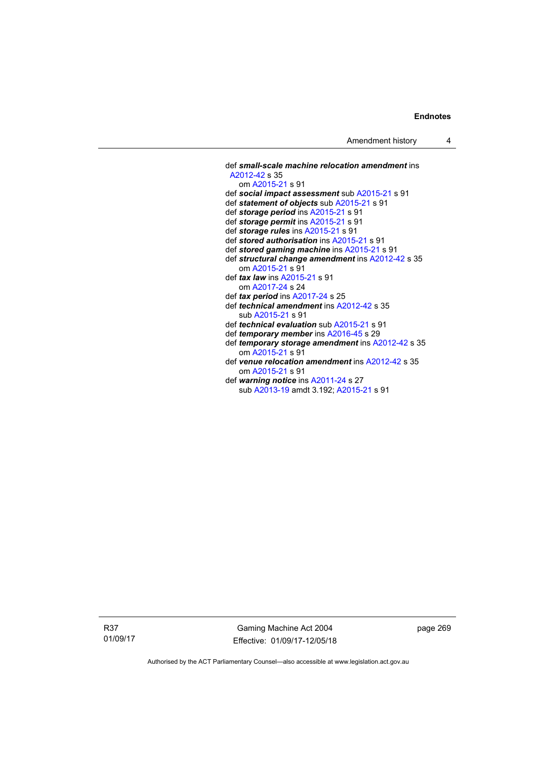def *small-scale machine relocation amendment* ins [A2012-42](http://www.legislation.act.gov.au/a/2012-42) s 35 om [A2015-21](http://www.legislation.act.gov.au/a/2015-21) s 91 def *social impact assessment* sub [A2015-21](http://www.legislation.act.gov.au/a/2015-21) s 91 def *statement of objects* sub [A2015-21](http://www.legislation.act.gov.au/a/2015-21) s 91 def *storage period* ins [A2015-21](http://www.legislation.act.gov.au/a/2015-21) s 91 def *storage permit* ins [A2015-21](http://www.legislation.act.gov.au/a/2015-21) s 91 def *storage rules* ins [A2015-21](http://www.legislation.act.gov.au/a/2015-21) s 91 def *stored authorisation* ins [A2015-21](http://www.legislation.act.gov.au/a/2015-21) s 91 def *stored gaming machine* ins [A2015-21](http://www.legislation.act.gov.au/a/2015-21) s 91 def *structural change amendment* ins [A2012-42](http://www.legislation.act.gov.au/a/2012-42) s 35 om [A2015-21](http://www.legislation.act.gov.au/a/2015-21) s 91 def *tax law* ins [A2015-21](http://www.legislation.act.gov.au/a/2015-21) s 91 om [A2017-24](http://www.legislation.act.gov.au/a/2017-24/default.asp) s 24 def *tax period* ins [A2017-24](http://www.legislation.act.gov.au/a/2017-24/default.asp) s 25 def *technical amendment* ins [A2012-42](http://www.legislation.act.gov.au/a/2012-42) s 35 sub [A2015-21](http://www.legislation.act.gov.au/a/2015-21) s 91 def *technical evaluation* sub [A2015-21](http://www.legislation.act.gov.au/a/2015-21) s 91 def *temporary member* ins [A2016-45](http://www.legislation.act.gov.au/a/2016-45) s 29 def *temporary storage amendment* ins [A2012-42](http://www.legislation.act.gov.au/a/2012-42) s 35 om [A2015-21](http://www.legislation.act.gov.au/a/2015-21) s 91 def *venue relocation amendment* ins [A2012-42](http://www.legislation.act.gov.au/a/2012-42) s 35 om [A2015-21](http://www.legislation.act.gov.au/a/2015-21) s 91 def *warning notice* ins [A2011-24](http://www.legislation.act.gov.au/a/2011-24) s 27 sub [A2013-19](http://www.legislation.act.gov.au/a/2013-19) amdt 3.192; [A2015-21](http://www.legislation.act.gov.au/a/2015-21) s 91

R37 01/09/17

Gaming Machine Act 2004 Effective: 01/09/17-12/05/18 page 269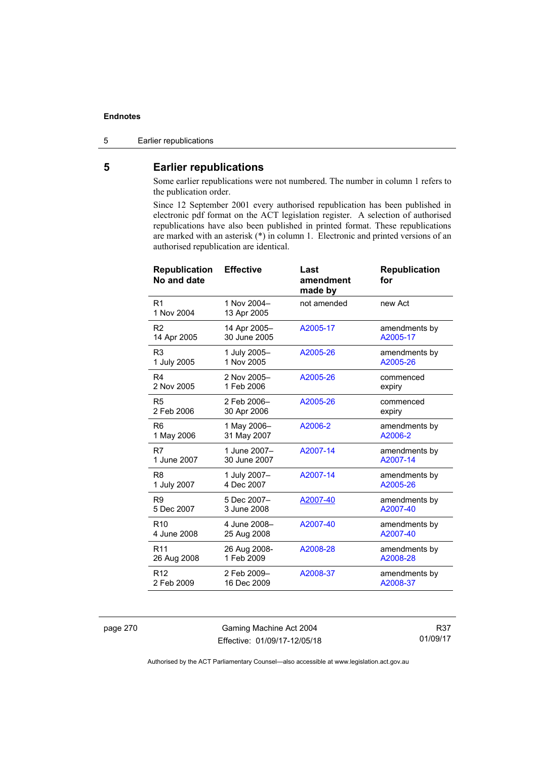### 5 Earlier republications

## **5 Earlier republications**

Some earlier republications were not numbered. The number in column 1 refers to the publication order.

Since 12 September 2001 every authorised republication has been published in electronic pdf format on the ACT legislation register. A selection of authorised republications have also been published in printed format. These republications are marked with an asterisk (\*) in column 1. Electronic and printed versions of an authorised republication are identical.

| <b>Effective</b>             | Last<br>amendment<br>made by | <b>Republication</b><br>for |
|------------------------------|------------------------------|-----------------------------|
| 1 Nov 2004-<br>13 Apr 2005   | not amended                  | new Act                     |
| 14 Apr 2005-<br>30 June 2005 | A2005-17                     | amendments by<br>A2005-17   |
| 1 July 2005-<br>1 Nov 2005   | A2005-26                     | amendments by<br>A2005-26   |
| 2 Nov 2005-<br>1 Feb 2006    | A2005-26                     | commenced<br>expiry         |
| 2 Feb 2006-<br>30 Apr 2006   | A2005-26                     | commenced<br>expiry         |
| 1 May 2006-<br>31 May 2007   | A2006-2                      | amendments by<br>A2006-2    |
| 1 June 2007-<br>30 June 2007 | A2007-14                     | amendments by<br>A2007-14   |
| 1 July 2007-<br>4 Dec 2007   | A2007-14                     | amendments by<br>A2005-26   |
| 5 Dec 2007-<br>3 June 2008   | A2007-40                     | amendments by<br>A2007-40   |
| 4 June 2008-<br>25 Aug 2008  | A2007-40                     | amendments by<br>A2007-40   |
| 26 Aug 2008-<br>1 Feb 2009   | A2008-28                     | amendments by<br>A2008-28   |
| 2 Feb 2009-<br>16 Dec 2009   | A2008-37                     | amendments by<br>A2008-37   |
|                              |                              |                             |

page 270 Gaming Machine Act 2004 Effective: 01/09/17-12/05/18

R37 01/09/17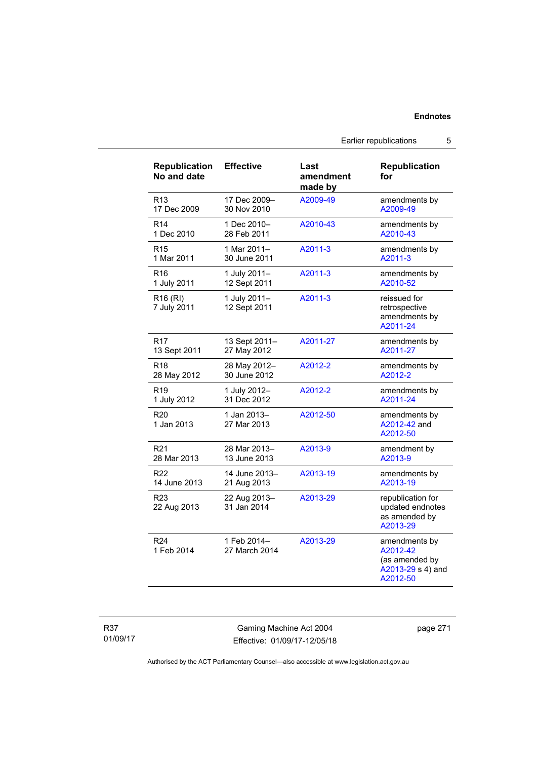### Earlier republications 5

| <b>Republication</b><br>No and date | <b>Effective</b>             | Last<br>amendment<br>made by | Republication<br>for                                                         |
|-------------------------------------|------------------------------|------------------------------|------------------------------------------------------------------------------|
| R <sub>13</sub>                     | 17 Dec 2009-                 | A2009-49                     | amendments by                                                                |
| 17 Dec 2009                         | 30 Nov 2010                  |                              | A2009-49                                                                     |
| R <sub>14</sub>                     | 1 Dec 2010-                  | A2010-43                     | amendments by                                                                |
| 1 Dec 2010                          | 28 Feb 2011                  |                              | A2010-43                                                                     |
| R <sub>15</sub>                     | 1 Mar 2011-                  | A2011-3                      | amendments by                                                                |
| 1 Mar 2011                          | 30 June 2011                 |                              | A2011-3                                                                      |
| R <sub>16</sub>                     | 1 July 2011-                 | A2011-3                      | amendments by                                                                |
| 1 July 2011                         | 12 Sept 2011                 |                              | A2010-52                                                                     |
| R <sub>16</sub> (RI)<br>7 July 2011 | 1 July 2011-<br>12 Sept 2011 | A2011-3                      | reissued for<br>retrospective<br>amendments by<br>A2011-24                   |
| <b>R17</b>                          | 13 Sept 2011-                | A2011-27                     | amendments by                                                                |
| 13 Sept 2011                        | 27 May 2012                  |                              | A2011-27                                                                     |
| R <sub>18</sub>                     | 28 May 2012-                 | A2012-2                      | amendments by                                                                |
| 28 May 2012                         | 30 June 2012                 |                              | A2012-2                                                                      |
| R <sub>19</sub>                     | 1 July 2012-                 | A2012-2                      | amendments by                                                                |
| 1 July 2012                         | 31 Dec 2012                  |                              | A2011-24                                                                     |
| R <sub>20</sub><br>1 Jan 2013       | 1 Jan 2013–<br>27 Mar 2013   | A2012-50                     | amendments by<br>A2012-42 and<br>A2012-50                                    |
| R <sub>21</sub>                     | 28 Mar 2013-                 | A2013-9                      | amendment by                                                                 |
| 28 Mar 2013                         | 13 June 2013                 |                              | A2013-9                                                                      |
| R22                                 | 14 June 2013-                | A2013-19                     | amendments by                                                                |
| 14 June 2013                        | 21 Aug 2013                  |                              | A2013-19                                                                     |
| R <sub>23</sub><br>22 Aug 2013      | 22 Aug 2013-<br>31 Jan 2014  | A2013-29                     | republication for<br>updated endnotes<br>as amended by<br>A2013-29           |
| R <sub>24</sub><br>1 Feb 2014       | 1 Feb 2014-<br>27 March 2014 | A2013-29                     | amendments by<br>A2012-42<br>(as amended by<br>A2013-29 s 4) and<br>A2012-50 |

Gaming Machine Act 2004 Effective: 01/09/17-12/05/18 page 271